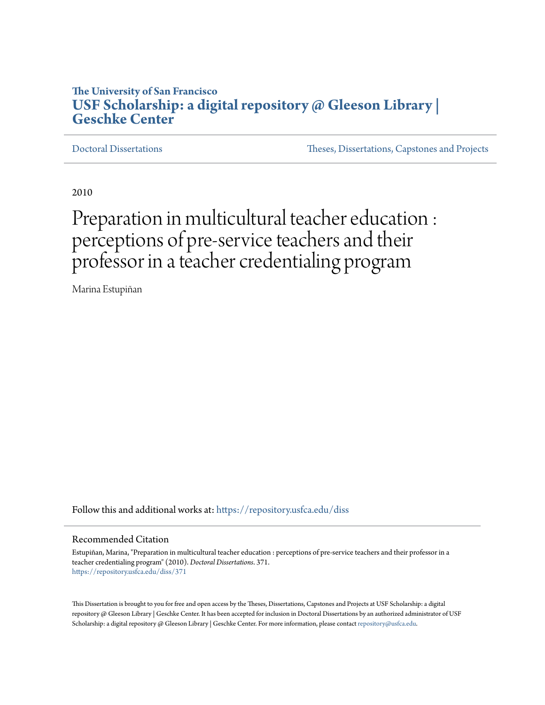## **The University of San Francisco [USF Scholarship: a digital repository @ Gleeson Library |](https://repository.usfca.edu?utm_source=repository.usfca.edu%2Fdiss%2F371&utm_medium=PDF&utm_campaign=PDFCoverPages) [Geschke Center](https://repository.usfca.edu?utm_source=repository.usfca.edu%2Fdiss%2F371&utm_medium=PDF&utm_campaign=PDFCoverPages)**

[Doctoral Dissertations](https://repository.usfca.edu/diss?utm_source=repository.usfca.edu%2Fdiss%2F371&utm_medium=PDF&utm_campaign=PDFCoverPages) [Theses, Dissertations, Capstones and Projects](https://repository.usfca.edu/etd?utm_source=repository.usfca.edu%2Fdiss%2F371&utm_medium=PDF&utm_campaign=PDFCoverPages)

2010

# Preparation in multicultural teacher education : perceptions of pre-service teachers and their professor in a teacher credentialing program

Marina Estupiñan

Follow this and additional works at: [https://repository.usfca.edu/diss](https://repository.usfca.edu/diss?utm_source=repository.usfca.edu%2Fdiss%2F371&utm_medium=PDF&utm_campaign=PDFCoverPages)

#### Recommended Citation

Estupiñan, Marina, "Preparation in multicultural teacher education : perceptions of pre-service teachers and their professor in a teacher credentialing program" (2010). *Doctoral Dissertations*. 371. [https://repository.usfca.edu/diss/371](https://repository.usfca.edu/diss/371?utm_source=repository.usfca.edu%2Fdiss%2F371&utm_medium=PDF&utm_campaign=PDFCoverPages)

This Dissertation is brought to you for free and open access by the Theses, Dissertations, Capstones and Projects at USF Scholarship: a digital repository @ Gleeson Library | Geschke Center. It has been accepted for inclusion in Doctoral Dissertations by an authorized administrator of USF Scholarship: a digital repository @ Gleeson Library | Geschke Center. For more information, please contact [repository@usfca.edu.](mailto:repository@usfca.edu)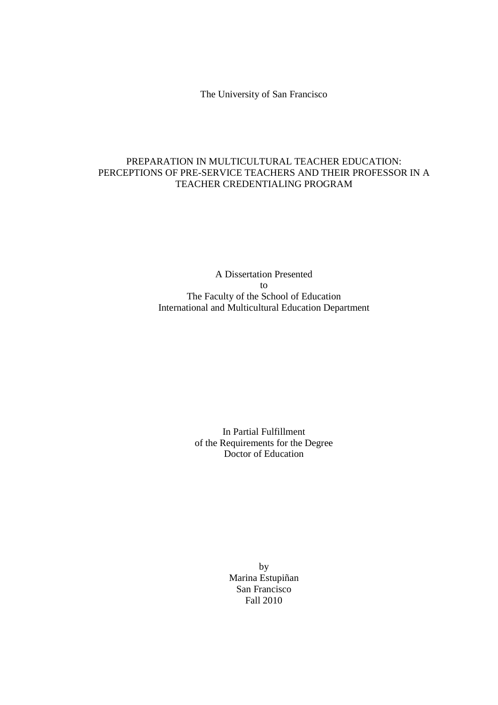The University of San Francisco

### PREPARATION IN MULTICULTURAL TEACHER EDUCATION: PERCEPTIONS OF PRE-SERVICE TEACHERS AND THEIR PROFESSOR IN A TEACHER CREDENTIALING PROGRAM

A Dissertation Presented to The Faculty of the School of Education International and Multicultural Education Department

> In Partial Fulfillment of the Requirements for the Degree Doctor of Education

> > by Marina Estupiñan San Francisco Fall 2010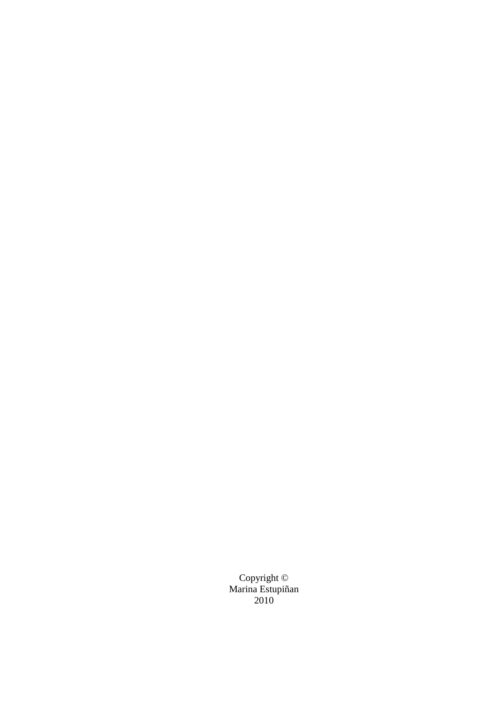Copyright © Marina Estupiñan 2010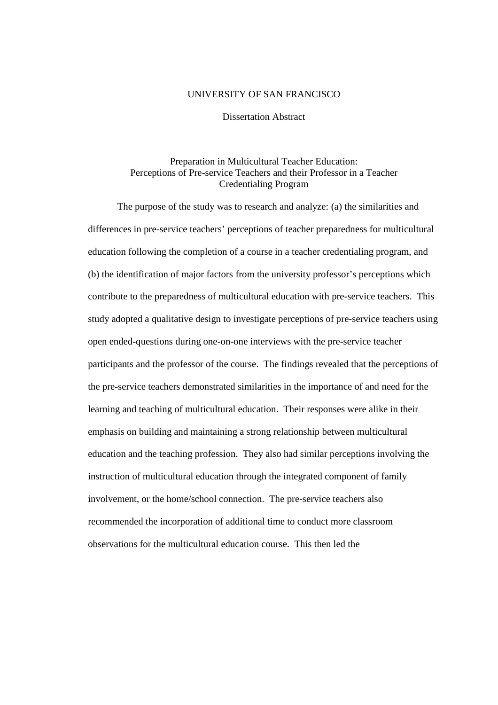#### UNIVERSITY OF SAN FRANCISCO

Dissertation Abstract

#### Preparation in Multicultural Teacher Education: Perceptions of Pre-service Teachers and their Professor in a Teacher Credentialing Program

 The purpose of the study was to research and analyze: (a) the similarities and differences in pre-service teachers' perceptions of teacher preparedness for multicultural education following the completion of a course in a teacher credentialing program, and (b) the identification of major factors from the university professor's perceptions which contribute to the preparedness of multicultural education with pre-service teachers. This study adopted a qualitative design to investigate perceptions of pre-service teachers using open ended-questions during one-on-one interviews with the pre-service teacher participants and the professor of the course. The findings revealed that the perceptions of the pre-service teachers demonstrated similarities in the importance of and need for the learning and teaching of multicultural education. Their responses were alike in their emphasis on building and maintaining a strong relationship between multicultural education and the teaching profession. They also had similar perceptions involving the instruction of multicultural education through the integrated component of family involvement, or the home/school connection. The pre-service teachers also recommended the incorporation of additional time to conduct more classroom observations for the multicultural education course. This then led the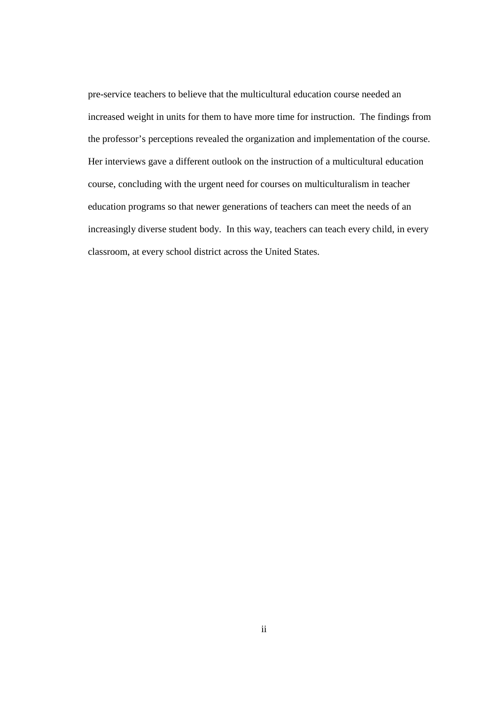pre-service teachers to believe that the multicultural education course needed an increased weight in units for them to have more time for instruction. The findings from the professor's perceptions revealed the organization and implementation of the course. Her interviews gave a different outlook on the instruction of a multicultural education course, concluding with the urgent need for courses on multiculturalism in teacher education programs so that newer generations of teachers can meet the needs of an increasingly diverse student body. In this way, teachers can teach every child, in every classroom, at every school district across the United States.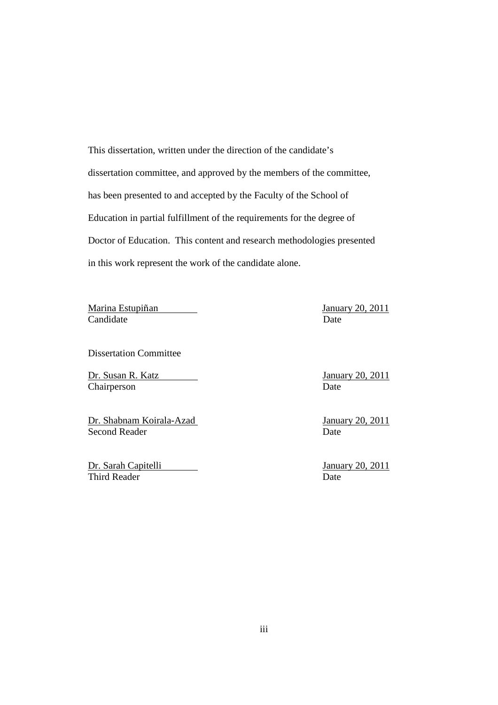This dissertation, written under the direction of the candidate's dissertation committee, and approved by the members of the committee, has been presented to and accepted by the Faculty of the School of Education in partial fulfillment of the requirements for the degree of Doctor of Education. This content and research methodologies presented in this work represent the work of the candidate alone.

Marina Estupiñan January 20, 2011 **Candidate** Date

Dissertation Committee

Dr. Susan R. Katz January 20, 2011 Chairperson Date

Dr. Shabnam Koirala-Azad January 20, 2011 Second Reader Date

Dr. Sarah Capitelli January 20, 2011 Third Reader Date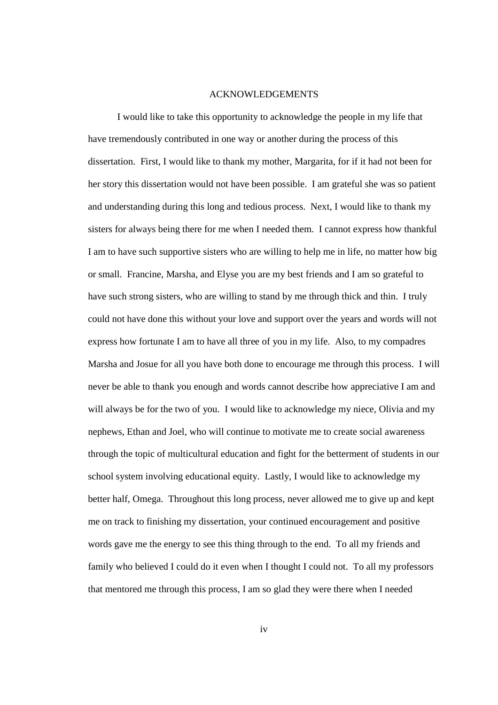#### ACKNOWLEDGEMENTS

 I would like to take this opportunity to acknowledge the people in my life that have tremendously contributed in one way or another during the process of this dissertation. First, I would like to thank my mother, Margarita, for if it had not been for her story this dissertation would not have been possible. I am grateful she was so patient and understanding during this long and tedious process. Next, I would like to thank my sisters for always being there for me when I needed them. I cannot express how thankful I am to have such supportive sisters who are willing to help me in life, no matter how big or small. Francine, Marsha, and Elyse you are my best friends and I am so grateful to have such strong sisters, who are willing to stand by me through thick and thin. I truly could not have done this without your love and support over the years and words will not express how fortunate I am to have all three of you in my life. Also, to my compadres Marsha and Josue for all you have both done to encourage me through this process. I will never be able to thank you enough and words cannot describe how appreciative I am and will always be for the two of you. I would like to acknowledge my niece, Olivia and my nephews, Ethan and Joel, who will continue to motivate me to create social awareness through the topic of multicultural education and fight for the betterment of students in our school system involving educational equity. Lastly, I would like to acknowledge my better half, Omega. Throughout this long process, never allowed me to give up and kept me on track to finishing my dissertation, your continued encouragement and positive words gave me the energy to see this thing through to the end. To all my friends and family who believed I could do it even when I thought I could not. To all my professors that mentored me through this process, I am so glad they were there when I needed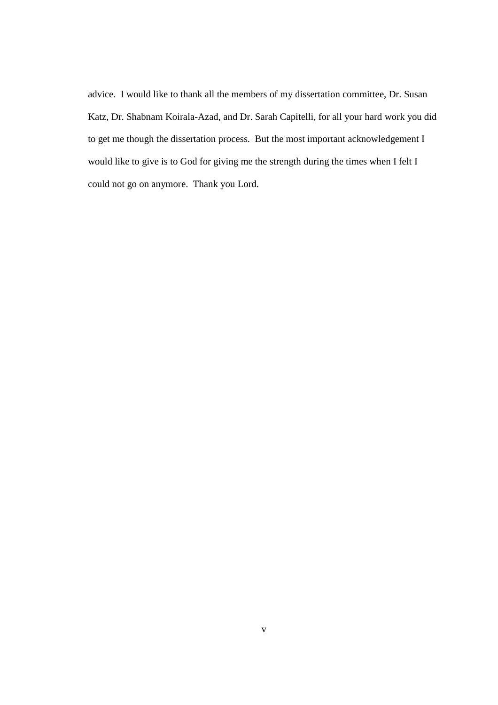advice. I would like to thank all the members of my dissertation committee, Dr. Susan Katz, Dr. Shabnam Koirala-Azad, and Dr. Sarah Capitelli, for all your hard work you did to get me though the dissertation process. But the most important acknowledgement I would like to give is to God for giving me the strength during the times when I felt I could not go on anymore. Thank you Lord.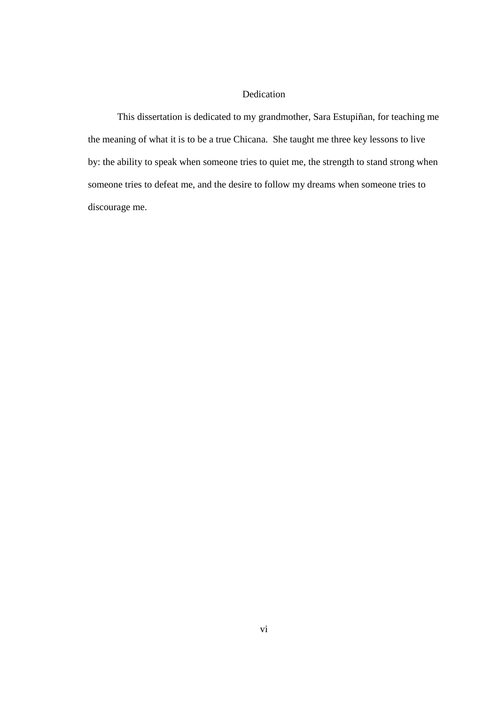## Dedication

 This dissertation is dedicated to my grandmother, Sara Estupiñan, for teaching me the meaning of what it is to be a true Chicana. She taught me three key lessons to live by: the ability to speak when someone tries to quiet me, the strength to stand strong when someone tries to defeat me, and the desire to follow my dreams when someone tries to discourage me.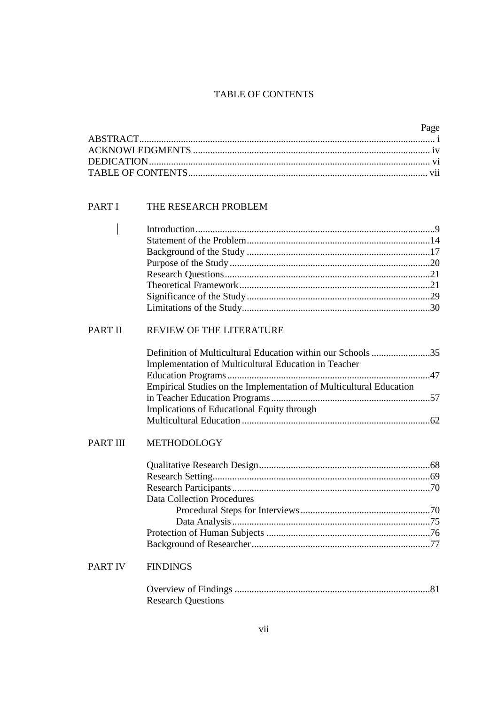## TABLE OF CONTENTS

| Page |
|------|
|      |
|      |
|      |
|      |

## PART I THE RESEARCH PROBLEM

 $\overline{\phantom{a}}$ 

## PART II REVIEW OF THE LITERATURE

| Definition of Multicultural Education within our Schools 35        |  |
|--------------------------------------------------------------------|--|
| Implementation of Multicultural Education in Teacher               |  |
|                                                                    |  |
| Empirical Studies on the Implementation of Multicultural Education |  |
|                                                                    |  |
| Implications of Educational Equity through                         |  |
|                                                                    |  |
|                                                                    |  |

## PART III METHODOLOGY

| Data Collection Procedures |  |
|----------------------------|--|
|                            |  |
|                            |  |
|                            |  |
|                            |  |

## PART IV FINDINGS

| <b>Research Questions</b> |  |
|---------------------------|--|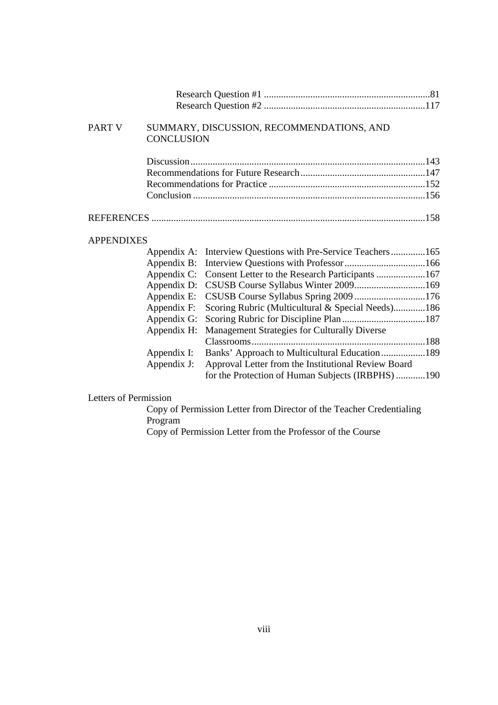| <b>PART V</b>     | <b>CONCLUSION</b> | SUMMARY, DISCUSSION, RECOMMENDATIONS, AND           |  |
|-------------------|-------------------|-----------------------------------------------------|--|
|                   |                   |                                                     |  |
|                   |                   |                                                     |  |
|                   |                   |                                                     |  |
|                   |                   |                                                     |  |
|                   |                   |                                                     |  |
| <b>APPENDIXES</b> |                   |                                                     |  |
|                   | Appendix A:       | Interview Questions with Pre-Service Teachers165    |  |
|                   | Appendix B:       |                                                     |  |
|                   | Appendix C:       |                                                     |  |
|                   | Appendix D:       |                                                     |  |
|                   | Appendix E:       |                                                     |  |
|                   | Appendix F:       | Scoring Rubric (Multicultural & Special Needs)186   |  |
|                   | Appendix G:       |                                                     |  |
|                   | Appendix H:       | Management Strategies for Culturally Diverse        |  |
|                   |                   |                                                     |  |
|                   | Appendix I:       | Banks' Approach to Multicultural Education189       |  |
|                   | Appendix J:       | Approval Letter from the Institutional Review Board |  |

#### Letters of Permission

Copy of Permission Letter from Director of the Teacher Credentialing Program

for the Protection of Human Subjects (IRBPHS) ............190

Copy of Permission Letter from the Professor of the Course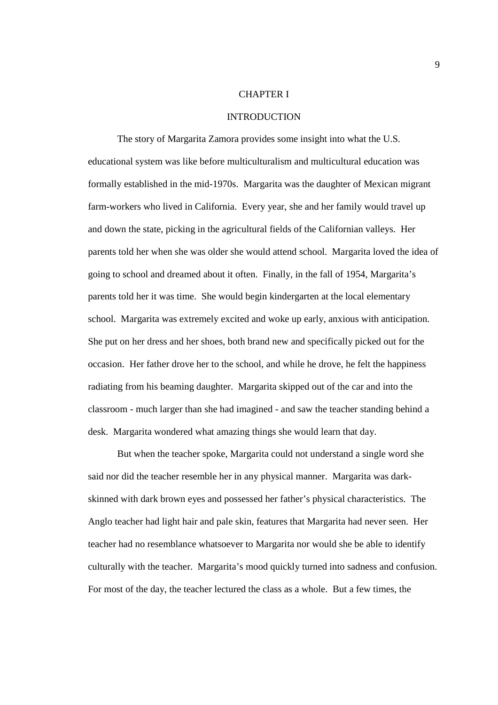#### CHAPTER I

#### INTRODUCTION

The story of Margarita Zamora provides some insight into what the U.S. educational system was like before multiculturalism and multicultural education was formally established in the mid-1970s. Margarita was the daughter of Mexican migrant farm-workers who lived in California. Every year, she and her family would travel up and down the state, picking in the agricultural fields of the Californian valleys. Her parents told her when she was older she would attend school. Margarita loved the idea of going to school and dreamed about it often. Finally, in the fall of 1954, Margarita's parents told her it was time. She would begin kindergarten at the local elementary school. Margarita was extremely excited and woke up early, anxious with anticipation. She put on her dress and her shoes, both brand new and specifically picked out for the occasion. Her father drove her to the school, and while he drove, he felt the happiness radiating from his beaming daughter. Margarita skipped out of the car and into the classroom - much larger than she had imagined - and saw the teacher standing behind a desk. Margarita wondered what amazing things she would learn that day.

But when the teacher spoke, Margarita could not understand a single word she said nor did the teacher resemble her in any physical manner. Margarita was darkskinned with dark brown eyes and possessed her father's physical characteristics. The Anglo teacher had light hair and pale skin, features that Margarita had never seen. Her teacher had no resemblance whatsoever to Margarita nor would she be able to identify culturally with the teacher. Margarita's mood quickly turned into sadness and confusion. For most of the day, the teacher lectured the class as a whole. But a few times, the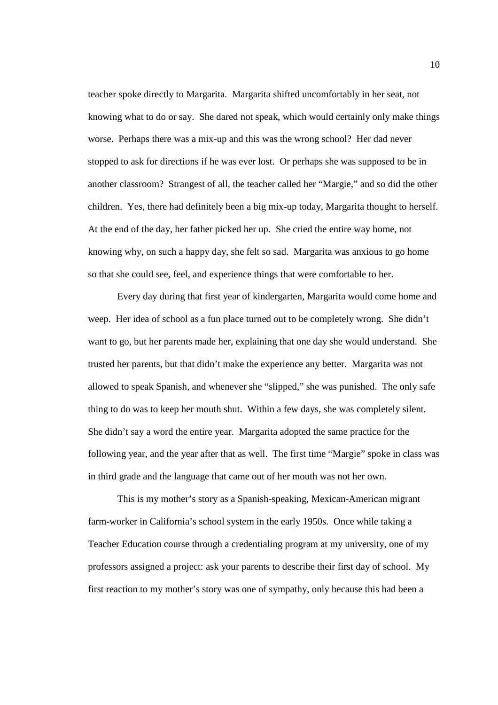teacher spoke directly to Margarita. Margarita shifted uncomfortably in her seat, not knowing what to do or say. She dared not speak, which would certainly only make things worse. Perhaps there was a mix-up and this was the wrong school? Her dad never stopped to ask for directions if he was ever lost. Or perhaps she was supposed to be in another classroom? Strangest of all, the teacher called her "Margie," and so did the other children. Yes, there had definitely been a big mix-up today, Margarita thought to herself. At the end of the day, her father picked her up. She cried the entire way home, not knowing why, on such a happy day, she felt so sad. Margarita was anxious to go home so that she could see, feel, and experience things that were comfortable to her.

Every day during that first year of kindergarten, Margarita would come home and weep. Her idea of school as a fun place turned out to be completely wrong. She didn't want to go, but her parents made her, explaining that one day she would understand. She trusted her parents, but that didn't make the experience any better. Margarita was not allowed to speak Spanish, and whenever she "slipped," she was punished. The only safe thing to do was to keep her mouth shut. Within a few days, she was completely silent. She didn't say a word the entire year. Margarita adopted the same practice for the following year, and the year after that as well. The first time "Margie" spoke in class was in third grade and the language that came out of her mouth was not her own.

This is my mother's story as a Spanish-speaking, Mexican-American migrant farm-worker in California's school system in the early 1950s. Once while taking a Teacher Education course through a credentialing program at my university, one of my professors assigned a project: ask your parents to describe their first day of school. My first reaction to my mother's story was one of sympathy, only because this had been a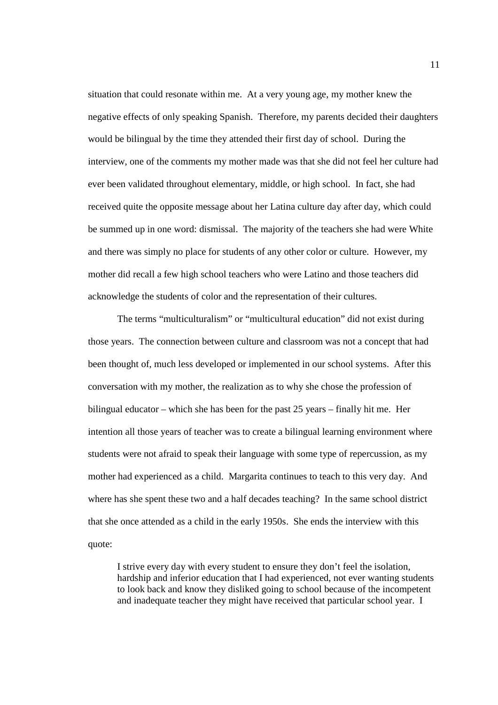situation that could resonate within me. At a very young age, my mother knew the negative effects of only speaking Spanish. Therefore, my parents decided their daughters would be bilingual by the time they attended their first day of school. During the interview, one of the comments my mother made was that she did not feel her culture had ever been validated throughout elementary, middle, or high school. In fact, she had received quite the opposite message about her Latina culture day after day, which could be summed up in one word: dismissal. The majority of the teachers she had were White and there was simply no place for students of any other color or culture. However, my mother did recall a few high school teachers who were Latino and those teachers did acknowledge the students of color and the representation of their cultures.

The terms "multiculturalism" or "multicultural education" did not exist during those years. The connection between culture and classroom was not a concept that had been thought of, much less developed or implemented in our school systems. After this conversation with my mother, the realization as to why she chose the profession of bilingual educator – which she has been for the past 25 years – finally hit me. Her intention all those years of teacher was to create a bilingual learning environment where students were not afraid to speak their language with some type of repercussion, as my mother had experienced as a child. Margarita continues to teach to this very day. And where has she spent these two and a half decades teaching? In the same school district that she once attended as a child in the early 1950s. She ends the interview with this quote:

I strive every day with every student to ensure they don't feel the isolation, hardship and inferior education that I had experienced, not ever wanting students to look back and know they disliked going to school because of the incompetent and inadequate teacher they might have received that particular school year. I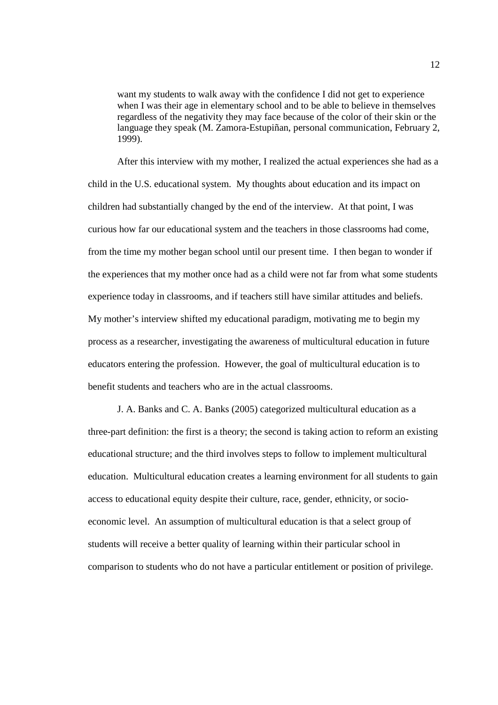want my students to walk away with the confidence I did not get to experience when I was their age in elementary school and to be able to believe in themselves regardless of the negativity they may face because of the color of their skin or the language they speak (M. Zamora-Estupiñan, personal communication, February 2, 1999).

After this interview with my mother, I realized the actual experiences she had as a child in the U.S. educational system. My thoughts about education and its impact on children had substantially changed by the end of the interview. At that point, I was curious how far our educational system and the teachers in those classrooms had come, from the time my mother began school until our present time. I then began to wonder if the experiences that my mother once had as a child were not far from what some students experience today in classrooms, and if teachers still have similar attitudes and beliefs. My mother's interview shifted my educational paradigm, motivating me to begin my process as a researcher, investigating the awareness of multicultural education in future educators entering the profession. However, the goal of multicultural education is to benefit students and teachers who are in the actual classrooms.

J. A. Banks and C. A. Banks (2005) categorized multicultural education as a three-part definition: the first is a theory; the second is taking action to reform an existing educational structure; and the third involves steps to follow to implement multicultural education. Multicultural education creates a learning environment for all students to gain access to educational equity despite their culture, race, gender, ethnicity, or socioeconomic level. An assumption of multicultural education is that a select group of students will receive a better quality of learning within their particular school in comparison to students who do not have a particular entitlement or position of privilege.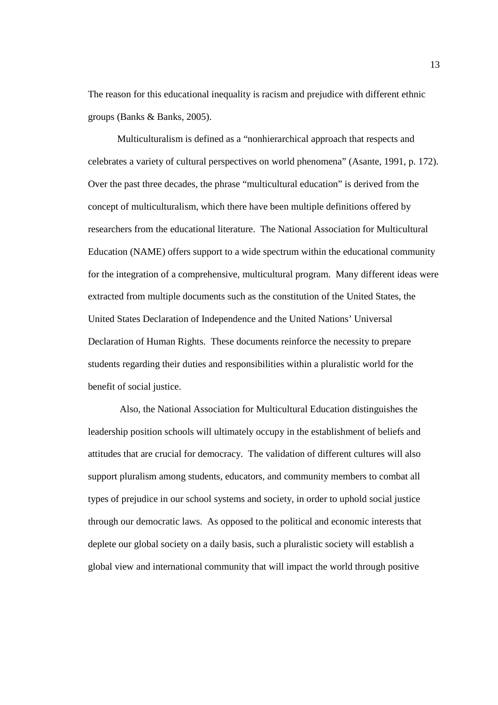The reason for this educational inequality is racism and prejudice with different ethnic groups (Banks & Banks, 2005).

Multiculturalism is defined as a "nonhierarchical approach that respects and celebrates a variety of cultural perspectives on world phenomena" (Asante, 1991, p. 172). Over the past three decades, the phrase "multicultural education" is derived from the concept of multiculturalism, which there have been multiple definitions offered by researchers from the educational literature. The National Association for Multicultural Education (NAME) offers support to a wide spectrum within the educational community for the integration of a comprehensive, multicultural program. Many different ideas were extracted from multiple documents such as the constitution of the United States, the United States Declaration of Independence and the United Nations' Universal Declaration of Human Rights. These documents reinforce the necessity to prepare students regarding their duties and responsibilities within a pluralistic world for the benefit of social justice.

 Also, the National Association for Multicultural Education distinguishes the leadership position schools will ultimately occupy in the establishment of beliefs and attitudes that are crucial for democracy. The validation of different cultures will also support pluralism among students, educators, and community members to combat all types of prejudice in our school systems and society, in order to uphold social justice through our democratic laws. As opposed to the political and economic interests that deplete our global society on a daily basis, such a pluralistic society will establish a global view and international community that will impact the world through positive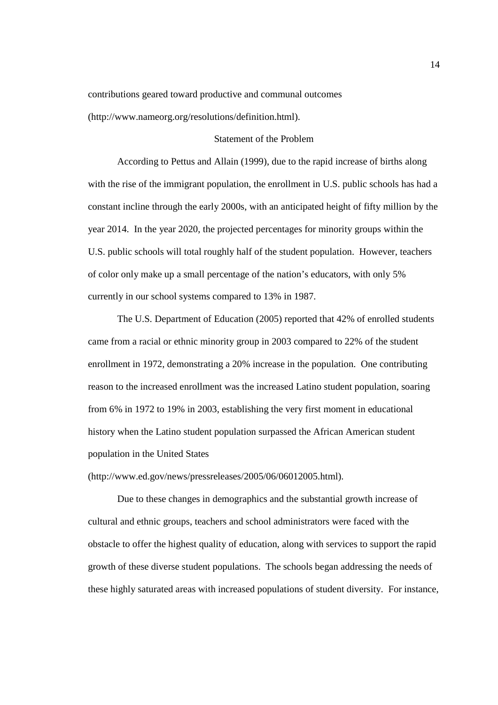contributions geared toward productive and communal outcomes

(http://www.nameorg.org/resolutions/definition.html).

#### Statement of the Problem

According to Pettus and Allain (1999), due to the rapid increase of births along with the rise of the immigrant population, the enrollment in U.S. public schools has had a constant incline through the early 2000s, with an anticipated height of fifty million by the year 2014. In the year 2020, the projected percentages for minority groups within the U.S. public schools will total roughly half of the student population. However, teachers of color only make up a small percentage of the nation's educators, with only 5% currently in our school systems compared to 13% in 1987.

The U.S. Department of Education (2005) reported that 42% of enrolled students came from a racial or ethnic minority group in 2003 compared to 22% of the student enrollment in 1972, demonstrating a 20% increase in the population. One contributing reason to the increased enrollment was the increased Latino student population, soaring from 6% in 1972 to 19% in 2003, establishing the very first moment in educational history when the Latino student population surpassed the African American student population in the United States

(http://www.ed.gov/news/pressreleases/2005/06/06012005.html).

Due to these changes in demographics and the substantial growth increase of cultural and ethnic groups, teachers and school administrators were faced with the obstacle to offer the highest quality of education, along with services to support the rapid growth of these diverse student populations. The schools began addressing the needs of these highly saturated areas with increased populations of student diversity. For instance,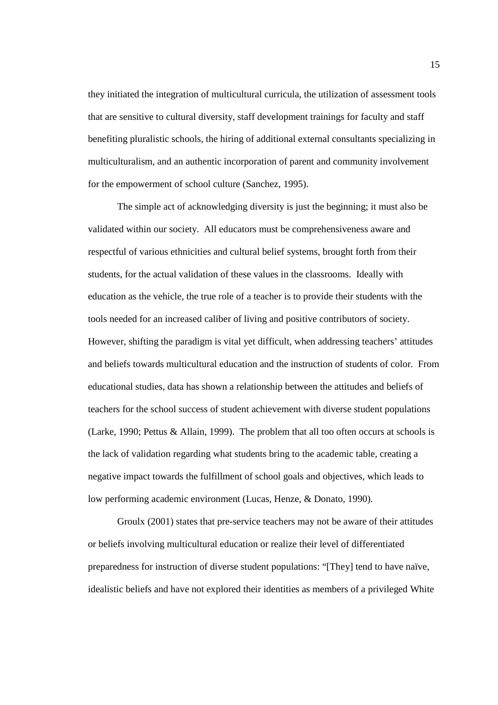they initiated the integration of multicultural curricula, the utilization of assessment tools that are sensitive to cultural diversity, staff development trainings for faculty and staff benefiting pluralistic schools, the hiring of additional external consultants specializing in multiculturalism, and an authentic incorporation of parent and community involvement for the empowerment of school culture (Sanchez, 1995).

The simple act of acknowledging diversity is just the beginning; it must also be validated within our society. All educators must be comprehensiveness aware and respectful of various ethnicities and cultural belief systems, brought forth from their students, for the actual validation of these values in the classrooms. Ideally with education as the vehicle, the true role of a teacher is to provide their students with the tools needed for an increased caliber of living and positive contributors of society. However, shifting the paradigm is vital yet difficult, when addressing teachers' attitudes and beliefs towards multicultural education and the instruction of students of color. From educational studies, data has shown a relationship between the attitudes and beliefs of teachers for the school success of student achievement with diverse student populations (Larke, 1990; Pettus & Allain, 1999). The problem that all too often occurs at schools is the lack of validation regarding what students bring to the academic table, creating a negative impact towards the fulfillment of school goals and objectives, which leads to low performing academic environment (Lucas, Henze, & Donato, 1990).

Groulx (2001) states that pre-service teachers may not be aware of their attitudes or beliefs involving multicultural education or realize their level of differentiated preparedness for instruction of diverse student populations: "[They] tend to have naïve, idealistic beliefs and have not explored their identities as members of a privileged White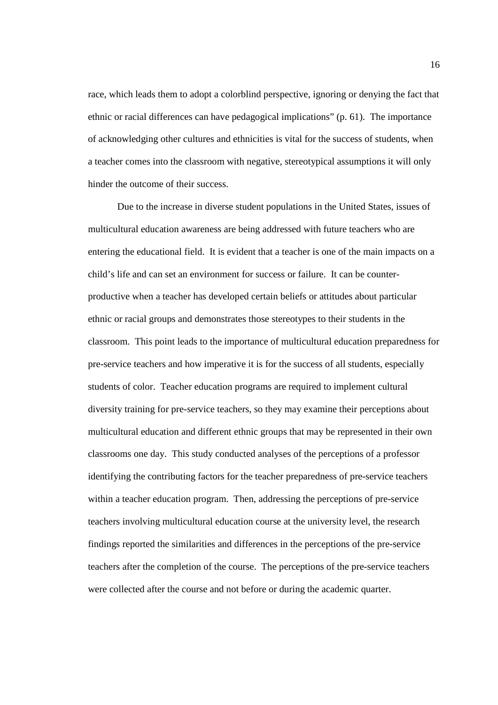race, which leads them to adopt a colorblind perspective, ignoring or denying the fact that ethnic or racial differences can have pedagogical implications" (p. 61). The importance of acknowledging other cultures and ethnicities is vital for the success of students, when a teacher comes into the classroom with negative, stereotypical assumptions it will only hinder the outcome of their success.

Due to the increase in diverse student populations in the United States, issues of multicultural education awareness are being addressed with future teachers who are entering the educational field. It is evident that a teacher is one of the main impacts on a child's life and can set an environment for success or failure. It can be counterproductive when a teacher has developed certain beliefs or attitudes about particular ethnic or racial groups and demonstrates those stereotypes to their students in the classroom. This point leads to the importance of multicultural education preparedness for pre-service teachers and how imperative it is for the success of all students, especially students of color. Teacher education programs are required to implement cultural diversity training for pre-service teachers, so they may examine their perceptions about multicultural education and different ethnic groups that may be represented in their own classrooms one day. This study conducted analyses of the perceptions of a professor identifying the contributing factors for the teacher preparedness of pre-service teachers within a teacher education program. Then, addressing the perceptions of pre-service teachers involving multicultural education course at the university level, the research findings reported the similarities and differences in the perceptions of the pre-service teachers after the completion of the course. The perceptions of the pre-service teachers were collected after the course and not before or during the academic quarter.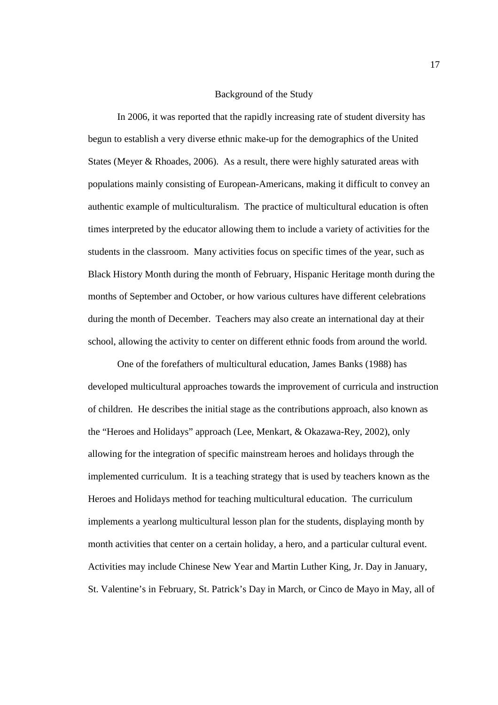#### Background of the Study

In 2006, it was reported that the rapidly increasing rate of student diversity has begun to establish a very diverse ethnic make-up for the demographics of the United States (Meyer & Rhoades, 2006). As a result, there were highly saturated areas with populations mainly consisting of European-Americans, making it difficult to convey an authentic example of multiculturalism. The practice of multicultural education is often times interpreted by the educator allowing them to include a variety of activities for the students in the classroom. Many activities focus on specific times of the year, such as Black History Month during the month of February, Hispanic Heritage month during the months of September and October, or how various cultures have different celebrations during the month of December. Teachers may also create an international day at their school, allowing the activity to center on different ethnic foods from around the world.

 One of the forefathers of multicultural education, James Banks (1988) has developed multicultural approaches towards the improvement of curricula and instruction of children. He describes the initial stage as the contributions approach, also known as the "Heroes and Holidays" approach (Lee, Menkart, & Okazawa-Rey, 2002), only allowing for the integration of specific mainstream heroes and holidays through the implemented curriculum. It is a teaching strategy that is used by teachers known as the Heroes and Holidays method for teaching multicultural education. The curriculum implements a yearlong multicultural lesson plan for the students, displaying month by month activities that center on a certain holiday, a hero, and a particular cultural event. Activities may include Chinese New Year and Martin Luther King, Jr. Day in January, St. Valentine's in February, St. Patrick's Day in March, or Cinco de Mayo in May, all of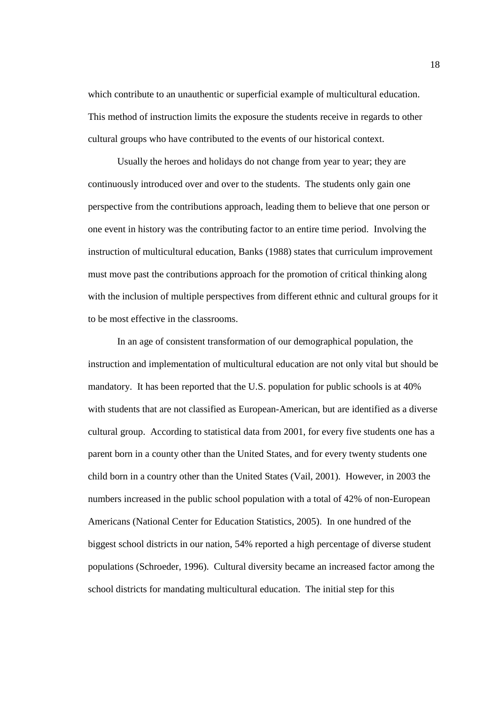which contribute to an unauthentic or superficial example of multicultural education. This method of instruction limits the exposure the students receive in regards to other cultural groups who have contributed to the events of our historical context.

Usually the heroes and holidays do not change from year to year; they are continuously introduced over and over to the students. The students only gain one perspective from the contributions approach, leading them to believe that one person or one event in history was the contributing factor to an entire time period. Involving the instruction of multicultural education, Banks (1988) states that curriculum improvement must move past the contributions approach for the promotion of critical thinking along with the inclusion of multiple perspectives from different ethnic and cultural groups for it to be most effective in the classrooms.

 In an age of consistent transformation of our demographical population, the instruction and implementation of multicultural education are not only vital but should be mandatory. It has been reported that the U.S. population for public schools is at 40% with students that are not classified as European-American, but are identified as a diverse cultural group. According to statistical data from 2001, for every five students one has a parent born in a county other than the United States, and for every twenty students one child born in a country other than the United States (Vail, 2001). However, in 2003 the numbers increased in the public school population with a total of 42% of non-European Americans (National Center for Education Statistics, 2005). In one hundred of the biggest school districts in our nation, 54% reported a high percentage of diverse student populations (Schroeder, 1996). Cultural diversity became an increased factor among the school districts for mandating multicultural education. The initial step for this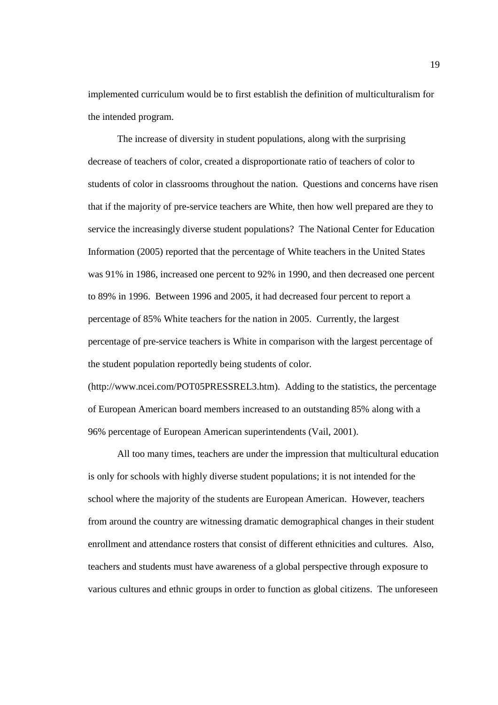implemented curriculum would be to first establish the definition of multiculturalism for the intended program.

The increase of diversity in student populations, along with the surprising decrease of teachers of color, created a disproportionate ratio of teachers of color to students of color in classrooms throughout the nation. Questions and concerns have risen that if the majority of pre-service teachers are White, then how well prepared are they to service the increasingly diverse student populations? The National Center for Education Information (2005) reported that the percentage of White teachers in the United States was 91% in 1986, increased one percent to 92% in 1990, and then decreased one percent to 89% in 1996. Between 1996 and 2005, it had decreased four percent to report a percentage of 85% White teachers for the nation in 2005. Currently, the largest percentage of pre-service teachers is White in comparison with the largest percentage of the student population reportedly being students of color.

(http://www.ncei.com/POT05PRESSREL3.htm). Adding to the statistics, the percentage of European American board members increased to an outstanding 85% along with a 96% percentage of European American superintendents (Vail, 2001).

All too many times, teachers are under the impression that multicultural education is only for schools with highly diverse student populations; it is not intended for the school where the majority of the students are European American. However, teachers from around the country are witnessing dramatic demographical changes in their student enrollment and attendance rosters that consist of different ethnicities and cultures. Also, teachers and students must have awareness of a global perspective through exposure to various cultures and ethnic groups in order to function as global citizens. The unforeseen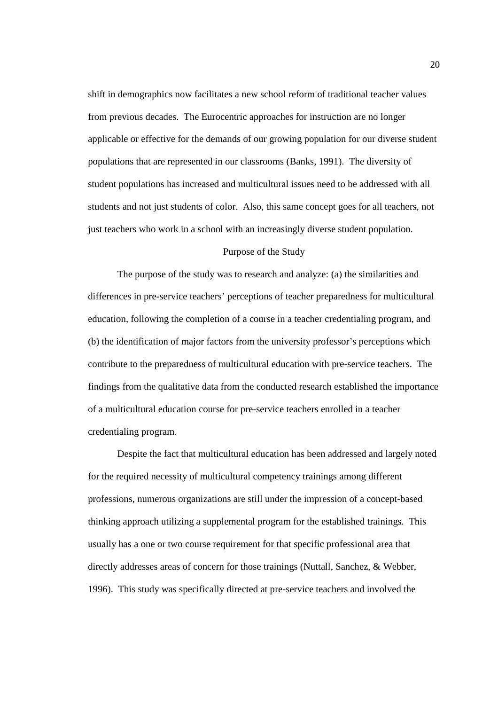shift in demographics now facilitates a new school reform of traditional teacher values from previous decades. The Eurocentric approaches for instruction are no longer applicable or effective for the demands of our growing population for our diverse student populations that are represented in our classrooms (Banks, 1991). The diversity of student populations has increased and multicultural issues need to be addressed with all students and not just students of color. Also, this same concept goes for all teachers, not just teachers who work in a school with an increasingly diverse student population.

#### Purpose of the Study

The purpose of the study was to research and analyze: (a) the similarities and differences in pre-service teachers' perceptions of teacher preparedness for multicultural education, following the completion of a course in a teacher credentialing program, and (b) the identification of major factors from the university professor's perceptions which contribute to the preparedness of multicultural education with pre-service teachers. The findings from the qualitative data from the conducted research established the importance of a multicultural education course for pre-service teachers enrolled in a teacher credentialing program.

Despite the fact that multicultural education has been addressed and largely noted for the required necessity of multicultural competency trainings among different professions, numerous organizations are still under the impression of a concept-based thinking approach utilizing a supplemental program for the established trainings. This usually has a one or two course requirement for that specific professional area that directly addresses areas of concern for those trainings (Nuttall, Sanchez, & Webber, 1996). This study was specifically directed at pre-service teachers and involved the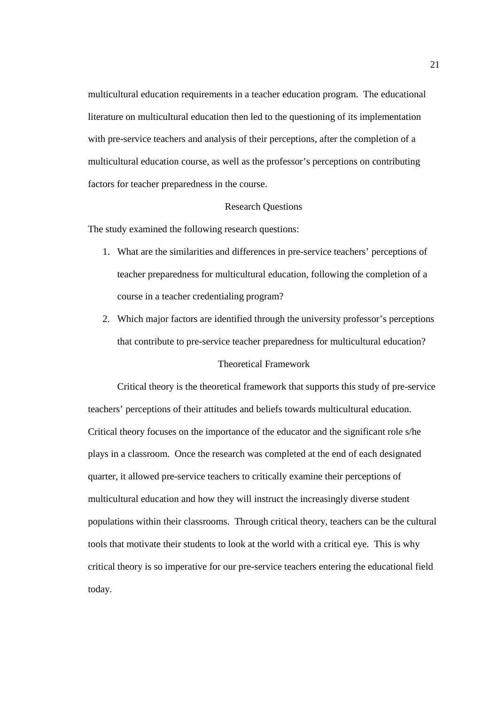multicultural education requirements in a teacher education program. The educational literature on multicultural education then led to the questioning of its implementation with pre-service teachers and analysis of their perceptions, after the completion of a multicultural education course, as well as the professor's perceptions on contributing factors for teacher preparedness in the course.

#### Research Questions

The study examined the following research questions:

- 1. What are the similarities and differences in pre-service teachers' perceptions of teacher preparedness for multicultural education, following the completion of a course in a teacher credentialing program?
- 2. Which major factors are identified through the university professor's perceptions that contribute to pre-service teacher preparedness for multicultural education?

## Theoretical Framework

Critical theory is the theoretical framework that supports this study of pre-service teachers' perceptions of their attitudes and beliefs towards multicultural education. Critical theory focuses on the importance of the educator and the significant role s/he plays in a classroom. Once the research was completed at the end of each designated quarter, it allowed pre-service teachers to critically examine their perceptions of multicultural education and how they will instruct the increasingly diverse student populations within their classrooms. Through critical theory, teachers can be the cultural tools that motivate their students to look at the world with a critical eye. This is why critical theory is so imperative for our pre-service teachers entering the educational field today.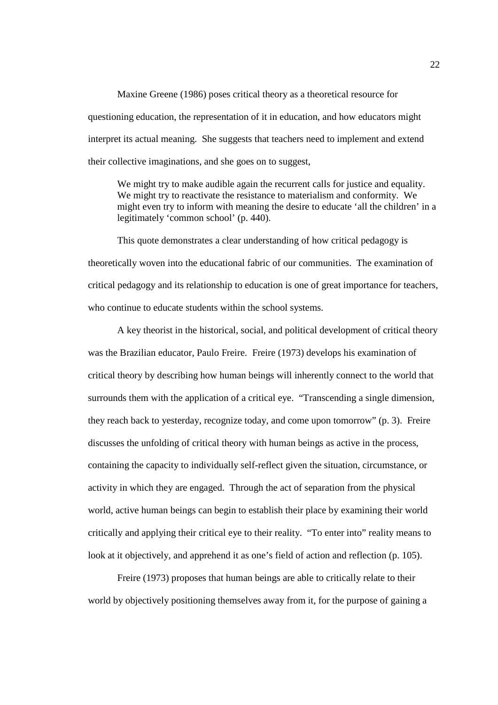Maxine Greene (1986) poses critical theory as a theoretical resource for questioning education, the representation of it in education, and how educators might interpret its actual meaning. She suggests that teachers need to implement and extend their collective imaginations, and she goes on to suggest,

We might try to make audible again the recurrent calls for justice and equality. We might try to reactivate the resistance to materialism and conformity. We might even try to inform with meaning the desire to educate 'all the children' in a legitimately 'common school' (p. 440).

This quote demonstrates a clear understanding of how critical pedagogy is theoretically woven into the educational fabric of our communities. The examination of critical pedagogy and its relationship to education is one of great importance for teachers, who continue to educate students within the school systems.

A key theorist in the historical, social, and political development of critical theory was the Brazilian educator, Paulo Freire. Freire (1973) develops his examination of critical theory by describing how human beings will inherently connect to the world that surrounds them with the application of a critical eye. "Transcending a single dimension, they reach back to yesterday, recognize today, and come upon tomorrow" (p. 3). Freire discusses the unfolding of critical theory with human beings as active in the process, containing the capacity to individually self-reflect given the situation, circumstance, or activity in which they are engaged. Through the act of separation from the physical world, active human beings can begin to establish their place by examining their world critically and applying their critical eye to their reality. "To enter into" reality means to look at it objectively, and apprehend it as one's field of action and reflection (p. 105).

Freire (1973) proposes that human beings are able to critically relate to their world by objectively positioning themselves away from it, for the purpose of gaining a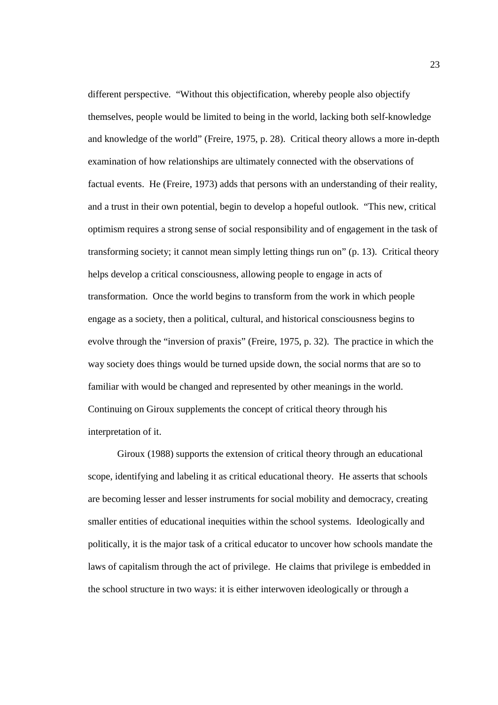different perspective. "Without this objectification, whereby people also objectify themselves, people would be limited to being in the world, lacking both self-knowledge and knowledge of the world" (Freire, 1975, p. 28). Critical theory allows a more in-depth examination of how relationships are ultimately connected with the observations of factual events. He (Freire, 1973) adds that persons with an understanding of their reality, and a trust in their own potential, begin to develop a hopeful outlook. "This new, critical optimism requires a strong sense of social responsibility and of engagement in the task of transforming society; it cannot mean simply letting things run on" (p. 13). Critical theory helps develop a critical consciousness, allowing people to engage in acts of transformation. Once the world begins to transform from the work in which people engage as a society, then a political, cultural, and historical consciousness begins to evolve through the "inversion of praxis" (Freire, 1975, p. 32). The practice in which the way society does things would be turned upside down, the social norms that are so to familiar with would be changed and represented by other meanings in the world. Continuing on Giroux supplements the concept of critical theory through his interpretation of it.

Giroux (1988) supports the extension of critical theory through an educational scope, identifying and labeling it as critical educational theory. He asserts that schools are becoming lesser and lesser instruments for social mobility and democracy, creating smaller entities of educational inequities within the school systems. Ideologically and politically, it is the major task of a critical educator to uncover how schools mandate the laws of capitalism through the act of privilege. He claims that privilege is embedded in the school structure in two ways: it is either interwoven ideologically or through a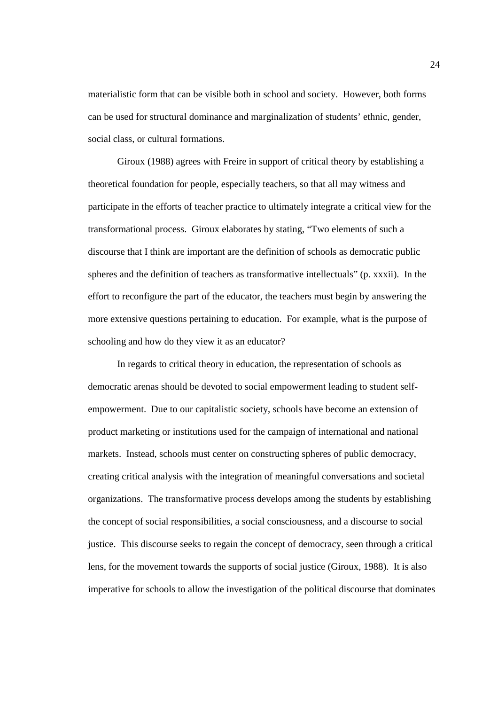materialistic form that can be visible both in school and society. However, both forms can be used for structural dominance and marginalization of students' ethnic, gender, social class, or cultural formations.

Giroux (1988) agrees with Freire in support of critical theory by establishing a theoretical foundation for people, especially teachers, so that all may witness and participate in the efforts of teacher practice to ultimately integrate a critical view for the transformational process. Giroux elaborates by stating, "Two elements of such a discourse that I think are important are the definition of schools as democratic public spheres and the definition of teachers as transformative intellectuals" (p. xxxii). In the effort to reconfigure the part of the educator, the teachers must begin by answering the more extensive questions pertaining to education. For example, what is the purpose of schooling and how do they view it as an educator?

In regards to critical theory in education, the representation of schools as democratic arenas should be devoted to social empowerment leading to student selfempowerment. Due to our capitalistic society, schools have become an extension of product marketing or institutions used for the campaign of international and national markets. Instead, schools must center on constructing spheres of public democracy, creating critical analysis with the integration of meaningful conversations and societal organizations. The transformative process develops among the students by establishing the concept of social responsibilities, a social consciousness, and a discourse to social justice. This discourse seeks to regain the concept of democracy, seen through a critical lens, for the movement towards the supports of social justice (Giroux, 1988). It is also imperative for schools to allow the investigation of the political discourse that dominates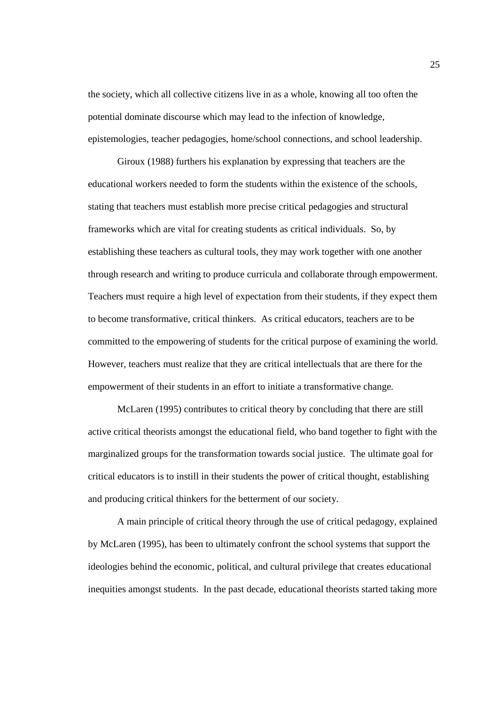the society, which all collective citizens live in as a whole, knowing all too often the potential dominate discourse which may lead to the infection of knowledge, epistemologies, teacher pedagogies, home/school connections, and school leadership.

Giroux (1988) furthers his explanation by expressing that teachers are the educational workers needed to form the students within the existence of the schools, stating that teachers must establish more precise critical pedagogies and structural frameworks which are vital for creating students as critical individuals. So, by establishing these teachers as cultural tools, they may work together with one another through research and writing to produce curricula and collaborate through empowerment. Teachers must require a high level of expectation from their students, if they expect them to become transformative, critical thinkers. As critical educators, teachers are to be committed to the empowering of students for the critical purpose of examining the world. However, teachers must realize that they are critical intellectuals that are there for the empowerment of their students in an effort to initiate a transformative change.

McLaren (1995) contributes to critical theory by concluding that there are still active critical theorists amongst the educational field, who band together to fight with the marginalized groups for the transformation towards social justice. The ultimate goal for critical educators is to instill in their students the power of critical thought, establishing and producing critical thinkers for the betterment of our society.

A main principle of critical theory through the use of critical pedagogy, explained by McLaren (1995), has been to ultimately confront the school systems that support the ideologies behind the economic, political, and cultural privilege that creates educational inequities amongst students. In the past decade, educational theorists started taking more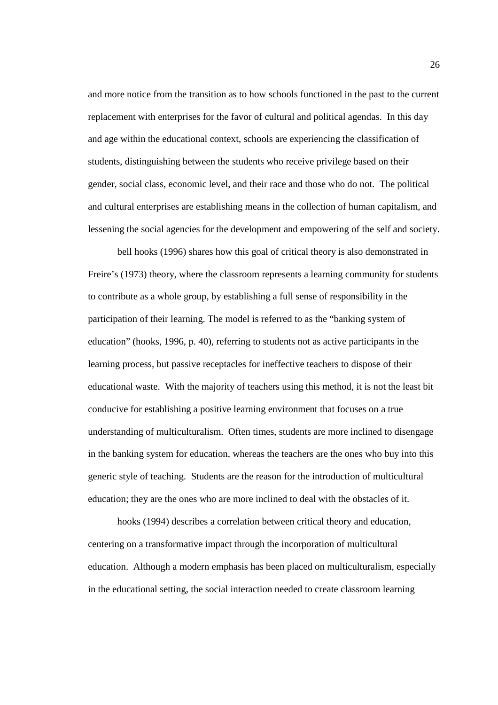and more notice from the transition as to how schools functioned in the past to the current replacement with enterprises for the favor of cultural and political agendas. In this day and age within the educational context, schools are experiencing the classification of students, distinguishing between the students who receive privilege based on their gender, social class, economic level, and their race and those who do not. The political and cultural enterprises are establishing means in the collection of human capitalism, and lessening the social agencies for the development and empowering of the self and society.

 bell hooks (1996) shares how this goal of critical theory is also demonstrated in Freire's (1973) theory, where the classroom represents a learning community for students to contribute as a whole group, by establishing a full sense of responsibility in the participation of their learning. The model is referred to as the "banking system of education" (hooks, 1996, p. 40), referring to students not as active participants in the learning process, but passive receptacles for ineffective teachers to dispose of their educational waste. With the majority of teachers using this method, it is not the least bit conducive for establishing a positive learning environment that focuses on a true understanding of multiculturalism. Often times, students are more inclined to disengage in the banking system for education, whereas the teachers are the ones who buy into this generic style of teaching. Students are the reason for the introduction of multicultural education; they are the ones who are more inclined to deal with the obstacles of it.

hooks (1994) describes a correlation between critical theory and education, centering on a transformative impact through the incorporation of multicultural education. Although a modern emphasis has been placed on multiculturalism, especially in the educational setting, the social interaction needed to create classroom learning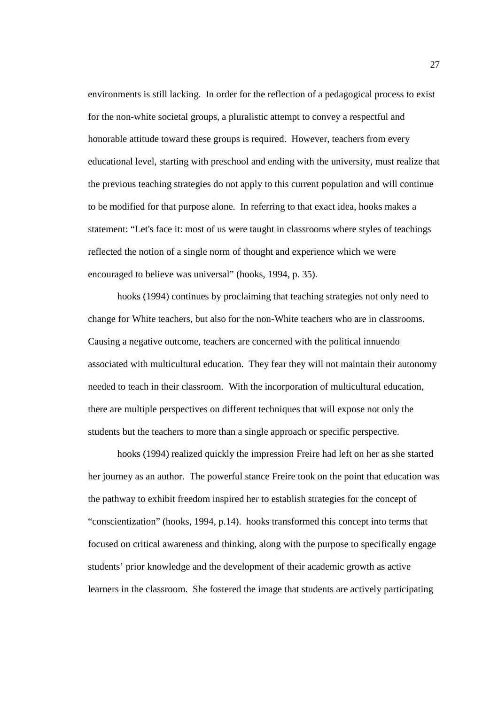environments is still lacking. In order for the reflection of a pedagogical process to exist for the non-white societal groups, a pluralistic attempt to convey a respectful and honorable attitude toward these groups is required. However, teachers from every educational level, starting with preschool and ending with the university, must realize that the previous teaching strategies do not apply to this current population and will continue to be modified for that purpose alone. In referring to that exact idea, hooks makes a statement: "Let's face it: most of us were taught in classrooms where styles of teachings reflected the notion of a single norm of thought and experience which we were encouraged to believe was universal" (hooks, 1994, p. 35).

 hooks (1994) continues by proclaiming that teaching strategies not only need to change for White teachers, but also for the non-White teachers who are in classrooms. Causing a negative outcome, teachers are concerned with the political innuendo associated with multicultural education. They fear they will not maintain their autonomy needed to teach in their classroom. With the incorporation of multicultural education, there are multiple perspectives on different techniques that will expose not only the students but the teachers to more than a single approach or specific perspective.

hooks (1994) realized quickly the impression Freire had left on her as she started her journey as an author. The powerful stance Freire took on the point that education was the pathway to exhibit freedom inspired her to establish strategies for the concept of "conscientization" (hooks, 1994, p.14). hooks transformed this concept into terms that focused on critical awareness and thinking, along with the purpose to specifically engage students' prior knowledge and the development of their academic growth as active learners in the classroom. She fostered the image that students are actively participating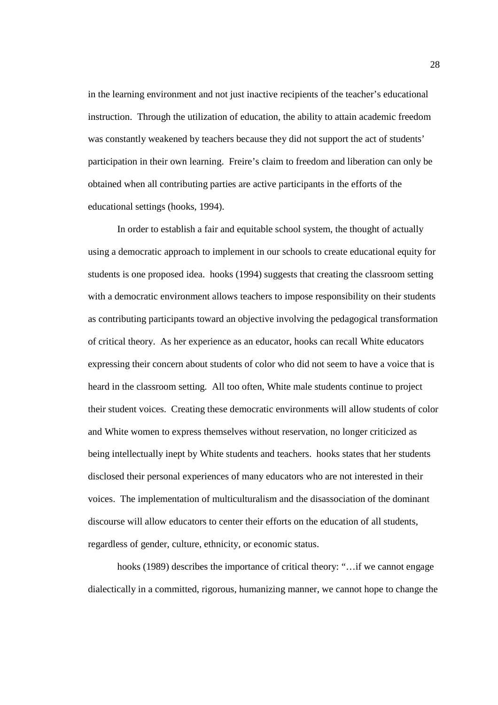in the learning environment and not just inactive recipients of the teacher's educational instruction. Through the utilization of education, the ability to attain academic freedom was constantly weakened by teachers because they did not support the act of students' participation in their own learning. Freire's claim to freedom and liberation can only be obtained when all contributing parties are active participants in the efforts of the educational settings (hooks, 1994).

 In order to establish a fair and equitable school system, the thought of actually using a democratic approach to implement in our schools to create educational equity for students is one proposed idea. hooks (1994) suggests that creating the classroom setting with a democratic environment allows teachers to impose responsibility on their students as contributing participants toward an objective involving the pedagogical transformation of critical theory. As her experience as an educator, hooks can recall White educators expressing their concern about students of color who did not seem to have a voice that is heard in the classroom setting. All too often, White male students continue to project their student voices. Creating these democratic environments will allow students of color and White women to express themselves without reservation, no longer criticized as being intellectually inept by White students and teachers. hooks states that her students disclosed their personal experiences of many educators who are not interested in their voices. The implementation of multiculturalism and the disassociation of the dominant discourse will allow educators to center their efforts on the education of all students, regardless of gender, culture, ethnicity, or economic status.

hooks (1989) describes the importance of critical theory: "…if we cannot engage dialectically in a committed, rigorous, humanizing manner, we cannot hope to change the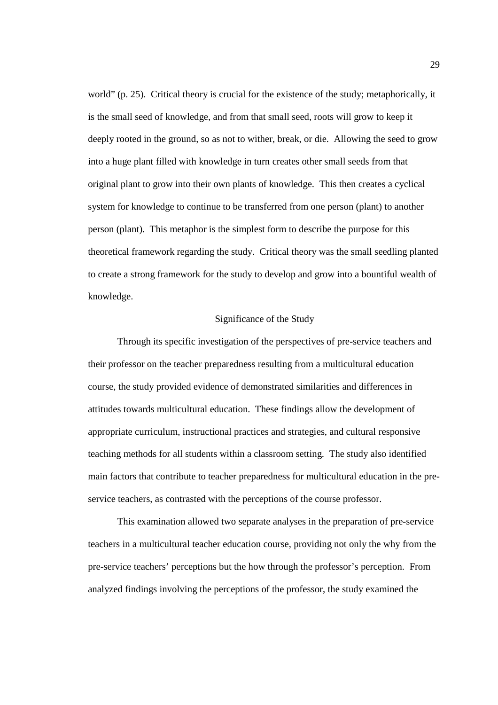world" (p. 25). Critical theory is crucial for the existence of the study; metaphorically, it is the small seed of knowledge, and from that small seed, roots will grow to keep it deeply rooted in the ground, so as not to wither, break, or die. Allowing the seed to grow into a huge plant filled with knowledge in turn creates other small seeds from that original plant to grow into their own plants of knowledge. This then creates a cyclical system for knowledge to continue to be transferred from one person (plant) to another person (plant). This metaphor is the simplest form to describe the purpose for this theoretical framework regarding the study. Critical theory was the small seedling planted to create a strong framework for the study to develop and grow into a bountiful wealth of knowledge.

#### Significance of the Study

Through its specific investigation of the perspectives of pre-service teachers and their professor on the teacher preparedness resulting from a multicultural education course, the study provided evidence of demonstrated similarities and differences in attitudes towards multicultural education. These findings allow the development of appropriate curriculum, instructional practices and strategies, and cultural responsive teaching methods for all students within a classroom setting. The study also identified main factors that contribute to teacher preparedness for multicultural education in the preservice teachers, as contrasted with the perceptions of the course professor.

This examination allowed two separate analyses in the preparation of pre-service teachers in a multicultural teacher education course, providing not only the why from the pre-service teachers' perceptions but the how through the professor's perception. From analyzed findings involving the perceptions of the professor, the study examined the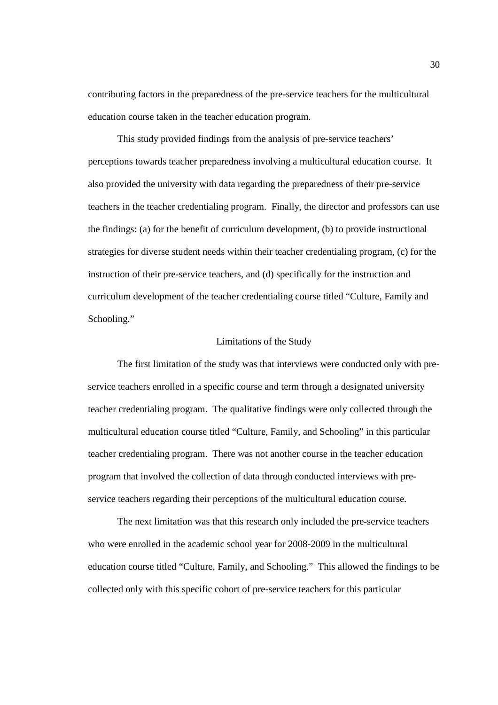contributing factors in the preparedness of the pre-service teachers for the multicultural education course taken in the teacher education program.

This study provided findings from the analysis of pre-service teachers' perceptions towards teacher preparedness involving a multicultural education course. It also provided the university with data regarding the preparedness of their pre-service teachers in the teacher credentialing program. Finally, the director and professors can use the findings: (a) for the benefit of curriculum development, (b) to provide instructional strategies for diverse student needs within their teacher credentialing program, (c) for the instruction of their pre-service teachers, and (d) specifically for the instruction and curriculum development of the teacher credentialing course titled "Culture, Family and Schooling."

#### Limitations of the Study

The first limitation of the study was that interviews were conducted only with preservice teachers enrolled in a specific course and term through a designated university teacher credentialing program. The qualitative findings were only collected through the multicultural education course titled "Culture, Family, and Schooling" in this particular teacher credentialing program. There was not another course in the teacher education program that involved the collection of data through conducted interviews with preservice teachers regarding their perceptions of the multicultural education course.

The next limitation was that this research only included the pre-service teachers who were enrolled in the academic school year for 2008-2009 in the multicultural education course titled "Culture, Family, and Schooling." This allowed the findings to be collected only with this specific cohort of pre-service teachers for this particular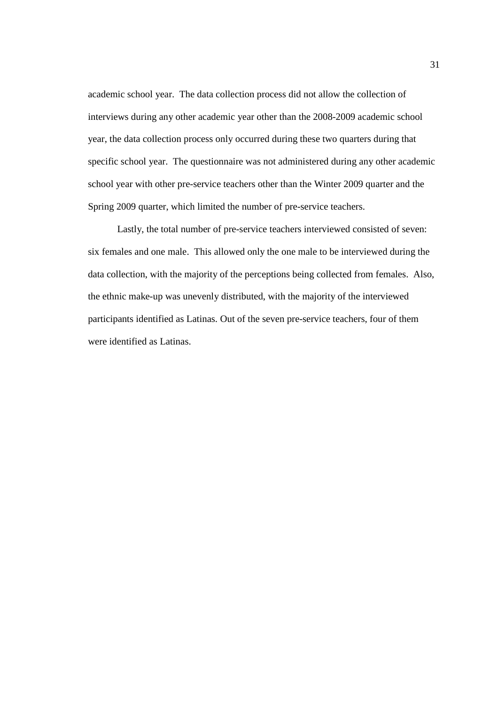academic school year. The data collection process did not allow the collection of interviews during any other academic year other than the 2008-2009 academic school year, the data collection process only occurred during these two quarters during that specific school year. The questionnaire was not administered during any other academic school year with other pre-service teachers other than the Winter 2009 quarter and the Spring 2009 quarter, which limited the number of pre-service teachers.

 Lastly, the total number of pre-service teachers interviewed consisted of seven: six females and one male. This allowed only the one male to be interviewed during the data collection, with the majority of the perceptions being collected from females. Also, the ethnic make-up was unevenly distributed, with the majority of the interviewed participants identified as Latinas. Out of the seven pre-service teachers, four of them were identified as Latinas.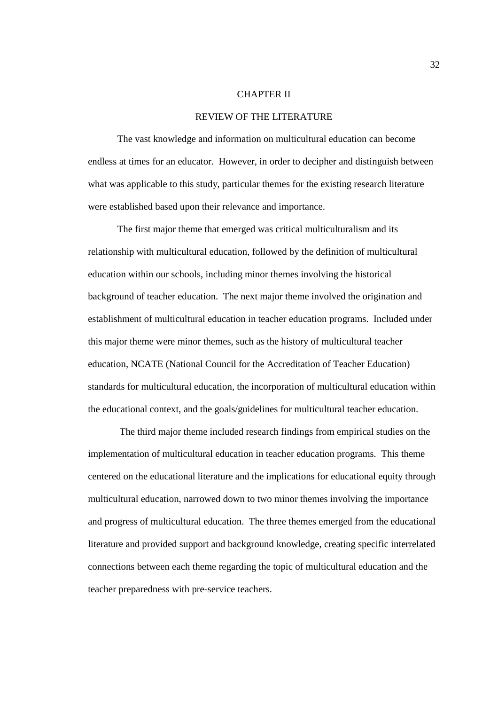#### CHAPTER II

#### REVIEW OF THE LITERATURE

 The vast knowledge and information on multicultural education can become endless at times for an educator. However, in order to decipher and distinguish between what was applicable to this study, particular themes for the existing research literature were established based upon their relevance and importance.

The first major theme that emerged was critical multiculturalism and its relationship with multicultural education, followed by the definition of multicultural education within our schools, including minor themes involving the historical background of teacher education. The next major theme involved the origination and establishment of multicultural education in teacher education programs. Included under this major theme were minor themes, such as the history of multicultural teacher education, NCATE (National Council for the Accreditation of Teacher Education) standards for multicultural education, the incorporation of multicultural education within the educational context, and the goals/guidelines for multicultural teacher education.

 The third major theme included research findings from empirical studies on the implementation of multicultural education in teacher education programs. This theme centered on the educational literature and the implications for educational equity through multicultural education, narrowed down to two minor themes involving the importance and progress of multicultural education. The three themes emerged from the educational literature and provided support and background knowledge, creating specific interrelated connections between each theme regarding the topic of multicultural education and the teacher preparedness with pre-service teachers.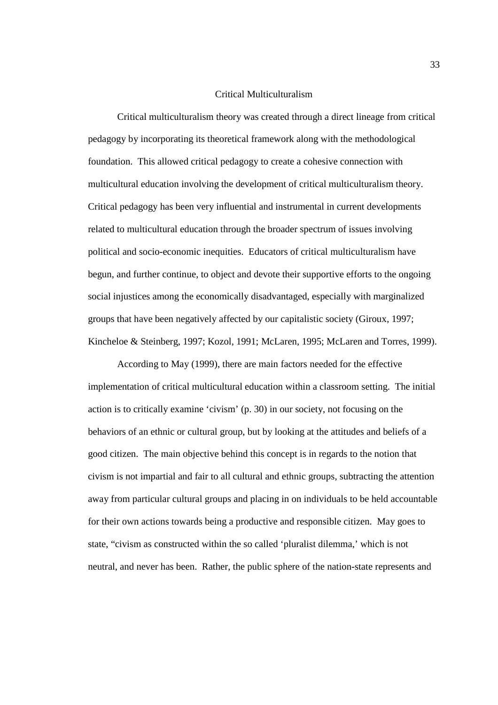#### Critical Multiculturalism

Critical multiculturalism theory was created through a direct lineage from critical pedagogy by incorporating its theoretical framework along with the methodological foundation. This allowed critical pedagogy to create a cohesive connection with multicultural education involving the development of critical multiculturalism theory. Critical pedagogy has been very influential and instrumental in current developments related to multicultural education through the broader spectrum of issues involving political and socio-economic inequities. Educators of critical multiculturalism have begun, and further continue, to object and devote their supportive efforts to the ongoing social injustices among the economically disadvantaged, especially with marginalized groups that have been negatively affected by our capitalistic society (Giroux, 1997; Kincheloe & Steinberg, 1997; Kozol, 1991; McLaren, 1995; McLaren and Torres, 1999).

 According to May (1999), there are main factors needed for the effective implementation of critical multicultural education within a classroom setting. The initial action is to critically examine 'civism' (p. 30) in our society, not focusing on the behaviors of an ethnic or cultural group, but by looking at the attitudes and beliefs of a good citizen. The main objective behind this concept is in regards to the notion that civism is not impartial and fair to all cultural and ethnic groups, subtracting the attention away from particular cultural groups and placing in on individuals to be held accountable for their own actions towards being a productive and responsible citizen. May goes to state, "civism as constructed within the so called 'pluralist dilemma,' which is not neutral, and never has been. Rather, the public sphere of the nation-state represents and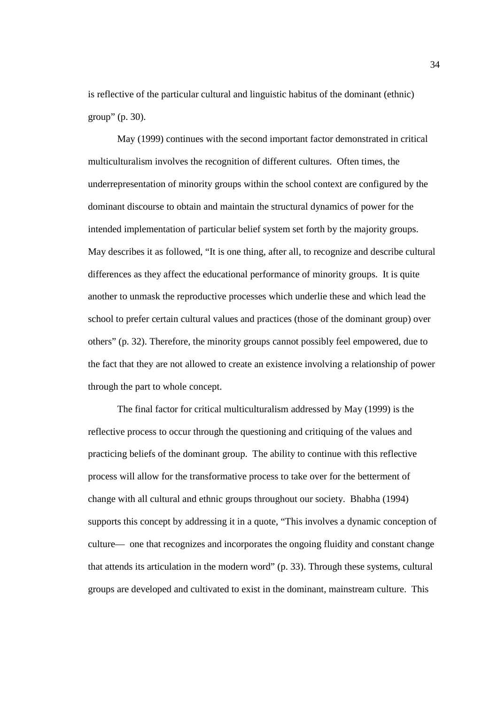is reflective of the particular cultural and linguistic habitus of the dominant (ethnic) group" (p. 30).

May (1999) continues with the second important factor demonstrated in critical multiculturalism involves the recognition of different cultures. Often times, the underrepresentation of minority groups within the school context are configured by the dominant discourse to obtain and maintain the structural dynamics of power for the intended implementation of particular belief system set forth by the majority groups. May describes it as followed, "It is one thing, after all, to recognize and describe cultural differences as they affect the educational performance of minority groups. It is quite another to unmask the reproductive processes which underlie these and which lead the school to prefer certain cultural values and practices (those of the dominant group) over others" (p. 32). Therefore, the minority groups cannot possibly feel empowered, due to the fact that they are not allowed to create an existence involving a relationship of power through the part to whole concept.

 The final factor for critical multiculturalism addressed by May (1999) is the reflective process to occur through the questioning and critiquing of the values and practicing beliefs of the dominant group. The ability to continue with this reflective process will allow for the transformative process to take over for the betterment of change with all cultural and ethnic groups throughout our society. Bhabha (1994) supports this concept by addressing it in a quote, "This involves a dynamic conception of culture— one that recognizes and incorporates the ongoing fluidity and constant change that attends its articulation in the modern word" (p. 33). Through these systems, cultural groups are developed and cultivated to exist in the dominant, mainstream culture. This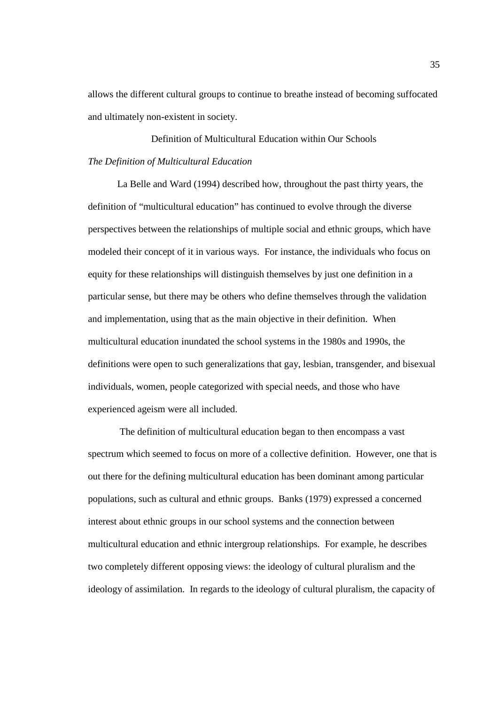allows the different cultural groups to continue to breathe instead of becoming suffocated and ultimately non-existent in society.

Definition of Multicultural Education within Our Schools *The Definition of Multicultural Education*

La Belle and Ward (1994) described how, throughout the past thirty years, the definition of "multicultural education" has continued to evolve through the diverse perspectives between the relationships of multiple social and ethnic groups, which have modeled their concept of it in various ways. For instance, the individuals who focus on equity for these relationships will distinguish themselves by just one definition in a particular sense, but there may be others who define themselves through the validation and implementation, using that as the main objective in their definition. When multicultural education inundated the school systems in the 1980s and 1990s, the definitions were open to such generalizations that gay, lesbian, transgender, and bisexual individuals, women, people categorized with special needs, and those who have experienced ageism were all included.

 The definition of multicultural education began to then encompass a vast spectrum which seemed to focus on more of a collective definition. However, one that is out there for the defining multicultural education has been dominant among particular populations, such as cultural and ethnic groups. Banks (1979) expressed a concerned interest about ethnic groups in our school systems and the connection between multicultural education and ethnic intergroup relationships. For example, he describes two completely different opposing views: the ideology of cultural pluralism and the ideology of assimilation. In regards to the ideology of cultural pluralism, the capacity of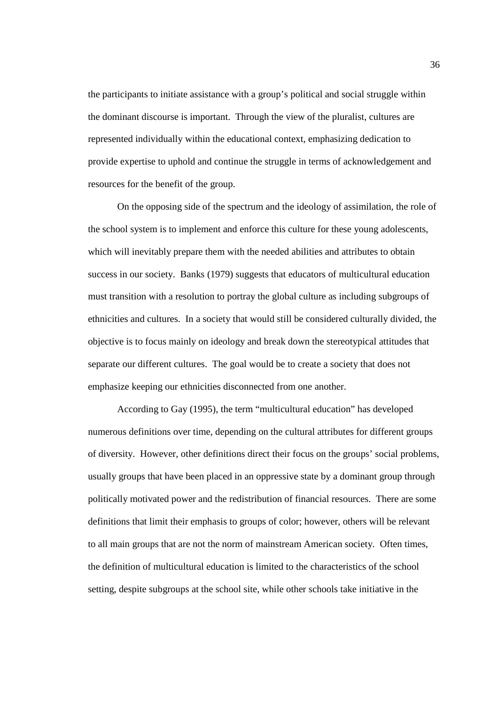the participants to initiate assistance with a group's political and social struggle within the dominant discourse is important. Through the view of the pluralist, cultures are represented individually within the educational context, emphasizing dedication to provide expertise to uphold and continue the struggle in terms of acknowledgement and resources for the benefit of the group.

On the opposing side of the spectrum and the ideology of assimilation, the role of the school system is to implement and enforce this culture for these young adolescents, which will inevitably prepare them with the needed abilities and attributes to obtain success in our society. Banks (1979) suggests that educators of multicultural education must transition with a resolution to portray the global culture as including subgroups of ethnicities and cultures. In a society that would still be considered culturally divided, the objective is to focus mainly on ideology and break down the stereotypical attitudes that separate our different cultures. The goal would be to create a society that does not emphasize keeping our ethnicities disconnected from one another.

According to Gay (1995), the term "multicultural education" has developed numerous definitions over time, depending on the cultural attributes for different groups of diversity. However, other definitions direct their focus on the groups' social problems, usually groups that have been placed in an oppressive state by a dominant group through politically motivated power and the redistribution of financial resources. There are some definitions that limit their emphasis to groups of color; however, others will be relevant to all main groups that are not the norm of mainstream American society. Often times, the definition of multicultural education is limited to the characteristics of the school setting, despite subgroups at the school site, while other schools take initiative in the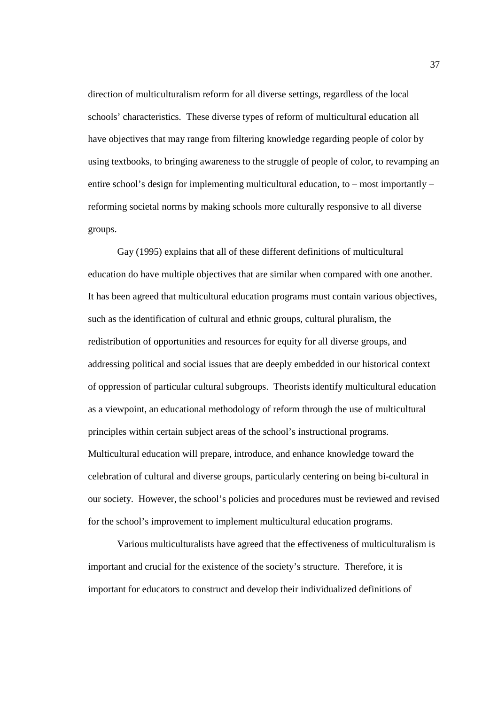direction of multiculturalism reform for all diverse settings, regardless of the local schools' characteristics. These diverse types of reform of multicultural education all have objectives that may range from filtering knowledge regarding people of color by using textbooks, to bringing awareness to the struggle of people of color, to revamping an entire school's design for implementing multicultural education, to – most importantly – reforming societal norms by making schools more culturally responsive to all diverse groups.

Gay (1995) explains that all of these different definitions of multicultural education do have multiple objectives that are similar when compared with one another. It has been agreed that multicultural education programs must contain various objectives, such as the identification of cultural and ethnic groups, cultural pluralism, the redistribution of opportunities and resources for equity for all diverse groups, and addressing political and social issues that are deeply embedded in our historical context of oppression of particular cultural subgroups. Theorists identify multicultural education as a viewpoint, an educational methodology of reform through the use of multicultural principles within certain subject areas of the school's instructional programs. Multicultural education will prepare, introduce, and enhance knowledge toward the celebration of cultural and diverse groups, particularly centering on being bi-cultural in our society. However, the school's policies and procedures must be reviewed and revised for the school's improvement to implement multicultural education programs.

Various multiculturalists have agreed that the effectiveness of multiculturalism is important and crucial for the existence of the society's structure. Therefore, it is important for educators to construct and develop their individualized definitions of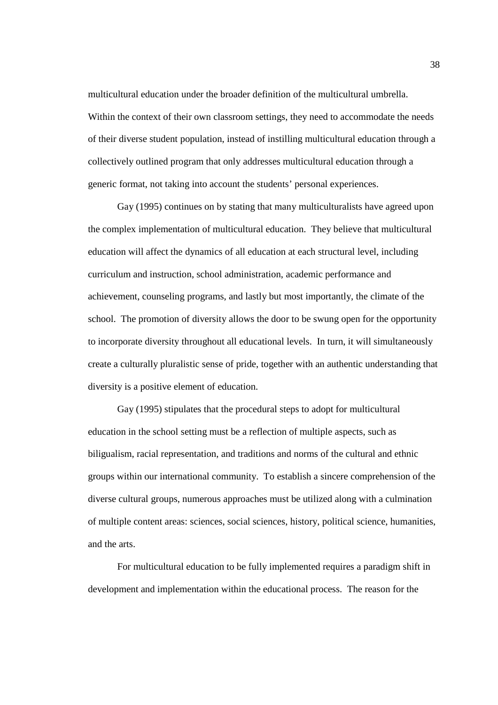multicultural education under the broader definition of the multicultural umbrella. Within the context of their own classroom settings, they need to accommodate the needs of their diverse student population, instead of instilling multicultural education through a collectively outlined program that only addresses multicultural education through a generic format, not taking into account the students' personal experiences.

 Gay (1995) continues on by stating that many multiculturalists have agreed upon the complex implementation of multicultural education. They believe that multicultural education will affect the dynamics of all education at each structural level, including curriculum and instruction, school administration, academic performance and achievement, counseling programs, and lastly but most importantly, the climate of the school. The promotion of diversity allows the door to be swung open for the opportunity to incorporate diversity throughout all educational levels. In turn, it will simultaneously create a culturally pluralistic sense of pride, together with an authentic understanding that diversity is a positive element of education.

 Gay (1995) stipulates that the procedural steps to adopt for multicultural education in the school setting must be a reflection of multiple aspects, such as biligualism, racial representation, and traditions and norms of the cultural and ethnic groups within our international community. To establish a sincere comprehension of the diverse cultural groups, numerous approaches must be utilized along with a culmination of multiple content areas: sciences, social sciences, history, political science, humanities, and the arts.

 For multicultural education to be fully implemented requires a paradigm shift in development and implementation within the educational process. The reason for the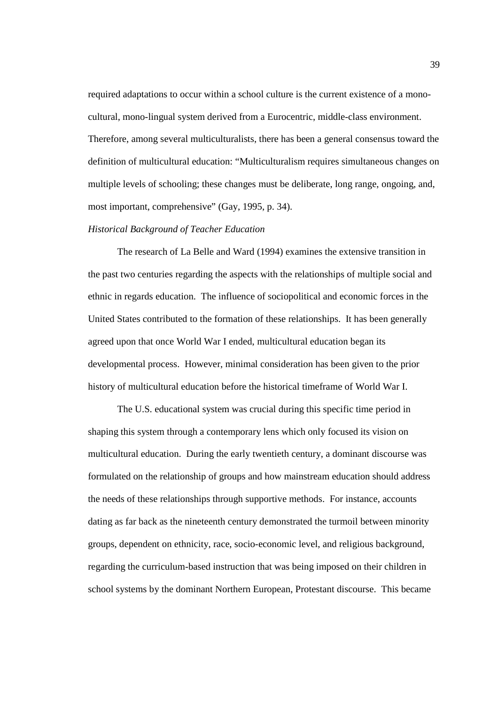required adaptations to occur within a school culture is the current existence of a monocultural, mono-lingual system derived from a Eurocentric, middle-class environment. Therefore, among several multiculturalists, there has been a general consensus toward the definition of multicultural education: "Multiculturalism requires simultaneous changes on multiple levels of schooling; these changes must be deliberate, long range, ongoing, and, most important, comprehensive" (Gay, 1995, p. 34).

### *Historical Background of Teacher Education*

The research of La Belle and Ward (1994) examines the extensive transition in the past two centuries regarding the aspects with the relationships of multiple social and ethnic in regards education. The influence of sociopolitical and economic forces in the United States contributed to the formation of these relationships. It has been generally agreed upon that once World War I ended, multicultural education began its developmental process. However, minimal consideration has been given to the prior history of multicultural education before the historical timeframe of World War I.

The U.S. educational system was crucial during this specific time period in shaping this system through a contemporary lens which only focused its vision on multicultural education. During the early twentieth century, a dominant discourse was formulated on the relationship of groups and how mainstream education should address the needs of these relationships through supportive methods. For instance, accounts dating as far back as the nineteenth century demonstrated the turmoil between minority groups, dependent on ethnicity, race, socio-economic level, and religious background, regarding the curriculum-based instruction that was being imposed on their children in school systems by the dominant Northern European, Protestant discourse. This became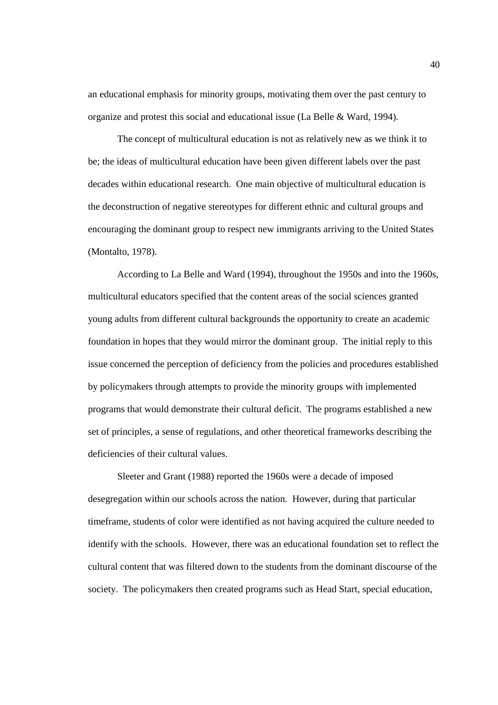an educational emphasis for minority groups, motivating them over the past century to organize and protest this social and educational issue (La Belle & Ward, 1994).

The concept of multicultural education is not as relatively new as we think it to be; the ideas of multicultural education have been given different labels over the past decades within educational research. One main objective of multicultural education is the deconstruction of negative stereotypes for different ethnic and cultural groups and encouraging the dominant group to respect new immigrants arriving to the United States (Montalto, 1978).

 According to La Belle and Ward (1994), throughout the 1950s and into the 1960s, multicultural educators specified that the content areas of the social sciences granted young adults from different cultural backgrounds the opportunity to create an academic foundation in hopes that they would mirror the dominant group. The initial reply to this issue concerned the perception of deficiency from the policies and procedures established by policymakers through attempts to provide the minority groups with implemented programs that would demonstrate their cultural deficit. The programs established a new set of principles, a sense of regulations, and other theoretical frameworks describing the deficiencies of their cultural values.

Sleeter and Grant (1988) reported the 1960s were a decade of imposed desegregation within our schools across the nation. However, during that particular timeframe, students of color were identified as not having acquired the culture needed to identify with the schools. However, there was an educational foundation set to reflect the cultural content that was filtered down to the students from the dominant discourse of the society. The policymakers then created programs such as Head Start, special education,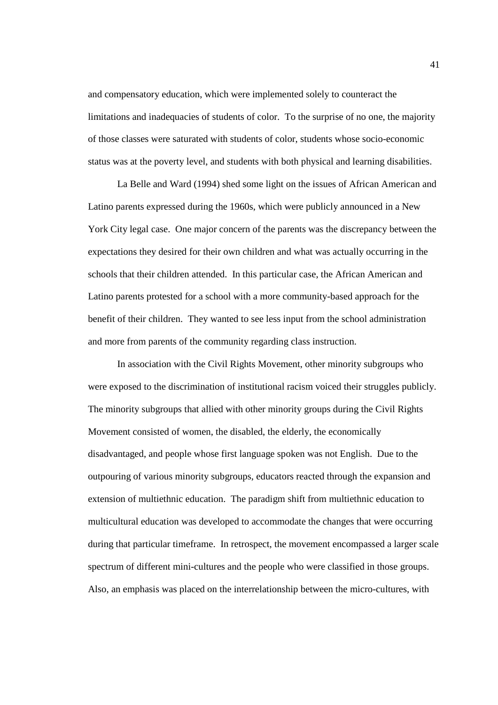and compensatory education, which were implemented solely to counteract the limitations and inadequacies of students of color. To the surprise of no one, the majority of those classes were saturated with students of color, students whose socio-economic status was at the poverty level, and students with both physical and learning disabilities.

La Belle and Ward (1994) shed some light on the issues of African American and Latino parents expressed during the 1960s, which were publicly announced in a New York City legal case. One major concern of the parents was the discrepancy between the expectations they desired for their own children and what was actually occurring in the schools that their children attended. In this particular case, the African American and Latino parents protested for a school with a more community-based approach for the benefit of their children. They wanted to see less input from the school administration and more from parents of the community regarding class instruction.

In association with the Civil Rights Movement, other minority subgroups who were exposed to the discrimination of institutional racism voiced their struggles publicly. The minority subgroups that allied with other minority groups during the Civil Rights Movement consisted of women, the disabled, the elderly, the economically disadvantaged, and people whose first language spoken was not English. Due to the outpouring of various minority subgroups, educators reacted through the expansion and extension of multiethnic education. The paradigm shift from multiethnic education to multicultural education was developed to accommodate the changes that were occurring during that particular timeframe. In retrospect, the movement encompassed a larger scale spectrum of different mini-cultures and the people who were classified in those groups. Also, an emphasis was placed on the interrelationship between the micro-cultures, with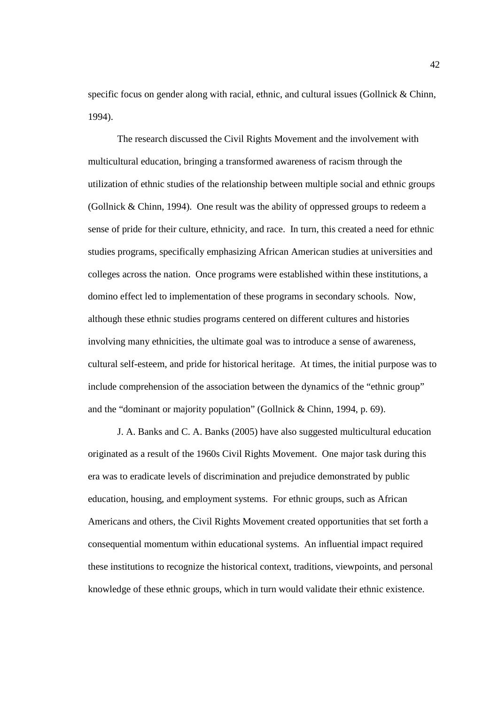specific focus on gender along with racial, ethnic, and cultural issues (Gollnick & Chinn, 1994).

The research discussed the Civil Rights Movement and the involvement with multicultural education, bringing a transformed awareness of racism through the utilization of ethnic studies of the relationship between multiple social and ethnic groups (Gollnick & Chinn, 1994). One result was the ability of oppressed groups to redeem a sense of pride for their culture, ethnicity, and race. In turn, this created a need for ethnic studies programs, specifically emphasizing African American studies at universities and colleges across the nation. Once programs were established within these institutions, a domino effect led to implementation of these programs in secondary schools. Now, although these ethnic studies programs centered on different cultures and histories involving many ethnicities, the ultimate goal was to introduce a sense of awareness, cultural self-esteem, and pride for historical heritage. At times, the initial purpose was to include comprehension of the association between the dynamics of the "ethnic group" and the "dominant or majority population" (Gollnick & Chinn, 1994, p. 69).

J. A. Banks and C. A. Banks (2005) have also suggested multicultural education originated as a result of the 1960s Civil Rights Movement. One major task during this era was to eradicate levels of discrimination and prejudice demonstrated by public education, housing, and employment systems. For ethnic groups, such as African Americans and others, the Civil Rights Movement created opportunities that set forth a consequential momentum within educational systems. An influential impact required these institutions to recognize the historical context, traditions, viewpoints, and personal knowledge of these ethnic groups, which in turn would validate their ethnic existence.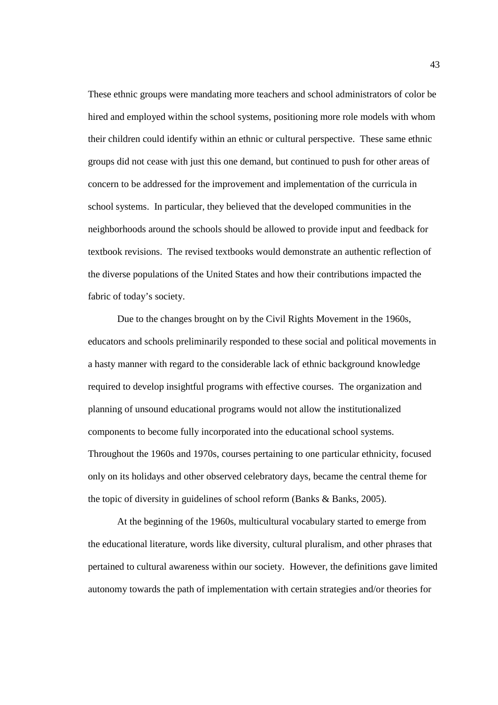These ethnic groups were mandating more teachers and school administrators of color be hired and employed within the school systems, positioning more role models with whom their children could identify within an ethnic or cultural perspective. These same ethnic groups did not cease with just this one demand, but continued to push for other areas of concern to be addressed for the improvement and implementation of the curricula in school systems. In particular, they believed that the developed communities in the neighborhoods around the schools should be allowed to provide input and feedback for textbook revisions. The revised textbooks would demonstrate an authentic reflection of the diverse populations of the United States and how their contributions impacted the fabric of today's society.

 Due to the changes brought on by the Civil Rights Movement in the 1960s, educators and schools preliminarily responded to these social and political movements in a hasty manner with regard to the considerable lack of ethnic background knowledge required to develop insightful programs with effective courses. The organization and planning of unsound educational programs would not allow the institutionalized components to become fully incorporated into the educational school systems. Throughout the 1960s and 1970s, courses pertaining to one particular ethnicity, focused only on its holidays and other observed celebratory days, became the central theme for the topic of diversity in guidelines of school reform (Banks & Banks, 2005).

At the beginning of the 1960s, multicultural vocabulary started to emerge from the educational literature, words like diversity, cultural pluralism, and other phrases that pertained to cultural awareness within our society. However, the definitions gave limited autonomy towards the path of implementation with certain strategies and/or theories for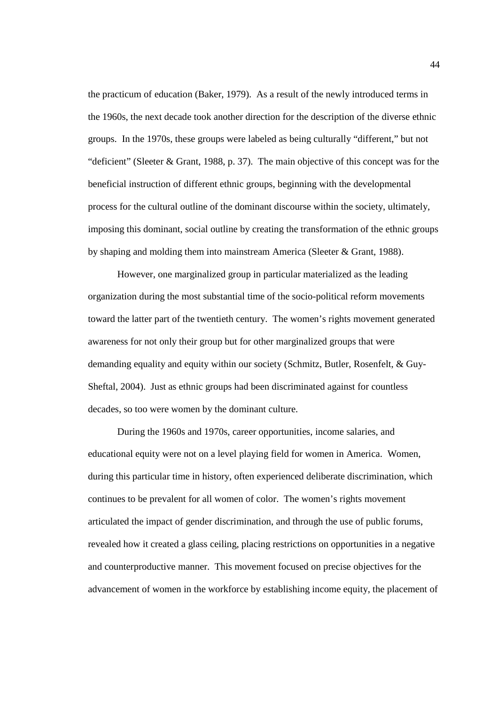the practicum of education (Baker, 1979). As a result of the newly introduced terms in the 1960s, the next decade took another direction for the description of the diverse ethnic groups. In the 1970s, these groups were labeled as being culturally "different," but not "deficient" (Sleeter & Grant, 1988, p. 37). The main objective of this concept was for the beneficial instruction of different ethnic groups, beginning with the developmental process for the cultural outline of the dominant discourse within the society, ultimately, imposing this dominant, social outline by creating the transformation of the ethnic groups by shaping and molding them into mainstream America (Sleeter & Grant, 1988).

However, one marginalized group in particular materialized as the leading organization during the most substantial time of the socio-political reform movements toward the latter part of the twentieth century. The women's rights movement generated awareness for not only their group but for other marginalized groups that were demanding equality and equity within our society (Schmitz, Butler, Rosenfelt, & Guy-Sheftal, 2004). Just as ethnic groups had been discriminated against for countless decades, so too were women by the dominant culture.

During the 1960s and 1970s, career opportunities, income salaries, and educational equity were not on a level playing field for women in America. Women, during this particular time in history, often experienced deliberate discrimination, which continues to be prevalent for all women of color. The women's rights movement articulated the impact of gender discrimination, and through the use of public forums, revealed how it created a glass ceiling, placing restrictions on opportunities in a negative and counterproductive manner. This movement focused on precise objectives for the advancement of women in the workforce by establishing income equity, the placement of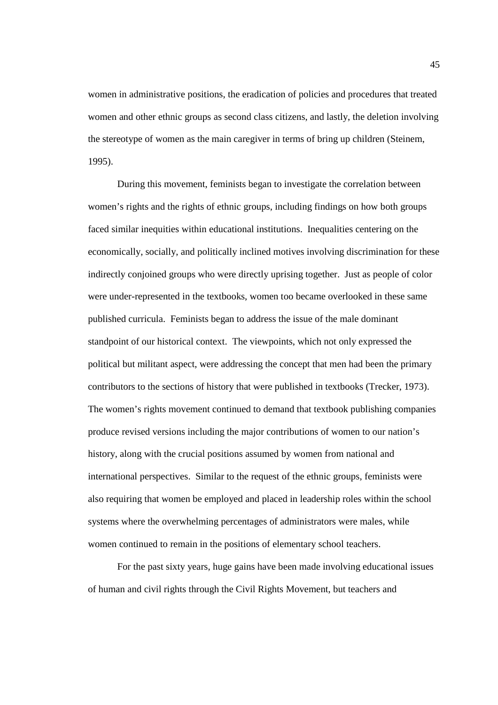women in administrative positions, the eradication of policies and procedures that treated women and other ethnic groups as second class citizens, and lastly, the deletion involving the stereotype of women as the main caregiver in terms of bring up children (Steinem, 1995).

 During this movement, feminists began to investigate the correlation between women's rights and the rights of ethnic groups, including findings on how both groups faced similar inequities within educational institutions. Inequalities centering on the economically, socially, and politically inclined motives involving discrimination for these indirectly conjoined groups who were directly uprising together. Just as people of color were under-represented in the textbooks, women too became overlooked in these same published curricula. Feminists began to address the issue of the male dominant standpoint of our historical context. The viewpoints, which not only expressed the political but militant aspect, were addressing the concept that men had been the primary contributors to the sections of history that were published in textbooks (Trecker, 1973). The women's rights movement continued to demand that textbook publishing companies produce revised versions including the major contributions of women to our nation's history, along with the crucial positions assumed by women from national and international perspectives. Similar to the request of the ethnic groups, feminists were also requiring that women be employed and placed in leadership roles within the school systems where the overwhelming percentages of administrators were males, while women continued to remain in the positions of elementary school teachers.

For the past sixty years, huge gains have been made involving educational issues of human and civil rights through the Civil Rights Movement, but teachers and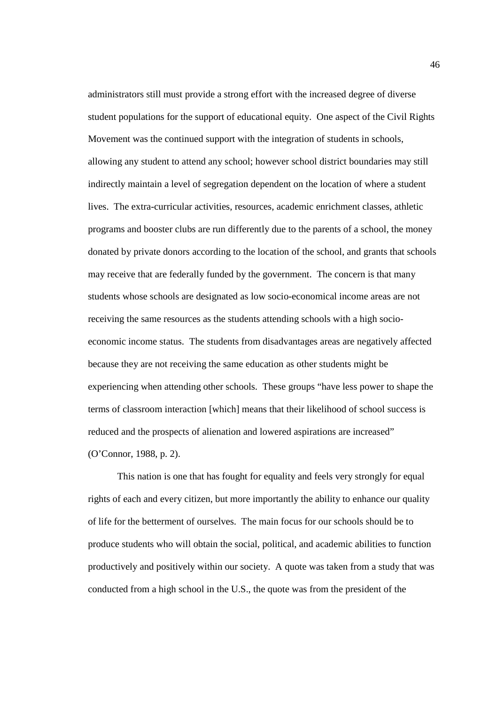administrators still must provide a strong effort with the increased degree of diverse student populations for the support of educational equity. One aspect of the Civil Rights Movement was the continued support with the integration of students in schools, allowing any student to attend any school; however school district boundaries may still indirectly maintain a level of segregation dependent on the location of where a student lives. The extra-curricular activities, resources, academic enrichment classes, athletic programs and booster clubs are run differently due to the parents of a school, the money donated by private donors according to the location of the school, and grants that schools may receive that are federally funded by the government. The concern is that many students whose schools are designated as low socio-economical income areas are not receiving the same resources as the students attending schools with a high socioeconomic income status. The students from disadvantages areas are negatively affected because they are not receiving the same education as other students might be experiencing when attending other schools. These groups "have less power to shape the terms of classroom interaction [which] means that their likelihood of school success is reduced and the prospects of alienation and lowered aspirations are increased" (O'Connor, 1988, p. 2).

This nation is one that has fought for equality and feels very strongly for equal rights of each and every citizen, but more importantly the ability to enhance our quality of life for the betterment of ourselves. The main focus for our schools should be to produce students who will obtain the social, political, and academic abilities to function productively and positively within our society. A quote was taken from a study that was conducted from a high school in the U.S., the quote was from the president of the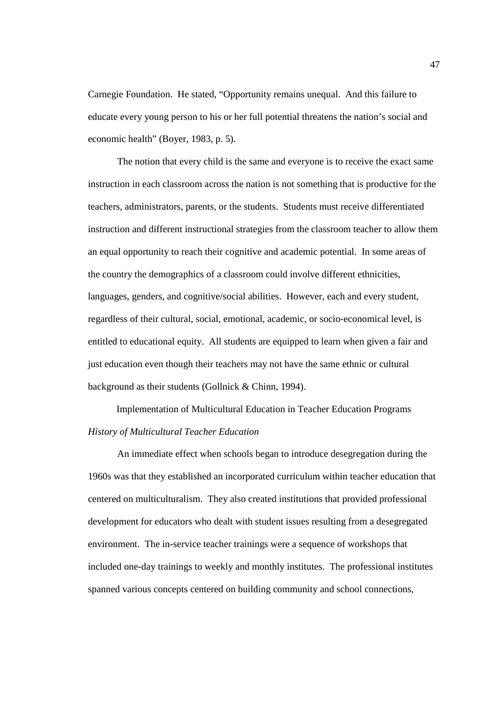Carnegie Foundation. He stated, "Opportunity remains unequal. And this failure to educate every young person to his or her full potential threatens the nation's social and economic health" (Boyer, 1983, p. 5).

The notion that every child is the same and everyone is to receive the exact same instruction in each classroom across the nation is not something that is productive for the teachers, administrators, parents, or the students. Students must receive differentiated instruction and different instructional strategies from the classroom teacher to allow them an equal opportunity to reach their cognitive and academic potential. In some areas of the country the demographics of a classroom could involve different ethnicities, languages, genders, and cognitive/social abilities. However, each and every student, regardless of their cultural, social, emotional, academic, or socio-economical level, is entitled to educational equity. All students are equipped to learn when given a fair and just education even though their teachers may not have the same ethnic or cultural background as their students (Gollnick & Chinn, 1994).

Implementation of Multicultural Education in Teacher Education Programs *History of Multicultural Teacher Education* 

 An immediate effect when schools began to introduce desegregation during the 1960s was that they established an incorporated curriculum within teacher education that centered on multiculturalism. They also created institutions that provided professional development for educators who dealt with student issues resulting from a desegregated environment. The in-service teacher trainings were a sequence of workshops that included one-day trainings to weekly and monthly institutes. The professional institutes spanned various concepts centered on building community and school connections,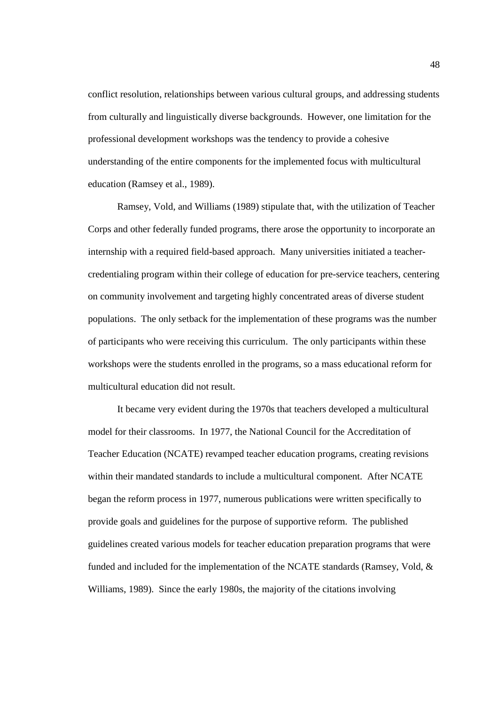conflict resolution, relationships between various cultural groups, and addressing students from culturally and linguistically diverse backgrounds. However, one limitation for the professional development workshops was the tendency to provide a cohesive understanding of the entire components for the implemented focus with multicultural education (Ramsey et al., 1989).

 Ramsey, Vold, and Williams (1989) stipulate that, with the utilization of Teacher Corps and other federally funded programs, there arose the opportunity to incorporate an internship with a required field-based approach. Many universities initiated a teachercredentialing program within their college of education for pre-service teachers, centering on community involvement and targeting highly concentrated areas of diverse student populations. The only setback for the implementation of these programs was the number of participants who were receiving this curriculum. The only participants within these workshops were the students enrolled in the programs, so a mass educational reform for multicultural education did not result.

 It became very evident during the 1970s that teachers developed a multicultural model for their classrooms. In 1977, the National Council for the Accreditation of Teacher Education (NCATE) revamped teacher education programs, creating revisions within their mandated standards to include a multicultural component. After NCATE began the reform process in 1977, numerous publications were written specifically to provide goals and guidelines for the purpose of supportive reform. The published guidelines created various models for teacher education preparation programs that were funded and included for the implementation of the NCATE standards (Ramsey, Vold, & Williams, 1989). Since the early 1980s, the majority of the citations involving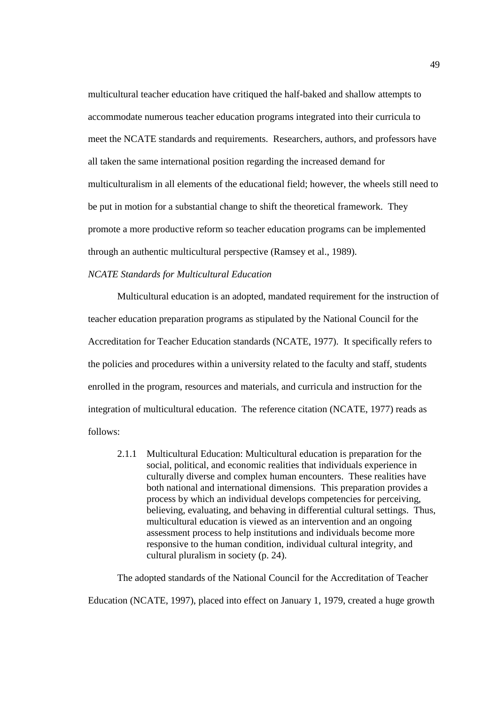multicultural teacher education have critiqued the half-baked and shallow attempts to accommodate numerous teacher education programs integrated into their curricula to meet the NCATE standards and requirements. Researchers, authors, and professors have all taken the same international position regarding the increased demand for multiculturalism in all elements of the educational field; however, the wheels still need to be put in motion for a substantial change to shift the theoretical framework. They promote a more productive reform so teacher education programs can be implemented through an authentic multicultural perspective (Ramsey et al., 1989).

## *NCATE Standards for Multicultural Education*

Multicultural education is an adopted, mandated requirement for the instruction of teacher education preparation programs as stipulated by the National Council for the Accreditation for Teacher Education standards (NCATE, 1977). It specifically refers to the policies and procedures within a university related to the faculty and staff, students enrolled in the program, resources and materials, and curricula and instruction for the integration of multicultural education. The reference citation (NCATE, 1977) reads as follows:

2.1.1 Multicultural Education: Multicultural education is preparation for the social, political, and economic realities that individuals experience in culturally diverse and complex human encounters. These realities have both national and international dimensions. This preparation provides a process by which an individual develops competencies for perceiving, believing, evaluating, and behaving in differential cultural settings. Thus, multicultural education is viewed as an intervention and an ongoing assessment process to help institutions and individuals become more responsive to the human condition, individual cultural integrity, and cultural pluralism in society (p. 24).

The adopted standards of the National Council for the Accreditation of Teacher Education (NCATE, 1997), placed into effect on January 1, 1979, created a huge growth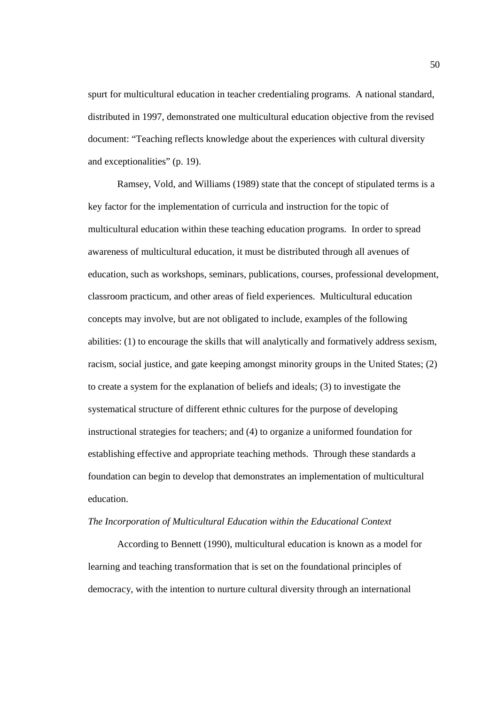spurt for multicultural education in teacher credentialing programs. A national standard, distributed in 1997, demonstrated one multicultural education objective from the revised document: "Teaching reflects knowledge about the experiences with cultural diversity and exceptionalities" (p. 19).

Ramsey, Vold, and Williams (1989) state that the concept of stipulated terms is a key factor for the implementation of curricula and instruction for the topic of multicultural education within these teaching education programs. In order to spread awareness of multicultural education, it must be distributed through all avenues of education, such as workshops, seminars, publications, courses, professional development, classroom practicum, and other areas of field experiences. Multicultural education concepts may involve, but are not obligated to include, examples of the following abilities: (1) to encourage the skills that will analytically and formatively address sexism, racism, social justice, and gate keeping amongst minority groups in the United States; (2) to create a system for the explanation of beliefs and ideals; (3) to investigate the systematical structure of different ethnic cultures for the purpose of developing instructional strategies for teachers; and (4) to organize a uniformed foundation for establishing effective and appropriate teaching methods. Through these standards a foundation can begin to develop that demonstrates an implementation of multicultural education.

#### *The Incorporation of Multicultural Education within the Educational Context*

According to Bennett (1990), multicultural education is known as a model for learning and teaching transformation that is set on the foundational principles of democracy, with the intention to nurture cultural diversity through an international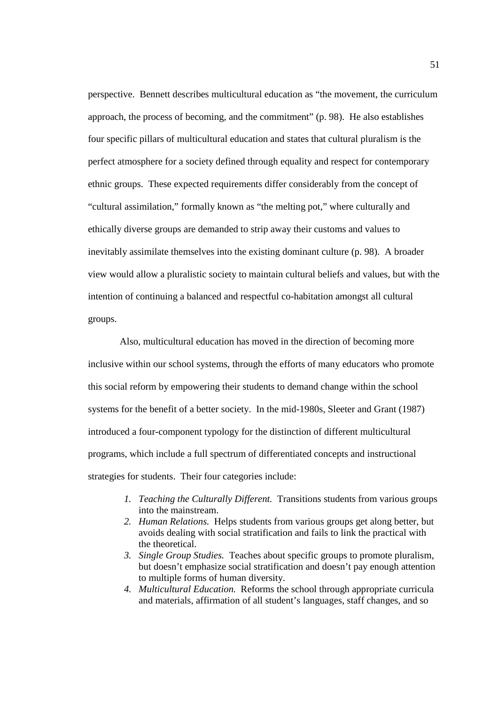perspective. Bennett describes multicultural education as "the movement, the curriculum approach, the process of becoming, and the commitment" (p. 98). He also establishes four specific pillars of multicultural education and states that cultural pluralism is the perfect atmosphere for a society defined through equality and respect for contemporary ethnic groups. These expected requirements differ considerably from the concept of "cultural assimilation," formally known as "the melting pot," where culturally and ethically diverse groups are demanded to strip away their customs and values to inevitably assimilate themselves into the existing dominant culture (p. 98). A broader view would allow a pluralistic society to maintain cultural beliefs and values, but with the intention of continuing a balanced and respectful co-habitation amongst all cultural groups.

 Also, multicultural education has moved in the direction of becoming more inclusive within our school systems, through the efforts of many educators who promote this social reform by empowering their students to demand change within the school systems for the benefit of a better society. In the mid-1980s, Sleeter and Grant (1987) introduced a four-component typology for the distinction of different multicultural programs, which include a full spectrum of differentiated concepts and instructional strategies for students. Their four categories include:

- *1. Teaching the Culturally Different.* Transitions students from various groups into the mainstream.
- *2. Human Relations.* Helps students from various groups get along better, but avoids dealing with social stratification and fails to link the practical with the theoretical.
- *3. Single Group Studies.* Teaches about specific groups to promote pluralism, but doesn't emphasize social stratification and doesn't pay enough attention to multiple forms of human diversity.
- *4. Multicultural Education.* Reforms the school through appropriate curricula and materials, affirmation of all student's languages, staff changes, and so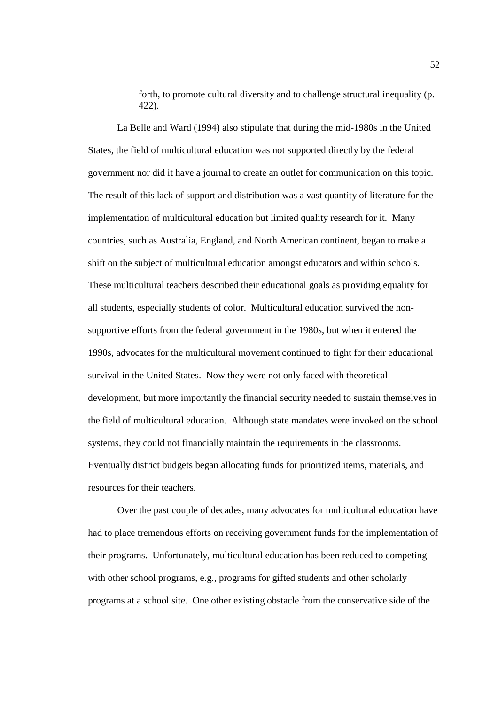forth, to promote cultural diversity and to challenge structural inequality (p. 422).

 La Belle and Ward (1994) also stipulate that during the mid-1980s in the United States, the field of multicultural education was not supported directly by the federal government nor did it have a journal to create an outlet for communication on this topic. The result of this lack of support and distribution was a vast quantity of literature for the implementation of multicultural education but limited quality research for it. Many countries, such as Australia, England, and North American continent, began to make a shift on the subject of multicultural education amongst educators and within schools. These multicultural teachers described their educational goals as providing equality for all students, especially students of color. Multicultural education survived the nonsupportive efforts from the federal government in the 1980s, but when it entered the 1990s, advocates for the multicultural movement continued to fight for their educational survival in the United States. Now they were not only faced with theoretical development, but more importantly the financial security needed to sustain themselves in the field of multicultural education. Although state mandates were invoked on the school systems, they could not financially maintain the requirements in the classrooms. Eventually district budgets began allocating funds for prioritized items, materials, and resources for their teachers.

Over the past couple of decades, many advocates for multicultural education have had to place tremendous efforts on receiving government funds for the implementation of their programs. Unfortunately, multicultural education has been reduced to competing with other school programs, e.g., programs for gifted students and other scholarly programs at a school site. One other existing obstacle from the conservative side of the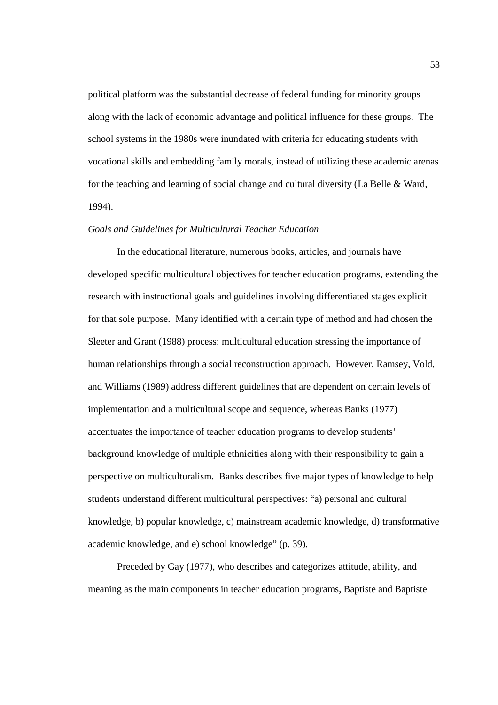political platform was the substantial decrease of federal funding for minority groups along with the lack of economic advantage and political influence for these groups. The school systems in the 1980s were inundated with criteria for educating students with vocational skills and embedding family morals, instead of utilizing these academic arenas for the teaching and learning of social change and cultural diversity (La Belle & Ward, 1994).

#### *Goals and Guidelines for Multicultural Teacher Education*

In the educational literature, numerous books, articles, and journals have developed specific multicultural objectives for teacher education programs, extending the research with instructional goals and guidelines involving differentiated stages explicit for that sole purpose. Many identified with a certain type of method and had chosen the Sleeter and Grant (1988) process: multicultural education stressing the importance of human relationships through a social reconstruction approach. However, Ramsey, Vold, and Williams (1989) address different guidelines that are dependent on certain levels of implementation and a multicultural scope and sequence, whereas Banks (1977) accentuates the importance of teacher education programs to develop students' background knowledge of multiple ethnicities along with their responsibility to gain a perspective on multiculturalism. Banks describes five major types of knowledge to help students understand different multicultural perspectives: "a) personal and cultural knowledge, b) popular knowledge, c) mainstream academic knowledge, d) transformative academic knowledge, and e) school knowledge" (p. 39).

Preceded by Gay (1977), who describes and categorizes attitude, ability, and meaning as the main components in teacher education programs, Baptiste and Baptiste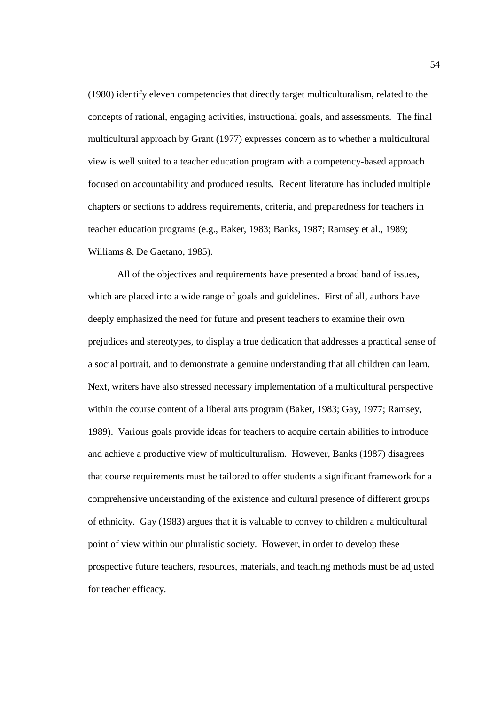(1980) identify eleven competencies that directly target multiculturalism, related to the concepts of rational, engaging activities, instructional goals, and assessments. The final multicultural approach by Grant (1977) expresses concern as to whether a multicultural view is well suited to a teacher education program with a competency-based approach focused on accountability and produced results. Recent literature has included multiple chapters or sections to address requirements, criteria, and preparedness for teachers in teacher education programs (e.g., Baker, 1983; Banks, 1987; Ramsey et al., 1989; Williams & De Gaetano, 1985).

 All of the objectives and requirements have presented a broad band of issues, which are placed into a wide range of goals and guidelines. First of all, authors have deeply emphasized the need for future and present teachers to examine their own prejudices and stereotypes, to display a true dedication that addresses a practical sense of a social portrait, and to demonstrate a genuine understanding that all children can learn. Next, writers have also stressed necessary implementation of a multicultural perspective within the course content of a liberal arts program (Baker, 1983; Gay, 1977; Ramsey, 1989). Various goals provide ideas for teachers to acquire certain abilities to introduce and achieve a productive view of multiculturalism. However, Banks (1987) disagrees that course requirements must be tailored to offer students a significant framework for a comprehensive understanding of the existence and cultural presence of different groups of ethnicity. Gay (1983) argues that it is valuable to convey to children a multicultural point of view within our pluralistic society. However, in order to develop these prospective future teachers, resources, materials, and teaching methods must be adjusted for teacher efficacy.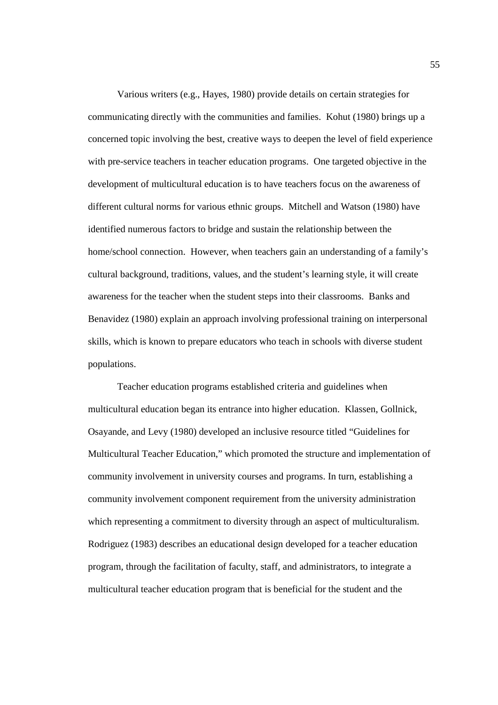Various writers (e.g., Hayes, 1980) provide details on certain strategies for communicating directly with the communities and families. Kohut (1980) brings up a concerned topic involving the best, creative ways to deepen the level of field experience with pre-service teachers in teacher education programs. One targeted objective in the development of multicultural education is to have teachers focus on the awareness of different cultural norms for various ethnic groups. Mitchell and Watson (1980) have identified numerous factors to bridge and sustain the relationship between the home/school connection. However, when teachers gain an understanding of a family's cultural background, traditions, values, and the student's learning style, it will create awareness for the teacher when the student steps into their classrooms. Banks and Benavidez (1980) explain an approach involving professional training on interpersonal skills, which is known to prepare educators who teach in schools with diverse student populations.

Teacher education programs established criteria and guidelines when multicultural education began its entrance into higher education. Klassen, Gollnick, Osayande, and Levy (1980) developed an inclusive resource titled "Guidelines for Multicultural Teacher Education," which promoted the structure and implementation of community involvement in university courses and programs. In turn, establishing a community involvement component requirement from the university administration which representing a commitment to diversity through an aspect of multiculturalism. Rodriguez (1983) describes an educational design developed for a teacher education program, through the facilitation of faculty, staff, and administrators, to integrate a multicultural teacher education program that is beneficial for the student and the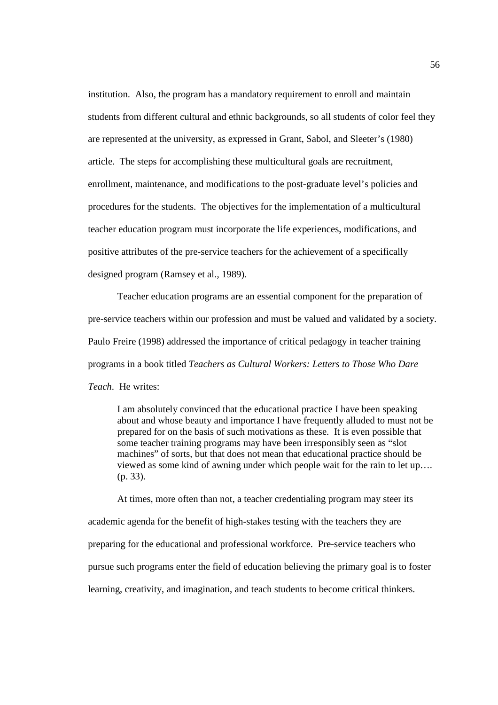institution. Also, the program has a mandatory requirement to enroll and maintain students from different cultural and ethnic backgrounds, so all students of color feel they are represented at the university, as expressed in Grant, Sabol, and Sleeter's (1980) article. The steps for accomplishing these multicultural goals are recruitment, enrollment, maintenance, and modifications to the post-graduate level's policies and procedures for the students. The objectives for the implementation of a multicultural teacher education program must incorporate the life experiences, modifications, and positive attributes of the pre-service teachers for the achievement of a specifically designed program (Ramsey et al., 1989).

Teacher education programs are an essential component for the preparation of pre-service teachers within our profession and must be valued and validated by a society. Paulo Freire (1998) addressed the importance of critical pedagogy in teacher training programs in a book titled *Teachers as Cultural Workers: Letters to Those Who Dare Teach*. He writes:

I am absolutely convinced that the educational practice I have been speaking about and whose beauty and importance I have frequently alluded to must not be prepared for on the basis of such motivations as these. It is even possible that some teacher training programs may have been irresponsibly seen as "slot machines" of sorts, but that does not mean that educational practice should be viewed as some kind of awning under which people wait for the rain to let up…. (p. 33).

At times, more often than not, a teacher credentialing program may steer its academic agenda for the benefit of high-stakes testing with the teachers they are preparing for the educational and professional workforce. Pre-service teachers who pursue such programs enter the field of education believing the primary goal is to foster learning, creativity, and imagination, and teach students to become critical thinkers.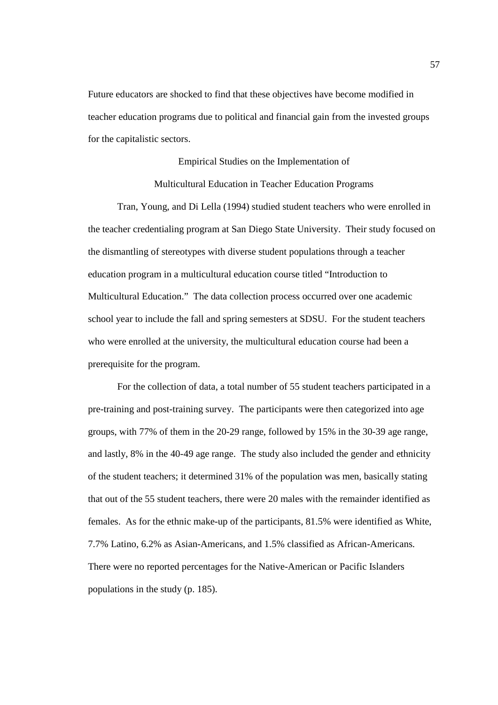Future educators are shocked to find that these objectives have become modified in teacher education programs due to political and financial gain from the invested groups for the capitalistic sectors.

> Empirical Studies on the Implementation of Multicultural Education in Teacher Education Programs

 Tran, Young, and Di Lella (1994) studied student teachers who were enrolled in the teacher credentialing program at San Diego State University. Their study focused on the dismantling of stereotypes with diverse student populations through a teacher education program in a multicultural education course titled "Introduction to Multicultural Education." The data collection process occurred over one academic school year to include the fall and spring semesters at SDSU. For the student teachers who were enrolled at the university, the multicultural education course had been a prerequisite for the program.

 For the collection of data, a total number of 55 student teachers participated in a pre-training and post-training survey. The participants were then categorized into age groups, with 77% of them in the 20-29 range, followed by 15% in the 30-39 age range, and lastly, 8% in the 40-49 age range. The study also included the gender and ethnicity of the student teachers; it determined 31% of the population was men, basically stating that out of the 55 student teachers, there were 20 males with the remainder identified as females. As for the ethnic make-up of the participants, 81.5% were identified as White, 7.7% Latino, 6.2% as Asian-Americans, and 1.5% classified as African-Americans. There were no reported percentages for the Native-American or Pacific Islanders populations in the study (p. 185).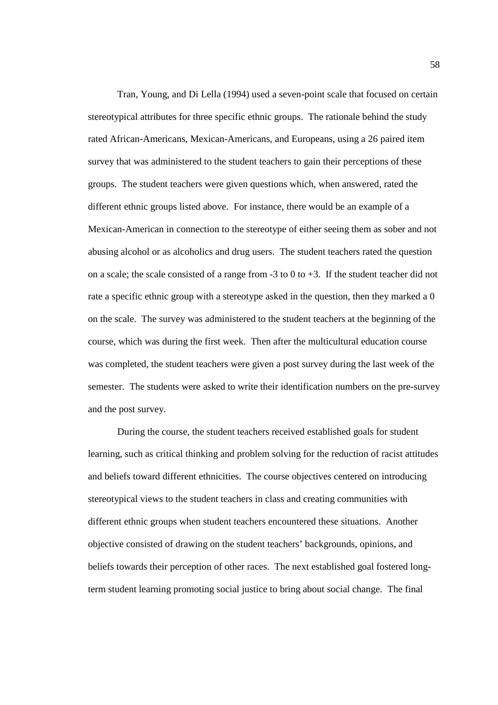Tran, Young, and Di Lella (1994) used a seven-point scale that focused on certain stereotypical attributes for three specific ethnic groups. The rationale behind the study rated African-Americans, Mexican-Americans, and Europeans, using a 26 paired item survey that was administered to the student teachers to gain their perceptions of these groups. The student teachers were given questions which, when answered, rated the different ethnic groups listed above. For instance, there would be an example of a Mexican-American in connection to the stereotype of either seeing them as sober and not abusing alcohol or as alcoholics and drug users. The student teachers rated the question on a scale; the scale consisted of a range from  $-3$  to 0 to  $+3$ . If the student teacher did not rate a specific ethnic group with a stereotype asked in the question, then they marked a 0 on the scale. The survey was administered to the student teachers at the beginning of the course, which was during the first week. Then after the multicultural education course was completed, the student teachers were given a post survey during the last week of the semester. The students were asked to write their identification numbers on the pre-survey and the post survey.

 During the course, the student teachers received established goals for student learning, such as critical thinking and problem solving for the reduction of racist attitudes and beliefs toward different ethnicities. The course objectives centered on introducing stereotypical views to the student teachers in class and creating communities with different ethnic groups when student teachers encountered these situations. Another objective consisted of drawing on the student teachers' backgrounds, opinions, and beliefs towards their perception of other races. The next established goal fostered longterm student learning promoting social justice to bring about social change. The final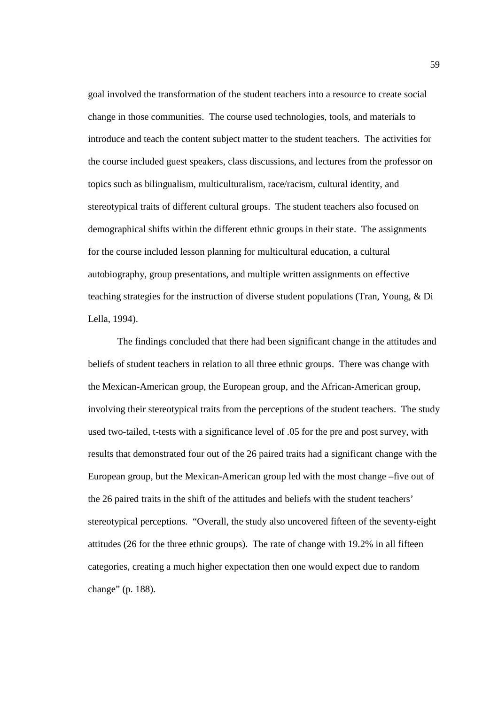goal involved the transformation of the student teachers into a resource to create social change in those communities. The course used technologies, tools, and materials to introduce and teach the content subject matter to the student teachers. The activities for the course included guest speakers, class discussions, and lectures from the professor on topics such as bilingualism, multiculturalism, race/racism, cultural identity, and stereotypical traits of different cultural groups. The student teachers also focused on demographical shifts within the different ethnic groups in their state. The assignments for the course included lesson planning for multicultural education, a cultural autobiography, group presentations, and multiple written assignments on effective teaching strategies for the instruction of diverse student populations (Tran, Young, & Di Lella, 1994).

 The findings concluded that there had been significant change in the attitudes and beliefs of student teachers in relation to all three ethnic groups. There was change with the Mexican-American group, the European group, and the African-American group, involving their stereotypical traits from the perceptions of the student teachers. The study used two-tailed, t-tests with a significance level of .05 for the pre and post survey, with results that demonstrated four out of the 26 paired traits had a significant change with the European group, but the Mexican-American group led with the most change –five out of the 26 paired traits in the shift of the attitudes and beliefs with the student teachers' stereotypical perceptions. "Overall, the study also uncovered fifteen of the seventy-eight attitudes (26 for the three ethnic groups). The rate of change with 19.2% in all fifteen categories, creating a much higher expectation then one would expect due to random change" (p. 188).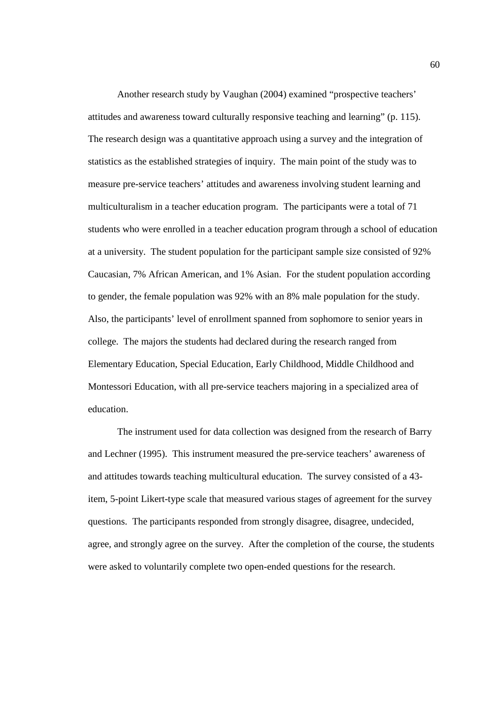Another research study by Vaughan (2004) examined "prospective teachers' attitudes and awareness toward culturally responsive teaching and learning" (p. 115). The research design was a quantitative approach using a survey and the integration of statistics as the established strategies of inquiry. The main point of the study was to measure pre-service teachers' attitudes and awareness involving student learning and multiculturalism in a teacher education program. The participants were a total of 71 students who were enrolled in a teacher education program through a school of education at a university. The student population for the participant sample size consisted of 92% Caucasian, 7% African American, and 1% Asian. For the student population according to gender, the female population was 92% with an 8% male population for the study. Also, the participants' level of enrollment spanned from sophomore to senior years in college. The majors the students had declared during the research ranged from Elementary Education, Special Education, Early Childhood, Middle Childhood and Montessori Education, with all pre-service teachers majoring in a specialized area of education.

The instrument used for data collection was designed from the research of Barry and Lechner (1995). This instrument measured the pre-service teachers' awareness of and attitudes towards teaching multicultural education. The survey consisted of a 43 item, 5-point Likert-type scale that measured various stages of agreement for the survey questions. The participants responded from strongly disagree, disagree, undecided, agree, and strongly agree on the survey. After the completion of the course, the students were asked to voluntarily complete two open-ended questions for the research.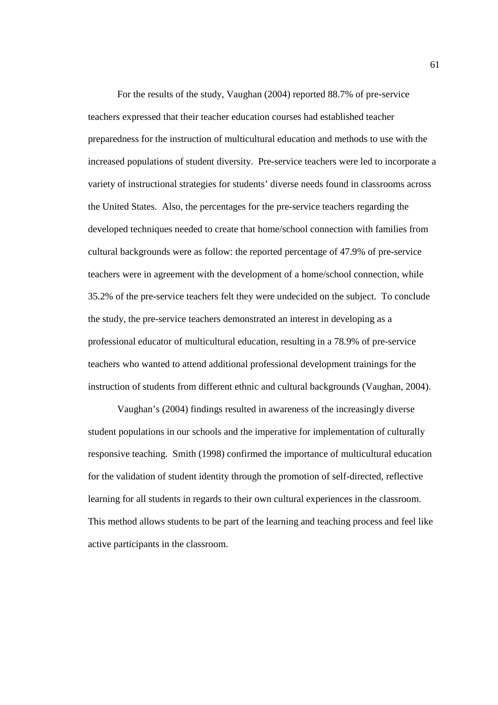For the results of the study, Vaughan (2004) reported 88.7% of pre-service teachers expressed that their teacher education courses had established teacher preparedness for the instruction of multicultural education and methods to use with the increased populations of student diversity. Pre-service teachers were led to incorporate a variety of instructional strategies for students' diverse needs found in classrooms across the United States. Also, the percentages for the pre-service teachers regarding the developed techniques needed to create that home/school connection with families from cultural backgrounds were as follow: the reported percentage of 47.9% of pre-service teachers were in agreement with the development of a home/school connection, while 35.2% of the pre-service teachers felt they were undecided on the subject. To conclude the study, the pre-service teachers demonstrated an interest in developing as a professional educator of multicultural education, resulting in a 78.9% of pre-service teachers who wanted to attend additional professional development trainings for the instruction of students from different ethnic and cultural backgrounds (Vaughan, 2004).

Vaughan's (2004) findings resulted in awareness of the increasingly diverse student populations in our schools and the imperative for implementation of culturally responsive teaching. Smith (1998) confirmed the importance of multicultural education for the validation of student identity through the promotion of self-directed, reflective learning for all students in regards to their own cultural experiences in the classroom. This method allows students to be part of the learning and teaching process and feel like active participants in the classroom.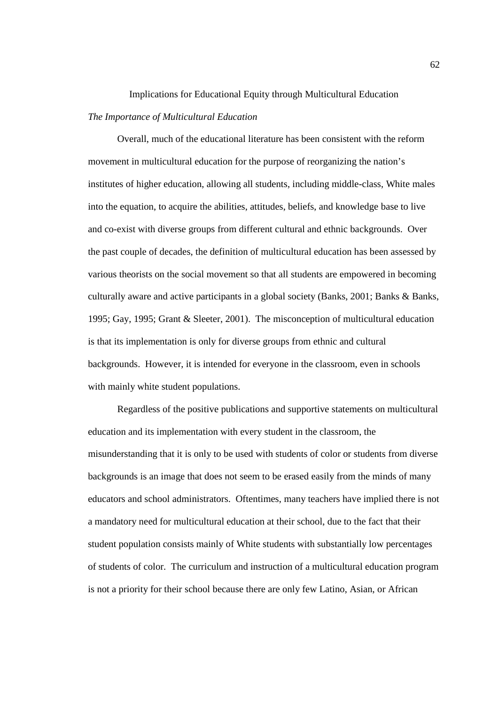# Implications for Educational Equity through Multicultural Education *The Importance of Multicultural Education*

 Overall, much of the educational literature has been consistent with the reform movement in multicultural education for the purpose of reorganizing the nation's institutes of higher education, allowing all students, including middle-class, White males into the equation, to acquire the abilities, attitudes, beliefs, and knowledge base to live and co-exist with diverse groups from different cultural and ethnic backgrounds. Over the past couple of decades, the definition of multicultural education has been assessed by various theorists on the social movement so that all students are empowered in becoming culturally aware and active participants in a global society (Banks, 2001; Banks & Banks, 1995; Gay, 1995; Grant & Sleeter, 2001). The misconception of multicultural education is that its implementation is only for diverse groups from ethnic and cultural backgrounds. However, it is intended for everyone in the classroom, even in schools with mainly white student populations.

Regardless of the positive publications and supportive statements on multicultural education and its implementation with every student in the classroom, the misunderstanding that it is only to be used with students of color or students from diverse backgrounds is an image that does not seem to be erased easily from the minds of many educators and school administrators. Oftentimes, many teachers have implied there is not a mandatory need for multicultural education at their school, due to the fact that their student population consists mainly of White students with substantially low percentages of students of color. The curriculum and instruction of a multicultural education program is not a priority for their school because there are only few Latino, Asian, or African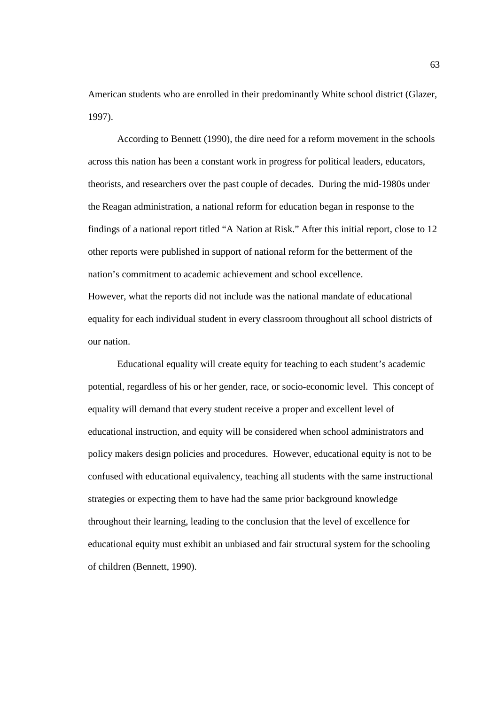American students who are enrolled in their predominantly White school district (Glazer, 1997).

 According to Bennett (1990), the dire need for a reform movement in the schools across this nation has been a constant work in progress for political leaders, educators, theorists, and researchers over the past couple of decades. During the mid-1980s under the Reagan administration, a national reform for education began in response to the findings of a national report titled "A Nation at Risk." After this initial report, close to 12 other reports were published in support of national reform for the betterment of the nation's commitment to academic achievement and school excellence. However, what the reports did not include was the national mandate of educational equality for each individual student in every classroom throughout all school districts of our nation.

Educational equality will create equity for teaching to each student's academic potential, regardless of his or her gender, race, or socio-economic level. This concept of equality will demand that every student receive a proper and excellent level of educational instruction, and equity will be considered when school administrators and policy makers design policies and procedures. However, educational equity is not to be confused with educational equivalency, teaching all students with the same instructional strategies or expecting them to have had the same prior background knowledge throughout their learning, leading to the conclusion that the level of excellence for educational equity must exhibit an unbiased and fair structural system for the schooling of children (Bennett, 1990).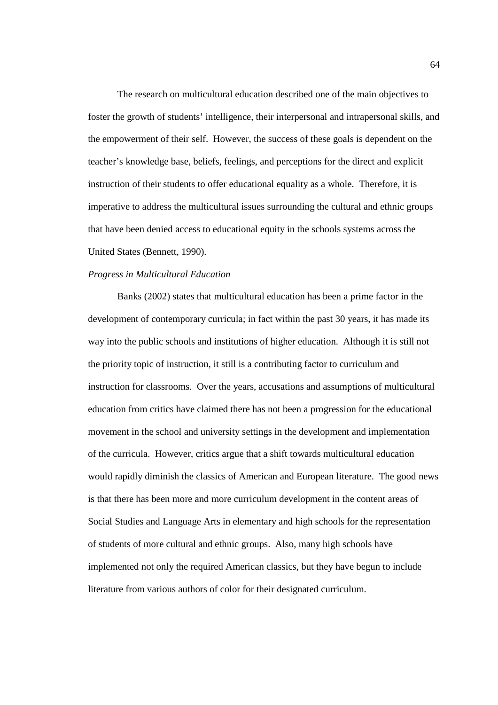The research on multicultural education described one of the main objectives to foster the growth of students' intelligence, their interpersonal and intrapersonal skills, and the empowerment of their self. However, the success of these goals is dependent on the teacher's knowledge base, beliefs, feelings, and perceptions for the direct and explicit instruction of their students to offer educational equality as a whole. Therefore, it is imperative to address the multicultural issues surrounding the cultural and ethnic groups that have been denied access to educational equity in the schools systems across the United States (Bennett, 1990).

### *Progress in Multicultural Education*

Banks (2002) states that multicultural education has been a prime factor in the development of contemporary curricula; in fact within the past 30 years, it has made its way into the public schools and institutions of higher education. Although it is still not the priority topic of instruction, it still is a contributing factor to curriculum and instruction for classrooms. Over the years, accusations and assumptions of multicultural education from critics have claimed there has not been a progression for the educational movement in the school and university settings in the development and implementation of the curricula. However, critics argue that a shift towards multicultural education would rapidly diminish the classics of American and European literature. The good news is that there has been more and more curriculum development in the content areas of Social Studies and Language Arts in elementary and high schools for the representation of students of more cultural and ethnic groups. Also, many high schools have implemented not only the required American classics, but they have begun to include literature from various authors of color for their designated curriculum.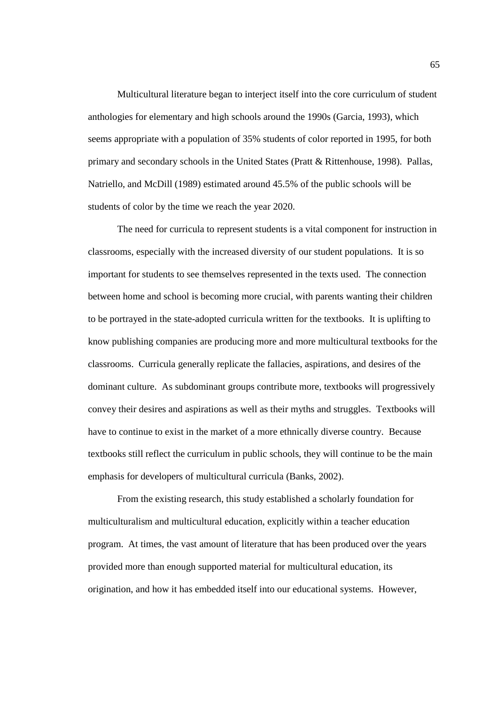Multicultural literature began to interject itself into the core curriculum of student anthologies for elementary and high schools around the 1990s (Garcia, 1993), which seems appropriate with a population of 35% students of color reported in 1995, for both primary and secondary schools in the United States (Pratt & Rittenhouse, 1998). Pallas, Natriello, and McDill (1989) estimated around 45.5% of the public schools will be students of color by the time we reach the year 2020.

The need for curricula to represent students is a vital component for instruction in classrooms, especially with the increased diversity of our student populations. It is so important for students to see themselves represented in the texts used. The connection between home and school is becoming more crucial, with parents wanting their children to be portrayed in the state-adopted curricula written for the textbooks. It is uplifting to know publishing companies are producing more and more multicultural textbooks for the classrooms. Curricula generally replicate the fallacies, aspirations, and desires of the dominant culture. As subdominant groups contribute more, textbooks will progressively convey their desires and aspirations as well as their myths and struggles. Textbooks will have to continue to exist in the market of a more ethnically diverse country. Because textbooks still reflect the curriculum in public schools, they will continue to be the main emphasis for developers of multicultural curricula (Banks, 2002).

From the existing research, this study established a scholarly foundation for multiculturalism and multicultural education, explicitly within a teacher education program. At times, the vast amount of literature that has been produced over the years provided more than enough supported material for multicultural education, its origination, and how it has embedded itself into our educational systems. However,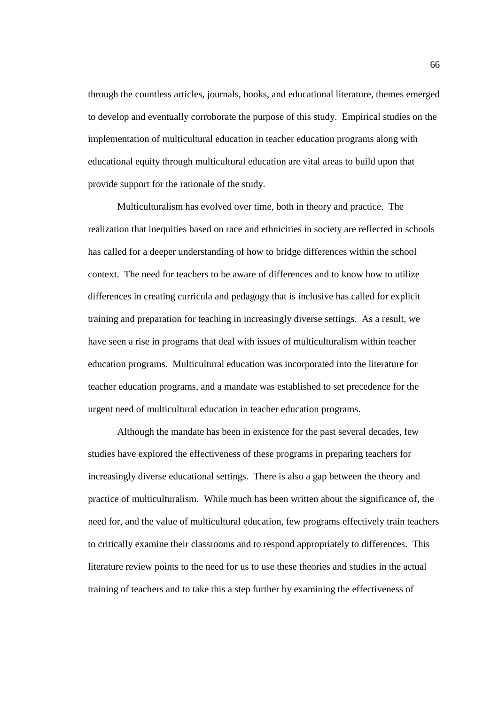through the countless articles, journals, books, and educational literature, themes emerged to develop and eventually corroborate the purpose of this study. Empirical studies on the implementation of multicultural education in teacher education programs along with educational equity through multicultural education are vital areas to build upon that provide support for the rationale of the study.

Multiculturalism has evolved over time, both in theory and practice. The realization that inequities based on race and ethnicities in society are reflected in schools has called for a deeper understanding of how to bridge differences within the school context. The need for teachers to be aware of differences and to know how to utilize differences in creating curricula and pedagogy that is inclusive has called for explicit training and preparation for teaching in increasingly diverse settings. As a result, we have seen a rise in programs that deal with issues of multiculturalism within teacher education programs. Multicultural education was incorporated into the literature for teacher education programs, and a mandate was established to set precedence for the urgent need of multicultural education in teacher education programs.

 Although the mandate has been in existence for the past several decades, few studies have explored the effectiveness of these programs in preparing teachers for increasingly diverse educational settings. There is also a gap between the theory and practice of multiculturalism. While much has been written about the significance of, the need for, and the value of multicultural education, few programs effectively train teachers to critically examine their classrooms and to respond appropriately to differences. This literature review points to the need for us to use these theories and studies in the actual training of teachers and to take this a step further by examining the effectiveness of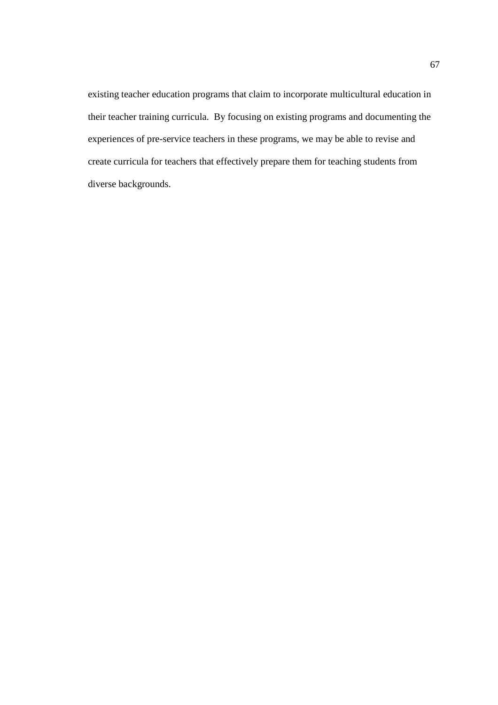existing teacher education programs that claim to incorporate multicultural education in their teacher training curricula. By focusing on existing programs and documenting the experiences of pre-service teachers in these programs, we may be able to revise and create curricula for teachers that effectively prepare them for teaching students from diverse backgrounds.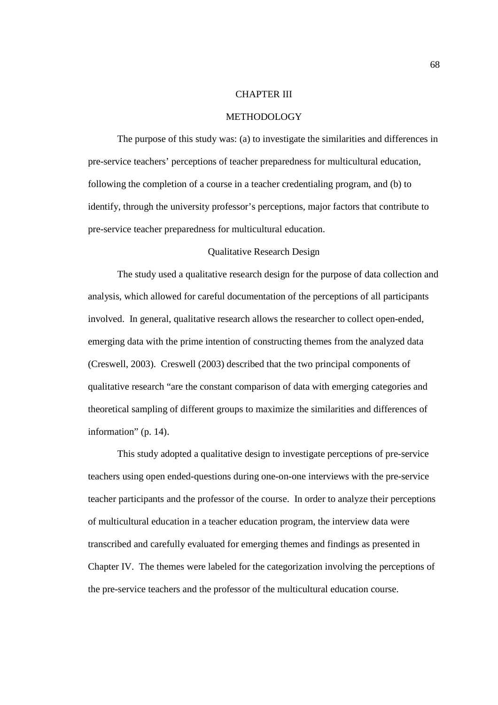### CHAPTER III

### METHODOLOGY

The purpose of this study was: (a) to investigate the similarities and differences in pre-service teachers' perceptions of teacher preparedness for multicultural education, following the completion of a course in a teacher credentialing program, and (b) to identify, through the university professor's perceptions, major factors that contribute to pre-service teacher preparedness for multicultural education.

## Qualitative Research Design

The study used a qualitative research design for the purpose of data collection and analysis, which allowed for careful documentation of the perceptions of all participants involved. In general, qualitative research allows the researcher to collect open-ended, emerging data with the prime intention of constructing themes from the analyzed data (Creswell, 2003). Creswell (2003) described that the two principal components of qualitative research "are the constant comparison of data with emerging categories and theoretical sampling of different groups to maximize the similarities and differences of information" (p. 14).

This study adopted a qualitative design to investigate perceptions of pre-service teachers using open ended-questions during one-on-one interviews with the pre-service teacher participants and the professor of the course. In order to analyze their perceptions of multicultural education in a teacher education program, the interview data were transcribed and carefully evaluated for emerging themes and findings as presented in Chapter IV. The themes were labeled for the categorization involving the perceptions of the pre-service teachers and the professor of the multicultural education course.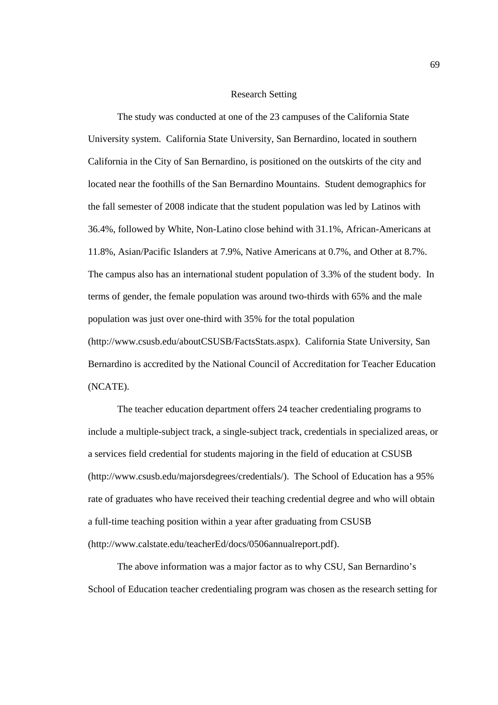#### Research Setting

The study was conducted at one of the 23 campuses of the California State University system. California State University, San Bernardino, located in southern California in the City of San Bernardino, is positioned on the outskirts of the city and located near the foothills of the San Bernardino Mountains. Student demographics for the fall semester of 2008 indicate that the student population was led by Latinos with 36.4%, followed by White, Non-Latino close behind with 31.1%, African-Americans at 11.8%, Asian/Pacific Islanders at 7.9%, Native Americans at 0.7%, and Other at 8.7%. The campus also has an international student population of 3.3% of the student body. In terms of gender, the female population was around two-thirds with 65% and the male population was just over one-third with 35% for the total population (http://www.csusb.edu/aboutCSUSB/FactsStats.aspx). California State University, San Bernardino is accredited by the National Council of Accreditation for Teacher Education (NCATE).

The teacher education department offers 24 teacher credentialing programs to include a multiple-subject track, a single-subject track, credentials in specialized areas, or a services field credential for students majoring in the field of education at CSUSB (http://www.csusb.edu/majorsdegrees/credentials/). The School of Education has a 95% rate of graduates who have received their teaching credential degree and who will obtain a full-time teaching position within a year after graduating from CSUSB (http://www.calstate.edu/teacherEd/docs/0506annualreport.pdf).

 The above information was a major factor as to why CSU, San Bernardino's School of Education teacher credentialing program was chosen as the research setting for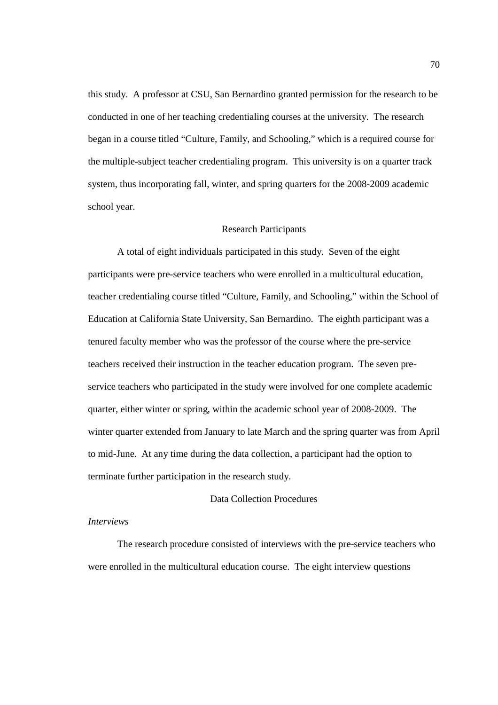this study. A professor at CSU, San Bernardino granted permission for the research to be conducted in one of her teaching credentialing courses at the university. The research began in a course titled "Culture, Family, and Schooling," which is a required course for the multiple-subject teacher credentialing program. This university is on a quarter track system, thus incorporating fall, winter, and spring quarters for the 2008-2009 academic school year.

#### Research Participants

 A total of eight individuals participated in this study. Seven of the eight participants were pre-service teachers who were enrolled in a multicultural education, teacher credentialing course titled "Culture, Family, and Schooling," within the School of Education at California State University, San Bernardino. The eighth participant was a tenured faculty member who was the professor of the course where the pre-service teachers received their instruction in the teacher education program. The seven preservice teachers who participated in the study were involved for one complete academic quarter, either winter or spring, within the academic school year of 2008-2009. The winter quarter extended from January to late March and the spring quarter was from April to mid-June. At any time during the data collection, a participant had the option to terminate further participation in the research study.

# Data Collection Procedures

### *Interviews*

 The research procedure consisted of interviews with the pre-service teachers who were enrolled in the multicultural education course. The eight interview questions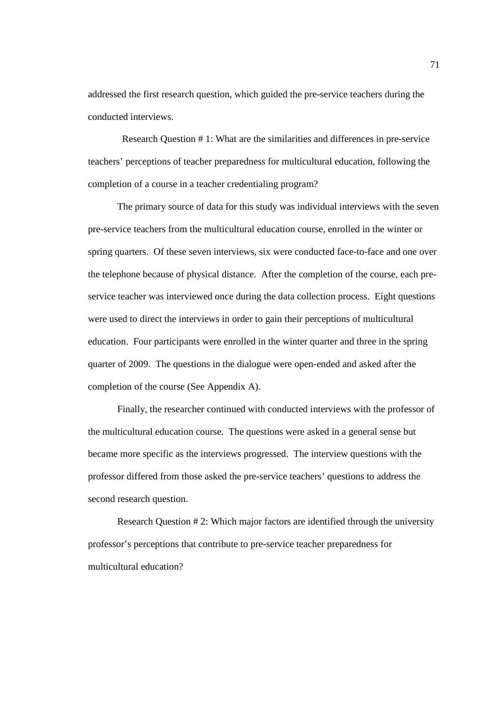addressed the first research question, which guided the pre-service teachers during the conducted interviews.

 Research Question # 1: What are the similarities and differences in pre-service teachers' perceptions of teacher preparedness for multicultural education, following the completion of a course in a teacher credentialing program?

 The primary source of data for this study was individual interviews with the seven pre-service teachers from the multicultural education course, enrolled in the winter or spring quarters. Of these seven interviews, six were conducted face-to-face and one over the telephone because of physical distance. After the completion of the course, each preservice teacher was interviewed once during the data collection process. Eight questions were used to direct the interviews in order to gain their perceptions of multicultural education. Four participants were enrolled in the winter quarter and three in the spring quarter of 2009. The questions in the dialogue were open-ended and asked after the completion of the course (See Appendix A).

 Finally, the researcher continued with conducted interviews with the professor of the multicultural education course. The questions were asked in a general sense but became more specific as the interviews progressed. The interview questions with the professor differed from those asked the pre-service teachers' questions to address the second research question.

Research Question # 2: Which major factors are identified through the university professor's perceptions that contribute to pre-service teacher preparedness for multicultural education?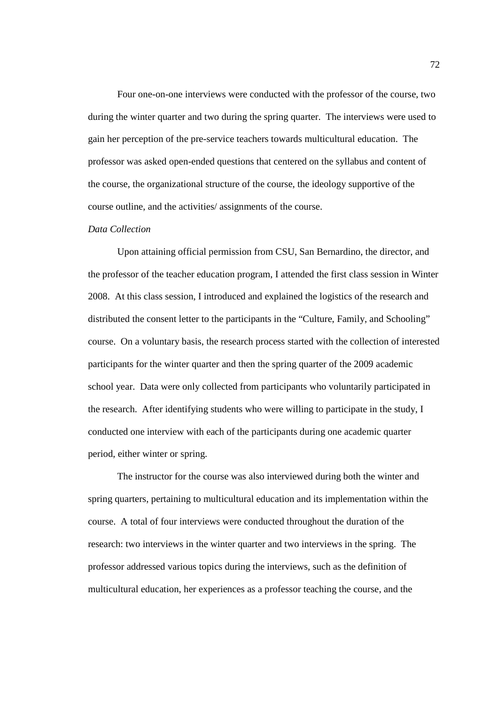Four one-on-one interviews were conducted with the professor of the course, two during the winter quarter and two during the spring quarter. The interviews were used to gain her perception of the pre-service teachers towards multicultural education. The professor was asked open-ended questions that centered on the syllabus and content of the course, the organizational structure of the course, the ideology supportive of the course outline, and the activities/ assignments of the course.

### *Data Collection*

 Upon attaining official permission from CSU, San Bernardino, the director, and the professor of the teacher education program, I attended the first class session in Winter 2008. At this class session, I introduced and explained the logistics of the research and distributed the consent letter to the participants in the "Culture, Family, and Schooling" course. On a voluntary basis, the research process started with the collection of interested participants for the winter quarter and then the spring quarter of the 2009 academic school year. Data were only collected from participants who voluntarily participated in the research. After identifying students who were willing to participate in the study, I conducted one interview with each of the participants during one academic quarter period, either winter or spring.

The instructor for the course was also interviewed during both the winter and spring quarters, pertaining to multicultural education and its implementation within the course. A total of four interviews were conducted throughout the duration of the research: two interviews in the winter quarter and two interviews in the spring. The professor addressed various topics during the interviews, such as the definition of multicultural education, her experiences as a professor teaching the course, and the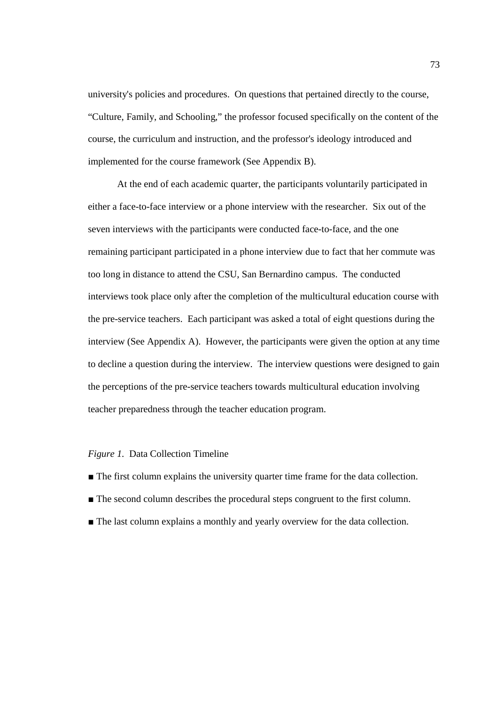university's policies and procedures. On questions that pertained directly to the course, "Culture, Family, and Schooling," the professor focused specifically on the content of the course, the curriculum and instruction, and the professor's ideology introduced and implemented for the course framework (See Appendix B).

At the end of each academic quarter, the participants voluntarily participated in either a face-to-face interview or a phone interview with the researcher. Six out of the seven interviews with the participants were conducted face-to-face, and the one remaining participant participated in a phone interview due to fact that her commute was too long in distance to attend the CSU, San Bernardino campus. The conducted interviews took place only after the completion of the multicultural education course with the pre-service teachers. Each participant was asked a total of eight questions during the interview (See Appendix A). However, the participants were given the option at any time to decline a question during the interview. The interview questions were designed to gain the perceptions of the pre-service teachers towards multicultural education involving teacher preparedness through the teacher education program.

### *Figure 1.* Data Collection Timeline

- The first column explains the university quarter time frame for the data collection.
- The second column describes the procedural steps congruent to the first column.
- The last column explains a monthly and yearly overview for the data collection.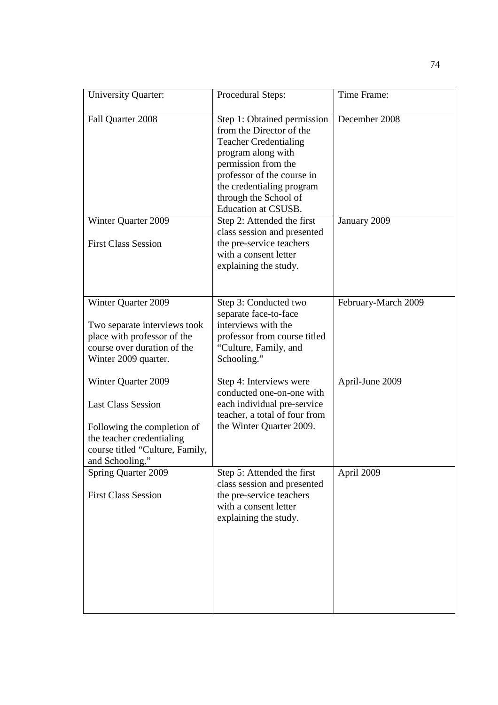| <b>University Quarter:</b>                                                                                                                                         | Procedural Steps:                                                                                                                                                                                                                                      | Time Frame:         |
|--------------------------------------------------------------------------------------------------------------------------------------------------------------------|--------------------------------------------------------------------------------------------------------------------------------------------------------------------------------------------------------------------------------------------------------|---------------------|
| Fall Quarter 2008                                                                                                                                                  | Step 1: Obtained permission<br>from the Director of the<br><b>Teacher Credentialing</b><br>program along with<br>permission from the<br>professor of the course in<br>the credentialing program<br>through the School of<br><b>Education at CSUSB.</b> | December 2008       |
| Winter Quarter 2009<br><b>First Class Session</b>                                                                                                                  | Step 2: Attended the first<br>class session and presented<br>the pre-service teachers<br>with a consent letter<br>explaining the study.                                                                                                                | January 2009        |
| Winter Quarter 2009<br>Two separate interviews took<br>place with professor of the<br>course over duration of the<br>Winter 2009 quarter.                          | Step 3: Conducted two<br>separate face-to-face<br>interviews with the<br>professor from course titled<br>"Culture, Family, and<br>Schooling."                                                                                                          | February-March 2009 |
| Winter Quarter 2009<br><b>Last Class Session</b><br>Following the completion of<br>the teacher credentialing<br>course titled "Culture, Family,<br>and Schooling." | Step 4: Interviews were<br>conducted one-on-one with<br>each individual pre-service<br>teacher, a total of four from<br>the Winter Quarter 2009.                                                                                                       | April-June 2009     |
| <b>Spring Quarter 2009</b><br><b>First Class Session</b>                                                                                                           | Step 5: Attended the first<br>class session and presented<br>the pre-service teachers<br>with a consent letter<br>explaining the study.                                                                                                                | April 2009          |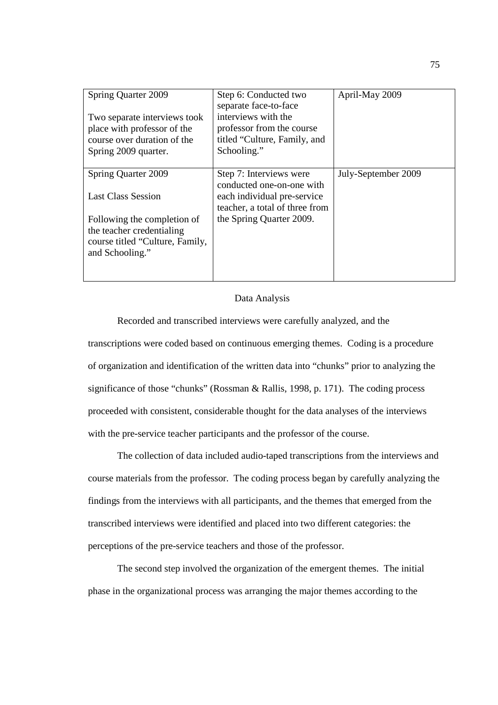| Spring Quarter 2009<br>Two separate interviews took<br>place with professor of the<br>course over duration of the<br>Spring 2009 quarter. | Step 6: Conducted two<br>separate face-to-face<br>interviews with the<br>professor from the course<br>titled "Culture, Family, and<br>Schooling." | April-May 2009      |
|-------------------------------------------------------------------------------------------------------------------------------------------|---------------------------------------------------------------------------------------------------------------------------------------------------|---------------------|
| Spring Quarter 2009<br><b>Last Class Session</b>                                                                                          | Step 7: Interviews were<br>conducted one-on-one with<br>each individual pre-service<br>teacher, a total of three from                             | July-September 2009 |
| Following the completion of<br>the teacher credentialing<br>course titled "Culture, Family,<br>and Schooling."                            | the Spring Quarter 2009.                                                                                                                          |                     |

## Data Analysis

 Recorded and transcribed interviews were carefully analyzed, and the transcriptions were coded based on continuous emerging themes. Coding is a procedure of organization and identification of the written data into "chunks" prior to analyzing the significance of those "chunks" (Rossman & Rallis, 1998, p. 171). The coding process proceeded with consistent, considerable thought for the data analyses of the interviews with the pre-service teacher participants and the professor of the course.

 The collection of data included audio-taped transcriptions from the interviews and course materials from the professor. The coding process began by carefully analyzing the findings from the interviews with all participants, and the themes that emerged from the transcribed interviews were identified and placed into two different categories: the perceptions of the pre-service teachers and those of the professor.

 The second step involved the organization of the emergent themes. The initial phase in the organizational process was arranging the major themes according to the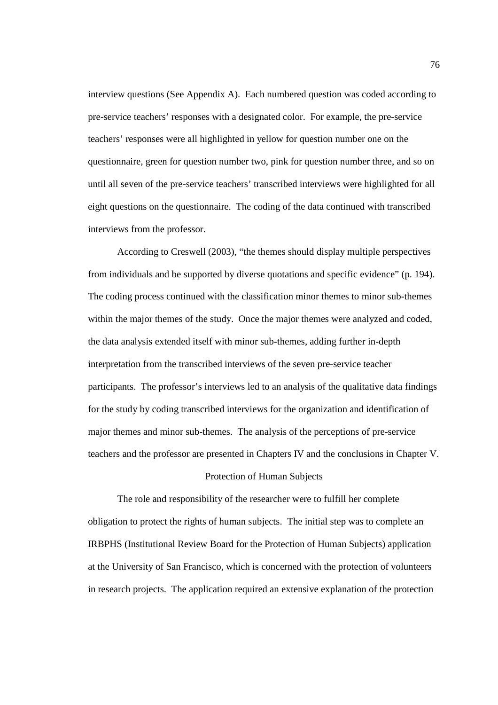interview questions (See Appendix A). Each numbered question was coded according to pre-service teachers' responses with a designated color. For example, the pre-service teachers' responses were all highlighted in yellow for question number one on the questionnaire, green for question number two, pink for question number three, and so on until all seven of the pre-service teachers' transcribed interviews were highlighted for all eight questions on the questionnaire. The coding of the data continued with transcribed interviews from the professor.

 According to Creswell (2003), "the themes should display multiple perspectives from individuals and be supported by diverse quotations and specific evidence" (p. 194). The coding process continued with the classification minor themes to minor sub-themes within the major themes of the study. Once the major themes were analyzed and coded, the data analysis extended itself with minor sub-themes, adding further in-depth interpretation from the transcribed interviews of the seven pre-service teacher participants. The professor's interviews led to an analysis of the qualitative data findings for the study by coding transcribed interviews for the organization and identification of major themes and minor sub-themes. The analysis of the perceptions of pre-service teachers and the professor are presented in Chapters IV and the conclusions in Chapter V.

### Protection of Human Subjects

 The role and responsibility of the researcher were to fulfill her complete obligation to protect the rights of human subjects. The initial step was to complete an IRBPHS (Institutional Review Board for the Protection of Human Subjects) application at the University of San Francisco, which is concerned with the protection of volunteers in research projects. The application required an extensive explanation of the protection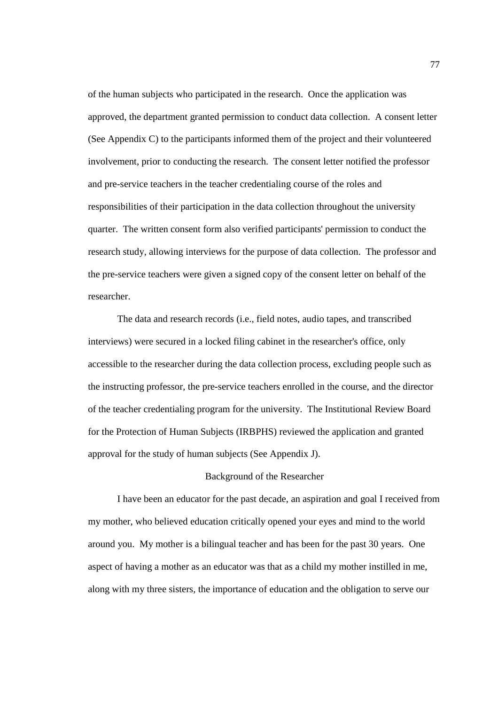of the human subjects who participated in the research. Once the application was approved, the department granted permission to conduct data collection. A consent letter (See Appendix C) to the participants informed them of the project and their volunteered involvement, prior to conducting the research. The consent letter notified the professor and pre-service teachers in the teacher credentialing course of the roles and responsibilities of their participation in the data collection throughout the university quarter. The written consent form also verified participants' permission to conduct the research study, allowing interviews for the purpose of data collection. The professor and the pre-service teachers were given a signed copy of the consent letter on behalf of the researcher.

 The data and research records (i.e., field notes, audio tapes, and transcribed interviews) were secured in a locked filing cabinet in the researcher's office, only accessible to the researcher during the data collection process, excluding people such as the instructing professor, the pre-service teachers enrolled in the course, and the director of the teacher credentialing program for the university. The Institutional Review Board for the Protection of Human Subjects (IRBPHS) reviewed the application and granted approval for the study of human subjects (See Appendix J).

# Background of the Researcher

 I have been an educator for the past decade, an aspiration and goal I received from my mother, who believed education critically opened your eyes and mind to the world around you. My mother is a bilingual teacher and has been for the past 30 years. One aspect of having a mother as an educator was that as a child my mother instilled in me, along with my three sisters, the importance of education and the obligation to serve our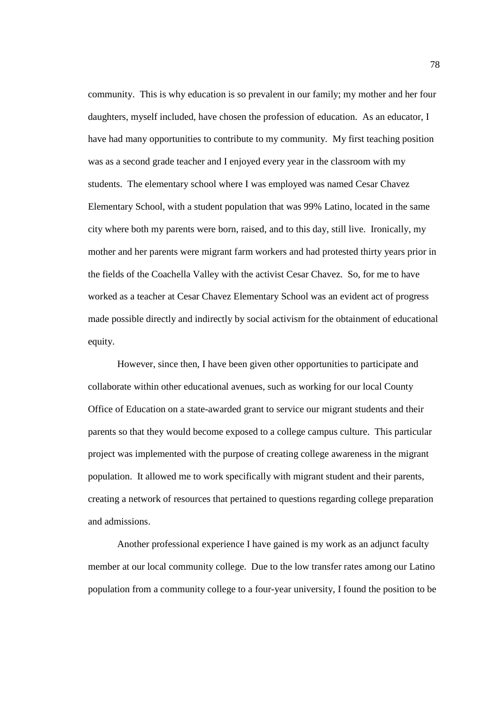community. This is why education is so prevalent in our family; my mother and her four daughters, myself included, have chosen the profession of education. As an educator, I have had many opportunities to contribute to my community. My first teaching position was as a second grade teacher and I enjoyed every year in the classroom with my students. The elementary school where I was employed was named Cesar Chavez Elementary School, with a student population that was 99% Latino, located in the same city where both my parents were born, raised, and to this day, still live. Ironically, my mother and her parents were migrant farm workers and had protested thirty years prior in the fields of the Coachella Valley with the activist Cesar Chavez. So, for me to have worked as a teacher at Cesar Chavez Elementary School was an evident act of progress made possible directly and indirectly by social activism for the obtainment of educational equity.

 However, since then, I have been given other opportunities to participate and collaborate within other educational avenues, such as working for our local County Office of Education on a state-awarded grant to service our migrant students and their parents so that they would become exposed to a college campus culture. This particular project was implemented with the purpose of creating college awareness in the migrant population. It allowed me to work specifically with migrant student and their parents, creating a network of resources that pertained to questions regarding college preparation and admissions.

 Another professional experience I have gained is my work as an adjunct faculty member at our local community college. Due to the low transfer rates among our Latino population from a community college to a four-year university, I found the position to be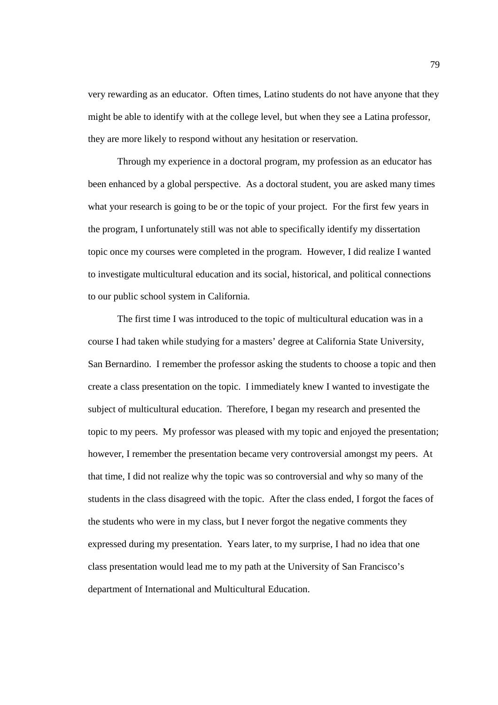very rewarding as an educator. Often times, Latino students do not have anyone that they might be able to identify with at the college level, but when they see a Latina professor, they are more likely to respond without any hesitation or reservation.

 Through my experience in a doctoral program, my profession as an educator has been enhanced by a global perspective. As a doctoral student, you are asked many times what your research is going to be or the topic of your project. For the first few years in the program, I unfortunately still was not able to specifically identify my dissertation topic once my courses were completed in the program. However, I did realize I wanted to investigate multicultural education and its social, historical, and political connections to our public school system in California.

 The first time I was introduced to the topic of multicultural education was in a course I had taken while studying for a masters' degree at California State University, San Bernardino. I remember the professor asking the students to choose a topic and then create a class presentation on the topic. I immediately knew I wanted to investigate the subject of multicultural education. Therefore, I began my research and presented the topic to my peers. My professor was pleased with my topic and enjoyed the presentation; however, I remember the presentation became very controversial amongst my peers. At that time, I did not realize why the topic was so controversial and why so many of the students in the class disagreed with the topic. After the class ended, I forgot the faces of the students who were in my class, but I never forgot the negative comments they expressed during my presentation. Years later, to my surprise, I had no idea that one class presentation would lead me to my path at the University of San Francisco's department of International and Multicultural Education.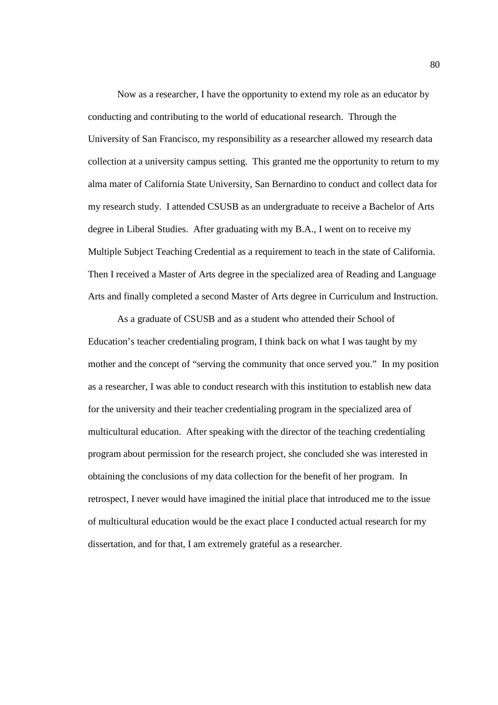Now as a researcher, I have the opportunity to extend my role as an educator by conducting and contributing to the world of educational research. Through the University of San Francisco, my responsibility as a researcher allowed my research data collection at a university campus setting. This granted me the opportunity to return to my alma mater of California State University, San Bernardino to conduct and collect data for my research study. I attended CSUSB as an undergraduate to receive a Bachelor of Arts degree in Liberal Studies. After graduating with my B.A., I went on to receive my Multiple Subject Teaching Credential as a requirement to teach in the state of California. Then I received a Master of Arts degree in the specialized area of Reading and Language Arts and finally completed a second Master of Arts degree in Curriculum and Instruction.

 As a graduate of CSUSB and as a student who attended their School of Education's teacher credentialing program, I think back on what I was taught by my mother and the concept of "serving the community that once served you." In my position as a researcher, I was able to conduct research with this institution to establish new data for the university and their teacher credentialing program in the specialized area of multicultural education. After speaking with the director of the teaching credentialing program about permission for the research project, she concluded she was interested in obtaining the conclusions of my data collection for the benefit of her program. In retrospect, I never would have imagined the initial place that introduced me to the issue of multicultural education would be the exact place I conducted actual research for my dissertation, and for that, I am extremely grateful as a researcher.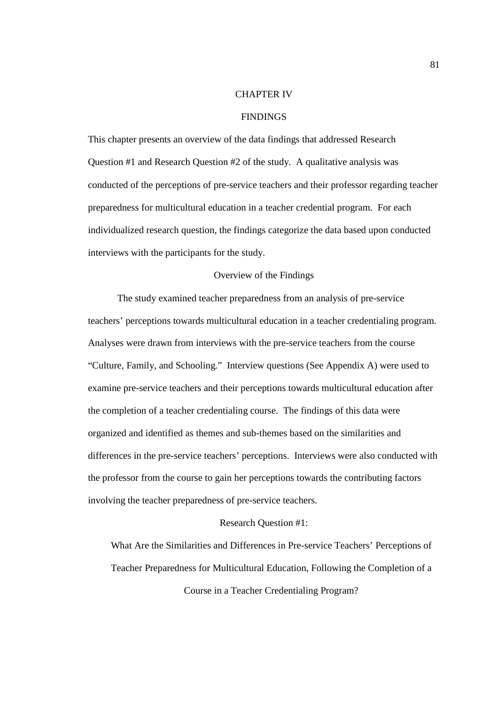### CHAPTER IV

# FINDINGS

This chapter presents an overview of the data findings that addressed Research Question #1 and Research Question #2 of the study. A qualitative analysis was conducted of the perceptions of pre-service teachers and their professor regarding teacher preparedness for multicultural education in a teacher credential program. For each individualized research question, the findings categorize the data based upon conducted interviews with the participants for the study.

### Overview of the Findings

 The study examined teacher preparedness from an analysis of pre-service teachers' perceptions towards multicultural education in a teacher credentialing program. Analyses were drawn from interviews with the pre-service teachers from the course "Culture, Family, and Schooling." Interview questions (See Appendix A) were used to examine pre-service teachers and their perceptions towards multicultural education after the completion of a teacher credentialing course. The findings of this data were organized and identified as themes and sub-themes based on the similarities and differences in the pre-service teachers' perceptions. Interviews were also conducted with the professor from the course to gain her perceptions towards the contributing factors involving the teacher preparedness of pre-service teachers.

### Research Question #1:

What Are the Similarities and Differences in Pre-service Teachers' Perceptions of Teacher Preparedness for Multicultural Education, Following the Completion of a Course in a Teacher Credentialing Program?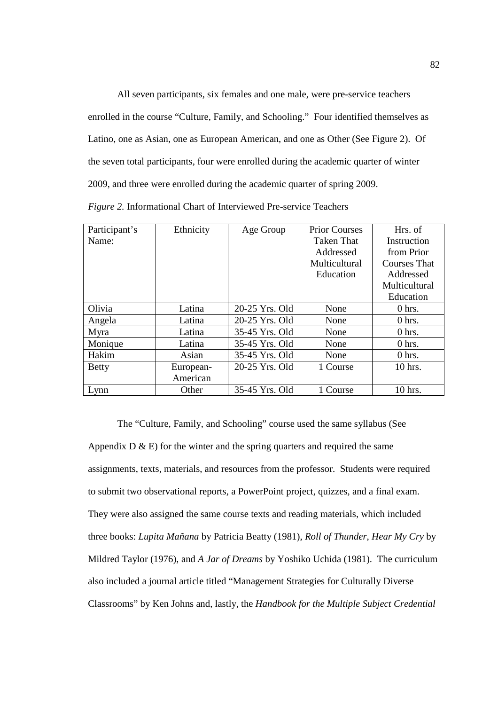All seven participants, six females and one male, were pre-service teachers enrolled in the course "Culture, Family, and Schooling." Four identified themselves as Latino, one as Asian, one as European American, and one as Other (See Figure 2). Of the seven total participants, four were enrolled during the academic quarter of winter 2009, and three were enrolled during the academic quarter of spring 2009.

*Figure 2.* Informational Chart of Interviewed Pre-service Teachers

| Participant's | Ethnicity | Age Group      | <b>Prior Courses</b> | Hrs. of             |
|---------------|-----------|----------------|----------------------|---------------------|
| Name:         |           |                | <b>Taken That</b>    | Instruction         |
|               |           |                | Addressed            | from Prior          |
|               |           |                | Multicultural        | <b>Courses That</b> |
|               |           |                | Education            | Addressed           |
|               |           |                |                      | Multicultural       |
|               |           |                |                      | Education           |
| Olivia        | Latina    | 20-25 Yrs. Old | None                 | $0$ hrs.            |
| Angela        | Latina    | 20-25 Yrs. Old | None                 | $0$ hrs.            |
| Myra          | Latina    | 35-45 Yrs. Old | None                 | $0$ hrs.            |
| Monique       | Latina    | 35-45 Yrs. Old | None                 | $0$ hrs.            |
| Hakim         | Asian     | 35-45 Yrs. Old | None                 | $0$ hrs.            |
| <b>Betty</b>  | European- | 20-25 Yrs. Old | 1 Course             | 10 hrs.             |
|               | American  |                |                      |                     |
| Lynn          | Other     | 35-45 Yrs. Old | 1 Course             | 10 hrs.             |

The "Culture, Family, and Schooling" course used the same syllabus (See Appendix  $D \& E$ ) for the winter and the spring quarters and required the same assignments, texts, materials, and resources from the professor. Students were required to submit two observational reports, a PowerPoint project, quizzes, and a final exam. They were also assigned the same course texts and reading materials, which included three books: *Lupita Mañana* by Patricia Beatty (1981), *Roll of Thunder*, *Hear My Cry* by Mildred Taylor (1976), and *A Jar of Dreams* by Yoshiko Uchida (1981). The curriculum also included a journal article titled "Management Strategies for Culturally Diverse Classrooms" by Ken Johns and, lastly, the *Handbook for the Multiple Subject Credential*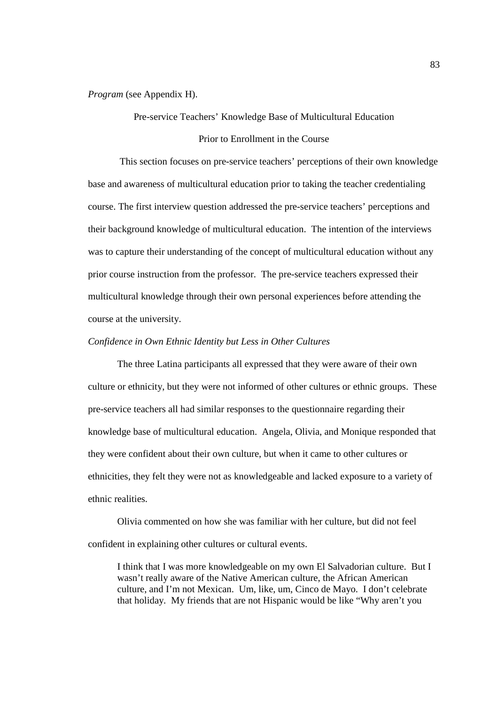*Program* (see Appendix H).

Pre-service Teachers' Knowledge Base of Multicultural Education

Prior to Enrollment in the Course

 This section focuses on pre-service teachers' perceptions of their own knowledge base and awareness of multicultural education prior to taking the teacher credentialing course. The first interview question addressed the pre-service teachers' perceptions and their background knowledge of multicultural education. The intention of the interviews was to capture their understanding of the concept of multicultural education without any prior course instruction from the professor. The pre-service teachers expressed their multicultural knowledge through their own personal experiences before attending the course at the university.

#### *Confidence in Own Ethnic Identity but Less in Other Cultures*

The three Latina participants all expressed that they were aware of their own culture or ethnicity, but they were not informed of other cultures or ethnic groups. These pre-service teachers all had similar responses to the questionnaire regarding their knowledge base of multicultural education. Angela, Olivia, and Monique responded that they were confident about their own culture, but when it came to other cultures or ethnicities, they felt they were not as knowledgeable and lacked exposure to a variety of ethnic realities.

Olivia commented on how she was familiar with her culture, but did not feel confident in explaining other cultures or cultural events.

I think that I was more knowledgeable on my own El Salvadorian culture. But I wasn't really aware of the Native American culture, the African American culture, and I'm not Mexican. Um, like, um, Cinco de Mayo. I don't celebrate that holiday. My friends that are not Hispanic would be like "Why aren't you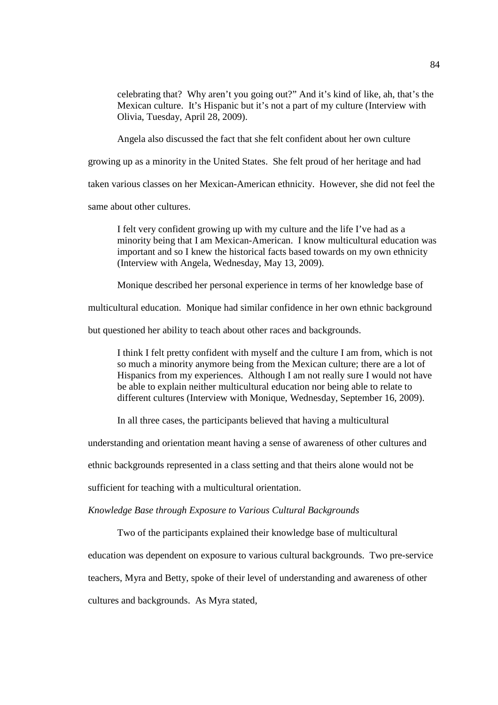celebrating that? Why aren't you going out?" And it's kind of like, ah, that's the Mexican culture. It's Hispanic but it's not a part of my culture (Interview with Olivia, Tuesday, April 28, 2009).

Angela also discussed the fact that she felt confident about her own culture

growing up as a minority in the United States. She felt proud of her heritage and had

taken various classes on her Mexican-American ethnicity. However, she did not feel the

same about other cultures.

I felt very confident growing up with my culture and the life I've had as a minority being that I am Mexican-American. I know multicultural education was important and so I knew the historical facts based towards on my own ethnicity (Interview with Angela, Wednesday, May 13, 2009).

Monique described her personal experience in terms of her knowledge base of

multicultural education. Monique had similar confidence in her own ethnic background

but questioned her ability to teach about other races and backgrounds.

I think I felt pretty confident with myself and the culture I am from, which is not so much a minority anymore being from the Mexican culture; there are a lot of Hispanics from my experiences. Although I am not really sure I would not have be able to explain neither multicultural education nor being able to relate to different cultures (Interview with Monique, Wednesday, September 16, 2009).

In all three cases, the participants believed that having a multicultural

understanding and orientation meant having a sense of awareness of other cultures and

ethnic backgrounds represented in a class setting and that theirs alone would not be

sufficient for teaching with a multicultural orientation.

*Knowledge Base through Exposure to Various Cultural Backgrounds* 

Two of the participants explained their knowledge base of multicultural

education was dependent on exposure to various cultural backgrounds. Two pre-service

teachers, Myra and Betty, spoke of their level of understanding and awareness of other

cultures and backgrounds. As Myra stated,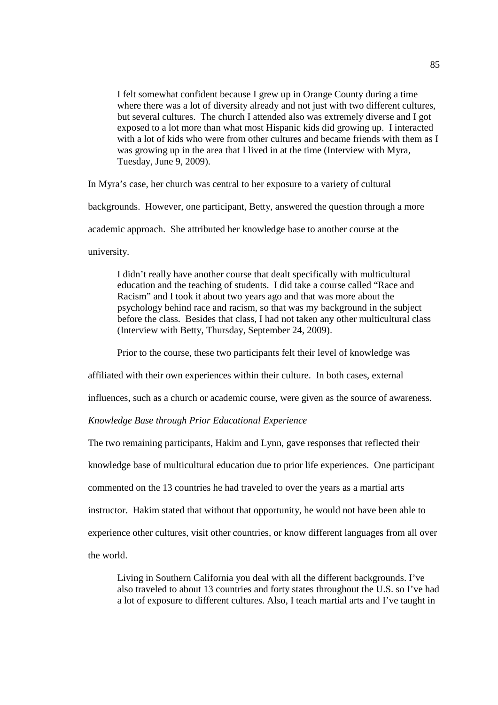I felt somewhat confident because I grew up in Orange County during a time where there was a lot of diversity already and not just with two different cultures, but several cultures. The church I attended also was extremely diverse and I got exposed to a lot more than what most Hispanic kids did growing up. I interacted with a lot of kids who were from other cultures and became friends with them as I was growing up in the area that I lived in at the time (Interview with Myra, Tuesday, June 9, 2009).

In Myra's case, her church was central to her exposure to a variety of cultural

backgrounds. However, one participant, Betty, answered the question through a more

academic approach. She attributed her knowledge base to another course at the

university.

I didn't really have another course that dealt specifically with multicultural education and the teaching of students. I did take a course called "Race and Racism" and I took it about two years ago and that was more about the psychology behind race and racism, so that was my background in the subject before the class. Besides that class, I had not taken any other multicultural class (Interview with Betty, Thursday, September 24, 2009).

Prior to the course, these two participants felt their level of knowledge was

affiliated with their own experiences within their culture. In both cases, external

influences, such as a church or academic course, were given as the source of awareness.

# *Knowledge Base through Prior Educational Experience*

The two remaining participants, Hakim and Lynn, gave responses that reflected their knowledge base of multicultural education due to prior life experiences. One participant commented on the 13 countries he had traveled to over the years as a martial arts instructor. Hakim stated that without that opportunity, he would not have been able to experience other cultures, visit other countries, or know different languages from all over the world.

Living in Southern California you deal with all the different backgrounds. I've also traveled to about 13 countries and forty states throughout the U.S. so I've had a lot of exposure to different cultures. Also, I teach martial arts and I've taught in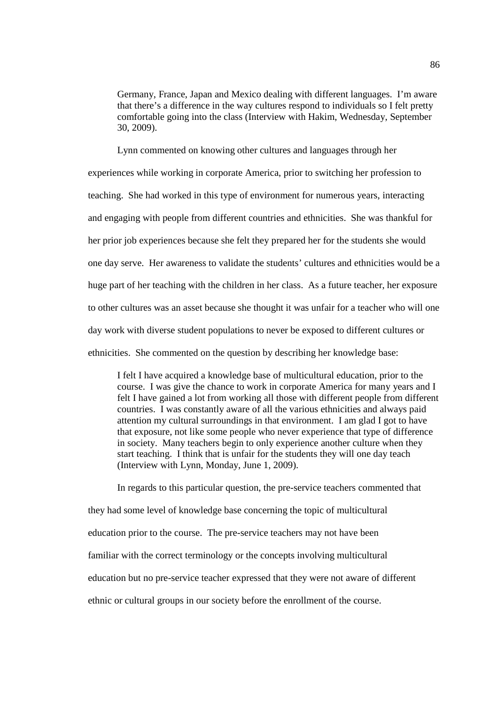Germany, France, Japan and Mexico dealing with different languages. I'm aware that there's a difference in the way cultures respond to individuals so I felt pretty comfortable going into the class (Interview with Hakim, Wednesday, September 30, 2009).

Lynn commented on knowing other cultures and languages through her experiences while working in corporate America, prior to switching her profession to teaching. She had worked in this type of environment for numerous years, interacting and engaging with people from different countries and ethnicities. She was thankful for her prior job experiences because she felt they prepared her for the students she would one day serve. Her awareness to validate the students' cultures and ethnicities would be a huge part of her teaching with the children in her class. As a future teacher, her exposure to other cultures was an asset because she thought it was unfair for a teacher who will one day work with diverse student populations to never be exposed to different cultures or ethnicities. She commented on the question by describing her knowledge base:

I felt I have acquired a knowledge base of multicultural education, prior to the course. I was give the chance to work in corporate America for many years and I felt I have gained a lot from working all those with different people from different countries. I was constantly aware of all the various ethnicities and always paid attention my cultural surroundings in that environment. I am glad I got to have that exposure, not like some people who never experience that type of difference in society. Many teachers begin to only experience another culture when they start teaching. I think that is unfair for the students they will one day teach (Interview with Lynn, Monday, June 1, 2009).

In regards to this particular question, the pre-service teachers commented that they had some level of knowledge base concerning the topic of multicultural education prior to the course. The pre-service teachers may not have been familiar with the correct terminology or the concepts involving multicultural education but no pre-service teacher expressed that they were not aware of different ethnic or cultural groups in our society before the enrollment of the course.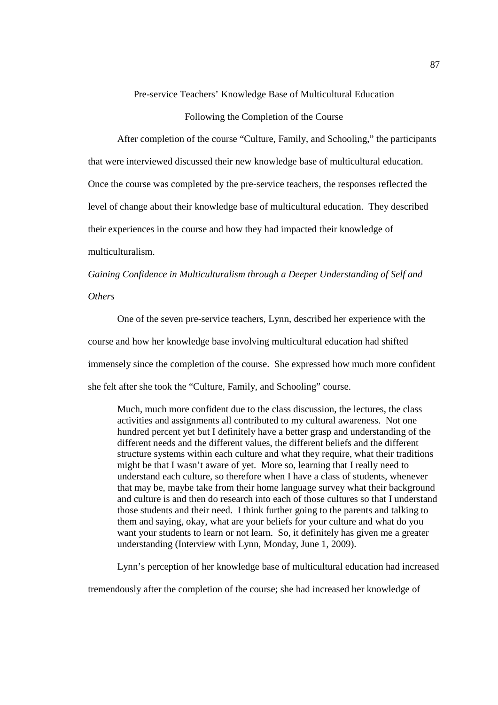Pre-service Teachers' Knowledge Base of Multicultural Education

Following the Completion of the Course

After completion of the course "Culture, Family, and Schooling," the participants that were interviewed discussed their new knowledge base of multicultural education. Once the course was completed by the pre-service teachers, the responses reflected the level of change about their knowledge base of multicultural education. They described their experiences in the course and how they had impacted their knowledge of multiculturalism.

*Gaining Confidence in Multiculturalism through a Deeper Understanding of Self and Others*

One of the seven pre-service teachers, Lynn, described her experience with the course and how her knowledge base involving multicultural education had shifted immensely since the completion of the course. She expressed how much more confident she felt after she took the "Culture, Family, and Schooling" course.

Much, much more confident due to the class discussion, the lectures, the class activities and assignments all contributed to my cultural awareness. Not one hundred percent yet but I definitely have a better grasp and understanding of the different needs and the different values, the different beliefs and the different structure systems within each culture and what they require, what their traditions might be that I wasn't aware of yet. More so, learning that I really need to understand each culture, so therefore when I have a class of students, whenever that may be, maybe take from their home language survey what their background and culture is and then do research into each of those cultures so that I understand those students and their need. I think further going to the parents and talking to them and saying, okay, what are your beliefs for your culture and what do you want your students to learn or not learn. So, it definitely has given me a greater understanding (Interview with Lynn, Monday, June 1, 2009).

Lynn's perception of her knowledge base of multicultural education had increased

tremendously after the completion of the course; she had increased her knowledge of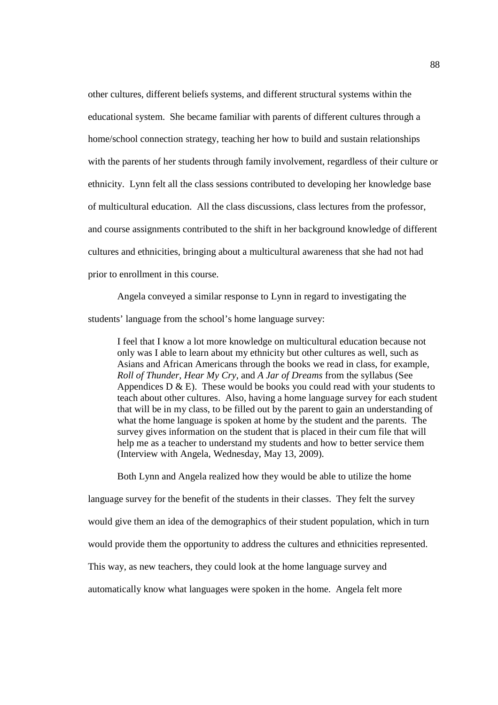other cultures, different beliefs systems, and different structural systems within the educational system. She became familiar with parents of different cultures through a home/school connection strategy, teaching her how to build and sustain relationships with the parents of her students through family involvement, regardless of their culture or ethnicity. Lynn felt all the class sessions contributed to developing her knowledge base of multicultural education. All the class discussions, class lectures from the professor, and course assignments contributed to the shift in her background knowledge of different cultures and ethnicities, bringing about a multicultural awareness that she had not had prior to enrollment in this course.

 Angela conveyed a similar response to Lynn in regard to investigating the students' language from the school's home language survey:

I feel that I know a lot more knowledge on multicultural education because not only was I able to learn about my ethnicity but other cultures as well, such as Asians and African Americans through the books we read in class, for example, *Roll of Thunder*, *Hear My Cry*, and *A Jar of Dreams* from the syllabus (See Appendices  $D \& E$ ). These would be books you could read with your students to teach about other cultures. Also, having a home language survey for each student that will be in my class, to be filled out by the parent to gain an understanding of what the home language is spoken at home by the student and the parents. The survey gives information on the student that is placed in their cum file that will help me as a teacher to understand my students and how to better service them (Interview with Angela, Wednesday, May 13, 2009).

Both Lynn and Angela realized how they would be able to utilize the home

language survey for the benefit of the students in their classes. They felt the survey

would give them an idea of the demographics of their student population, which in turn

would provide them the opportunity to address the cultures and ethnicities represented.

This way, as new teachers, they could look at the home language survey and

automatically know what languages were spoken in the home. Angela felt more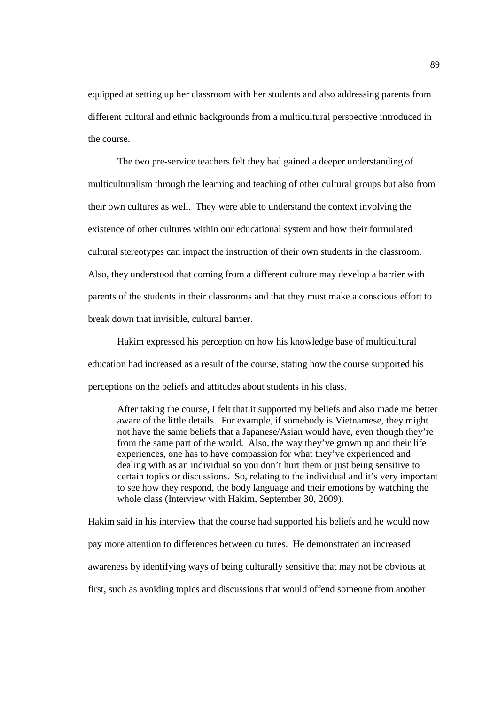equipped at setting up her classroom with her students and also addressing parents from different cultural and ethnic backgrounds from a multicultural perspective introduced in the course.

The two pre-service teachers felt they had gained a deeper understanding of multiculturalism through the learning and teaching of other cultural groups but also from their own cultures as well. They were able to understand the context involving the existence of other cultures within our educational system and how their formulated cultural stereotypes can impact the instruction of their own students in the classroom. Also, they understood that coming from a different culture may develop a barrier with parents of the students in their classrooms and that they must make a conscious effort to break down that invisible, cultural barrier.

 Hakim expressed his perception on how his knowledge base of multicultural education had increased as a result of the course, stating how the course supported his perceptions on the beliefs and attitudes about students in his class.

After taking the course, I felt that it supported my beliefs and also made me better aware of the little details. For example, if somebody is Vietnamese, they might not have the same beliefs that a Japanese/Asian would have, even though they're from the same part of the world. Also, the way they've grown up and their life experiences, one has to have compassion for what they've experienced and dealing with as an individual so you don't hurt them or just being sensitive to certain topics or discussions. So, relating to the individual and it's very important to see how they respond, the body language and their emotions by watching the whole class (Interview with Hakim, September 30, 2009).

Hakim said in his interview that the course had supported his beliefs and he would now pay more attention to differences between cultures. He demonstrated an increased awareness by identifying ways of being culturally sensitive that may not be obvious at first, such as avoiding topics and discussions that would offend someone from another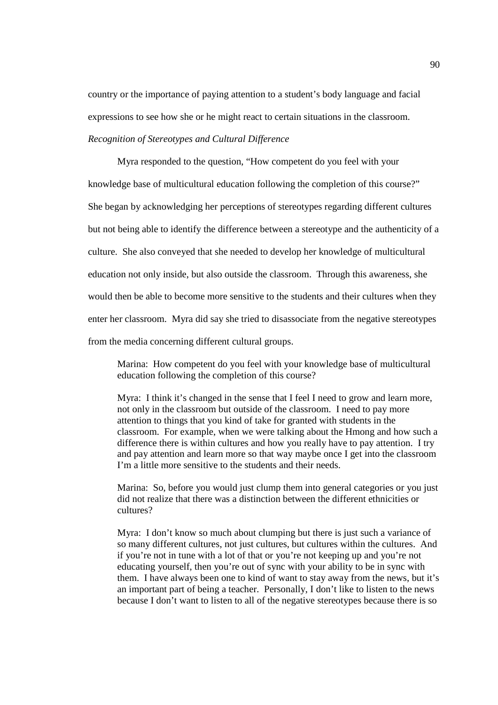country or the importance of paying attention to a student's body language and facial expressions to see how she or he might react to certain situations in the classroom. *Recognition of Stereotypes and Cultural Difference* 

Myra responded to the question, "How competent do you feel with your knowledge base of multicultural education following the completion of this course?" She began by acknowledging her perceptions of stereotypes regarding different cultures but not being able to identify the difference between a stereotype and the authenticity of a culture. She also conveyed that she needed to develop her knowledge of multicultural education not only inside, but also outside the classroom. Through this awareness, she would then be able to become more sensitive to the students and their cultures when they enter her classroom. Myra did say she tried to disassociate from the negative stereotypes from the media concerning different cultural groups.

Marina: How competent do you feel with your knowledge base of multicultural education following the completion of this course?

Myra: I think it's changed in the sense that I feel I need to grow and learn more, not only in the classroom but outside of the classroom. I need to pay more attention to things that you kind of take for granted with students in the classroom. For example, when we were talking about the Hmong and how such a difference there is within cultures and how you really have to pay attention. I try and pay attention and learn more so that way maybe once I get into the classroom I'm a little more sensitive to the students and their needs.

Marina: So, before you would just clump them into general categories or you just did not realize that there was a distinction between the different ethnicities or cultures?

Myra: I don't know so much about clumping but there is just such a variance of so many different cultures, not just cultures, but cultures within the cultures. And if you're not in tune with a lot of that or you're not keeping up and you're not educating yourself, then you're out of sync with your ability to be in sync with them. I have always been one to kind of want to stay away from the news, but it's an important part of being a teacher. Personally, I don't like to listen to the news because I don't want to listen to all of the negative stereotypes because there is so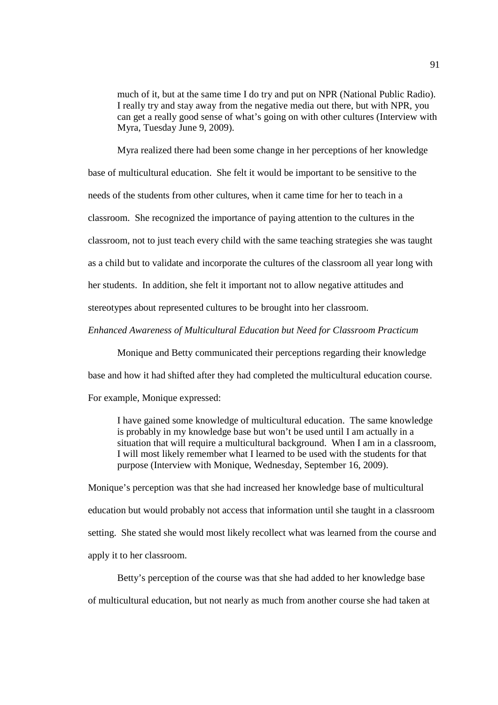much of it, but at the same time I do try and put on NPR (National Public Radio). I really try and stay away from the negative media out there, but with NPR, you can get a really good sense of what's going on with other cultures (Interview with Myra, Tuesday June 9, 2009).

Myra realized there had been some change in her perceptions of her knowledge base of multicultural education. She felt it would be important to be sensitive to the needs of the students from other cultures, when it came time for her to teach in a classroom. She recognized the importance of paying attention to the cultures in the classroom, not to just teach every child with the same teaching strategies she was taught as a child but to validate and incorporate the cultures of the classroom all year long with her students. In addition, she felt it important not to allow negative attitudes and stereotypes about represented cultures to be brought into her classroom.

*Enhanced Awareness of Multicultural Education but Need for Classroom Practicum* 

Monique and Betty communicated their perceptions regarding their knowledge base and how it had shifted after they had completed the multicultural education course.

For example, Monique expressed:

I have gained some knowledge of multicultural education. The same knowledge is probably in my knowledge base but won't be used until I am actually in a situation that will require a multicultural background. When I am in a classroom, I will most likely remember what I learned to be used with the students for that purpose (Interview with Monique, Wednesday, September 16, 2009).

Monique's perception was that she had increased her knowledge base of multicultural education but would probably not access that information until she taught in a classroom setting. She stated she would most likely recollect what was learned from the course and apply it to her classroom.

Betty's perception of the course was that she had added to her knowledge base of multicultural education, but not nearly as much from another course she had taken at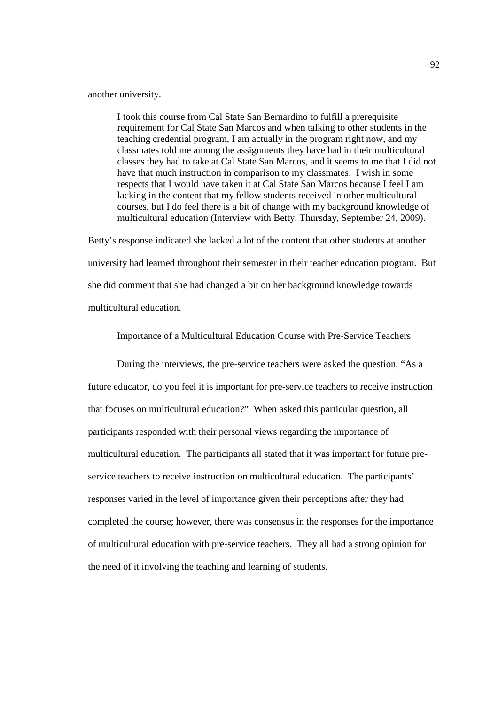another university.

I took this course from Cal State San Bernardino to fulfill a prerequisite requirement for Cal State San Marcos and when talking to other students in the teaching credential program, I am actually in the program right now, and my classmates told me among the assignments they have had in their multicultural classes they had to take at Cal State San Marcos, and it seems to me that I did not have that much instruction in comparison to my classmates. I wish in some respects that I would have taken it at Cal State San Marcos because I feel I am lacking in the content that my fellow students received in other multicultural courses, but I do feel there is a bit of change with my background knowledge of multicultural education (Interview with Betty, Thursday, September 24, 2009).

Betty's response indicated she lacked a lot of the content that other students at another university had learned throughout their semester in their teacher education program. But she did comment that she had changed a bit on her background knowledge towards multicultural education.

Importance of a Multicultural Education Course with Pre-Service Teachers

During the interviews, the pre-service teachers were asked the question, "As a future educator, do you feel it is important for pre-service teachers to receive instruction that focuses on multicultural education?" When asked this particular question, all participants responded with their personal views regarding the importance of multicultural education. The participants all stated that it was important for future preservice teachers to receive instruction on multicultural education. The participants' responses varied in the level of importance given their perceptions after they had completed the course; however, there was consensus in the responses for the importance of multicultural education with pre-service teachers. They all had a strong opinion for the need of it involving the teaching and learning of students.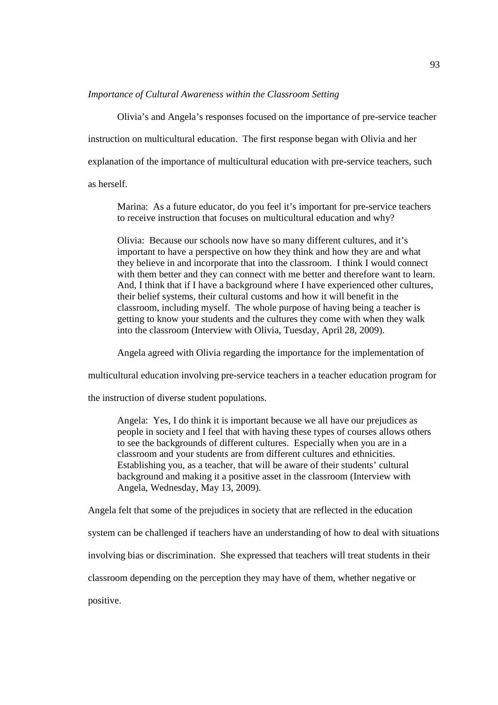#### *Importance of Cultural Awareness within the Classroom Setting*

Olivia's and Angela's responses focused on the importance of pre-service teacher instruction on multicultural education. The first response began with Olivia and her explanation of the importance of multicultural education with pre-service teachers, such as herself.

Marina: As a future educator, do you feel it's important for pre-service teachers to receive instruction that focuses on multicultural education and why?

Olivia: Because our schools now have so many different cultures, and it's important to have a perspective on how they think and how they are and what they believe in and incorporate that into the classroom. I think I would connect with them better and they can connect with me better and therefore want to learn. And, I think that if I have a background where I have experienced other cultures, their belief systems, their cultural customs and how it will benefit in the classroom, including myself. The whole purpose of having being a teacher is getting to know your students and the cultures they come with when they walk into the classroom (Interview with Olivia, Tuesday, April 28, 2009).

Angela agreed with Olivia regarding the importance for the implementation of

multicultural education involving pre-service teachers in a teacher education program for

the instruction of diverse student populations.

Angela: Yes, I do think it is important because we all have our prejudices as people in society and I feel that with having these types of courses allows others to see the backgrounds of different cultures. Especially when you are in a classroom and your students are from different cultures and ethnicities. Establishing you, as a teacher, that will be aware of their students' cultural background and making it a positive asset in the classroom (Interview with Angela, Wednesday, May 13, 2009).

Angela felt that some of the prejudices in society that are reflected in the education

system can be challenged if teachers have an understanding of how to deal with situations

involving bias or discrimination. She expressed that teachers will treat students in their

classroom depending on the perception they may have of them, whether negative or

positive.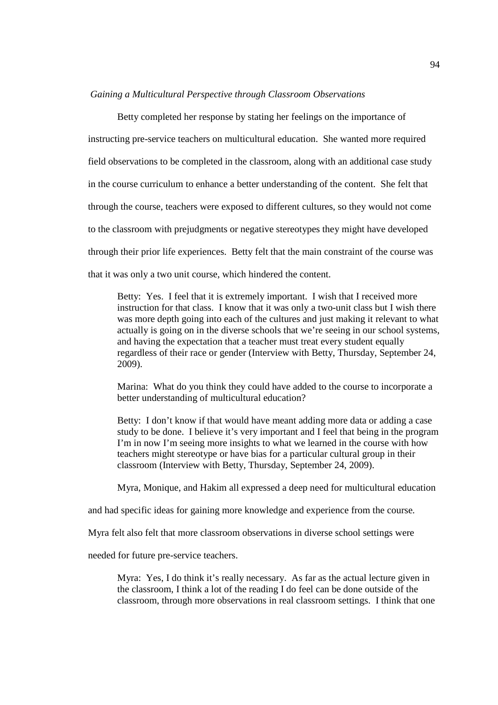#### *Gaining a Multicultural Perspective through Classroom Observations*

Betty completed her response by stating her feelings on the importance of instructing pre-service teachers on multicultural education. She wanted more required field observations to be completed in the classroom, along with an additional case study in the course curriculum to enhance a better understanding of the content. She felt that through the course, teachers were exposed to different cultures, so they would not come to the classroom with prejudgments or negative stereotypes they might have developed through their prior life experiences. Betty felt that the main constraint of the course was that it was only a two unit course, which hindered the content.

Betty: Yes. I feel that it is extremely important. I wish that I received more instruction for that class. I know that it was only a two-unit class but I wish there was more depth going into each of the cultures and just making it relevant to what actually is going on in the diverse schools that we're seeing in our school systems, and having the expectation that a teacher must treat every student equally regardless of their race or gender (Interview with Betty, Thursday, September 24, 2009).

Marina: What do you think they could have added to the course to incorporate a better understanding of multicultural education?

Betty: I don't know if that would have meant adding more data or adding a case study to be done. I believe it's very important and I feel that being in the program I'm in now I'm seeing more insights to what we learned in the course with how teachers might stereotype or have bias for a particular cultural group in their classroom (Interview with Betty, Thursday, September 24, 2009).

Myra, Monique, and Hakim all expressed a deep need for multicultural education

and had specific ideas for gaining more knowledge and experience from the course.

Myra felt also felt that more classroom observations in diverse school settings were

needed for future pre-service teachers.

Myra: Yes, I do think it's really necessary. As far as the actual lecture given in the classroom, I think a lot of the reading I do feel can be done outside of the classroom, through more observations in real classroom settings. I think that one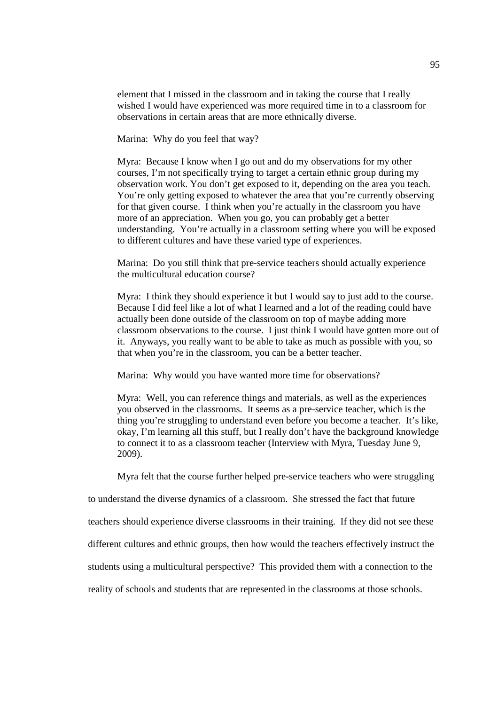element that I missed in the classroom and in taking the course that I really wished I would have experienced was more required time in to a classroom for observations in certain areas that are more ethnically diverse.

Marina: Why do you feel that way?

Myra: Because I know when I go out and do my observations for my other courses, I'm not specifically trying to target a certain ethnic group during my observation work. You don't get exposed to it, depending on the area you teach. You're only getting exposed to whatever the area that you're currently observing for that given course. I think when you're actually in the classroom you have more of an appreciation. When you go, you can probably get a better understanding. You're actually in a classroom setting where you will be exposed to different cultures and have these varied type of experiences.

Marina: Do you still think that pre-service teachers should actually experience the multicultural education course?

Myra: I think they should experience it but I would say to just add to the course. Because I did feel like a lot of what I learned and a lot of the reading could have actually been done outside of the classroom on top of maybe adding more classroom observations to the course. I just think I would have gotten more out of it. Anyways, you really want to be able to take as much as possible with you, so that when you're in the classroom, you can be a better teacher.

Marina: Why would you have wanted more time for observations?

Myra: Well, you can reference things and materials, as well as the experiences you observed in the classrooms. It seems as a pre-service teacher, which is the thing you're struggling to understand even before you become a teacher. It's like, okay, I'm learning all this stuff, but I really don't have the background knowledge to connect it to as a classroom teacher (Interview with Myra, Tuesday June 9, 2009).

Myra felt that the course further helped pre-service teachers who were struggling

to understand the diverse dynamics of a classroom. She stressed the fact that future

teachers should experience diverse classrooms in their training. If they did not see these

different cultures and ethnic groups, then how would the teachers effectively instruct the

students using a multicultural perspective? This provided them with a connection to the

reality of schools and students that are represented in the classrooms at those schools.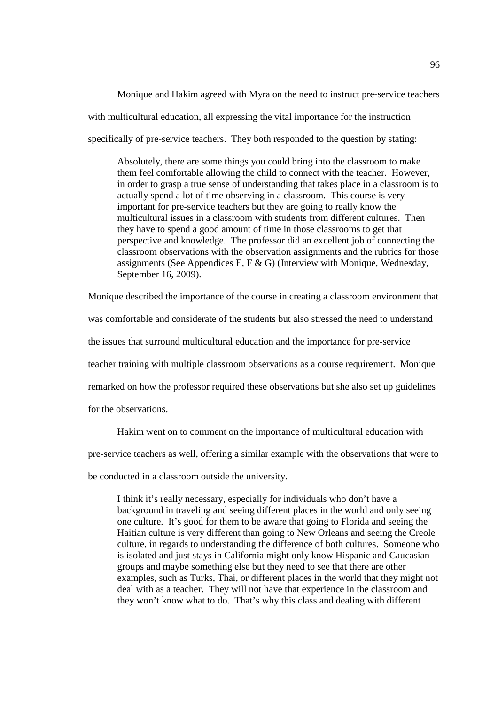Monique and Hakim agreed with Myra on the need to instruct pre-service teachers with multicultural education, all expressing the vital importance for the instruction specifically of pre-service teachers. They both responded to the question by stating:

Absolutely, there are some things you could bring into the classroom to make them feel comfortable allowing the child to connect with the teacher. However, in order to grasp a true sense of understanding that takes place in a classroom is to actually spend a lot of time observing in a classroom. This course is very important for pre-service teachers but they are going to really know the multicultural issues in a classroom with students from different cultures. Then they have to spend a good amount of time in those classrooms to get that perspective and knowledge. The professor did an excellent job of connecting the classroom observations with the observation assignments and the rubrics for those assignments (See Appendices E, F & G) (Interview with Monique, Wednesday, September 16, 2009).

Monique described the importance of the course in creating a classroom environment that was comfortable and considerate of the students but also stressed the need to understand the issues that surround multicultural education and the importance for pre-service teacher training with multiple classroom observations as a course requirement. Monique remarked on how the professor required these observations but she also set up guidelines for the observations.

Hakim went on to comment on the importance of multicultural education with

pre-service teachers as well, offering a similar example with the observations that were to

be conducted in a classroom outside the university.

I think it's really necessary, especially for individuals who don't have a background in traveling and seeing different places in the world and only seeing one culture. It's good for them to be aware that going to Florida and seeing the Haitian culture is very different than going to New Orleans and seeing the Creole culture, in regards to understanding the difference of both cultures. Someone who is isolated and just stays in California might only know Hispanic and Caucasian groups and maybe something else but they need to see that there are other examples, such as Turks, Thai, or different places in the world that they might not deal with as a teacher. They will not have that experience in the classroom and they won't know what to do. That's why this class and dealing with different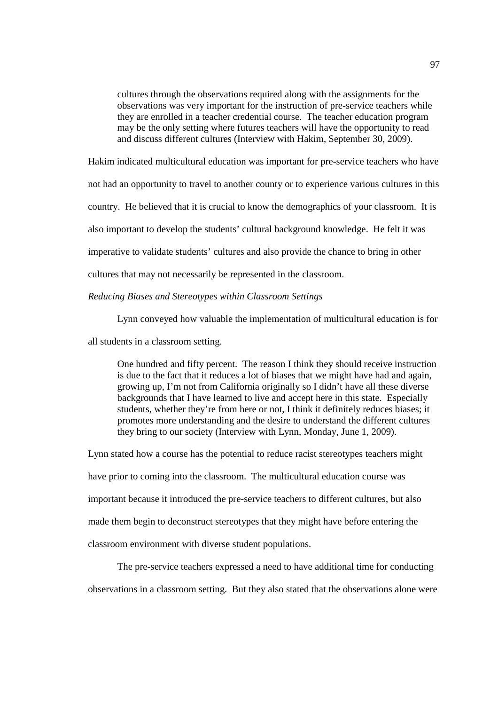cultures through the observations required along with the assignments for the observations was very important for the instruction of pre-service teachers while they are enrolled in a teacher credential course. The teacher education program may be the only setting where futures teachers will have the opportunity to read and discuss different cultures (Interview with Hakim, September 30, 2009).

Hakim indicated multicultural education was important for pre-service teachers who have

not had an opportunity to travel to another county or to experience various cultures in this

country. He believed that it is crucial to know the demographics of your classroom. It is

also important to develop the students' cultural background knowledge. He felt it was

imperative to validate students' cultures and also provide the chance to bring in other

cultures that may not necessarily be represented in the classroom.

*Reducing Biases and Stereotypes within Classroom Settings*

Lynn conveyed how valuable the implementation of multicultural education is for

all students in a classroom setting.

One hundred and fifty percent. The reason I think they should receive instruction is due to the fact that it reduces a lot of biases that we might have had and again, growing up, I'm not from California originally so I didn't have all these diverse backgrounds that I have learned to live and accept here in this state. Especially students, whether they're from here or not, I think it definitely reduces biases; it promotes more understanding and the desire to understand the different cultures they bring to our society (Interview with Lynn, Monday, June 1, 2009).

Lynn stated how a course has the potential to reduce racist stereotypes teachers might

have prior to coming into the classroom. The multicultural education course was

important because it introduced the pre-service teachers to different cultures, but also

made them begin to deconstruct stereotypes that they might have before entering the

classroom environment with diverse student populations.

The pre-service teachers expressed a need to have additional time for conducting

observations in a classroom setting. But they also stated that the observations alone were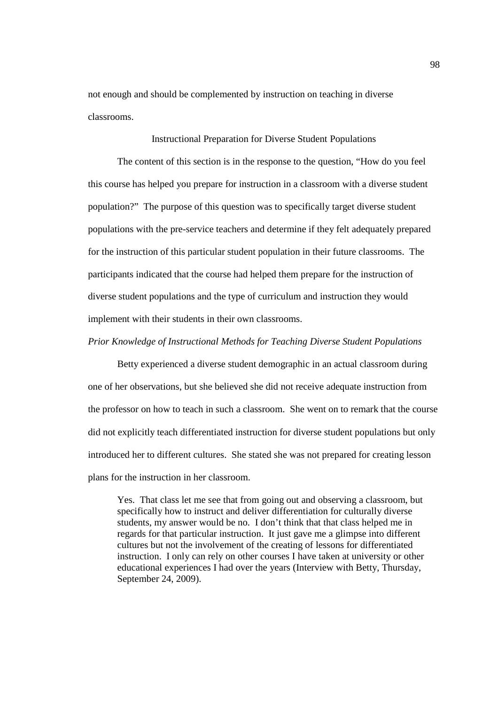not enough and should be complemented by instruction on teaching in diverse classrooms.

Instructional Preparation for Diverse Student Populations

The content of this section is in the response to the question, "How do you feel this course has helped you prepare for instruction in a classroom with a diverse student population?" The purpose of this question was to specifically target diverse student populations with the pre-service teachers and determine if they felt adequately prepared for the instruction of this particular student population in their future classrooms. The participants indicated that the course had helped them prepare for the instruction of diverse student populations and the type of curriculum and instruction they would implement with their students in their own classrooms.

#### *Prior Knowledge of Instructional Methods for Teaching Diverse Student Populations*

 Betty experienced a diverse student demographic in an actual classroom during one of her observations, but she believed she did not receive adequate instruction from the professor on how to teach in such a classroom. She went on to remark that the course did not explicitly teach differentiated instruction for diverse student populations but only introduced her to different cultures. She stated she was not prepared for creating lesson plans for the instruction in her classroom.

Yes. That class let me see that from going out and observing a classroom, but specifically how to instruct and deliver differentiation for culturally diverse students, my answer would be no. I don't think that that class helped me in regards for that particular instruction. It just gave me a glimpse into different cultures but not the involvement of the creating of lessons for differentiated instruction. I only can rely on other courses I have taken at university or other educational experiences I had over the years (Interview with Betty, Thursday, September 24, 2009).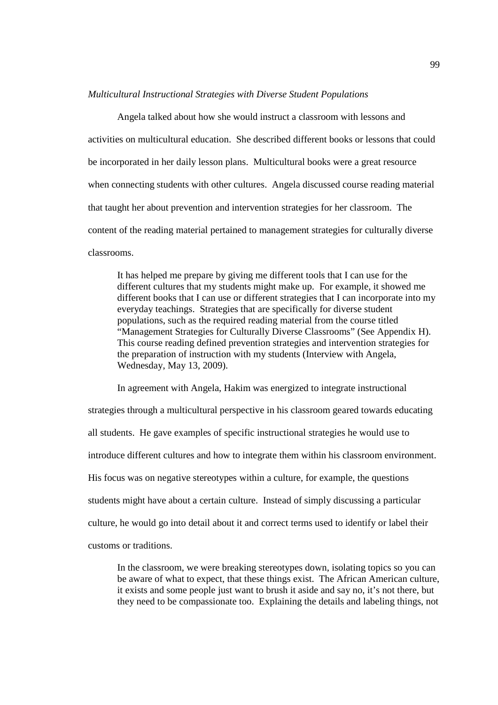#### *Multicultural Instructional Strategies with Diverse Student Populations*

Angela talked about how she would instruct a classroom with lessons and activities on multicultural education. She described different books or lessons that could be incorporated in her daily lesson plans. Multicultural books were a great resource when connecting students with other cultures. Angela discussed course reading material that taught her about prevention and intervention strategies for her classroom. The content of the reading material pertained to management strategies for culturally diverse classrooms.

It has helped me prepare by giving me different tools that I can use for the different cultures that my students might make up. For example, it showed me different books that I can use or different strategies that I can incorporate into my everyday teachings. Strategies that are specifically for diverse student populations, such as the required reading material from the course titled "Management Strategies for Culturally Diverse Classrooms" (See Appendix H). This course reading defined prevention strategies and intervention strategies for the preparation of instruction with my students (Interview with Angela, Wednesday, May 13, 2009).

In agreement with Angela, Hakim was energized to integrate instructional strategies through a multicultural perspective in his classroom geared towards educating all students. He gave examples of specific instructional strategies he would use to introduce different cultures and how to integrate them within his classroom environment. His focus was on negative stereotypes within a culture, for example, the questions students might have about a certain culture. Instead of simply discussing a particular culture, he would go into detail about it and correct terms used to identify or label their customs or traditions.

In the classroom, we were breaking stereotypes down, isolating topics so you can be aware of what to expect, that these things exist. The African American culture, it exists and some people just want to brush it aside and say no, it's not there, but they need to be compassionate too. Explaining the details and labeling things, not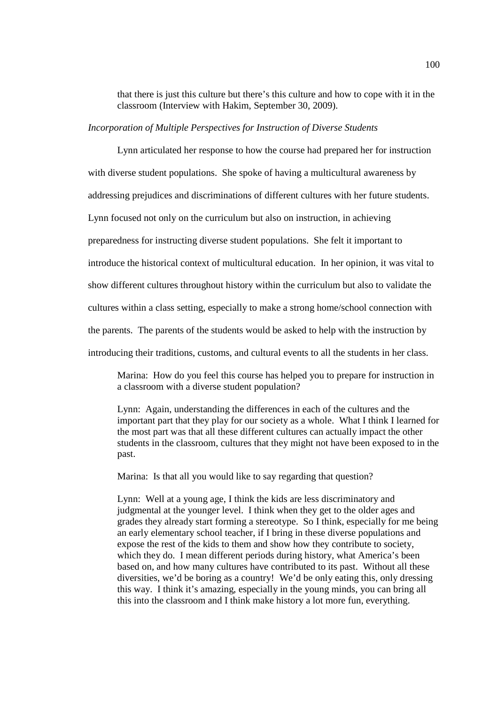that there is just this culture but there's this culture and how to cope with it in the classroom (Interview with Hakim, September 30, 2009).

### *Incorporation of Multiple Perspectives for Instruction of Diverse Students*

Lynn articulated her response to how the course had prepared her for instruction with diverse student populations. She spoke of having a multicultural awareness by addressing prejudices and discriminations of different cultures with her future students. Lynn focused not only on the curriculum but also on instruction, in achieving preparedness for instructing diverse student populations. She felt it important to introduce the historical context of multicultural education. In her opinion, it was vital to show different cultures throughout history within the curriculum but also to validate the cultures within a class setting, especially to make a strong home/school connection with the parents. The parents of the students would be asked to help with the instruction by introducing their traditions, customs, and cultural events to all the students in her class.

Marina: How do you feel this course has helped you to prepare for instruction in a classroom with a diverse student population?

Lynn: Again, understanding the differences in each of the cultures and the important part that they play for our society as a whole. What I think I learned for the most part was that all these different cultures can actually impact the other students in the classroom, cultures that they might not have been exposed to in the past.

Marina: Is that all you would like to say regarding that question?

Lynn: Well at a young age, I think the kids are less discriminatory and judgmental at the younger level. I think when they get to the older ages and grades they already start forming a stereotype. So I think, especially for me being an early elementary school teacher, if I bring in these diverse populations and expose the rest of the kids to them and show how they contribute to society, which they do. I mean different periods during history, what America's been based on, and how many cultures have contributed to its past. Without all these diversities, we'd be boring as a country! We'd be only eating this, only dressing this way. I think it's amazing, especially in the young minds, you can bring all this into the classroom and I think make history a lot more fun, everything.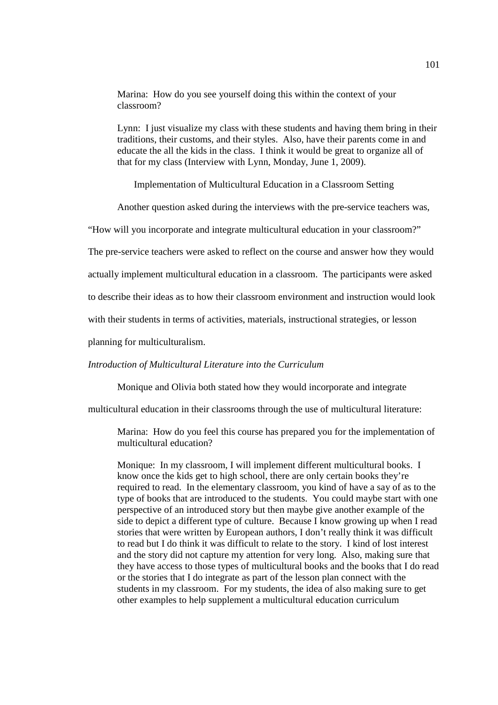Marina: How do you see yourself doing this within the context of your classroom?

Lynn: I just visualize my class with these students and having them bring in their traditions, their customs, and their styles. Also, have their parents come in and educate the all the kids in the class. I think it would be great to organize all of that for my class (Interview with Lynn, Monday, June 1, 2009).

Implementation of Multicultural Education in a Classroom Setting

Another question asked during the interviews with the pre-service teachers was,

"How will you incorporate and integrate multicultural education in your classroom?"

The pre-service teachers were asked to reflect on the course and answer how they would

actually implement multicultural education in a classroom. The participants were asked

to describe their ideas as to how their classroom environment and instruction would look

with their students in terms of activities, materials, instructional strategies, or lesson

planning for multiculturalism.

### *Introduction of Multicultural Literature into the Curriculum*

Monique and Olivia both stated how they would incorporate and integrate

multicultural education in their classrooms through the use of multicultural literature:

Marina: How do you feel this course has prepared you for the implementation of multicultural education?

Monique: In my classroom, I will implement different multicultural books. I know once the kids get to high school, there are only certain books they're required to read. In the elementary classroom, you kind of have a say of as to the type of books that are introduced to the students. You could maybe start with one perspective of an introduced story but then maybe give another example of the side to depict a different type of culture. Because I know growing up when I read stories that were written by European authors, I don't really think it was difficult to read but I do think it was difficult to relate to the story. I kind of lost interest and the story did not capture my attention for very long. Also, making sure that they have access to those types of multicultural books and the books that I do read or the stories that I do integrate as part of the lesson plan connect with the students in my classroom. For my students, the idea of also making sure to get other examples to help supplement a multicultural education curriculum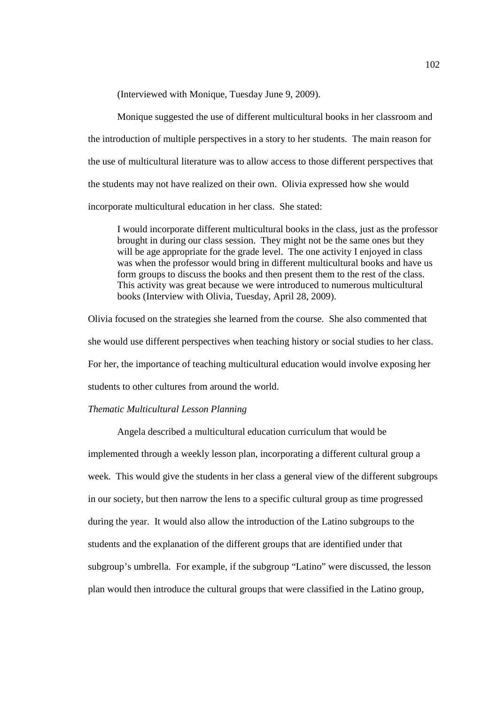(Interviewed with Monique, Tuesday June 9, 2009).

Monique suggested the use of different multicultural books in her classroom and the introduction of multiple perspectives in a story to her students. The main reason for the use of multicultural literature was to allow access to those different perspectives that the students may not have realized on their own. Olivia expressed how she would incorporate multicultural education in her class. She stated:

I would incorporate different multicultural books in the class, just as the professor brought in during our class session. They might not be the same ones but they will be age appropriate for the grade level. The one activity I enjoyed in class was when the professor would bring in different multicultural books and have us form groups to discuss the books and then present them to the rest of the class. This activity was great because we were introduced to numerous multicultural books (Interview with Olivia, Tuesday, April 28, 2009).

Olivia focused on the strategies she learned from the course. She also commented that she would use different perspectives when teaching history or social studies to her class. For her, the importance of teaching multicultural education would involve exposing her students to other cultures from around the world.

# *Thematic Multicultural Lesson Planning*

 Angela described a multicultural education curriculum that would be implemented through a weekly lesson plan, incorporating a different cultural group a week. This would give the students in her class a general view of the different subgroups in our society, but then narrow the lens to a specific cultural group as time progressed during the year. It would also allow the introduction of the Latino subgroups to the students and the explanation of the different groups that are identified under that subgroup's umbrella. For example, if the subgroup "Latino" were discussed, the lesson plan would then introduce the cultural groups that were classified in the Latino group,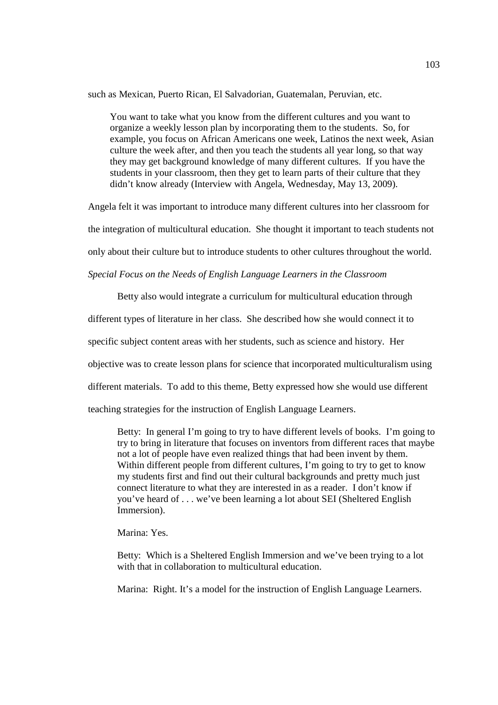such as Mexican, Puerto Rican, El Salvadorian, Guatemalan, Peruvian, etc.

You want to take what you know from the different cultures and you want to organize a weekly lesson plan by incorporating them to the students. So, for example, you focus on African Americans one week, Latinos the next week, Asian culture the week after, and then you teach the students all year long, so that way they may get background knowledge of many different cultures. If you have the students in your classroom, then they get to learn parts of their culture that they didn't know already (Interview with Angela, Wednesday, May 13, 2009).

Angela felt it was important to introduce many different cultures into her classroom for

the integration of multicultural education. She thought it important to teach students not

only about their culture but to introduce students to other cultures throughout the world.

*Special Focus on the Needs of English Language Learners in the Classroom* 

Betty also would integrate a curriculum for multicultural education through different types of literature in her class. She described how she would connect it to specific subject content areas with her students, such as science and history. Her objective was to create lesson plans for science that incorporated multiculturalism using different materials. To add to this theme, Betty expressed how she would use different

teaching strategies for the instruction of English Language Learners.

Betty: In general I'm going to try to have different levels of books. I'm going to try to bring in literature that focuses on inventors from different races that maybe not a lot of people have even realized things that had been invent by them. Within different people from different cultures, I'm going to try to get to know my students first and find out their cultural backgrounds and pretty much just connect literature to what they are interested in as a reader. I don't know if you've heard of . . . we've been learning a lot about SEI (Sheltered English Immersion).

Marina: Yes.

Betty: Which is a Sheltered English Immersion and we've been trying to a lot with that in collaboration to multicultural education.

Marina: Right. It's a model for the instruction of English Language Learners.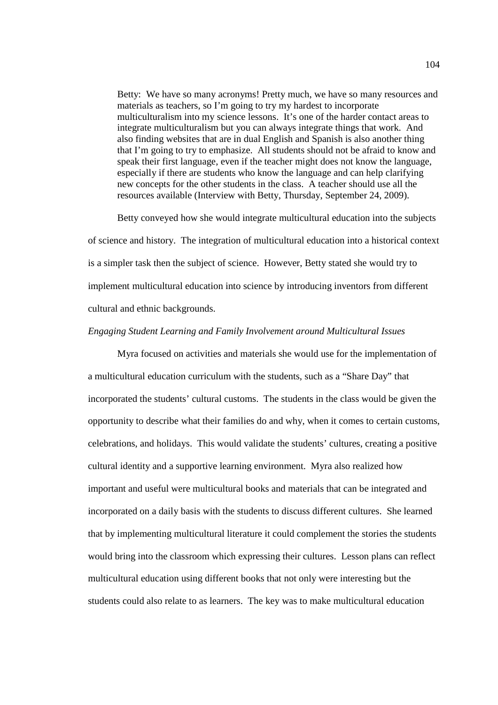Betty: We have so many acronyms! Pretty much, we have so many resources and materials as teachers, so I'm going to try my hardest to incorporate multiculturalism into my science lessons. It's one of the harder contact areas to integrate multiculturalism but you can always integrate things that work. And also finding websites that are in dual English and Spanish is also another thing that I'm going to try to emphasize. All students should not be afraid to know and speak their first language, even if the teacher might does not know the language, especially if there are students who know the language and can help clarifying new concepts for the other students in the class. A teacher should use all the resources available (Interview with Betty, Thursday, September 24, 2009).

Betty conveyed how she would integrate multicultural education into the subjects of science and history. The integration of multicultural education into a historical context is a simpler task then the subject of science. However, Betty stated she would try to implement multicultural education into science by introducing inventors from different cultural and ethnic backgrounds.

#### *Engaging Student Learning and Family Involvement around Multicultural Issues*

Myra focused on activities and materials she would use for the implementation of a multicultural education curriculum with the students, such as a "Share Day" that incorporated the students' cultural customs. The students in the class would be given the opportunity to describe what their families do and why, when it comes to certain customs, celebrations, and holidays. This would validate the students' cultures, creating a positive cultural identity and a supportive learning environment. Myra also realized how important and useful were multicultural books and materials that can be integrated and incorporated on a daily basis with the students to discuss different cultures. She learned that by implementing multicultural literature it could complement the stories the students would bring into the classroom which expressing their cultures. Lesson plans can reflect multicultural education using different books that not only were interesting but the students could also relate to as learners. The key was to make multicultural education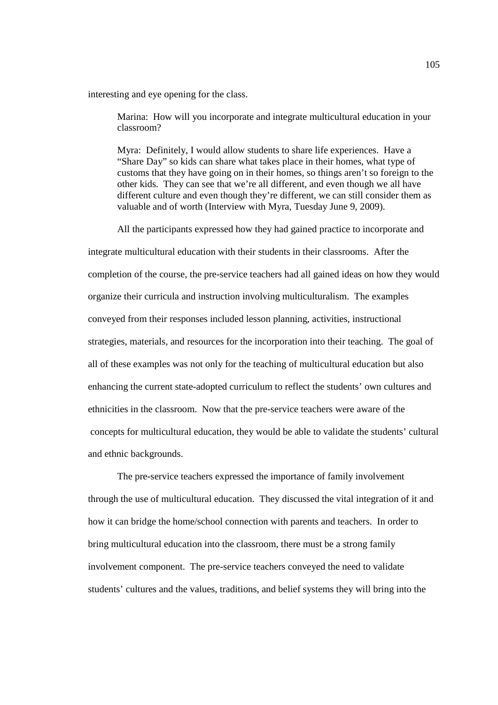interesting and eye opening for the class.

Marina: How will you incorporate and integrate multicultural education in your classroom?

Myra: Definitely, I would allow students to share life experiences. Have a "Share Day" so kids can share what takes place in their homes, what type of customs that they have going on in their homes, so things aren't so foreign to the other kids. They can see that we're all different, and even though we all have different culture and even though they're different, we can still consider them as valuable and of worth (Interview with Myra, Tuesday June 9, 2009).

All the participants expressed how they had gained practice to incorporate and

integrate multicultural education with their students in their classrooms. After the completion of the course, the pre-service teachers had all gained ideas on how they would organize their curricula and instruction involving multiculturalism. The examples conveyed from their responses included lesson planning, activities, instructional strategies, materials, and resources for the incorporation into their teaching. The goal of all of these examples was not only for the teaching of multicultural education but also enhancing the current state-adopted curriculum to reflect the students' own cultures and ethnicities in the classroom. Now that the pre-service teachers were aware of the concepts for multicultural education, they would be able to validate the students' cultural and ethnic backgrounds.

 The pre-service teachers expressed the importance of family involvement through the use of multicultural education. They discussed the vital integration of it and how it can bridge the home/school connection with parents and teachers. In order to bring multicultural education into the classroom, there must be a strong family involvement component. The pre-service teachers conveyed the need to validate students' cultures and the values, traditions, and belief systems they will bring into the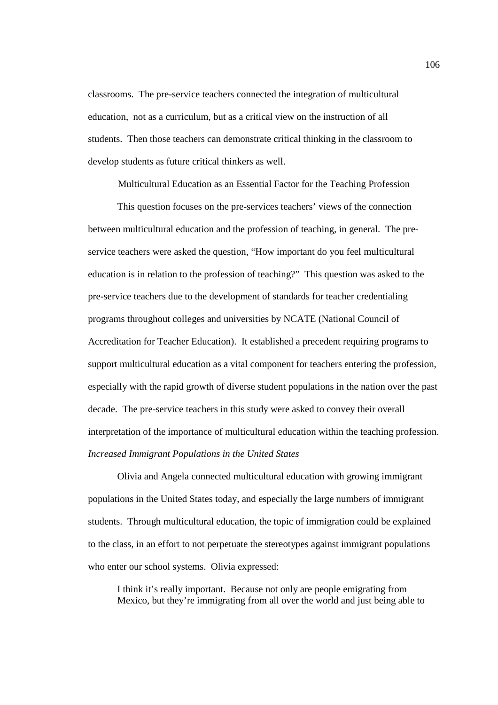classrooms. The pre-service teachers connected the integration of multicultural education, not as a curriculum, but as a critical view on the instruction of all students. Then those teachers can demonstrate critical thinking in the classroom to develop students as future critical thinkers as well.

Multicultural Education as an Essential Factor for the Teaching Profession

 This question focuses on the pre-services teachers' views of the connection between multicultural education and the profession of teaching, in general. The preservice teachers were asked the question, "How important do you feel multicultural education is in relation to the profession of teaching?" This question was asked to the pre-service teachers due to the development of standards for teacher credentialing programs throughout colleges and universities by NCATE (National Council of Accreditation for Teacher Education). It established a precedent requiring programs to support multicultural education as a vital component for teachers entering the profession, especially with the rapid growth of diverse student populations in the nation over the past decade. The pre-service teachers in this study were asked to convey their overall interpretation of the importance of multicultural education within the teaching profession. *Increased Immigrant Populations in the United States*

Olivia and Angela connected multicultural education with growing immigrant populations in the United States today, and especially the large numbers of immigrant students. Through multicultural education, the topic of immigration could be explained to the class, in an effort to not perpetuate the stereotypes against immigrant populations who enter our school systems. Olivia expressed:

I think it's really important. Because not only are people emigrating from Mexico, but they're immigrating from all over the world and just being able to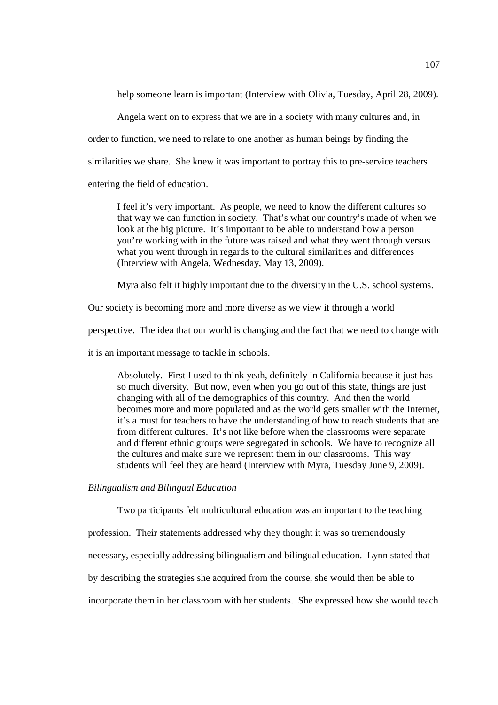help someone learn is important (Interview with Olivia, Tuesday, April 28, 2009).

Angela went on to express that we are in a society with many cultures and, in

order to function, we need to relate to one another as human beings by finding the

similarities we share. She knew it was important to portray this to pre-service teachers

entering the field of education.

I feel it's very important. As people, we need to know the different cultures so that way we can function in society. That's what our country's made of when we look at the big picture. It's important to be able to understand how a person you're working with in the future was raised and what they went through versus what you went through in regards to the cultural similarities and differences (Interview with Angela, Wednesday, May 13, 2009).

Myra also felt it highly important due to the diversity in the U.S. school systems.

Our society is becoming more and more diverse as we view it through a world

perspective. The idea that our world is changing and the fact that we need to change with

it is an important message to tackle in schools.

Absolutely. First I used to think yeah, definitely in California because it just has so much diversity. But now, even when you go out of this state, things are just changing with all of the demographics of this country. And then the world becomes more and more populated and as the world gets smaller with the Internet, it's a must for teachers to have the understanding of how to reach students that are from different cultures. It's not like before when the classrooms were separate and different ethnic groups were segregated in schools. We have to recognize all the cultures and make sure we represent them in our classrooms. This way students will feel they are heard (Interview with Myra, Tuesday June 9, 2009).

*Bilingualism and Bilingual Education* 

Two participants felt multicultural education was an important to the teaching profession. Their statements addressed why they thought it was so tremendously necessary, especially addressing bilingualism and bilingual education. Lynn stated that by describing the strategies she acquired from the course, she would then be able to

incorporate them in her classroom with her students. She expressed how she would teach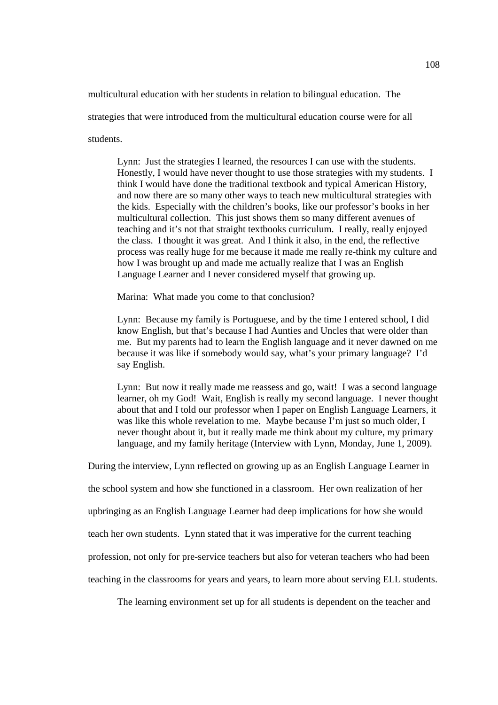multicultural education with her students in relation to bilingual education. The strategies that were introduced from the multicultural education course were for all students.

Lynn: Just the strategies I learned, the resources I can use with the students. Honestly, I would have never thought to use those strategies with my students. I think I would have done the traditional textbook and typical American History, and now there are so many other ways to teach new multicultural strategies with the kids. Especially with the children's books, like our professor's books in her multicultural collection. This just shows them so many different avenues of teaching and it's not that straight textbooks curriculum. I really, really enjoyed the class. I thought it was great. And I think it also, in the end, the reflective process was really huge for me because it made me really re-think my culture and how I was brought up and made me actually realize that I was an English Language Learner and I never considered myself that growing up.

Marina: What made you come to that conclusion?

Lynn: Because my family is Portuguese, and by the time I entered school, I did know English, but that's because I had Aunties and Uncles that were older than me. But my parents had to learn the English language and it never dawned on me because it was like if somebody would say, what's your primary language? I'd say English.

Lynn: But now it really made me reassess and go, wait! I was a second language learner, oh my God! Wait, English is really my second language. I never thought about that and I told our professor when I paper on English Language Learners, it was like this whole revelation to me. Maybe because I'm just so much older, I never thought about it, but it really made me think about my culture, my primary language, and my family heritage (Interview with Lynn, Monday, June 1, 2009).

During the interview, Lynn reflected on growing up as an English Language Learner in

the school system and how she functioned in a classroom. Her own realization of her

upbringing as an English Language Learner had deep implications for how she would

teach her own students. Lynn stated that it was imperative for the current teaching

profession, not only for pre-service teachers but also for veteran teachers who had been

teaching in the classrooms for years and years, to learn more about serving ELL students.

The learning environment set up for all students is dependent on the teacher and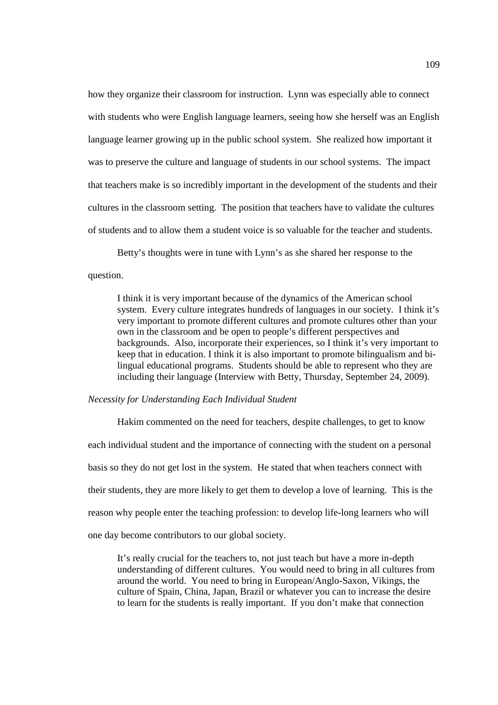how they organize their classroom for instruction. Lynn was especially able to connect with students who were English language learners, seeing how she herself was an English language learner growing up in the public school system. She realized how important it was to preserve the culture and language of students in our school systems. The impact that teachers make is so incredibly important in the development of the students and their cultures in the classroom setting. The position that teachers have to validate the cultures of students and to allow them a student voice is so valuable for the teacher and students.

 Betty's thoughts were in tune with Lynn's as she shared her response to the question.

I think it is very important because of the dynamics of the American school system. Every culture integrates hundreds of languages in our society. I think it's very important to promote different cultures and promote cultures other than your own in the classroom and be open to people's different perspectives and backgrounds. Also, incorporate their experiences, so I think it's very important to keep that in education. I think it is also important to promote bilingualism and bilingual educational programs. Students should be able to represent who they are including their language (Interview with Betty, Thursday, September 24, 2009).

## *Necessity for Understanding Each Individual Student*

Hakim commented on the need for teachers, despite challenges, to get to know each individual student and the importance of connecting with the student on a personal basis so they do not get lost in the system. He stated that when teachers connect with their students, they are more likely to get them to develop a love of learning. This is the reason why people enter the teaching profession: to develop life-long learners who will one day become contributors to our global society.

It's really crucial for the teachers to, not just teach but have a more in-depth understanding of different cultures. You would need to bring in all cultures from around the world. You need to bring in European/Anglo-Saxon, Vikings, the culture of Spain, China, Japan, Brazil or whatever you can to increase the desire to learn for the students is really important. If you don't make that connection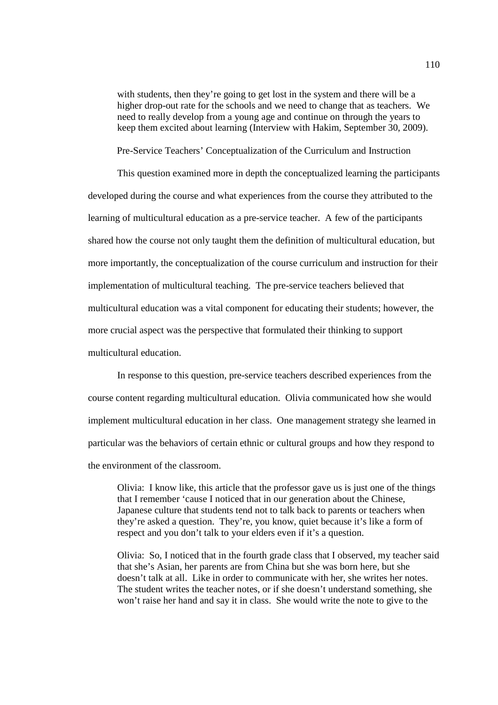with students, then they're going to get lost in the system and there will be a higher drop-out rate for the schools and we need to change that as teachers. We need to really develop from a young age and continue on through the years to keep them excited about learning (Interview with Hakim, September 30, 2009).

Pre-Service Teachers' Conceptualization of the Curriculum and Instruction

This question examined more in depth the conceptualized learning the participants developed during the course and what experiences from the course they attributed to the learning of multicultural education as a pre-service teacher. A few of the participants shared how the course not only taught them the definition of multicultural education, but more importantly, the conceptualization of the course curriculum and instruction for their implementation of multicultural teaching. The pre-service teachers believed that multicultural education was a vital component for educating their students; however, the more crucial aspect was the perspective that formulated their thinking to support multicultural education.

In response to this question, pre-service teachers described experiences from the course content regarding multicultural education. Olivia communicated how she would implement multicultural education in her class. One management strategy she learned in particular was the behaviors of certain ethnic or cultural groups and how they respond to the environment of the classroom.

Olivia: I know like, this article that the professor gave us is just one of the things that I remember 'cause I noticed that in our generation about the Chinese, Japanese culture that students tend not to talk back to parents or teachers when they're asked a question. They're, you know, quiet because it's like a form of respect and you don't talk to your elders even if it's a question.

Olivia: So, I noticed that in the fourth grade class that I observed, my teacher said that she's Asian, her parents are from China but she was born here, but she doesn't talk at all. Like in order to communicate with her, she writes her notes. The student writes the teacher notes, or if she doesn't understand something, she won't raise her hand and say it in class. She would write the note to give to the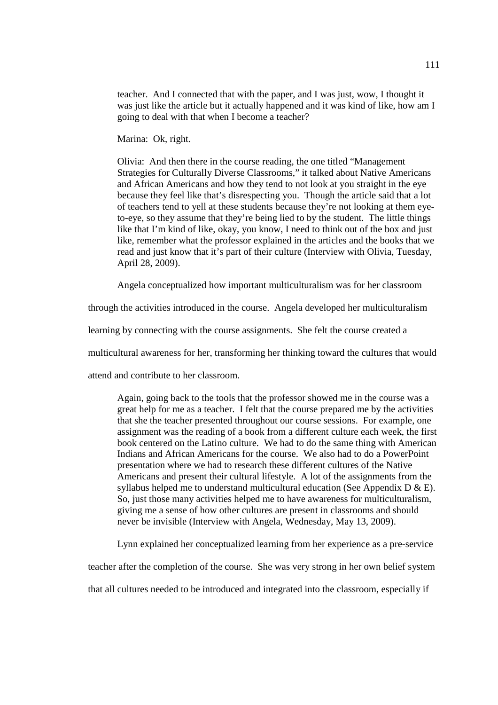teacher. And I connected that with the paper, and I was just, wow, I thought it was just like the article but it actually happened and it was kind of like, how am I going to deal with that when I become a teacher?

Marina: Ok, right.

Olivia: And then there in the course reading, the one titled "Management Strategies for Culturally Diverse Classrooms," it talked about Native Americans and African Americans and how they tend to not look at you straight in the eye because they feel like that's disrespecting you. Though the article said that a lot of teachers tend to yell at these students because they're not looking at them eyeto-eye, so they assume that they're being lied to by the student.The little things like that I'm kind of like, okay, you know, I need to think out of the box and just like, remember what the professor explained in the articles and the books that we read and just know that it's part of their culture (Interview with Olivia, Tuesday, April 28, 2009).

Angela conceptualized how important multiculturalism was for her classroom

through the activities introduced in the course. Angela developed her multiculturalism

learning by connecting with the course assignments. She felt the course created a

multicultural awareness for her, transforming her thinking toward the cultures that would

attend and contribute to her classroom.

Again, going back to the tools that the professor showed me in the course was a great help for me as a teacher. I felt that the course prepared me by the activities that she the teacher presented throughout our course sessions. For example, one assignment was the reading of a book from a different culture each week, the first book centered on the Latino culture. We had to do the same thing with American Indians and African Americans for the course. We also had to do a PowerPoint presentation where we had to research these different cultures of the Native Americans and present their cultural lifestyle. A lot of the assignments from the syllabus helped me to understand multicultural education (See Appendix D & E). So, just those many activities helped me to have awareness for multiculturalism, giving me a sense of how other cultures are present in classrooms and should never be invisible (Interview with Angela, Wednesday, May 13, 2009).

Lynn explained her conceptualized learning from her experience as a pre-service

teacher after the completion of the course. She was very strong in her own belief system

that all cultures needed to be introduced and integrated into the classroom, especially if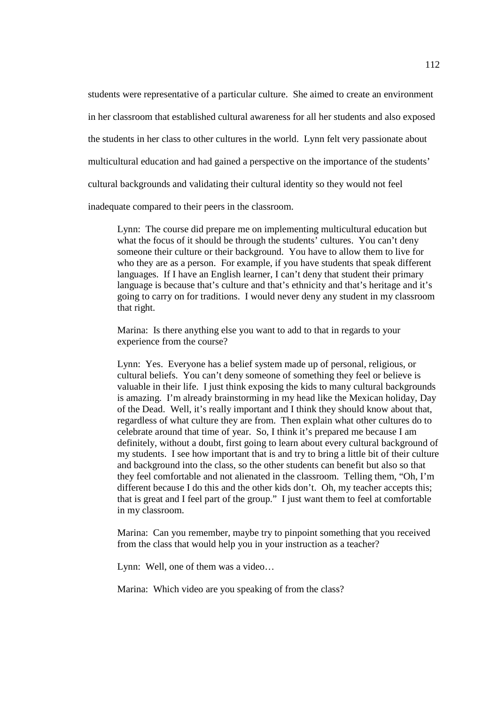students were representative of a particular culture. She aimed to create an environment in her classroom that established cultural awareness for all her students and also exposed the students in her class to other cultures in the world. Lynn felt very passionate about multicultural education and had gained a perspective on the importance of the students' cultural backgrounds and validating their cultural identity so they would not feel inadequate compared to their peers in the classroom.

Lynn: The course did prepare me on implementing multicultural education but what the focus of it should be through the students' cultures. You can't deny someone their culture or their background. You have to allow them to live for who they are as a person. For example, if you have students that speak different languages. If I have an English learner, I can't deny that student their primary language is because that's culture and that's ethnicity and that's heritage and it's going to carry on for traditions. I would never deny any student in my classroom that right.

Marina: Is there anything else you want to add to that in regards to your experience from the course?

Lynn: Yes. Everyone has a belief system made up of personal, religious, or cultural beliefs. You can't deny someone of something they feel or believe is valuable in their life. I just think exposing the kids to many cultural backgrounds is amazing. I'm already brainstorming in my head like the Mexican holiday, Day of the Dead. Well, it's really important and I think they should know about that, regardless of what culture they are from. Then explain what other cultures do to celebrate around that time of year. So, I think it's prepared me because I am definitely, without a doubt, first going to learn about every cultural background of my students. I see how important that is and try to bring a little bit of their culture and background into the class, so the other students can benefit but also so that they feel comfortable and not alienated in the classroom. Telling them, "Oh, I'm different because I do this and the other kids don't. Oh, my teacher accepts this; that is great and I feel part of the group." I just want them to feel at comfortable in my classroom.

Marina: Can you remember, maybe try to pinpoint something that you received from the class that would help you in your instruction as a teacher?

Lynn: Well, one of them was a video…

Marina: Which video are you speaking of from the class?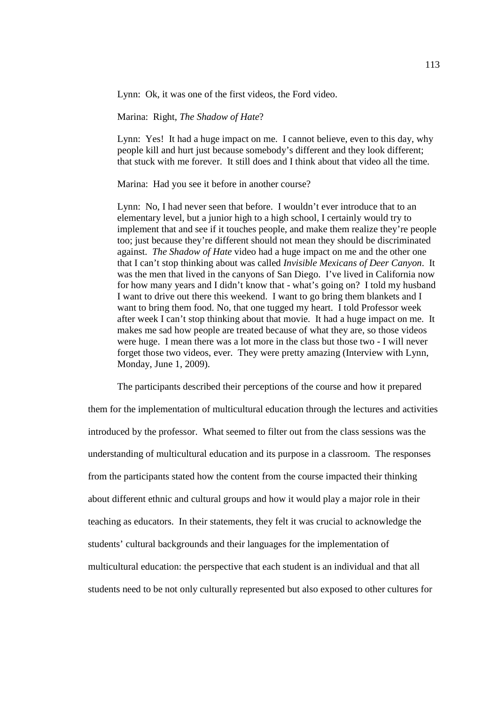Lynn: Ok, it was one of the first videos, the Ford video.

Marina: Right, *The Shadow of Hate*?

Lynn: Yes! It had a huge impact on me. I cannot believe, even to this day, why people kill and hurt just because somebody's different and they look different; that stuck with me forever. It still does and I think about that video all the time.

Marina: Had you see it before in another course?

Lynn: No, I had never seen that before. I wouldn't ever introduce that to an elementary level, but a junior high to a high school, I certainly would try to implement that and see if it touches people, and make them realize they're people too; just because they're different should not mean they should be discriminated against. *The Shadow of Hate* video had a huge impact on me and the other one that I can't stop thinking about was called *Invisible Mexicans of Deer Canyon*. It was the men that lived in the canyons of San Diego. I've lived in California now for how many years and I didn't know that - what's going on? I told my husband I want to drive out there this weekend. I want to go bring them blankets and I want to bring them food. No, that one tugged my heart. I told Professor week after week I can't stop thinking about that movie. It had a huge impact on me. It makes me sad how people are treated because of what they are, so those videos were huge. I mean there was a lot more in the class but those two - I will never forget those two videos, ever. They were pretty amazing (Interview with Lynn, Monday, June 1, 2009).

The participants described their perceptions of the course and how it prepared

them for the implementation of multicultural education through the lectures and activities introduced by the professor. What seemed to filter out from the class sessions was the understanding of multicultural education and its purpose in a classroom. The responses from the participants stated how the content from the course impacted their thinking about different ethnic and cultural groups and how it would play a major role in their teaching as educators. In their statements, they felt it was crucial to acknowledge the students' cultural backgrounds and their languages for the implementation of multicultural education: the perspective that each student is an individual and that all students need to be not only culturally represented but also exposed to other cultures for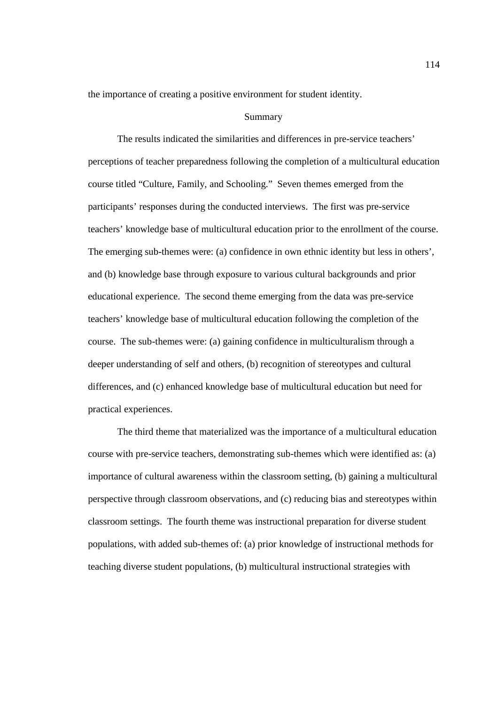the importance of creating a positive environment for student identity.

### Summary

 The results indicated the similarities and differences in pre-service teachers' perceptions of teacher preparedness following the completion of a multicultural education course titled "Culture, Family, and Schooling." Seven themes emerged from the participants' responses during the conducted interviews. The first was pre-service teachers' knowledge base of multicultural education prior to the enrollment of the course. The emerging sub-themes were: (a) confidence in own ethnic identity but less in others', and (b) knowledge base through exposure to various cultural backgrounds and prior educational experience. The second theme emerging from the data was pre-service teachers' knowledge base of multicultural education following the completion of the course. The sub-themes were: (a) gaining confidence in multiculturalism through a deeper understanding of self and others, (b) recognition of stereotypes and cultural differences, and (c) enhanced knowledge base of multicultural education but need for practical experiences.

 The third theme that materialized was the importance of a multicultural education course with pre-service teachers, demonstrating sub-themes which were identified as: (a) importance of cultural awareness within the classroom setting, (b) gaining a multicultural perspective through classroom observations, and (c) reducing bias and stereotypes within classroom settings. The fourth theme was instructional preparation for diverse student populations, with added sub-themes of: (a) prior knowledge of instructional methods for teaching diverse student populations, (b) multicultural instructional strategies with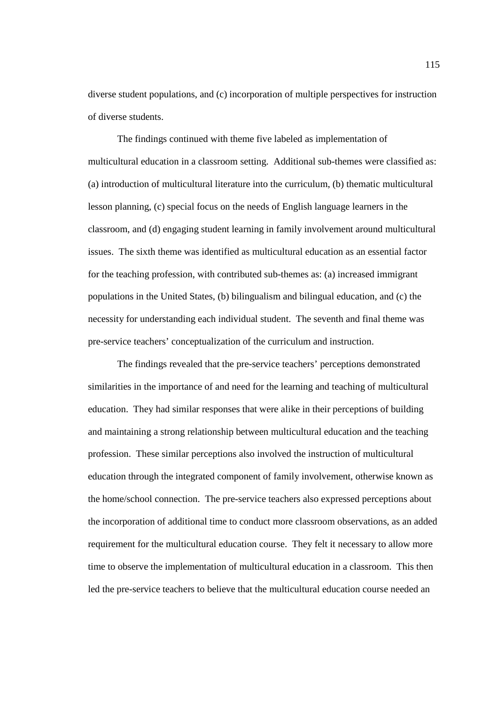diverse student populations, and (c) incorporation of multiple perspectives for instruction of diverse students.

The findings continued with theme five labeled as implementation of multicultural education in a classroom setting. Additional sub-themes were classified as: (a) introduction of multicultural literature into the curriculum, (b) thematic multicultural lesson planning, (c) special focus on the needs of English language learners in the classroom, and (d) engaging student learning in family involvement around multicultural issues. The sixth theme was identified as multicultural education as an essential factor for the teaching profession, with contributed sub-themes as: (a) increased immigrant populations in the United States, (b) bilingualism and bilingual education, and (c) the necessity for understanding each individual student. The seventh and final theme was pre-service teachers' conceptualization of the curriculum and instruction.

 The findings revealed that the pre-service teachers' perceptions demonstrated similarities in the importance of and need for the learning and teaching of multicultural education. They had similar responses that were alike in their perceptions of building and maintaining a strong relationship between multicultural education and the teaching profession. These similar perceptions also involved the instruction of multicultural education through the integrated component of family involvement, otherwise known as the home/school connection. The pre-service teachers also expressed perceptions about the incorporation of additional time to conduct more classroom observations, as an added requirement for the multicultural education course. They felt it necessary to allow more time to observe the implementation of multicultural education in a classroom. This then led the pre-service teachers to believe that the multicultural education course needed an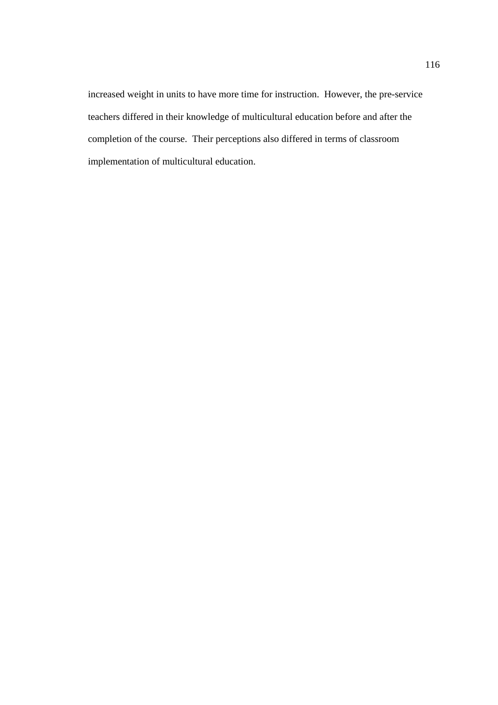increased weight in units to have more time for instruction. However, the pre-service teachers differed in their knowledge of multicultural education before and after the completion of the course. Their perceptions also differed in terms of classroom implementation of multicultural education.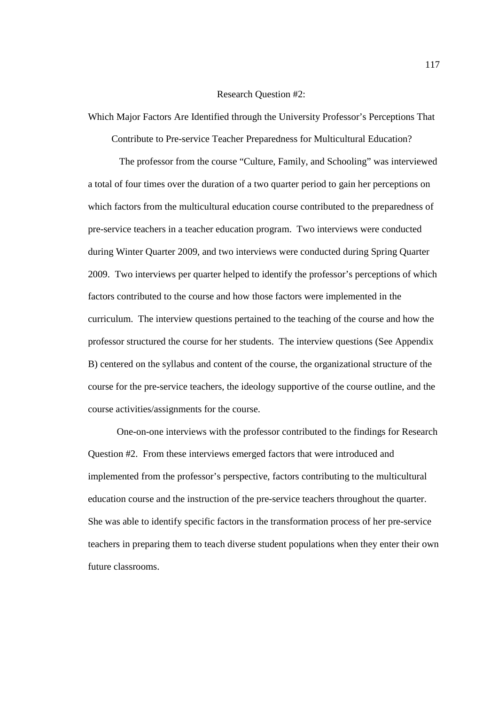## Research Question #2:

Which Major Factors Are Identified through the University Professor's Perceptions That

Contribute to Pre-service Teacher Preparedness for Multicultural Education?

 The professor from the course "Culture, Family, and Schooling" was interviewed a total of four times over the duration of a two quarter period to gain her perceptions on which factors from the multicultural education course contributed to the preparedness of pre-service teachers in a teacher education program. Two interviews were conducted during Winter Quarter 2009, and two interviews were conducted during Spring Quarter 2009. Two interviews per quarter helped to identify the professor's perceptions of which factors contributed to the course and how those factors were implemented in the curriculum. The interview questions pertained to the teaching of the course and how the professor structured the course for her students. The interview questions (See Appendix B) centered on the syllabus and content of the course, the organizational structure of the course for the pre-service teachers, the ideology supportive of the course outline, and the course activities/assignments for the course.

 One-on-one interviews with the professor contributed to the findings for Research Question #2. From these interviews emerged factors that were introduced and implemented from the professor's perspective, factors contributing to the multicultural education course and the instruction of the pre-service teachers throughout the quarter. She was able to identify specific factors in the transformation process of her pre-service teachers in preparing them to teach diverse student populations when they enter their own future classrooms.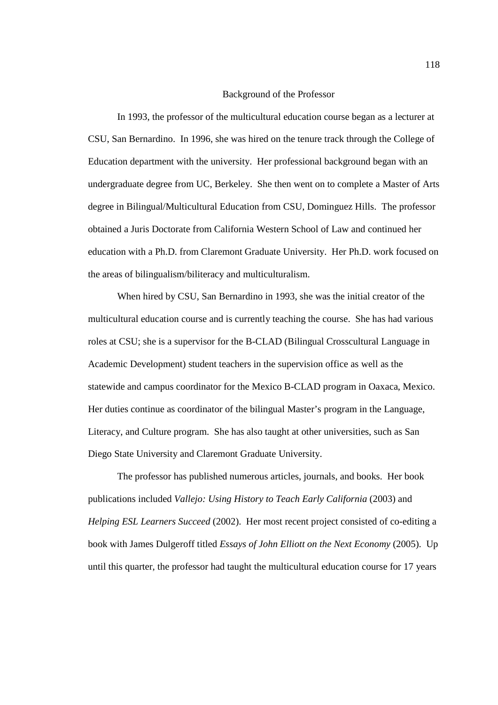### Background of the Professor

In 1993, the professor of the multicultural education course began as a lecturer at CSU, San Bernardino. In 1996, she was hired on the tenure track through the College of Education department with the university. Her professional background began with an undergraduate degree from UC, Berkeley. She then went on to complete a Master of Arts degree in Bilingual/Multicultural Education from CSU, Dominguez Hills. The professor obtained a Juris Doctorate from California Western School of Law and continued her education with a Ph.D. from Claremont Graduate University. Her Ph.D. work focused on the areas of bilingualism/biliteracy and multiculturalism.

When hired by CSU, San Bernardino in 1993, she was the initial creator of the multicultural education course and is currently teaching the course. She has had various roles at CSU; she is a supervisor for the B-CLAD (Bilingual Crosscultural Language in Academic Development) student teachers in the supervision office as well as the statewide and campus coordinator for the Mexico B-CLAD program in Oaxaca, Mexico. Her duties continue as coordinator of the bilingual Master's program in the Language, Literacy, and Culture program. She has also taught at other universities, such as San Diego State University and Claremont Graduate University.

The professor has published numerous articles, journals, and books. Her book publications included *Vallejo: Using History to Teach Early California* (2003) and *Helping ESL Learners Succeed* (2002). Her most recent project consisted of co-editing a book with James Dulgeroff titled *Essays of John Elliott on the Next Economy* (2005). Up until this quarter, the professor had taught the multicultural education course for 17 years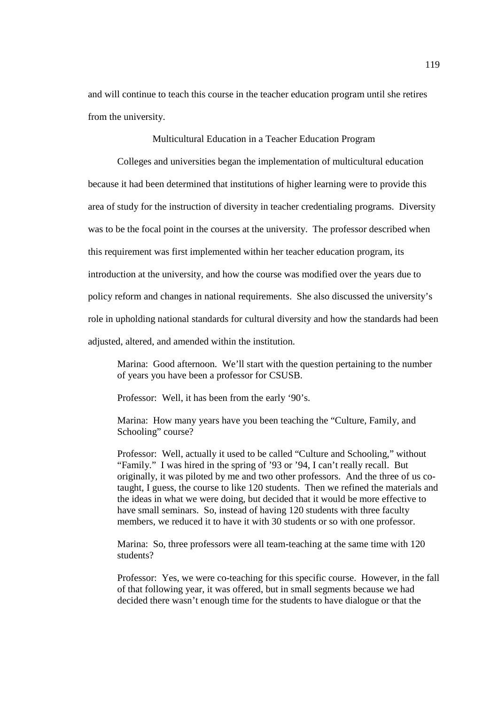and will continue to teach this course in the teacher education program until she retires from the university.

Multicultural Education in a Teacher Education Program

 Colleges and universities began the implementation of multicultural education because it had been determined that institutions of higher learning were to provide this area of study for the instruction of diversity in teacher credentialing programs. Diversity was to be the focal point in the courses at the university. The professor described when this requirement was first implemented within her teacher education program, its introduction at the university, and how the course was modified over the years due to policy reform and changes in national requirements. She also discussed the university's role in upholding national standards for cultural diversity and how the standards had been adjusted, altered, and amended within the institution.

Marina: Good afternoon. We'll start with the question pertaining to the number of years you have been a professor for CSUSB.

Professor: Well, it has been from the early '90's.

Marina: How many years have you been teaching the "Culture, Family, and Schooling" course?

Professor: Well, actually it used to be called "Culture and Schooling," without "Family." I was hired in the spring of '93 or '94, I can't really recall. But originally, it was piloted by me and two other professors. And the three of us cotaught, I guess, the course to like 120 students. Then we refined the materials and the ideas in what we were doing, but decided that it would be more effective to have small seminars. So, instead of having 120 students with three faculty members, we reduced it to have it with 30 students or so with one professor.

Marina: So, three professors were all team-teaching at the same time with 120 students?

Professor: Yes, we were co-teaching for this specific course. However, in the fall of that following year, it was offered, but in small segments because we had decided there wasn't enough time for the students to have dialogue or that the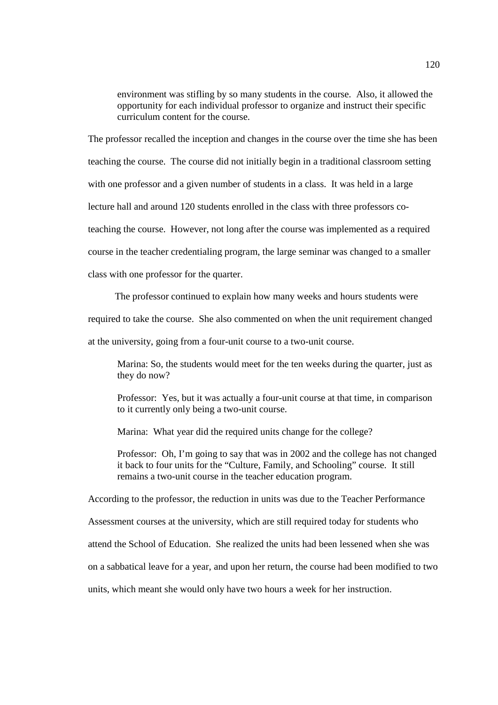environment was stifling by so many students in the course. Also, it allowed the opportunity for each individual professor to organize and instruct their specific curriculum content for the course.

The professor recalled the inception and changes in the course over the time she has been teaching the course. The course did not initially begin in a traditional classroom setting with one professor and a given number of students in a class. It was held in a large lecture hall and around 120 students enrolled in the class with three professors coteaching the course. However, not long after the course was implemented as a required course in the teacher credentialing program, the large seminar was changed to a smaller

class with one professor for the quarter.

The professor continued to explain how many weeks and hours students were

required to take the course. She also commented on when the unit requirement changed

at the university, going from a four-unit course to a two-unit course.

Marina: So, the students would meet for the ten weeks during the quarter, just as they do now?

Professor: Yes, but it was actually a four-unit course at that time, in comparison to it currently only being a two-unit course.

Marina: What year did the required units change for the college?

Professor: Oh, I'm going to say that was in 2002 and the college has not changed it back to four units for the "Culture, Family, and Schooling" course. It still remains a two-unit course in the teacher education program.

According to the professor, the reduction in units was due to the Teacher Performance

Assessment courses at the university, which are still required today for students who

attend the School of Education. She realized the units had been lessened when she was

on a sabbatical leave for a year, and upon her return, the course had been modified to two

units, which meant she would only have two hours a week for her instruction.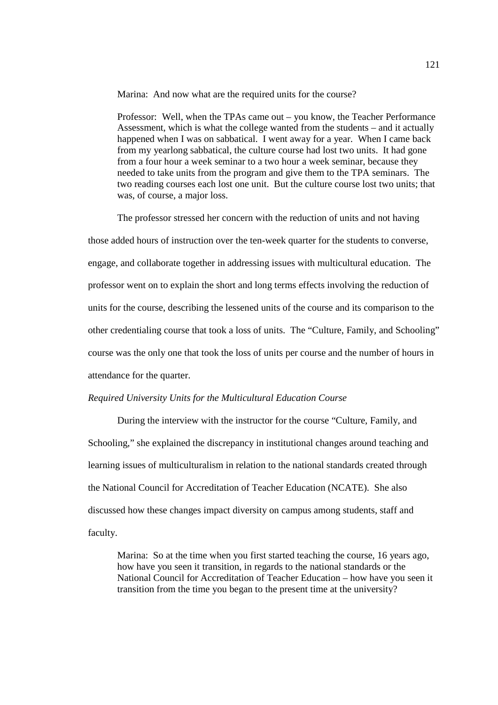Marina: And now what are the required units for the course?

Professor: Well, when the TPAs came out – you know, the Teacher Performance Assessment, which is what the college wanted from the students – and it actually happened when I was on sabbatical. I went away for a year. When I came back from my yearlong sabbatical, the culture course had lost two units. It had gone from a four hour a week seminar to a two hour a week seminar, because they needed to take units from the program and give them to the TPA seminars. The two reading courses each lost one unit. But the culture course lost two units; that was, of course, a major loss.

The professor stressed her concern with the reduction of units and not having

those added hours of instruction over the ten-week quarter for the students to converse, engage, and collaborate together in addressing issues with multicultural education. The professor went on to explain the short and long terms effects involving the reduction of units for the course, describing the lessened units of the course and its comparison to the other credentialing course that took a loss of units. The "Culture, Family, and Schooling" course was the only one that took the loss of units per course and the number of hours in attendance for the quarter.

# *Required University Units for the Multicultural Education Course*

During the interview with the instructor for the course "Culture, Family, and Schooling," she explained the discrepancy in institutional changes around teaching and learning issues of multiculturalism in relation to the national standards created through the National Council for Accreditation of Teacher Education (NCATE). She also discussed how these changes impact diversity on campus among students, staff and faculty.

Marina: So at the time when you first started teaching the course, 16 years ago, how have you seen it transition, in regards to the national standards or the National Council for Accreditation of Teacher Education – how have you seen it transition from the time you began to the present time at the university?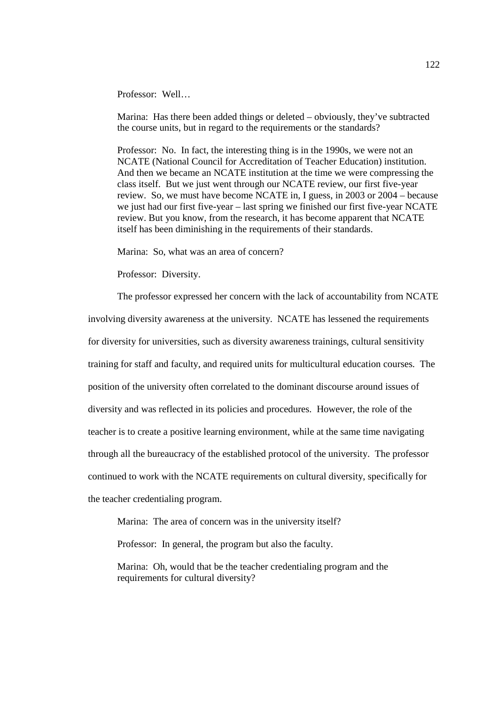Professor: Well…

Marina: Has there been added things or deleted – obviously, they've subtracted the course units, but in regard to the requirements or the standards?

Professor: No. In fact, the interesting thing is in the 1990s, we were not an NCATE (National Council for Accreditation of Teacher Education) institution. And then we became an NCATE institution at the time we were compressing the class itself. But we just went through our NCATE review, our first five-year review. So, we must have become NCATE in, I guess, in 2003 or 2004 – because we just had our first five-year – last spring we finished our first five-year NCATE review. But you know, from the research, it has become apparent that NCATE itself has been diminishing in the requirements of their standards.

Marina: So, what was an area of concern?

Professor: Diversity.

 The professor expressed her concern with the lack of accountability from NCATE involving diversity awareness at the university. NCATE has lessened the requirements for diversity for universities, such as diversity awareness trainings, cultural sensitivity training for staff and faculty, and required units for multicultural education courses. The position of the university often correlated to the dominant discourse around issues of diversity and was reflected in its policies and procedures. However, the role of the teacher is to create a positive learning environment, while at the same time navigating through all the bureaucracy of the established protocol of the university. The professor continued to work with the NCATE requirements on cultural diversity, specifically for the teacher credentialing program.

Marina: The area of concern was in the university itself?

Professor: In general, the program but also the faculty.

 Marina: Oh, would that be the teacher credentialing program and the requirements for cultural diversity?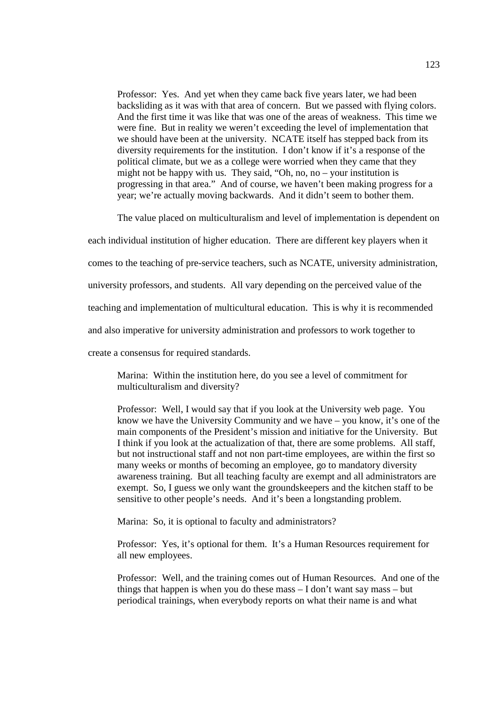Professor: Yes. And yet when they came back five years later, we had been backsliding as it was with that area of concern. But we passed with flying colors. And the first time it was like that was one of the areas of weakness. This time we were fine. But in reality we weren't exceeding the level of implementation that we should have been at the university. NCATE itself has stepped back from its diversity requirements for the institution. I don't know if it's a response of the political climate, but we as a college were worried when they came that they might not be happy with us. They said, "Oh, no, no – your institution is progressing in that area." And of course, we haven't been making progress for a year; we're actually moving backwards. And it didn't seem to bother them.

The value placed on multiculturalism and level of implementation is dependent on

each individual institution of higher education. There are different key players when it

comes to the teaching of pre-service teachers, such as NCATE, university administration,

university professors, and students. All vary depending on the perceived value of the

teaching and implementation of multicultural education. This is why it is recommended

and also imperative for university administration and professors to work together to

create a consensus for required standards.

Marina: Within the institution here, do you see a level of commitment for multiculturalism and diversity?

Professor: Well, I would say that if you look at the University web page. You know we have the University Community and we have – you know, it's one of the main components of the President's mission and initiative for the University. But I think if you look at the actualization of that, there are some problems. All staff, but not instructional staff and not non part-time employees, are within the first so many weeks or months of becoming an employee, go to mandatory diversity awareness training. But all teaching faculty are exempt and all administrators are exempt. So, I guess we only want the groundskeepers and the kitchen staff to be sensitive to other people's needs. And it's been a longstanding problem.

Marina: So, it is optional to faculty and administrators?

Professor: Yes, it's optional for them. It's a Human Resources requirement for all new employees.

Professor: Well, and the training comes out of Human Resources. And one of the things that happen is when you do these mass – I don't want say mass – but periodical trainings, when everybody reports on what their name is and what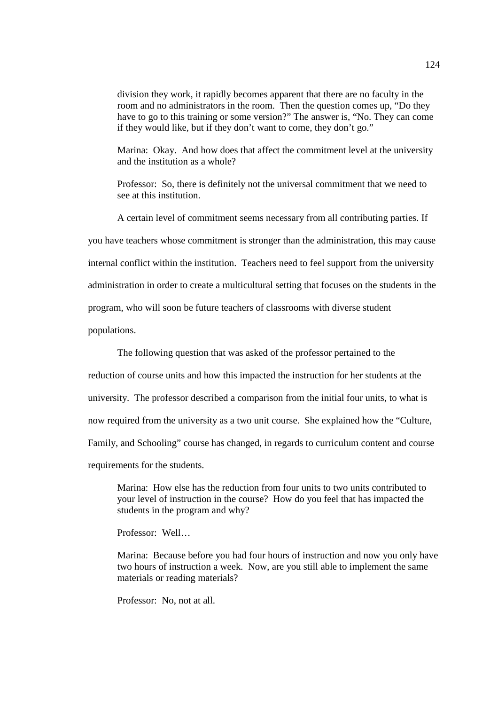division they work, it rapidly becomes apparent that there are no faculty in the room and no administrators in the room. Then the question comes up, "Do they have to go to this training or some version?" The answer is, "No. They can come if they would like, but if they don't want to come, they don't go."

Marina: Okay. And how does that affect the commitment level at the university and the institution as a whole?

Professor: So, there is definitely not the universal commitment that we need to see at this institution.

 A certain level of commitment seems necessary from all contributing parties. If you have teachers whose commitment is stronger than the administration, this may cause internal conflict within the institution. Teachers need to feel support from the university

administration in order to create a multicultural setting that focuses on the students in the

program, who will soon be future teachers of classrooms with diverse student

populations.

The following question that was asked of the professor pertained to the

reduction of course units and how this impacted the instruction for her students at the

university. The professor described a comparison from the initial four units, to what is

now required from the university as a two unit course. She explained how the "Culture,

Family, and Schooling" course has changed, in regards to curriculum content and course

requirements for the students.

Marina: How else has the reduction from four units to two units contributed to your level of instruction in the course? How do you feel that has impacted the students in the program and why?

Professor: Well…

Marina: Because before you had four hours of instruction and now you only have two hours of instruction a week. Now, are you still able to implement the same materials or reading materials?

Professor: No, not at all.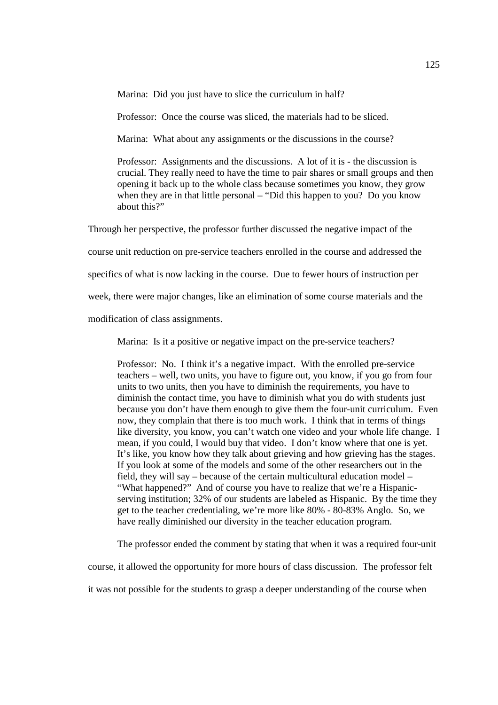Marina: Did you just have to slice the curriculum in half?

Professor: Once the course was sliced, the materials had to be sliced.

Marina: What about any assignments or the discussions in the course?

Professor: Assignments and the discussions. A lot of it is - the discussion is crucial. They really need to have the time to pair shares or small groups and then opening it back up to the whole class because sometimes you know, they grow when they are in that little personal – "Did this happen to you? Do you know about this?"

Through her perspective, the professor further discussed the negative impact of the

course unit reduction on pre-service teachers enrolled in the course and addressed the

specifics of what is now lacking in the course. Due to fewer hours of instruction per

week, there were major changes, like an elimination of some course materials and the

modification of class assignments.

Marina: Is it a positive or negative impact on the pre-service teachers?

Professor: No. I think it's a negative impact. With the enrolled pre-service teachers – well, two units, you have to figure out, you know, if you go from four units to two units, then you have to diminish the requirements, you have to diminish the contact time, you have to diminish what you do with students just because you don't have them enough to give them the four-unit curriculum. Even now, they complain that there is too much work. I think that in terms of things like diversity, you know, you can't watch one video and your whole life change. I mean, if you could, I would buy that video. I don't know where that one is yet. It's like, you know how they talk about grieving and how grieving has the stages. If you look at some of the models and some of the other researchers out in the field, they will say – because of the certain multicultural education model – "What happened?" And of course you have to realize that we're a Hispanicserving institution; 32% of our students are labeled as Hispanic. By the time they get to the teacher credentialing, we're more like 80% - 80-83% Anglo. So, we have really diminished our diversity in the teacher education program.

The professor ended the comment by stating that when it was a required four-unit

course, it allowed the opportunity for more hours of class discussion. The professor felt

it was not possible for the students to grasp a deeper understanding of the course when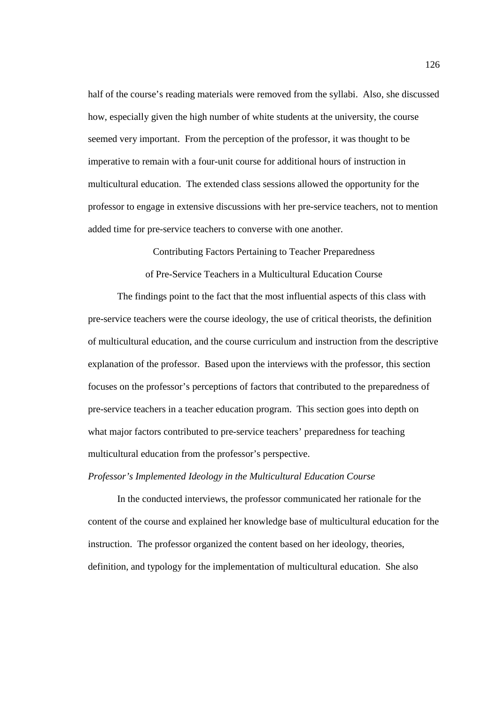half of the course's reading materials were removed from the syllabi. Also, she discussed how, especially given the high number of white students at the university, the course seemed very important. From the perception of the professor, it was thought to be imperative to remain with a four-unit course for additional hours of instruction in multicultural education. The extended class sessions allowed the opportunity for the professor to engage in extensive discussions with her pre-service teachers, not to mention added time for pre-service teachers to converse with one another.

Contributing Factors Pertaining to Teacher Preparedness

of Pre-Service Teachers in a Multicultural Education Course

The findings point to the fact that the most influential aspects of this class with pre-service teachers were the course ideology, the use of critical theorists, the definition of multicultural education, and the course curriculum and instruction from the descriptive explanation of the professor. Based upon the interviews with the professor, this section focuses on the professor's perceptions of factors that contributed to the preparedness of pre-service teachers in a teacher education program. This section goes into depth on what major factors contributed to pre-service teachers' preparedness for teaching multicultural education from the professor's perspective.

*Professor's Implemented Ideology in the Multicultural Education Course*

 In the conducted interviews, the professor communicated her rationale for the content of the course and explained her knowledge base of multicultural education for the instruction. The professor organized the content based on her ideology, theories, definition, and typology for the implementation of multicultural education. She also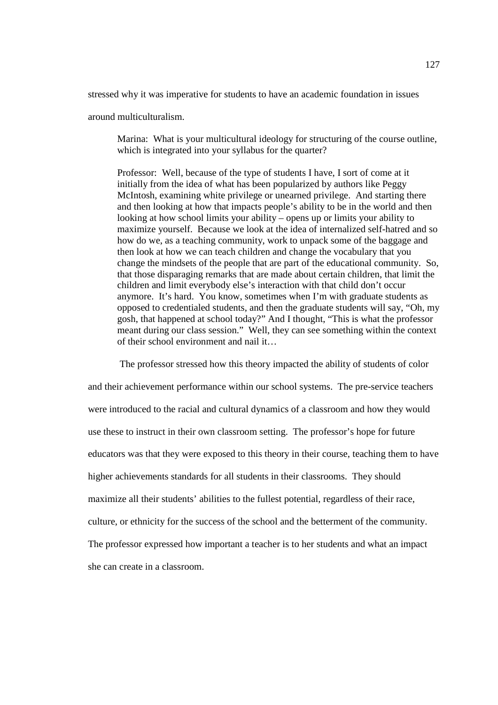stressed why it was imperative for students to have an academic foundation in issues

around multiculturalism.

Marina: What is your multicultural ideology for structuring of the course outline, which is integrated into your syllabus for the quarter?

Professor: Well, because of the type of students I have, I sort of come at it initially from the idea of what has been popularized by authors like Peggy McIntosh, examining white privilege or unearned privilege. And starting there and then looking at how that impacts people's ability to be in the world and then looking at how school limits your ability – opens up or limits your ability to maximize yourself. Because we look at the idea of internalized self-hatred and so how do we, as a teaching community, work to unpack some of the baggage and then look at how we can teach children and change the vocabulary that you change the mindsets of the people that are part of the educational community. So, that those disparaging remarks that are made about certain children, that limit the children and limit everybody else's interaction with that child don't occur anymore. It's hard. You know, sometimes when I'm with graduate students as opposed to credentialed students, and then the graduate students will say, "Oh, my gosh, that happened at school today?" And I thought, "This is what the professor meant during our class session." Well, they can see something within the context of their school environment and nail it…

 The professor stressed how this theory impacted the ability of students of color and their achievement performance within our school systems. The pre-service teachers were introduced to the racial and cultural dynamics of a classroom and how they would use these to instruct in their own classroom setting. The professor's hope for future educators was that they were exposed to this theory in their course, teaching them to have higher achievements standards for all students in their classrooms. They should maximize all their students' abilities to the fullest potential, regardless of their race, culture, or ethnicity for the success of the school and the betterment of the community. The professor expressed how important a teacher is to her students and what an impact she can create in a classroom.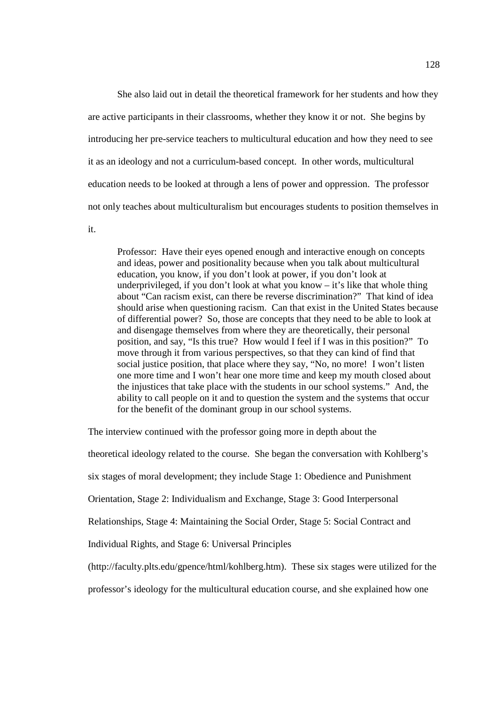She also laid out in detail the theoretical framework for her students and how they are active participants in their classrooms, whether they know it or not. She begins by introducing her pre-service teachers to multicultural education and how they need to see it as an ideology and not a curriculum-based concept. In other words, multicultural education needs to be looked at through a lens of power and oppression. The professor not only teaches about multiculturalism but encourages students to position themselves in

it.

Professor: Have their eyes opened enough and interactive enough on concepts and ideas, power and positionality because when you talk about multicultural education, you know, if you don't look at power, if you don't look at underprivileged, if you don't look at what you know – it's like that whole thing about "Can racism exist, can there be reverse discrimination?" That kind of idea should arise when questioning racism. Can that exist in the United States because of differential power? So, those are concepts that they need to be able to look at and disengage themselves from where they are theoretically, their personal position, and say, "Is this true? How would I feel if I was in this position?" To move through it from various perspectives, so that they can kind of find that social justice position, that place where they say, "No, no more! I won't listen one more time and I won't hear one more time and keep my mouth closed about the injustices that take place with the students in our school systems." And, the ability to call people on it and to question the system and the systems that occur for the benefit of the dominant group in our school systems.

The interview continued with the professor going more in depth about the

theoretical ideology related to the course. She began the conversation with Kohlberg's

six stages of moral development; they include Stage 1: Obedience and Punishment

Orientation, Stage 2: Individualism and Exchange, Stage 3: Good Interpersonal

Relationships, Stage 4: Maintaining the Social Order, Stage 5: Social Contract and

Individual Rights, and Stage 6: Universal Principles

(http://faculty.plts.edu/gpence/html/kohlberg.htm). These six stages were utilized for the

professor's ideology for the multicultural education course, and she explained how one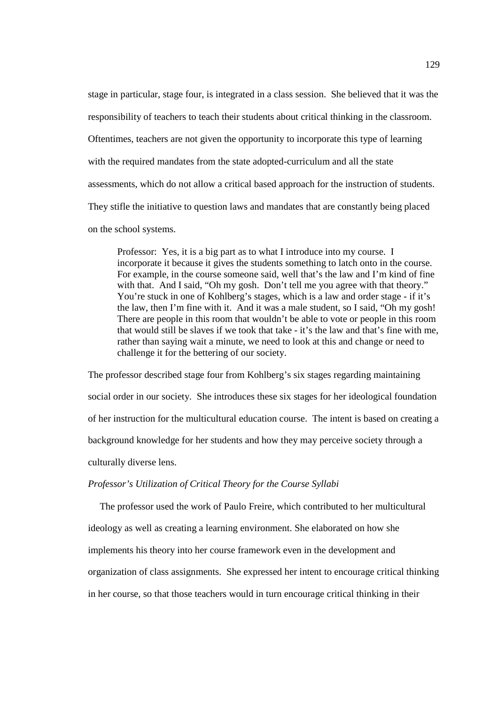stage in particular, stage four, is integrated in a class session. She believed that it was the responsibility of teachers to teach their students about critical thinking in the classroom. Oftentimes, teachers are not given the opportunity to incorporate this type of learning with the required mandates from the state adopted-curriculum and all the state assessments, which do not allow a critical based approach for the instruction of students. They stifle the initiative to question laws and mandates that are constantly being placed on the school systems.

Professor: Yes, it is a big part as to what I introduce into my course. I incorporate it because it gives the students something to latch onto in the course. For example, in the course someone said, well that's the law and I'm kind of fine with that. And I said, "Oh my gosh. Don't tell me you agree with that theory." You're stuck in one of Kohlberg's stages, which is a law and order stage - if it's the law, then I'm fine with it. And it was a male student, so I said, "Oh my gosh! There are people in this room that wouldn't be able to vote or people in this room that would still be slaves if we took that take - it's the law and that's fine with me, rather than saying wait a minute, we need to look at this and change or need to challenge it for the bettering of our society.

The professor described stage four from Kohlberg's six stages regarding maintaining social order in our society. She introduces these six stages for her ideological foundation of her instruction for the multicultural education course. The intent is based on creating a background knowledge for her students and how they may perceive society through a culturally diverse lens.

# *Professor's Utilization of Critical Theory for the Course Syllabi*

The professor used the work of Paulo Freire, which contributed to her multicultural ideology as well as creating a learning environment. She elaborated on how she implements his theory into her course framework even in the development and organization of class assignments. She expressed her intent to encourage critical thinking in her course, so that those teachers would in turn encourage critical thinking in their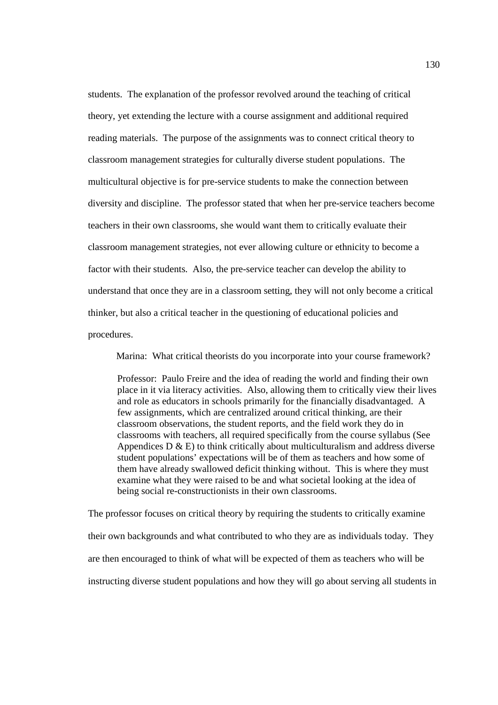students. The explanation of the professor revolved around the teaching of critical theory, yet extending the lecture with a course assignment and additional required reading materials. The purpose of the assignments was to connect critical theory to classroom management strategies for culturally diverse student populations. The multicultural objective is for pre-service students to make the connection between diversity and discipline. The professor stated that when her pre-service teachers become teachers in their own classrooms, she would want them to critically evaluate their classroom management strategies, not ever allowing culture or ethnicity to become a factor with their students. Also, the pre-service teacher can develop the ability to understand that once they are in a classroom setting, they will not only become a critical thinker, but also a critical teacher in the questioning of educational policies and procedures.

Marina: What critical theorists do you incorporate into your course framework?

Professor: Paulo Freire and the idea of reading the world and finding their own place in it via literacy activities. Also, allowing them to critically view their lives and role as educators in schools primarily for the financially disadvantaged. A few assignments, which are centralized around critical thinking, are their classroom observations, the student reports, and the field work they do in classrooms with teachers, all required specifically from the course syllabus (See Appendices  $D \& E$ ) to think critically about multiculturalism and address diverse student populations' expectations will be of them as teachers and how some of them have already swallowed deficit thinking without. This is where they must examine what they were raised to be and what societal looking at the idea of being social re-constructionists in their own classrooms.

The professor focuses on critical theory by requiring the students to critically examine their own backgrounds and what contributed to who they are as individuals today. They are then encouraged to think of what will be expected of them as teachers who will be instructing diverse student populations and how they will go about serving all students in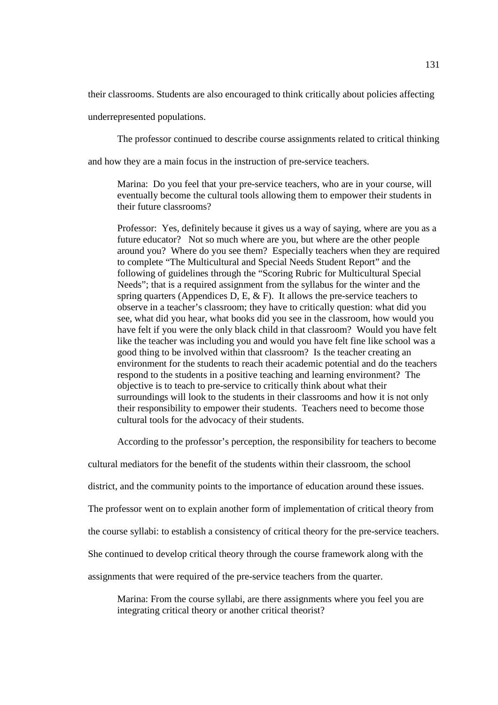their classrooms. Students are also encouraged to think critically about policies affecting

underrepresented populations.

The professor continued to describe course assignments related to critical thinking

and how they are a main focus in the instruction of pre-service teachers.

Marina: Do you feel that your pre-service teachers, who are in your course, will eventually become the cultural tools allowing them to empower their students in their future classrooms?

Professor: Yes, definitely because it gives us a way of saying, where are you as a future educator? Not so much where are you, but where are the other people around you? Where do you see them? Especially teachers when they are required to complete "The Multicultural and Special Needs Student Report" and the following of guidelines through the "Scoring Rubric for Multicultural Special Needs"; that is a required assignment from the syllabus for the winter and the spring quarters (Appendices D, E,  $\&$  F). It allows the pre-service teachers to observe in a teacher's classroom; they have to critically question: what did you see, what did you hear, what books did you see in the classroom, how would you have felt if you were the only black child in that classroom? Would you have felt like the teacher was including you and would you have felt fine like school was a good thing to be involved within that classroom? Is the teacher creating an environment for the students to reach their academic potential and do the teachers respond to the students in a positive teaching and learning environment? The objective is to teach to pre-service to critically think about what their surroundings will look to the students in their classrooms and how it is not only their responsibility to empower their students. Teachers need to become those cultural tools for the advocacy of their students.

According to the professor's perception, the responsibility for teachers to become

cultural mediators for the benefit of the students within their classroom, the school

district, and the community points to the importance of education around these issues.

The professor went on to explain another form of implementation of critical theory from

the course syllabi: to establish a consistency of critical theory for the pre-service teachers.

She continued to develop critical theory through the course framework along with the

assignments that were required of the pre-service teachers from the quarter.

Marina: From the course syllabi, are there assignments where you feel you are integrating critical theory or another critical theorist?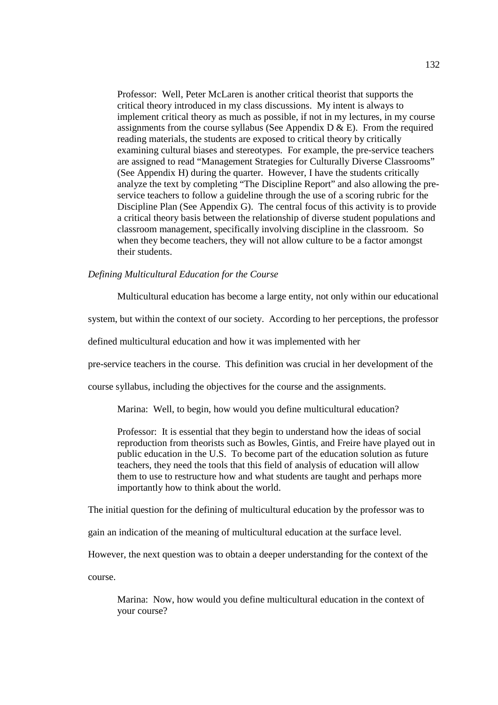Professor: Well, Peter McLaren is another critical theorist that supports the critical theory introduced in my class discussions. My intent is always to implement critical theory as much as possible, if not in my lectures, in my course assignments from the course syllabus (See Appendix  $D \& E$ ). From the required reading materials, the students are exposed to critical theory by critically examining cultural biases and stereotypes. For example, the pre-service teachers are assigned to read "Management Strategies for Culturally Diverse Classrooms" (See Appendix H) during the quarter. However, I have the students critically analyze the text by completing "The Discipline Report" and also allowing the preservice teachers to follow a guideline through the use of a scoring rubric for the Discipline Plan (See Appendix G). The central focus of this activity is to provide a critical theory basis between the relationship of diverse student populations and classroom management, specifically involving discipline in the classroom. So when they become teachers, they will not allow culture to be a factor amongst their students.

#### *Defining Multicultural Education for the Course*

Multicultural education has become a large entity, not only within our educational

system, but within the context of our society. According to her perceptions, the professor

defined multicultural education and how it was implemented with her

pre-service teachers in the course. This definition was crucial in her development of the

course syllabus, including the objectives for the course and the assignments.

Marina: Well, to begin, how would you define multicultural education?

Professor: It is essential that they begin to understand how the ideas of social reproduction from theorists such as Bowles, Gintis, and Freire have played out in public education in the U.S. To become part of the education solution as future teachers, they need the tools that this field of analysis of education will allow them to use to restructure how and what students are taught and perhaps more importantly how to think about the world.

The initial question for the defining of multicultural education by the professor was to

gain an indication of the meaning of multicultural education at the surface level.

However, the next question was to obtain a deeper understanding for the context of the

course.

Marina: Now, how would you define multicultural education in the context of your course?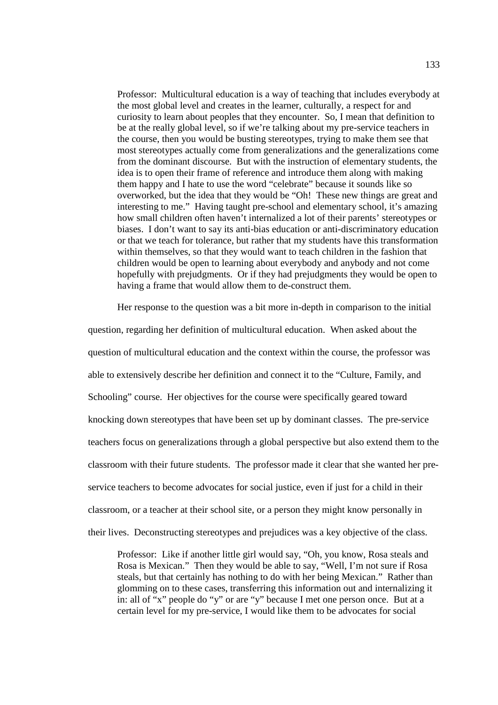Professor: Multicultural education is a way of teaching that includes everybody at the most global level and creates in the learner, culturally, a respect for and curiosity to learn about peoples that they encounter. So, I mean that definition to be at the really global level, so if we're talking about my pre-service teachers in the course, then you would be busting stereotypes, trying to make them see that most stereotypes actually come from generalizations and the generalizations come from the dominant discourse. But with the instruction of elementary students, the idea is to open their frame of reference and introduce them along with making them happy and I hate to use the word "celebrate" because it sounds like so overworked, but the idea that they would be "Oh! These new things are great and interesting to me." Having taught pre-school and elementary school, it's amazing how small children often haven't internalized a lot of their parents' stereotypes or biases. I don't want to say its anti-bias education or anti-discriminatory education or that we teach for tolerance, but rather that my students have this transformation within themselves, so that they would want to teach children in the fashion that children would be open to learning about everybody and anybody and not come hopefully with prejudgments. Or if they had prejudgments they would be open to having a frame that would allow them to de-construct them.

Her response to the question was a bit more in-depth in comparison to the initial

question, regarding her definition of multicultural education. When asked about the question of multicultural education and the context within the course, the professor was able to extensively describe her definition and connect it to the "Culture, Family, and Schooling" course. Her objectives for the course were specifically geared toward knocking down stereotypes that have been set up by dominant classes. The pre-service teachers focus on generalizations through a global perspective but also extend them to the classroom with their future students. The professor made it clear that she wanted her preservice teachers to become advocates for social justice, even if just for a child in their classroom, or a teacher at their school site, or a person they might know personally in their lives. Deconstructing stereotypes and prejudices was a key objective of the class.

Professor: Like if another little girl would say, "Oh, you know, Rosa steals and Rosa is Mexican." Then they would be able to say, "Well, I'm not sure if Rosa steals, but that certainly has nothing to do with her being Mexican." Rather than glomming on to these cases, transferring this information out and internalizing it in: all of "x" people do "y" or are "y" because I met one person once. But at a certain level for my pre-service, I would like them to be advocates for social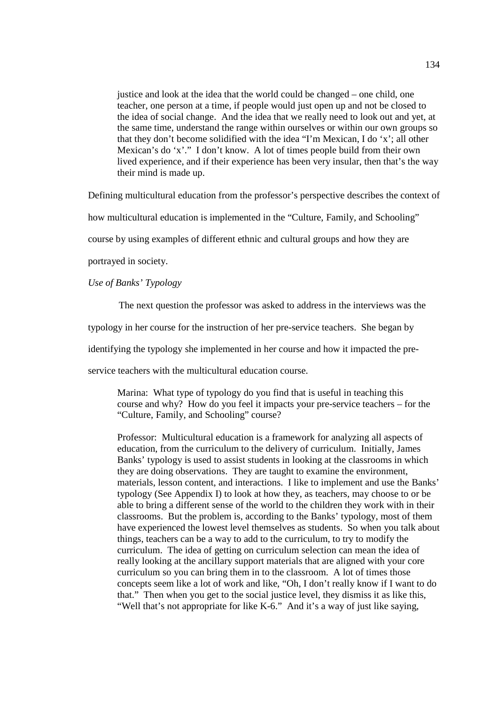justice and look at the idea that the world could be changed – one child, one teacher, one person at a time, if people would just open up and not be closed to the idea of social change. And the idea that we really need to look out and yet, at the same time, understand the range within ourselves or within our own groups so that they don't become solidified with the idea "I'm Mexican, I do 'x'; all other Mexican's do 'x'." I don't know. A lot of times people build from their own lived experience, and if their experience has been very insular, then that's the way their mind is made up.

Defining multicultural education from the professor's perspective describes the context of

how multicultural education is implemented in the "Culture, Family, and Schooling"

course by using examples of different ethnic and cultural groups and how they are

portrayed in society.

*Use of Banks' Typology* 

The next question the professor was asked to address in the interviews was the

typology in her course for the instruction of her pre-service teachers. She began by

identifying the typology she implemented in her course and how it impacted the pre-

service teachers with the multicultural education course.

Marina: What type of typology do you find that is useful in teaching this course and why? How do you feel it impacts your pre-service teachers – for the "Culture, Family, and Schooling" course?

Professor: Multicultural education is a framework for analyzing all aspects of education, from the curriculum to the delivery of curriculum. Initially, James Banks' typology is used to assist students in looking at the classrooms in which they are doing observations. They are taught to examine the environment, materials, lesson content, and interactions. I like to implement and use the Banks' typology (See Appendix I) to look at how they, as teachers, may choose to or be able to bring a different sense of the world to the children they work with in their classrooms. But the problem is, according to the Banks' typology, most of them have experienced the lowest level themselves as students. So when you talk about things, teachers can be a way to add to the curriculum, to try to modify the curriculum. The idea of getting on curriculum selection can mean the idea of really looking at the ancillary support materials that are aligned with your core curriculum so you can bring them in to the classroom. A lot of times those concepts seem like a lot of work and like, "Oh, I don't really know if I want to do that." Then when you get to the social justice level, they dismiss it as like this, "Well that's not appropriate for like K-6." And it's a way of just like saying,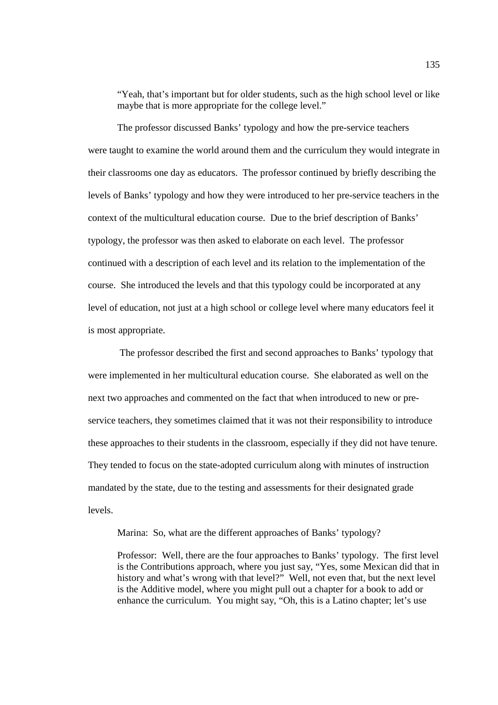"Yeah, that's important but for older students, such as the high school level or like maybe that is more appropriate for the college level."

The professor discussed Banks' typology and how the pre-service teachers were taught to examine the world around them and the curriculum they would integrate in their classrooms one day as educators. The professor continued by briefly describing the levels of Banks' typology and how they were introduced to her pre-service teachers in the context of the multicultural education course. Due to the brief description of Banks' typology, the professor was then asked to elaborate on each level. The professor continued with a description of each level and its relation to the implementation of the course. She introduced the levels and that this typology could be incorporated at any level of education, not just at a high school or college level where many educators feel it is most appropriate.

 The professor described the first and second approaches to Banks' typology that were implemented in her multicultural education course. She elaborated as well on the next two approaches and commented on the fact that when introduced to new or preservice teachers, they sometimes claimed that it was not their responsibility to introduce these approaches to their students in the classroom, especially if they did not have tenure. They tended to focus on the state-adopted curriculum along with minutes of instruction mandated by the state, due to the testing and assessments for their designated grade levels.

Marina: So, what are the different approaches of Banks' typology?

Professor: Well, there are the four approaches to Banks' typology. The first level is the Contributions approach, where you just say, "Yes, some Mexican did that in history and what's wrong with that level?" Well, not even that, but the next level is the Additive model, where you might pull out a chapter for a book to add or enhance the curriculum. You might say, "Oh, this is a Latino chapter; let's use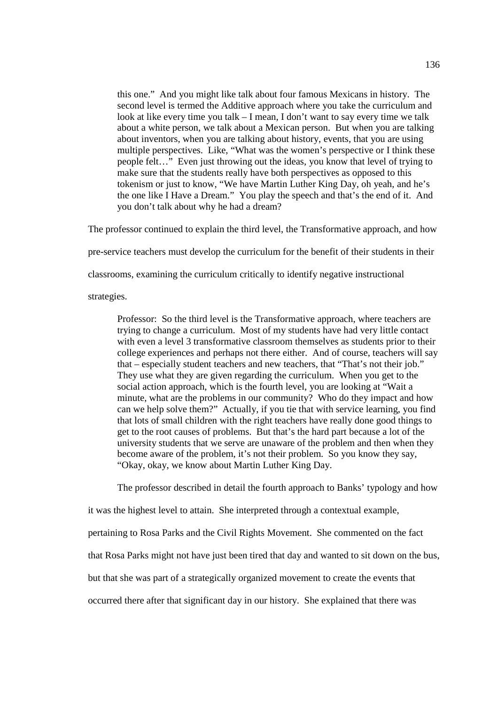this one." And you might like talk about four famous Mexicans in history. The second level is termed the Additive approach where you take the curriculum and look at like every time you talk – I mean, I don't want to say every time we talk about a white person, we talk about a Mexican person. But when you are talking about inventors, when you are talking about history, events, that you are using multiple perspectives. Like, "What was the women's perspective or I think these people felt…" Even just throwing out the ideas, you know that level of trying to make sure that the students really have both perspectives as opposed to this tokenism or just to know, "We have Martin Luther King Day, oh yeah, and he's the one like I Have a Dream." You play the speech and that's the end of it. And you don't talk about why he had a dream?

The professor continued to explain the third level, the Transformative approach, and how

pre-service teachers must develop the curriculum for the benefit of their students in their

classrooms, examining the curriculum critically to identify negative instructional

strategies.

Professor: So the third level is the Transformative approach, where teachers are trying to change a curriculum. Most of my students have had very little contact with even a level 3 transformative classroom themselves as students prior to their college experiences and perhaps not there either. And of course, teachers will say that – especially student teachers and new teachers, that "That's not their job." They use what they are given regarding the curriculum. When you get to the social action approach, which is the fourth level, you are looking at "Wait a minute, what are the problems in our community? Who do they impact and how can we help solve them?" Actually, if you tie that with service learning, you find that lots of small children with the right teachers have really done good things to get to the root causes of problems. But that's the hard part because a lot of the university students that we serve are unaware of the problem and then when they become aware of the problem, it's not their problem. So you know they say, "Okay, okay, we know about Martin Luther King Day.

The professor described in detail the fourth approach to Banks' typology and how

it was the highest level to attain. She interpreted through a contextual example,

pertaining to Rosa Parks and the Civil Rights Movement. She commented on the fact

that Rosa Parks might not have just been tired that day and wanted to sit down on the bus,

but that she was part of a strategically organized movement to create the events that

occurred there after that significant day in our history. She explained that there was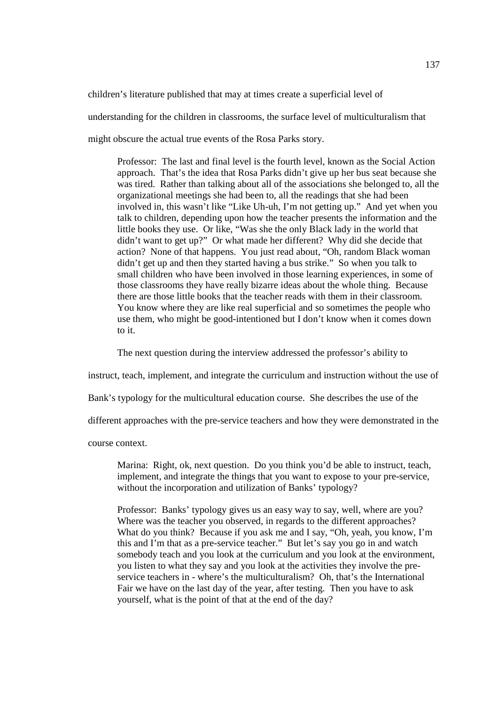children's literature published that may at times create a superficial level of

understanding for the children in classrooms, the surface level of multiculturalism that

might obscure the actual true events of the Rosa Parks story.

Professor: The last and final level is the fourth level, known as the Social Action approach. That's the idea that Rosa Parks didn't give up her bus seat because she was tired. Rather than talking about all of the associations she belonged to, all the organizational meetings she had been to, all the readings that she had been involved in, this wasn't like "Like Uh-uh, I'm not getting up." And yet when you talk to children, depending upon how the teacher presents the information and the little books they use. Or like, "Was she the only Black lady in the world that didn't want to get up?" Or what made her different? Why did she decide that action? None of that happens. You just read about, "Oh, random Black woman didn't get up and then they started having a bus strike." So when you talk to small children who have been involved in those learning experiences, in some of those classrooms they have really bizarre ideas about the whole thing. Because there are those little books that the teacher reads with them in their classroom. You know where they are like real superficial and so sometimes the people who use them, who might be good-intentioned but I don't know when it comes down to it.

The next question during the interview addressed the professor's ability to

instruct, teach, implement, and integrate the curriculum and instruction without the use of

Bank's typology for the multicultural education course. She describes the use of the

different approaches with the pre-service teachers and how they were demonstrated in the

course context.

Marina: Right, ok, next question. Do you think you'd be able to instruct, teach, implement, and integrate the things that you want to expose to your pre-service, without the incorporation and utilization of Banks' typology?

Professor: Banks' typology gives us an easy way to say, well, where are you? Where was the teacher you observed, in regards to the different approaches? What do you think? Because if you ask me and I say, "Oh, yeah, you know, I'm this and I'm that as a pre-service teacher." But let's say you go in and watch somebody teach and you look at the curriculum and you look at the environment, you listen to what they say and you look at the activities they involve the preservice teachers in - where's the multiculturalism? Oh, that's the International Fair we have on the last day of the year, after testing. Then you have to ask yourself, what is the point of that at the end of the day?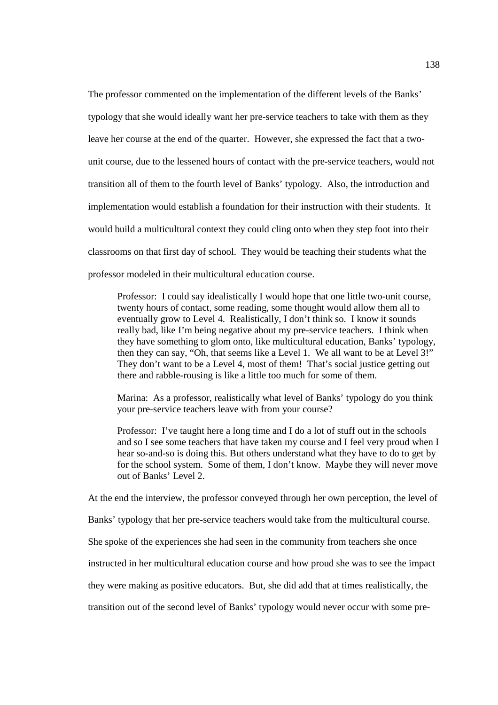The professor commented on the implementation of the different levels of the Banks' typology that she would ideally want her pre-service teachers to take with them as they leave her course at the end of the quarter. However, she expressed the fact that a twounit course, due to the lessened hours of contact with the pre-service teachers, would not transition all of them to the fourth level of Banks' typology. Also, the introduction and implementation would establish a foundation for their instruction with their students. It would build a multicultural context they could cling onto when they step foot into their classrooms on that first day of school. They would be teaching their students what the professor modeled in their multicultural education course.

Professor: I could say idealistically I would hope that one little two-unit course, twenty hours of contact, some reading, some thought would allow them all to eventually grow to Level 4. Realistically, I don't think so. I know it sounds really bad, like I'm being negative about my pre-service teachers. I think when they have something to glom onto, like multicultural education, Banks' typology, then they can say, "Oh, that seems like a Level 1. We all want to be at Level 3!" They don't want to be a Level 4, most of them! That's social justice getting out there and rabble-rousing is like a little too much for some of them.

Marina: As a professor, realistically what level of Banks' typology do you think your pre-service teachers leave with from your course?

Professor: I've taught here a long time and I do a lot of stuff out in the schools and so I see some teachers that have taken my course and I feel very proud when I hear so-and-so is doing this. But others understand what they have to do to get by for the school system. Some of them, I don't know. Maybe they will never move out of Banks' Level 2.

At the end the interview, the professor conveyed through her own perception, the level of

Banks' typology that her pre-service teachers would take from the multicultural course.

She spoke of the experiences she had seen in the community from teachers she once

instructed in her multicultural education course and how proud she was to see the impact

they were making as positive educators. But, she did add that at times realistically, the

transition out of the second level of Banks' typology would never occur with some pre-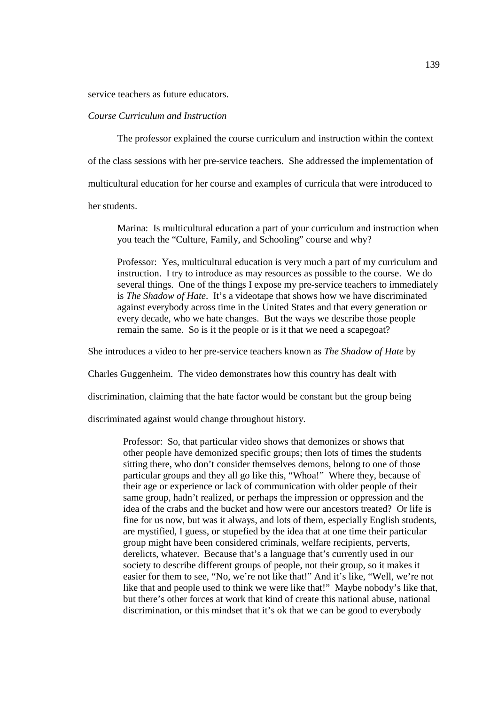service teachers as future educators.

# *Course Curriculum and Instruction*

 The professor explained the course curriculum and instruction within the context of the class sessions with her pre-service teachers. She addressed the implementation of multicultural education for her course and examples of curricula that were introduced to her students.

Marina: Is multicultural education a part of your curriculum and instruction when you teach the "Culture, Family, and Schooling" course and why?

Professor: Yes, multicultural education is very much a part of my curriculum and instruction. I try to introduce as may resources as possible to the course. We do several things. One of the things I expose my pre-service teachers to immediately is *The Shadow of Hate*. It's a videotape that shows how we have discriminated against everybody across time in the United States and that every generation or every decade, who we hate changes. But the ways we describe those people remain the same. So is it the people or is it that we need a scapegoat?

She introduces a video to her pre-service teachers known as *The Shadow of Hate* by

Charles Guggenheim. The video demonstrates how this country has dealt with

discrimination, claiming that the hate factor would be constant but the group being

discriminated against would change throughout history.

Professor: So, that particular video shows that demonizes or shows that other people have demonized specific groups; then lots of times the students sitting there, who don't consider themselves demons, belong to one of those particular groups and they all go like this, "Whoa!" Where they, because of their age or experience or lack of communication with older people of their same group, hadn't realized, or perhaps the impression or oppression and the idea of the crabs and the bucket and how were our ancestors treated? Or life is fine for us now, but was it always, and lots of them, especially English students, are mystified, I guess, or stupefied by the idea that at one time their particular group might have been considered criminals, welfare recipients, perverts, derelicts, whatever. Because that's a language that's currently used in our society to describe different groups of people, not their group, so it makes it easier for them to see, "No, we're not like that!" And it's like, "Well, we're not like that and people used to think we were like that!" Maybe nobody's like that, but there's other forces at work that kind of create this national abuse, national discrimination, or this mindset that it's ok that we can be good to everybody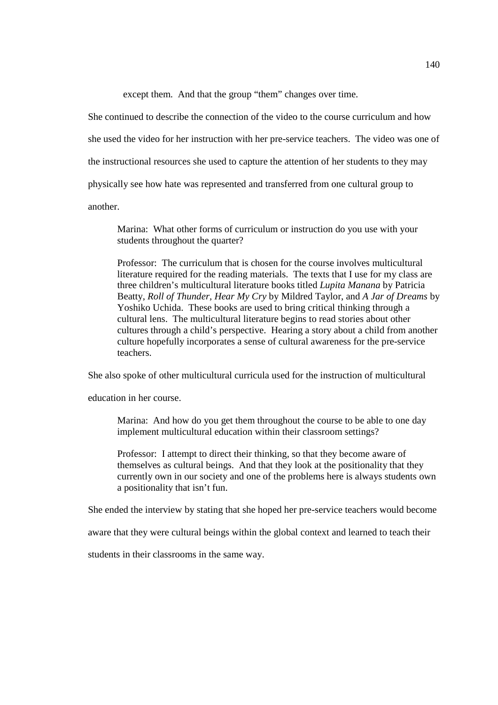except them. And that the group "them" changes over time.

She continued to describe the connection of the video to the course curriculum and how she used the video for her instruction with her pre-service teachers. The video was one of the instructional resources she used to capture the attention of her students to they may physically see how hate was represented and transferred from one cultural group to another.

Marina: What other forms of curriculum or instruction do you use with your students throughout the quarter?

Professor: The curriculum that is chosen for the course involves multicultural literature required for the reading materials. The texts that I use for my class are three children's multicultural literature books titled *Lupita Manana* by Patricia Beatty, *Roll of Thunder, Hear My Cry* by Mildred Taylor, and *A Jar of Dreams* by Yoshiko Uchida. These books are used to bring critical thinking through a cultural lens. The multicultural literature begins to read stories about other cultures through a child's perspective. Hearing a story about a child from another culture hopefully incorporates a sense of cultural awareness for the pre-service teachers.

She also spoke of other multicultural curricula used for the instruction of multicultural

education in her course.

Marina: And how do you get them throughout the course to be able to one day implement multicultural education within their classroom settings?

Professor: I attempt to direct their thinking, so that they become aware of themselves as cultural beings. And that they look at the positionality that they currently own in our society and one of the problems here is always students own a positionality that isn't fun.

She ended the interview by stating that she hoped her pre-service teachers would become

aware that they were cultural beings within the global context and learned to teach their

students in their classrooms in the same way.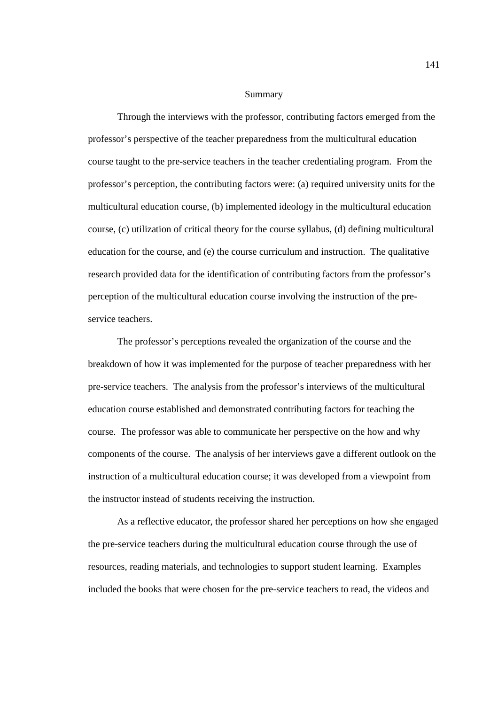#### Summary

Through the interviews with the professor, contributing factors emerged from the professor's perspective of the teacher preparedness from the multicultural education course taught to the pre-service teachers in the teacher credentialing program. From the professor's perception, the contributing factors were: (a) required university units for the multicultural education course, (b) implemented ideology in the multicultural education course, (c) utilization of critical theory for the course syllabus, (d) defining multicultural education for the course, and (e) the course curriculum and instruction. The qualitative research provided data for the identification of contributing factors from the professor's perception of the multicultural education course involving the instruction of the preservice teachers.

 The professor's perceptions revealed the organization of the course and the breakdown of how it was implemented for the purpose of teacher preparedness with her pre-service teachers. The analysis from the professor's interviews of the multicultural education course established and demonstrated contributing factors for teaching the course. The professor was able to communicate her perspective on the how and why components of the course. The analysis of her interviews gave a different outlook on the instruction of a multicultural education course; it was developed from a viewpoint from the instructor instead of students receiving the instruction.

As a reflective educator, the professor shared her perceptions on how she engaged the pre-service teachers during the multicultural education course through the use of resources, reading materials, and technologies to support student learning. Examples included the books that were chosen for the pre-service teachers to read, the videos and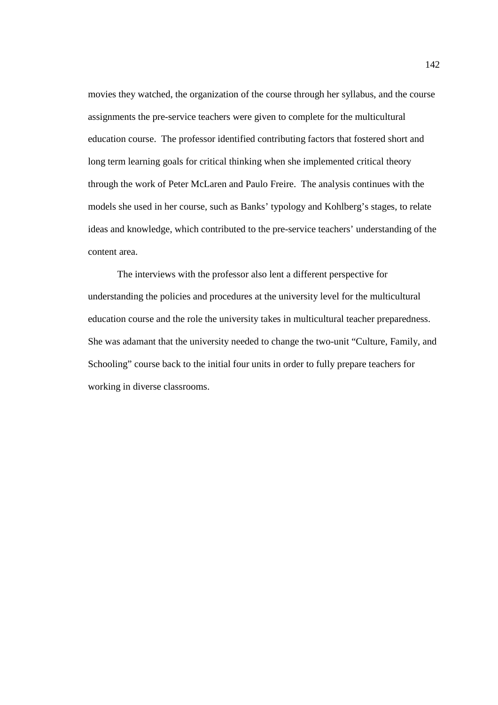movies they watched, the organization of the course through her syllabus, and the course assignments the pre-service teachers were given to complete for the multicultural education course. The professor identified contributing factors that fostered short and long term learning goals for critical thinking when she implemented critical theory through the work of Peter McLaren and Paulo Freire. The analysis continues with the models she used in her course, such as Banks' typology and Kohlberg's stages, to relate ideas and knowledge, which contributed to the pre-service teachers' understanding of the content area.

The interviews with the professor also lent a different perspective for understanding the policies and procedures at the university level for the multicultural education course and the role the university takes in multicultural teacher preparedness. She was adamant that the university needed to change the two-unit "Culture, Family, and Schooling" course back to the initial four units in order to fully prepare teachers for working in diverse classrooms.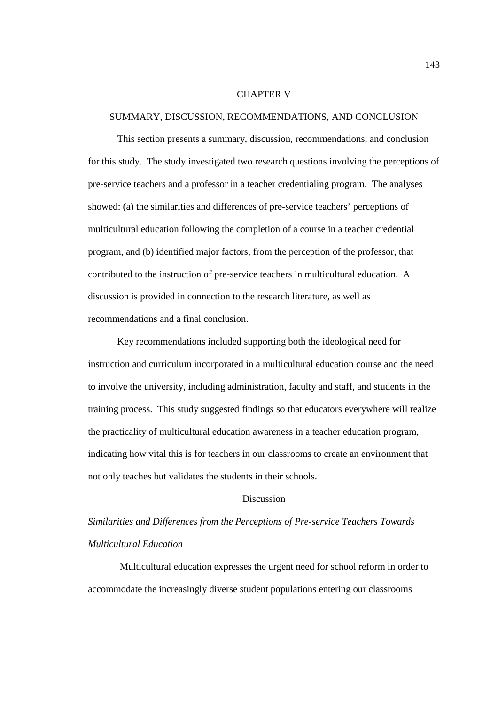### CHAPTER V

### SUMMARY, DISCUSSION, RECOMMENDATIONS, AND CONCLUSION

This section presents a summary, discussion, recommendations, and conclusion for this study. The study investigated two research questions involving the perceptions of pre-service teachers and a professor in a teacher credentialing program. The analyses showed: (a) the similarities and differences of pre-service teachers' perceptions of multicultural education following the completion of a course in a teacher credential program, and (b) identified major factors, from the perception of the professor, that contributed to the instruction of pre-service teachers in multicultural education. A discussion is provided in connection to the research literature, as well as recommendations and a final conclusion.

Key recommendations included supporting both the ideological need for instruction and curriculum incorporated in a multicultural education course and the need to involve the university, including administration, faculty and staff, and students in the training process. This study suggested findings so that educators everywhere will realize the practicality of multicultural education awareness in a teacher education program, indicating how vital this is for teachers in our classrooms to create an environment that not only teaches but validates the students in their schools.

# Discussion

# *Similarities and Differences from the Perceptions of Pre-service Teachers Towards Multicultural Education*

 Multicultural education expresses the urgent need for school reform in order to accommodate the increasingly diverse student populations entering our classrooms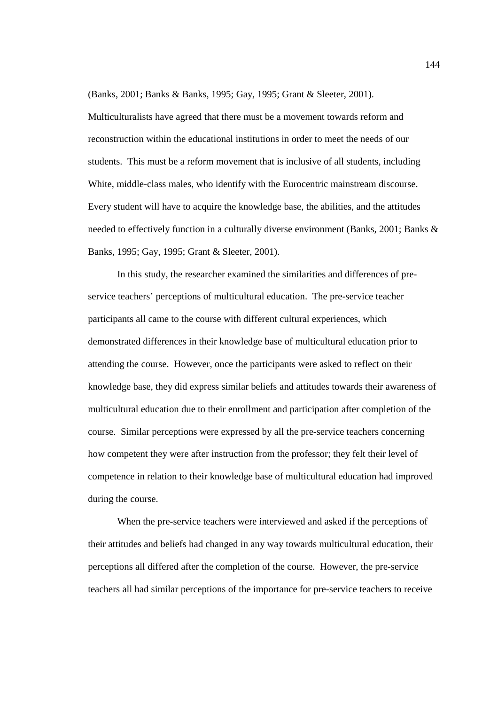(Banks, 2001; Banks & Banks, 1995; Gay, 1995; Grant & Sleeter, 2001).

Multiculturalists have agreed that there must be a movement towards reform and reconstruction within the educational institutions in order to meet the needs of our students. This must be a reform movement that is inclusive of all students, including White, middle-class males, who identify with the Eurocentric mainstream discourse. Every student will have to acquire the knowledge base, the abilities, and the attitudes needed to effectively function in a culturally diverse environment (Banks, 2001; Banks & Banks, 1995; Gay, 1995; Grant & Sleeter, 2001).

In this study, the researcher examined the similarities and differences of preservice teachers' perceptions of multicultural education. The pre-service teacher participants all came to the course with different cultural experiences, which demonstrated differences in their knowledge base of multicultural education prior to attending the course. However, once the participants were asked to reflect on their knowledge base, they did express similar beliefs and attitudes towards their awareness of multicultural education due to their enrollment and participation after completion of the course. Similar perceptions were expressed by all the pre-service teachers concerning how competent they were after instruction from the professor; they felt their level of competence in relation to their knowledge base of multicultural education had improved during the course.

When the pre-service teachers were interviewed and asked if the perceptions of their attitudes and beliefs had changed in any way towards multicultural education, their perceptions all differed after the completion of the course. However, the pre-service teachers all had similar perceptions of the importance for pre-service teachers to receive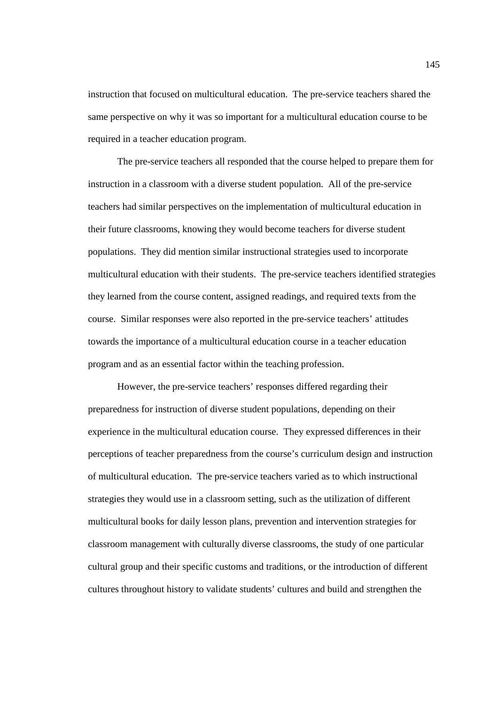instruction that focused on multicultural education. The pre-service teachers shared the same perspective on why it was so important for a multicultural education course to be required in a teacher education program.

The pre-service teachers all responded that the course helped to prepare them for instruction in a classroom with a diverse student population. All of the pre-service teachers had similar perspectives on the implementation of multicultural education in their future classrooms, knowing they would become teachers for diverse student populations. They did mention similar instructional strategies used to incorporate multicultural education with their students. The pre-service teachers identified strategies they learned from the course content, assigned readings, and required texts from the course. Similar responses were also reported in the pre-service teachers' attitudes towards the importance of a multicultural education course in a teacher education program and as an essential factor within the teaching profession.

However, the pre-service teachers' responses differed regarding their preparedness for instruction of diverse student populations, depending on their experience in the multicultural education course. They expressed differences in their perceptions of teacher preparedness from the course's curriculum design and instruction of multicultural education. The pre-service teachers varied as to which instructional strategies they would use in a classroom setting, such as the utilization of different multicultural books for daily lesson plans, prevention and intervention strategies for classroom management with culturally diverse classrooms, the study of one particular cultural group and their specific customs and traditions, or the introduction of different cultures throughout history to validate students' cultures and build and strengthen the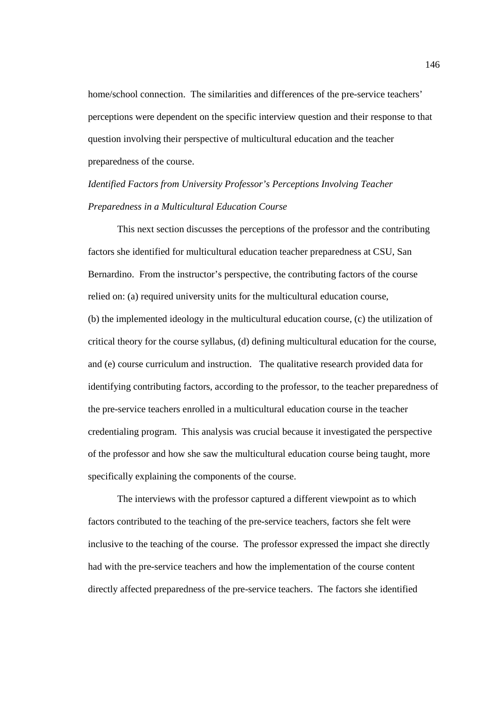home/school connection. The similarities and differences of the pre-service teachers' perceptions were dependent on the specific interview question and their response to that question involving their perspective of multicultural education and the teacher preparedness of the course.

# *Identified Factors from University Professor's Perceptions Involving Teacher Preparedness in a Multicultural Education Course*

 This next section discusses the perceptions of the professor and the contributing factors she identified for multicultural education teacher preparedness at CSU, San Bernardino. From the instructor's perspective, the contributing factors of the course relied on: (a) required university units for the multicultural education course, (b) the implemented ideology in the multicultural education course, (c) the utilization of critical theory for the course syllabus, (d) defining multicultural education for the course, and (e) course curriculum and instruction. The qualitative research provided data for identifying contributing factors, according to the professor, to the teacher preparedness of the pre-service teachers enrolled in a multicultural education course in the teacher credentialing program. This analysis was crucial because it investigated the perspective of the professor and how she saw the multicultural education course being taught, more specifically explaining the components of the course.

The interviews with the professor captured a different viewpoint as to which factors contributed to the teaching of the pre-service teachers, factors she felt were inclusive to the teaching of the course. The professor expressed the impact she directly had with the pre-service teachers and how the implementation of the course content directly affected preparedness of the pre-service teachers. The factors she identified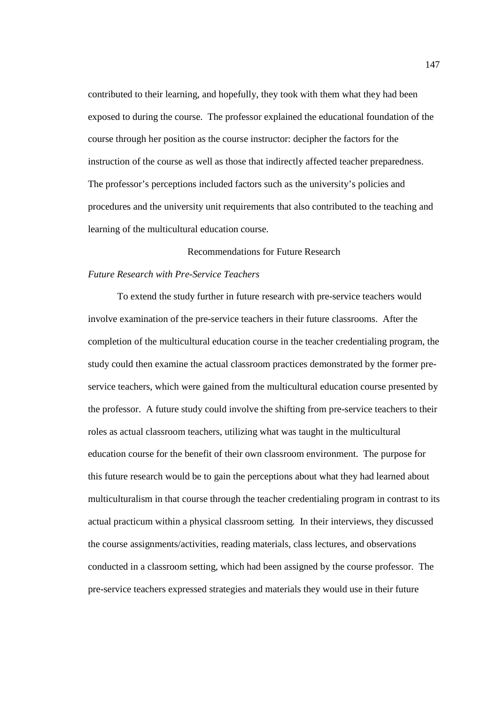contributed to their learning, and hopefully, they took with them what they had been exposed to during the course. The professor explained the educational foundation of the course through her position as the course instructor: decipher the factors for the instruction of the course as well as those that indirectly affected teacher preparedness. The professor's perceptions included factors such as the university's policies and procedures and the university unit requirements that also contributed to the teaching and learning of the multicultural education course.

# Recommendations for Future Research

# *Future Research with Pre-Service Teachers*

To extend the study further in future research with pre-service teachers would involve examination of the pre-service teachers in their future classrooms. After the completion of the multicultural education course in the teacher credentialing program, the study could then examine the actual classroom practices demonstrated by the former preservice teachers, which were gained from the multicultural education course presented by the professor. A future study could involve the shifting from pre-service teachers to their roles as actual classroom teachers, utilizing what was taught in the multicultural education course for the benefit of their own classroom environment. The purpose for this future research would be to gain the perceptions about what they had learned about multiculturalism in that course through the teacher credentialing program in contrast to its actual practicum within a physical classroom setting. In their interviews, they discussed the course assignments/activities, reading materials, class lectures, and observations conducted in a classroom setting, which had been assigned by the course professor. The pre-service teachers expressed strategies and materials they would use in their future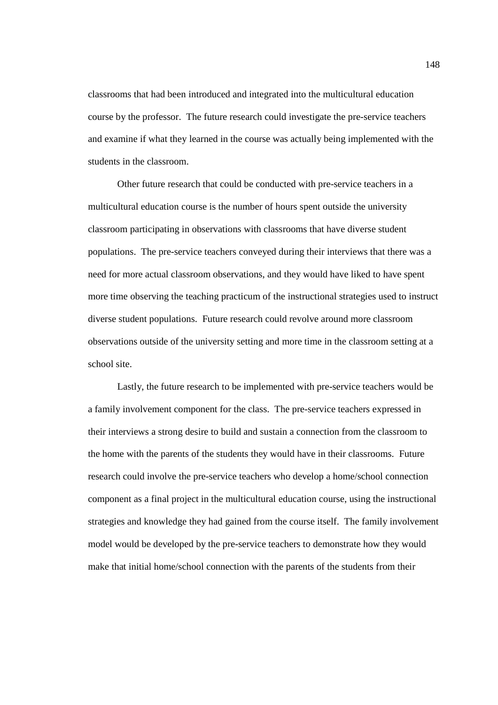classrooms that had been introduced and integrated into the multicultural education course by the professor. The future research could investigate the pre-service teachers and examine if what they learned in the course was actually being implemented with the students in the classroom.

 Other future research that could be conducted with pre-service teachers in a multicultural education course is the number of hours spent outside the university classroom participating in observations with classrooms that have diverse student populations. The pre-service teachers conveyed during their interviews that there was a need for more actual classroom observations, and they would have liked to have spent more time observing the teaching practicum of the instructional strategies used to instruct diverse student populations. Future research could revolve around more classroom observations outside of the university setting and more time in the classroom setting at a school site.

 Lastly, the future research to be implemented with pre-service teachers would be a family involvement component for the class. The pre-service teachers expressed in their interviews a strong desire to build and sustain a connection from the classroom to the home with the parents of the students they would have in their classrooms. Future research could involve the pre-service teachers who develop a home/school connection component as a final project in the multicultural education course, using the instructional strategies and knowledge they had gained from the course itself. The family involvement model would be developed by the pre-service teachers to demonstrate how they would make that initial home/school connection with the parents of the students from their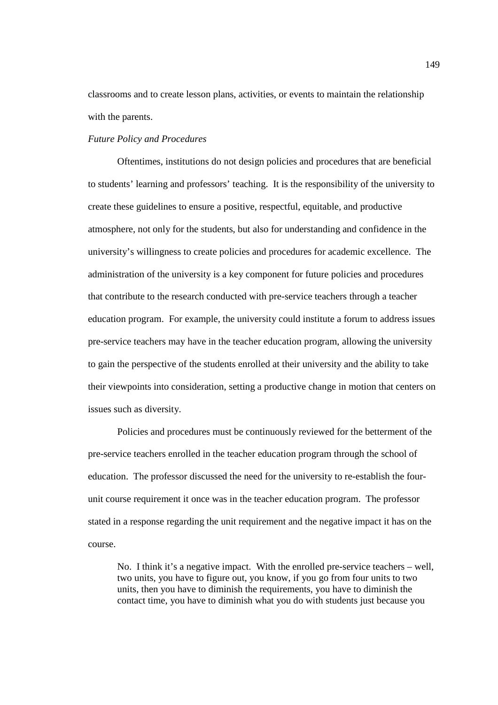classrooms and to create lesson plans, activities, or events to maintain the relationship with the parents.

### *Future Policy and Procedures*

 Oftentimes, institutions do not design policies and procedures that are beneficial to students' learning and professors' teaching. It is the responsibility of the university to create these guidelines to ensure a positive, respectful, equitable, and productive atmosphere, not only for the students, but also for understanding and confidence in the university's willingness to create policies and procedures for academic excellence. The administration of the university is a key component for future policies and procedures that contribute to the research conducted with pre-service teachers through a teacher education program. For example, the university could institute a forum to address issues pre-service teachers may have in the teacher education program, allowing the university to gain the perspective of the students enrolled at their university and the ability to take their viewpoints into consideration, setting a productive change in motion that centers on issues such as diversity.

Policies and procedures must be continuously reviewed for the betterment of the pre-service teachers enrolled in the teacher education program through the school of education. The professor discussed the need for the university to re-establish the fourunit course requirement it once was in the teacher education program. The professor stated in a response regarding the unit requirement and the negative impact it has on the course.

No. I think it's a negative impact. With the enrolled pre-service teachers – well, two units, you have to figure out, you know, if you go from four units to two units, then you have to diminish the requirements, you have to diminish the contact time, you have to diminish what you do with students just because you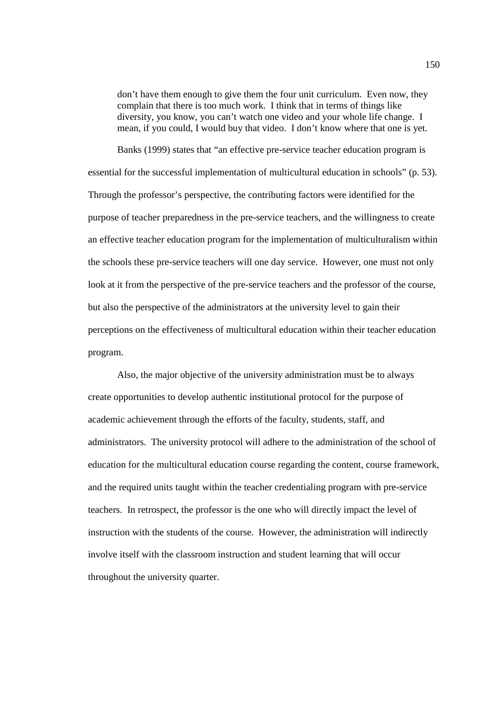don't have them enough to give them the four unit curriculum. Even now, they complain that there is too much work. I think that in terms of things like diversity, you know, you can't watch one video and your whole life change. I mean, if you could, I would buy that video. I don't know where that one is yet.

Banks (1999) states that "an effective pre-service teacher education program is essential for the successful implementation of multicultural education in schools" (p. 53). Through the professor's perspective, the contributing factors were identified for the purpose of teacher preparedness in the pre-service teachers, and the willingness to create an effective teacher education program for the implementation of multiculturalism within the schools these pre-service teachers will one day service. However, one must not only look at it from the perspective of the pre-service teachers and the professor of the course, but also the perspective of the administrators at the university level to gain their perceptions on the effectiveness of multicultural education within their teacher education program.

Also, the major objective of the university administration must be to always create opportunities to develop authentic institutional protocol for the purpose of academic achievement through the efforts of the faculty, students, staff, and administrators. The university protocol will adhere to the administration of the school of education for the multicultural education course regarding the content, course framework, and the required units taught within the teacher credentialing program with pre-service teachers. In retrospect, the professor is the one who will directly impact the level of instruction with the students of the course. However, the administration will indirectly involve itself with the classroom instruction and student learning that will occur throughout the university quarter.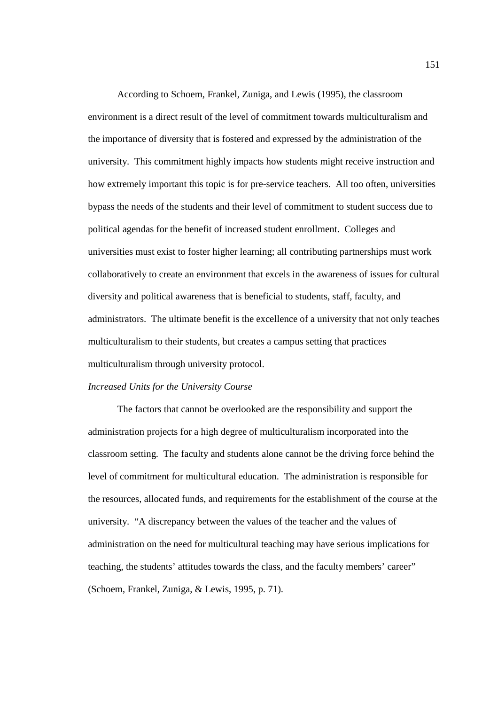According to Schoem, Frankel, Zuniga, and Lewis (1995), the classroom environment is a direct result of the level of commitment towards multiculturalism and the importance of diversity that is fostered and expressed by the administration of the university. This commitment highly impacts how students might receive instruction and how extremely important this topic is for pre-service teachers. All too often, universities bypass the needs of the students and their level of commitment to student success due to political agendas for the benefit of increased student enrollment. Colleges and universities must exist to foster higher learning; all contributing partnerships must work collaboratively to create an environment that excels in the awareness of issues for cultural diversity and political awareness that is beneficial to students, staff, faculty, and administrators. The ultimate benefit is the excellence of a university that not only teaches multiculturalism to their students, but creates a campus setting that practices multiculturalism through university protocol.

# *Increased Units for the University Course*

The factors that cannot be overlooked are the responsibility and support the administration projects for a high degree of multiculturalism incorporated into the classroom setting. The faculty and students alone cannot be the driving force behind the level of commitment for multicultural education. The administration is responsible for the resources, allocated funds, and requirements for the establishment of the course at the university. "A discrepancy between the values of the teacher and the values of administration on the need for multicultural teaching may have serious implications for teaching, the students' attitudes towards the class, and the faculty members' career" (Schoem, Frankel, Zuniga, & Lewis, 1995, p. 71).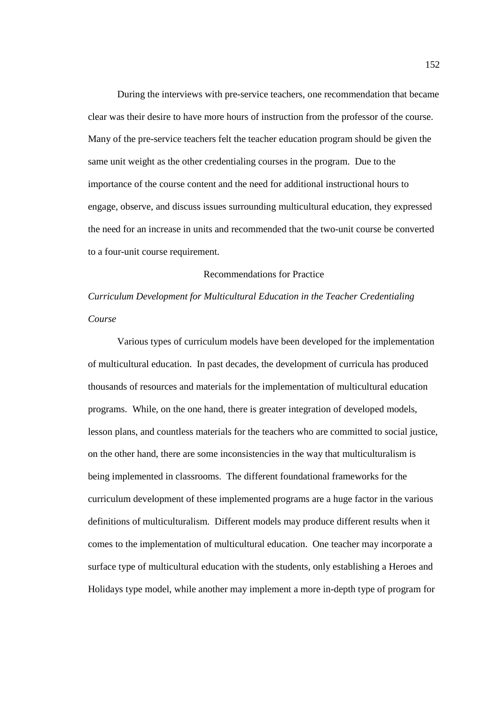During the interviews with pre-service teachers, one recommendation that became clear was their desire to have more hours of instruction from the professor of the course. Many of the pre-service teachers felt the teacher education program should be given the same unit weight as the other credentialing courses in the program. Due to the importance of the course content and the need for additional instructional hours to engage, observe, and discuss issues surrounding multicultural education, they expressed the need for an increase in units and recommended that the two-unit course be converted to a four-unit course requirement.

# Recommendations for Practice

*Curriculum Development for Multicultural Education in the Teacher Credentialing Course*

 Various types of curriculum models have been developed for the implementation of multicultural education. In past decades, the development of curricula has produced thousands of resources and materials for the implementation of multicultural education programs. While, on the one hand, there is greater integration of developed models, lesson plans, and countless materials for the teachers who are committed to social justice, on the other hand, there are some inconsistencies in the way that multiculturalism is being implemented in classrooms. The different foundational frameworks for the curriculum development of these implemented programs are a huge factor in the various definitions of multiculturalism. Different models may produce different results when it comes to the implementation of multicultural education. One teacher may incorporate a surface type of multicultural education with the students, only establishing a Heroes and Holidays type model, while another may implement a more in-depth type of program for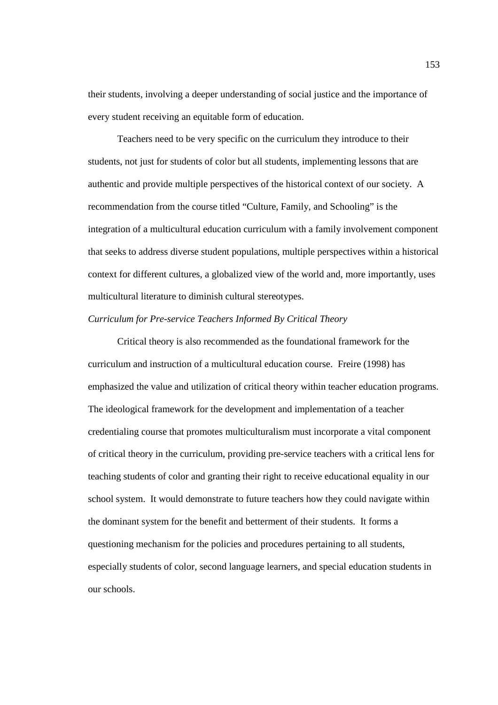their students, involving a deeper understanding of social justice and the importance of every student receiving an equitable form of education.

Teachers need to be very specific on the curriculum they introduce to their students, not just for students of color but all students, implementing lessons that are authentic and provide multiple perspectives of the historical context of our society. A recommendation from the course titled "Culture, Family, and Schooling" is the integration of a multicultural education curriculum with a family involvement component that seeks to address diverse student populations, multiple perspectives within a historical context for different cultures, a globalized view of the world and, more importantly, uses multicultural literature to diminish cultural stereotypes.

# *Curriculum for Pre-service Teachers Informed By Critical Theory*

Critical theory is also recommended as the foundational framework for the curriculum and instruction of a multicultural education course. Freire (1998) has emphasized the value and utilization of critical theory within teacher education programs. The ideological framework for the development and implementation of a teacher credentialing course that promotes multiculturalism must incorporate a vital component of critical theory in the curriculum, providing pre-service teachers with a critical lens for teaching students of color and granting their right to receive educational equality in our school system. It would demonstrate to future teachers how they could navigate within the dominant system for the benefit and betterment of their students. It forms a questioning mechanism for the policies and procedures pertaining to all students, especially students of color, second language learners, and special education students in our schools.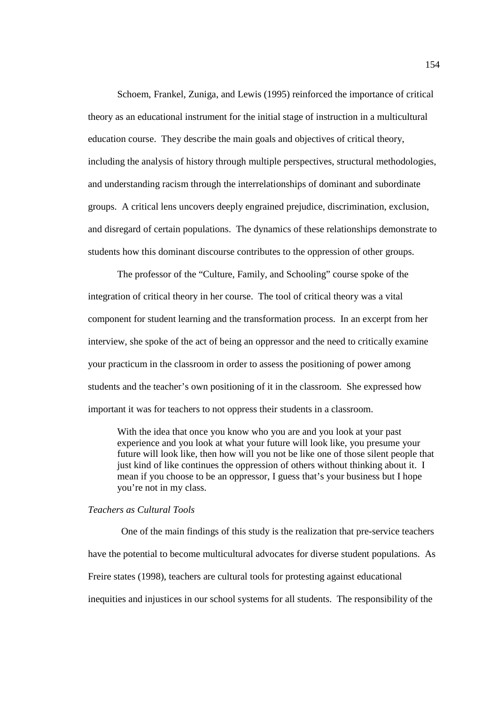Schoem, Frankel, Zuniga, and Lewis (1995) reinforced the importance of critical theory as an educational instrument for the initial stage of instruction in a multicultural education course. They describe the main goals and objectives of critical theory, including the analysis of history through multiple perspectives, structural methodologies, and understanding racism through the interrelationships of dominant and subordinate groups. A critical lens uncovers deeply engrained prejudice, discrimination, exclusion, and disregard of certain populations. The dynamics of these relationships demonstrate to students how this dominant discourse contributes to the oppression of other groups.

The professor of the "Culture, Family, and Schooling" course spoke of the integration of critical theory in her course. The tool of critical theory was a vital component for student learning and the transformation process. In an excerpt from her interview, she spoke of the act of being an oppressor and the need to critically examine your practicum in the classroom in order to assess the positioning of power among students and the teacher's own positioning of it in the classroom. She expressed how important it was for teachers to not oppress their students in a classroom.

With the idea that once you know who you are and you look at your past experience and you look at what your future will look like, you presume your future will look like, then how will you not be like one of those silent people that just kind of like continues the oppression of others without thinking about it. I mean if you choose to be an oppressor, I guess that's your business but I hope you're not in my class.

### *Teachers as Cultural Tools*

 One of the main findings of this study is the realization that pre-service teachers have the potential to become multicultural advocates for diverse student populations. As Freire states (1998), teachers are cultural tools for protesting against educational inequities and injustices in our school systems for all students. The responsibility of the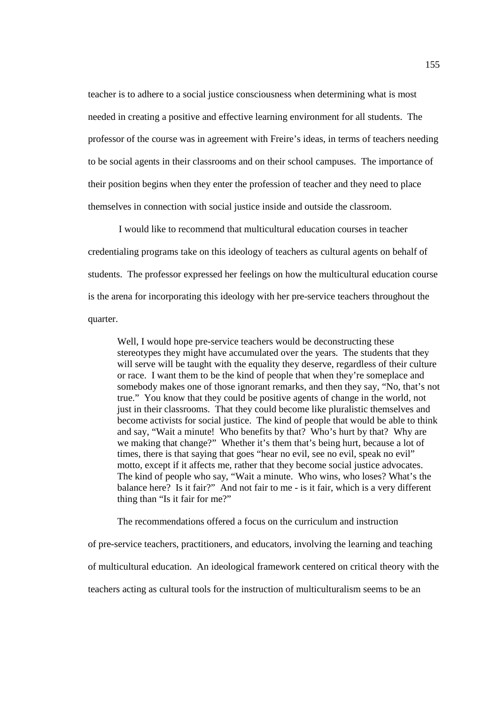teacher is to adhere to a social justice consciousness when determining what is most needed in creating a positive and effective learning environment for all students. The professor of the course was in agreement with Freire's ideas, in terms of teachers needing to be social agents in their classrooms and on their school campuses. The importance of their position begins when they enter the profession of teacher and they need to place themselves in connection with social justice inside and outside the classroom.

 I would like to recommend that multicultural education courses in teacher credentialing programs take on this ideology of teachers as cultural agents on behalf of students. The professor expressed her feelings on how the multicultural education course is the arena for incorporating this ideology with her pre-service teachers throughout the quarter.

Well, I would hope pre-service teachers would be deconstructing these stereotypes they might have accumulated over the years. The students that they will serve will be taught with the equality they deserve, regardless of their culture or race. I want them to be the kind of people that when they're someplace and somebody makes one of those ignorant remarks, and then they say, "No, that's not true." You know that they could be positive agents of change in the world, not just in their classrooms. That they could become like pluralistic themselves and become activists for social justice. The kind of people that would be able to think and say, "Wait a minute! Who benefits by that? Who's hurt by that? Why are we making that change?" Whether it's them that's being hurt, because a lot of times, there is that saying that goes "hear no evil, see no evil, speak no evil" motto, except if it affects me, rather that they become social justice advocates. The kind of people who say, "Wait a minute. Who wins, who loses? What's the balance here? Is it fair?" And not fair to me - is it fair, which is a very different thing than "Is it fair for me?"

The recommendations offered a focus on the curriculum and instruction

of pre-service teachers, practitioners, and educators, involving the learning and teaching of multicultural education. An ideological framework centered on critical theory with the teachers acting as cultural tools for the instruction of multiculturalism seems to be an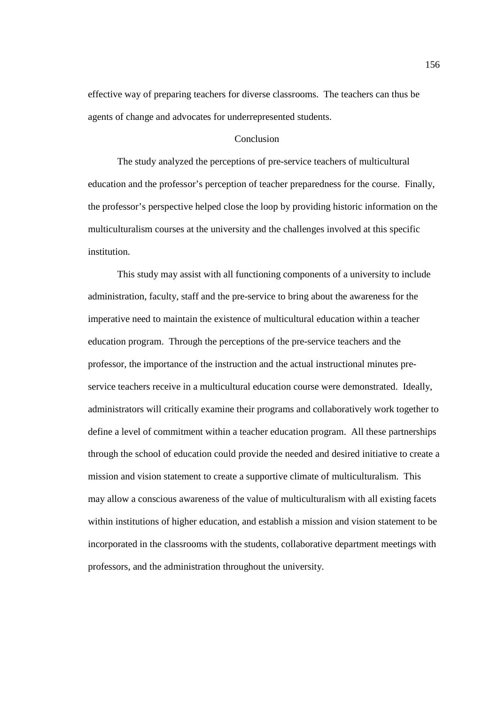effective way of preparing teachers for diverse classrooms. The teachers can thus be agents of change and advocates for underrepresented students.

# Conclusion

The study analyzed the perceptions of pre-service teachers of multicultural education and the professor's perception of teacher preparedness for the course. Finally, the professor's perspective helped close the loop by providing historic information on the multiculturalism courses at the university and the challenges involved at this specific institution.

 This study may assist with all functioning components of a university to include administration, faculty, staff and the pre-service to bring about the awareness for the imperative need to maintain the existence of multicultural education within a teacher education program. Through the perceptions of the pre-service teachers and the professor, the importance of the instruction and the actual instructional minutes preservice teachers receive in a multicultural education course were demonstrated. Ideally, administrators will critically examine their programs and collaboratively work together to define a level of commitment within a teacher education program. All these partnerships through the school of education could provide the needed and desired initiative to create a mission and vision statement to create a supportive climate of multiculturalism. This may allow a conscious awareness of the value of multiculturalism with all existing facets within institutions of higher education, and establish a mission and vision statement to be incorporated in the classrooms with the students, collaborative department meetings with professors, and the administration throughout the university.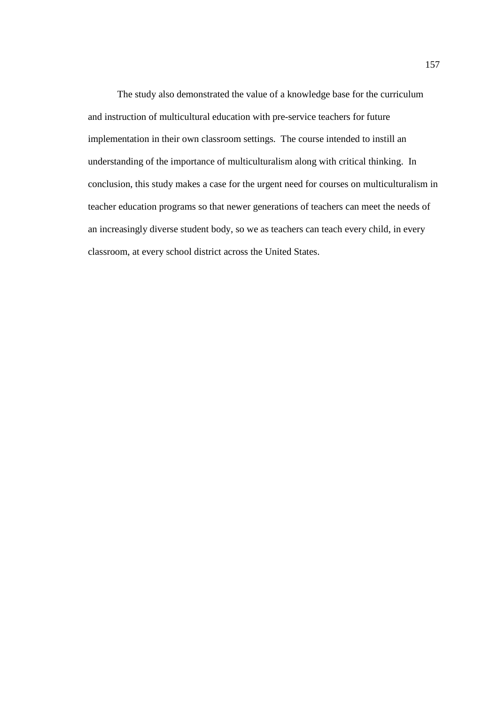The study also demonstrated the value of a knowledge base for the curriculum and instruction of multicultural education with pre-service teachers for future implementation in their own classroom settings. The course intended to instill an understanding of the importance of multiculturalism along with critical thinking. In conclusion, this study makes a case for the urgent need for courses on multiculturalism in teacher education programs so that newer generations of teachers can meet the needs of an increasingly diverse student body, so we as teachers can teach every child, in every classroom, at every school district across the United States.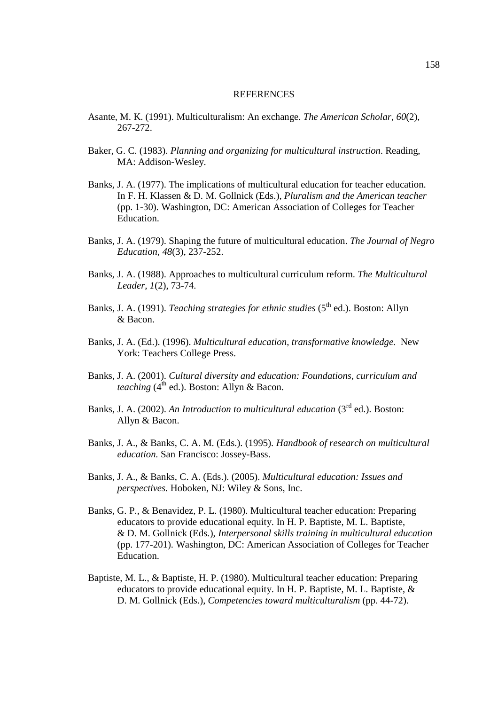### REFERENCES

- Asante, M. K. (1991). Multiculturalism: An exchange. *The American Scholar, 60*(2)*,*  267-272.
- Baker, G. C. (1983). *Planning and organizing for multicultural instruction*. Reading, MA: Addison-Wesley.
- Banks, J. A. (1977). The implications of multicultural education for teacher education. In F. H. Klassen & D. M. Gollnick (Eds.), *Pluralism and the American teacher*  (pp. 1-30). Washington, DC: American Association of Colleges for Teacher Education.
- Banks, J. A. (1979). Shaping the future of multicultural education. *The Journal of Negro Education, 48*(3), 237-252.
- Banks, J. A. (1988). Approaches to multicultural curriculum reform. *The Multicultural Leader, 1*(2), 73-74.
- Banks, J. A. (1991). *Teaching strategies for ethnic studies* (5<sup>th</sup> ed.). Boston: Allyn & Bacon.
- Banks, J. A. (Ed.). (1996). *Multicultural education, transformative knowledge.* New York: Teachers College Press.
- Banks, J. A. (2001). *Cultural diversity and education: Foundations, curriculum and teaching*  $(4^{th}$  ed.). Boston: Allyn & Bacon.
- Banks, J. A. (2002). An Introduction to multicultural education (3<sup>rd</sup> ed.). Boston: Allyn & Bacon.
- Banks, J. A., & Banks, C. A. M. (Eds.). (1995). *Handbook of research on multicultural education.* San Francisco: Jossey-Bass.
- Banks, J. A., & Banks, C. A. (Eds.). (2005). *Multicultural education: Issues and perspectives.* Hoboken, NJ: Wiley & Sons, Inc.
- Banks, G. P., & Benavidez, P. L. (1980). Multicultural teacher education: Preparing educators to provide educational equity. In H. P. Baptiste, M. L. Baptiste, & D. M. Gollnick (Eds.), *Interpersonal skills training in multicultural education*  (pp. 177-201). Washington, DC: American Association of Colleges for Teacher Education.
- Baptiste, M. L., & Baptiste, H. P. (1980). Multicultural teacher education: Preparing educators to provide educational equity. In H. P. Baptiste, M. L. Baptiste, & D. M. Gollnick (Eds.), *Competencies toward multiculturalism* (pp. 44-72).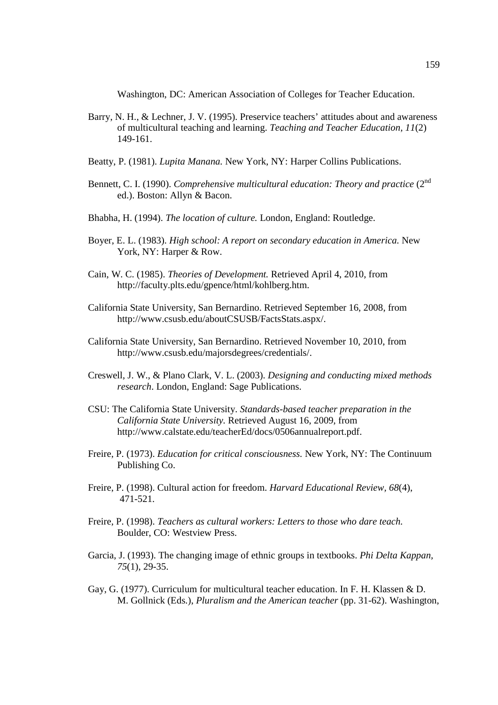Washington, DC: American Association of Colleges for Teacher Education.

- Barry, N. H., & Lechner, J. V. (1995). Preservice teachers' attitudes about and awareness of multicultural teaching and learning. *Teaching and Teacher Education, 11*(2) 149-161.
- Beatty, P. (1981). *Lupita Manana.* New York, NY: Harper Collins Publications.
- Bennett, C. I. (1990). *Comprehensive multicultural education: Theory and practice* (2<sup>nd</sup> ed.). Boston: Allyn & Bacon.
- Bhabha, H. (1994). *The location of culture.* London, England: Routledge.
- Boyer, E. L. (1983). *High school: A report on secondary education in America.* New York, NY: Harper & Row.
- Cain, W. C. (1985). *Theories of Development.* Retrieved April 4, 2010, from http://faculty.plts.edu/gpence/html/kohlberg.htm.
- California State University, San Bernardino. Retrieved September 16, 2008, from http://www.csusb.edu/aboutCSUSB/FactsStats.aspx/.
- California State University, San Bernardino. Retrieved November 10, 2010, from http://www.csusb.edu/majorsdegrees/credentials/.
- Creswell, J. W., & Plano Clark, V. L. (2003). *Designing and conducting mixed methods research*. London, England: Sage Publications.
- CSU: The California State University. *Standards-based teacher preparation in the California State University.* Retrieved August 16, 2009, from http://www.calstate.edu/teacherEd/docs/0506annualreport.pdf.
- Freire, P. (1973). *Education for critical consciousness.* New York, NY: The Continuum Publishing Co.
- Freire, P. (1998). Cultural action for freedom. *Harvard Educational Review, 68*(4), 471-521.
- Freire, P. (1998). *Teachers as cultural workers: Letters to those who dare teach.* Boulder, CO: Westview Press.
- Garcia, J. (1993). The changing image of ethnic groups in textbooks. *Phi Delta Kappan, 75*(1), 29-35.
- Gay, G. (1977). Curriculum for multicultural teacher education. In F. H. Klassen & D. M. Gollnick (Eds.), *Pluralism and the American teacher* (pp. 31-62). Washington,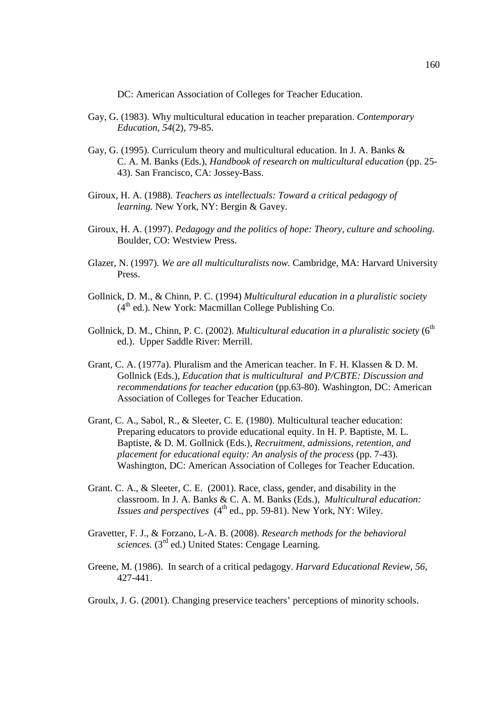DC: American Association of Colleges for Teacher Education.

- Gay, G. (1983). Why multicultural education in teacher preparation. *Contemporary Education, 54*(2), 79-85.
- Gay, G. (1995). Curriculum theory and multicultural education. In J. A. Banks & C. A. M. Banks (Eds.), *Handbook of research on multicultural education* (pp. 25- 43). San Francisco, CA: Jossey-Bass.
- Giroux, H. A. (1988). *Teachers as intellectuals: Toward a critical pedagogy of learning.* New York, NY: Bergin & Gavey.
- Giroux, H. A. (1997). *Pedagogy and the politics of hope: Theory, culture and schooling.* Boulder, CO: Westview Press.
- Glazer, N. (1997). *We are all multiculturalists now.* Cambridge, MA: Harvard University Press.
- Gollnick, D. M., & Chinn, P. C. (1994) *Multicultural education in a pluralistic society*  $(4<sup>th</sup>$  ed.). New York: Macmillan College Publishing Co.
- Gollnick, D. M., Chinn, P. C. (2002). *Multicultural education in a pluralistic society* (6<sup>th</sup> ed.). Upper Saddle River: Merrill.
- Grant, C. A. (1977a). Pluralism and the American teacher. In F. H. Klassen & D. M. Gollnick (Eds.), *Education that is multicultural and P/CBTE: Discussion and recommendations for teacher education* (pp.63-80). Washington, DC: American Association of Colleges for Teacher Education.
- Grant, C. A., Sabol, R., & Sleeter, C. E. (1980). Multicultural teacher education: Preparing educators to provide educational equity. In H. P. Baptiste, M. L. Baptiste, & D. M. Gollnick (Eds.), *Recruitment, admissions, retention, and placement for educational equity: An analysis of the process* (pp. 7-43). Washington, DC: American Association of Colleges for Teacher Education.
- Grant. C. A., & Sleeter, C. E. (2001). Race, class, gender, and disability in the classroom. In J. A. Banks & C. A. M. Banks (Eds.), *Multicultural education: Issues and perspectives*  $(4^{\text{th}}$  ed., pp. 59-81). New York, NY: Wiley.
- Gravetter, F. J., & Forzano, L-A. B. (2008). *Research methods for the behavioral sciences.* (3<sup>rd</sup> ed.) United States: Cengage Learning.
- Greene, M. (1986). In search of a critical pedagogy. *Harvard Educational Review, 56*, 427-441.
- Groulx, J. G. (2001). Changing preservice teachers' perceptions of minority schools.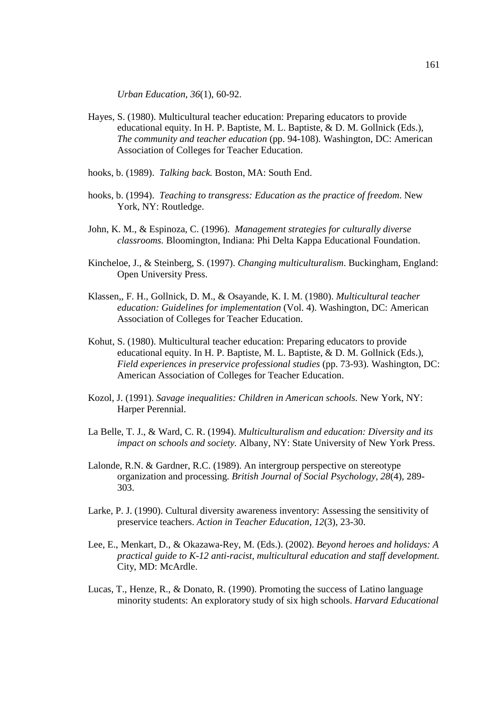*Urban Education, 36*(1), 60-92.

- Hayes, S. (1980). Multicultural teacher education: Preparing educators to provide educational equity. In H. P. Baptiste, M. L. Baptiste, & D. M. Gollnick (Eds.), *The community and teacher education* (pp. 94-108). Washington, DC: American Association of Colleges for Teacher Education.
- hooks, b. (1989). *Talking back.* Boston, MA: South End.
- hooks, b. (1994). *Teaching to transgress: Education as the practice of freedom*. New York, NY: Routledge.
- John, K. M., & Espinoza, C. (1996). *Management strategies for culturally diverse classrooms.* Bloomington, Indiana: Phi Delta Kappa Educational Foundation.
- Kincheloe, J., & Steinberg, S. (1997). *Changing multiculturalism*. Buckingham, England: Open University Press.
- Klassen,, F. H., Gollnick, D. M., & Osayande, K. I. M. (1980). *Multicultural teacher education: Guidelines for implementation* (Vol. 4). Washington, DC: American Association of Colleges for Teacher Education.
- Kohut, S. (1980). Multicultural teacher education: Preparing educators to provide educational equity. In H. P. Baptiste, M. L. Baptiste, & D. M. Gollnick (Eds.), *Field experiences in preservice professional studies* (pp. 73-93). Washington, DC: American Association of Colleges for Teacher Education.
- Kozol, J. (1991). *Savage inequalities: Children in American schools.* New York, NY: Harper Perennial.
- La Belle, T. J., & Ward, C. R. (1994). *Multiculturalism and education: Diversity and its impact on schools and society.* Albany, NY: State University of New York Press.
- Lalonde, R.N. & Gardner, R.C. (1989). An intergroup perspective on stereotype organization and processing. *British Journal of Social Psychology, 28*(4)*,* 289- 303.
- Larke, P. J. (1990). Cultural diversity awareness inventory: Assessing the sensitivity of preservice teachers. *Action in Teacher Education, 12*(3), 23-30.
- Lee, E., Menkart, D., & Okazawa-Rey, M. (Eds.). (2002). *Beyond heroes and holidays: A practical guide to K-12 anti-racist, multicultural education and staff development.* City, MD: McArdle.
- Lucas, T., Henze, R., & Donato, R. (1990). Promoting the success of Latino language minority students: An exploratory study of six high schools. *Harvard Educational*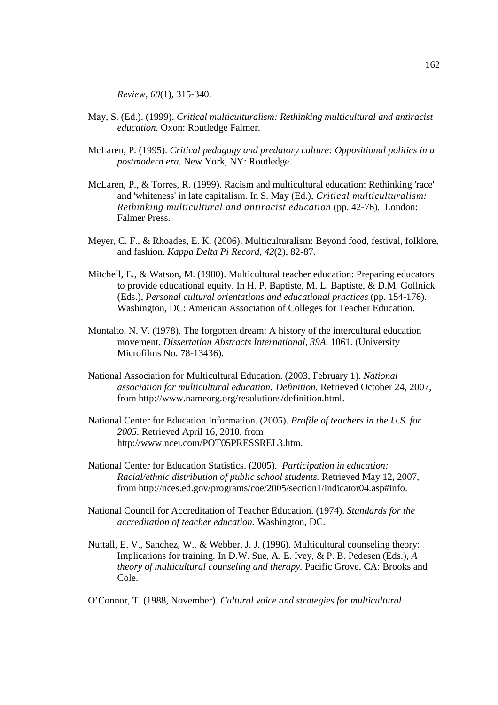*Review, 60*(1), 315-340.

- May, S. (Ed.). (1999). *Critical multiculturalism: Rethinking multicultural and antiracist education.* Oxon: Routledge Falmer.
- McLaren, P. (1995). *Critical pedagogy and predatory culture: Oppositional politics in a postmodern era.* New York, NY: Routledge.
- McLaren, P., & Torres, R. (1999). Racism and multicultural education: Rethinking 'race' and 'whiteness' in late capitalism. In S. May (Ed.), *Critical multiculturalism: Rethinking multicultural and antiracist education* (pp. 42-76). London: Falmer Press.
- Meyer, C. F., & Rhoades, E. K. (2006). Multiculturalism: Beyond food, festival, folklore, and fashion. *Kappa Delta Pi Record, 42*(2), 82-87.
- Mitchell, E., & Watson, M. (1980). Multicultural teacher education: Preparing educators to provide educational equity. In H. P. Baptiste, M. L. Baptiste, & D.M. Gollnick (Eds.), *Personal cultural orientations and educational practices* (pp. 154-176). Washington, DC: American Association of Colleges for Teacher Education.
- Montalto, N. V. (1978). The forgotten dream: A history of the intercultural education movement. *Dissertation Abstracts International, 39A,* 1061. (University Microfilms No. 78-13436).
- National Association for Multicultural Education. (2003, February 1). *National association for multicultural education: Definition.* Retrieved October 24, 2007, from http://www.nameorg.org/resolutions/definition.html.
- National Center for Education Information. (2005). *Profile of teachers in the U.S. for 2005.* Retrieved April 16, 2010, from http://www.ncei.com/POT05PRESSREL3.htm.
- National Center for Education Statistics. (2005). *Participation in education: Racial/ethnic distribution of public school students.* Retrieved May 12, 2007, from http://nces.ed.gov/programs/coe/2005/section1/indicator04.asp#info.
- National Council for Accreditation of Teacher Education. (1974). *Standards for the accreditation of teacher education.* Washington, DC.
- Nuttall, E. V., Sanchez, W., & Webber, J. J. (1996). Multicultural counseling theory: Implications for training. In D.W. Sue, A. E. Ivey, & P. B. Pedesen (Eds.), *A theory of multicultural counseling and therapy.* Pacific Grove, CA: Brooks and Cole.

O'Connor, T. (1988, November). *Cultural voice and strategies for multicultural*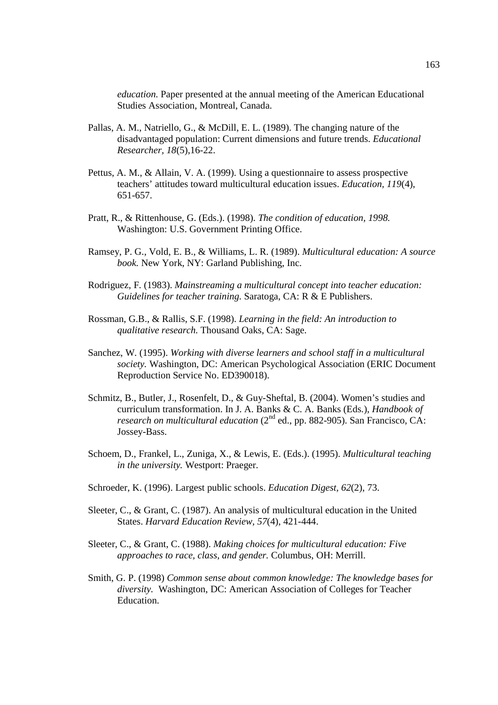*education.* Paper presented at the annual meeting of the American Educational Studies Association, Montreal, Canada.

- Pallas, A. M., Natriello, G., & McDill, E. L. (1989). The changing nature of the disadvantaged population: Current dimensions and future trends. *Educational Researcher, 18*(5),16-22.
- Pettus, A. M., & Allain, V. A. (1999). Using a questionnaire to assess prospective teachers' attitudes toward multicultural education issues. *Education, 119*(4), 651-657.
- Pratt, R., & Rittenhouse, G. (Eds.). (1998). *The condition of education, 1998.* Washington: U.S. Government Printing Office.
- Ramsey, P. G., Vold, E. B., & Williams, L. R. (1989). *Multicultural education: A source book.* New York, NY: Garland Publishing, Inc.
- Rodriguez, F. (1983). *Mainstreaming a multicultural concept into teacher education: Guidelines for teacher training.* Saratoga, CA: R & E Publishers.
- Rossman, G.B., & Rallis, S.F. (1998). *Learning in the field: An introduction to qualitative research.* Thousand Oaks, CA: Sage.
- Sanchez, W. (1995). *Working with diverse learners and school staff in a multicultural society.* Washington, DC: American Psychological Association (ERIC Document Reproduction Service No. ED390018).
- Schmitz, B., Butler, J., Rosenfelt, D., & Guy-Sheftal, B. (2004). Women's studies and curriculum transformation. In J. A. Banks & C. A. Banks (Eds.), *Handbook of research on multicultural education*  $(2^{nd}$  ed., pp. 882-905). San Francisco, CA: Jossey-Bass.
- Schoem, D., Frankel, L., Zuniga, X., & Lewis, E. (Eds.). (1995). *Multicultural teaching in the university.* Westport: Praeger.
- Schroeder, K. (1996). Largest public schools. *Education Digest, 62*(2), 73.
- Sleeter, C., & Grant, C. (1987). An analysis of multicultural education in the United States. *Harvard Education Review, 57*(4), 421-444.
- Sleeter, C., & Grant, C. (1988). *Making choices for multicultural education: Five approaches to race, class, and gender.* Columbus, OH: Merrill.
- Smith, G. P. (1998) *Common sense about common knowledge: The knowledge bases for diversity.* Washington, DC: American Association of Colleges for Teacher Education.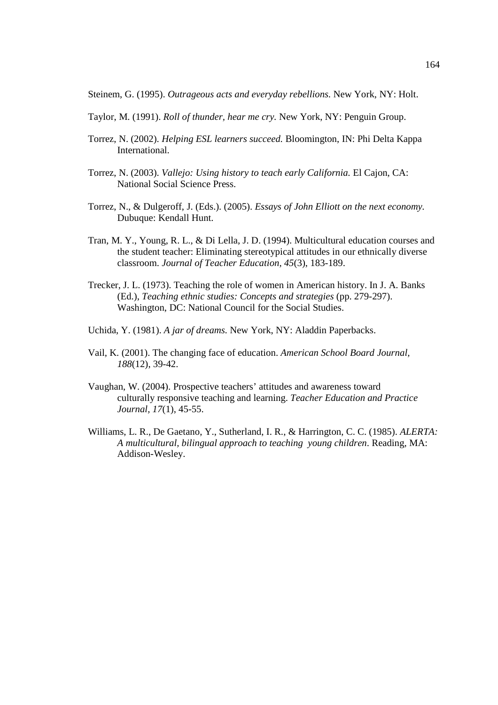Steinem, G. (1995). *Outrageous acts and everyday rebellions.* New York, NY: Holt.

- Taylor, M. (1991). *Roll of thunder, hear me cry.* New York, NY: Penguin Group.
- Torrez, N. (2002). *Helping ESL learners succeed.* Bloomington, IN: Phi Delta Kappa International.
- Torrez, N. (2003). *Vallejo: Using history to teach early California.* El Cajon, CA: National Social Science Press.
- Torrez, N., & Dulgeroff, J. (Eds.). (2005). *Essays of John Elliott on the next economy.* Dubuque: Kendall Hunt.
- Tran, M. Y., Young, R. L., & Di Lella, J. D. (1994). Multicultural education courses and the student teacher: Eliminating stereotypical attitudes in our ethnically diverse classroom. *Journal of Teacher Education, 45*(3), 183-189.
- Trecker, J. L. (1973). Teaching the role of women in American history. In J. A. Banks (Ed.), *Teaching ethnic studies: Concepts and strategies* (pp. 279-297). Washington, DC: National Council for the Social Studies.
- Uchida, Y. (1981). *A jar of dreams.* New York, NY: Aladdin Paperbacks.
- Vail, K. (2001). The changing face of education. *American School Board Journal, 188*(12), 39-42.
- Vaughan, W. (2004). Prospective teachers' attitudes and awareness toward culturally responsive teaching and learning. *Teacher Education and Practice Journal, 17*(1), 45-55.
- Williams, L. R., De Gaetano, Y., Sutherland, I. R., & Harrington, C. C. (1985). *ALERTA: A multicultural, bilingual approach to teaching young children*. Reading, MA: Addison-Wesley.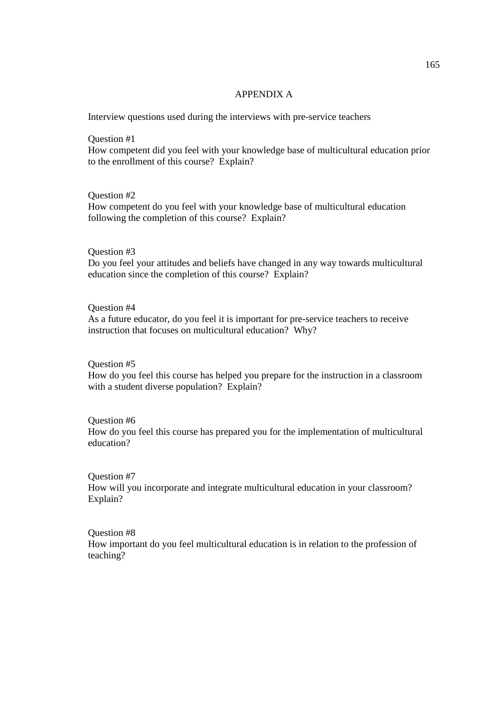### APPENDIX A

Interview questions used during the interviews with pre-service teachers

Question #1 How competent did you feel with your knowledge base of multicultural education prior to the enrollment of this course? Explain?

Question #2 How competent do you feel with your knowledge base of multicultural education following the completion of this course? Explain?

# Question #3

Do you feel your attitudes and beliefs have changed in any way towards multicultural education since the completion of this course? Explain?

# Question #4

As a future educator, do you feel it is important for pre-service teachers to receive instruction that focuses on multicultural education? Why?

Question #5

How do you feel this course has helped you prepare for the instruction in a classroom with a student diverse population? Explain?

### Question #6

How do you feel this course has prepared you for the implementation of multicultural education?

Question #7

How will you incorporate and integrate multicultural education in your classroom? Explain?

Question #8

How important do you feel multicultural education is in relation to the profession of teaching?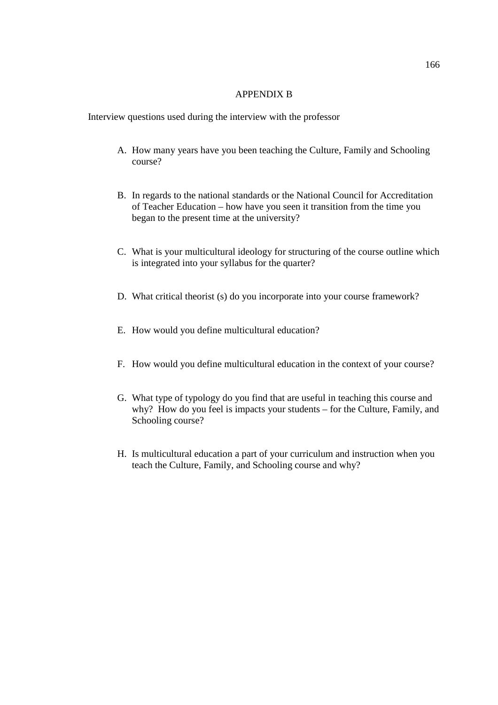## APPENDIX B

Interview questions used during the interview with the professor

- A. How many years have you been teaching the Culture, Family and Schooling course?
- B. In regards to the national standards or the National Council for Accreditation of Teacher Education – how have you seen it transition from the time you began to the present time at the university?
- C. What is your multicultural ideology for structuring of the course outline which is integrated into your syllabus for the quarter?
- D. What critical theorist (s) do you incorporate into your course framework?
- E. How would you define multicultural education?
- F. How would you define multicultural education in the context of your course?
- G. What type of typology do you find that are useful in teaching this course and why? How do you feel is impacts your students – for the Culture, Family, and Schooling course?
- H. Is multicultural education a part of your curriculum and instruction when you teach the Culture, Family, and Schooling course and why?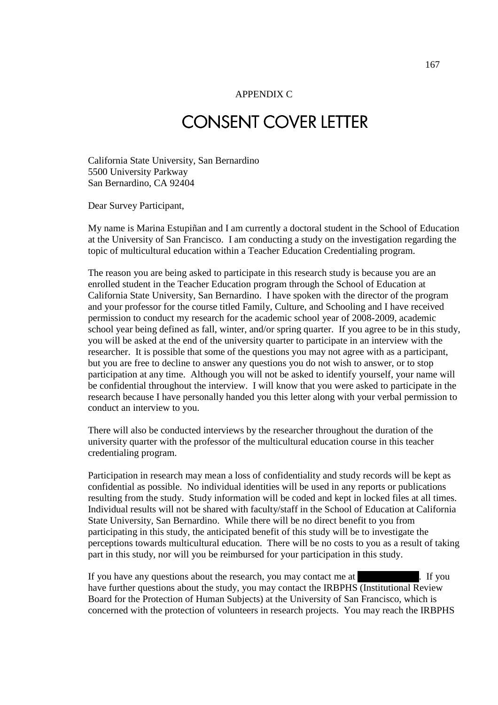### APPENDIX C

# CONSENT COVER LETTER

California State University, San Bernardino 5500 University Parkway San Bernardino, CA 92404

Dear Survey Participant,

My name is Marina Estupiñan and I am currently a doctoral student in the School of Education at the University of San Francisco. I am conducting a study on the investigation regarding the topic of multicultural education within a Teacher Education Credentialing program.

The reason you are being asked to participate in this research study is because you are an enrolled student in the Teacher Education program through the School of Education at California State University, San Bernardino. I have spoken with the director of the program and your professor for the course titled Family, Culture, and Schooling and I have received permission to conduct my research for the academic school year of 2008-2009, academic school year being defined as fall, winter, and/or spring quarter. If you agree to be in this study, you will be asked at the end of the university quarter to participate in an interview with the researcher. It is possible that some of the questions you may not agree with as a participant, but you are free to decline to answer any questions you do not wish to answer, or to stop participation at any time. Although you will not be asked to identify yourself, your name will be confidential throughout the interview. I will know that you were asked to participate in the research because I have personally handed you this letter along with your verbal permission to conduct an interview to you.

There will also be conducted interviews by the researcher throughout the duration of the university quarter with the professor of the multicultural education course in this teacher credentialing program.

Participation in research may mean a loss of confidentiality and study records will be kept as confidential as possible. No individual identities will be used in any reports or publications resulting from the study. Study information will be coded and kept in locked files at all times. Individual results will not be shared with faculty/staff in the School of Education at California State University, San Bernardino. While there will be no direct benefit to you from participating in this study, the anticipated benefit of this study will be to investigate the perceptions towards multicultural education. There will be no costs to you as a result of taking part in this study, nor will you be reimbursed for your participation in this study.

If you have any questions about the research, you may contact me at [760]. If you have further questions about the study, you may contact the IRBPHS (Institutional Review Board for the Protection of Human Subjects) at the University of San Francisco, which is concerned with the protection of volunteers in research projects. You may reach the IRBPHS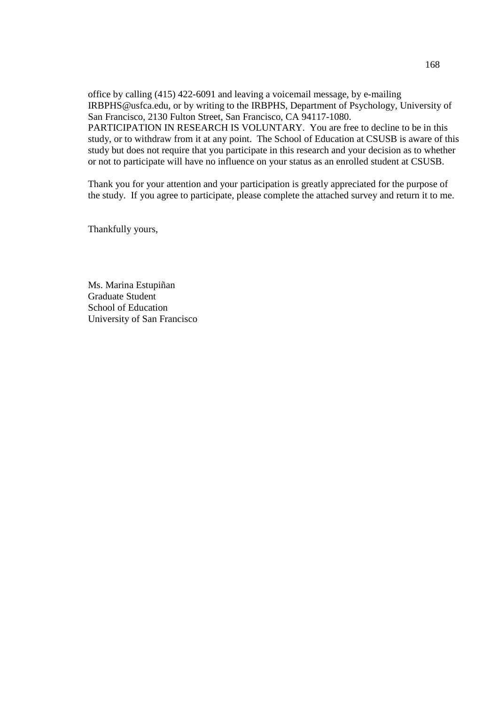office by calling (415) 422-6091 and leaving a voicemail message, by e-mailing IRBPHS@usfca.edu, or by writing to the IRBPHS, Department of Psychology, University of San Francisco, 2130 Fulton Street, San Francisco, CA 94117-1080. PARTICIPATION IN RESEARCH IS VOLUNTARY. You are free to decline to be in this study, or to withdraw from it at any point. The School of Education at CSUSB is aware of this study but does not require that you participate in this research and your decision as to whether or not to participate will have no influence on your status as an enrolled student at CSUSB.

Thank you for your attention and your participation is greatly appreciated for the purpose of the study. If you agree to participate, please complete the attached survey and return it to me.

Thankfully yours,

Ms. Marina Estupiñan Graduate Student School of Education University of San Francisco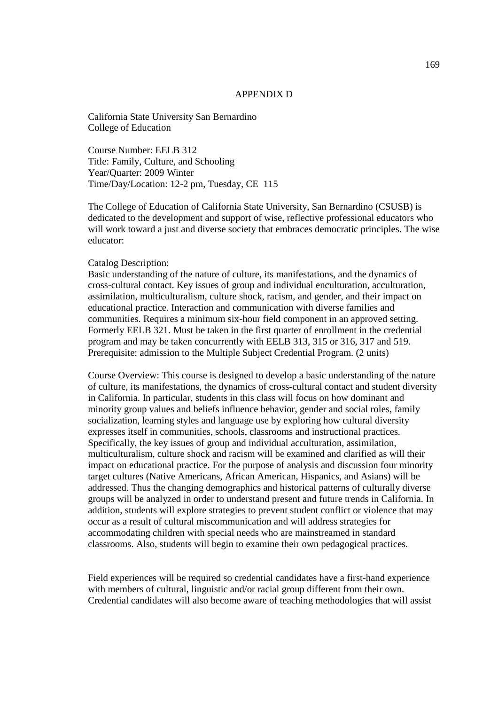### APPENDIX D

California State University San Bernardino College of Education

Course Number: EELB 312 Title: Family, Culture, and Schooling Year/Quarter: 2009 Winter Time/Day/Location: 12-2 pm, Tuesday, CE 115

The College of Education of California State University, San Bernardino (CSUSB) is dedicated to the development and support of wise, reflective professional educators who will work toward a just and diverse society that embraces democratic principles. The wise educator:

### Catalog Description:

Basic understanding of the nature of culture, its manifestations, and the dynamics of cross-cultural contact. Key issues of group and individual enculturation, acculturation, assimilation, multiculturalism, culture shock, racism, and gender, and their impact on educational practice. Interaction and communication with diverse families and communities. Requires a minimum six-hour field component in an approved setting. Formerly EELB 321. Must be taken in the first quarter of enrollment in the credential program and may be taken concurrently with EELB 313, 315 or 316, 317 and 519. Prerequisite: admission to the Multiple Subject Credential Program. (2 units)

Course Overview: This course is designed to develop a basic understanding of the nature of culture, its manifestations, the dynamics of cross-cultural contact and student diversity in California. In particular, students in this class will focus on how dominant and minority group values and beliefs influence behavior, gender and social roles, family socialization, learning styles and language use by exploring how cultural diversity expresses itself in communities, schools, classrooms and instructional practices. Specifically, the key issues of group and individual acculturation, assimilation, multiculturalism, culture shock and racism will be examined and clarified as will their impact on educational practice. For the purpose of analysis and discussion four minority target cultures (Native Americans, African American, Hispanics, and Asians) will be addressed. Thus the changing demographics and historical patterns of culturally diverse groups will be analyzed in order to understand present and future trends in California. In addition, students will explore strategies to prevent student conflict or violence that may occur as a result of cultural miscommunication and will address strategies for accommodating children with special needs who are mainstreamed in standard classrooms. Also, students will begin to examine their own pedagogical practices.

Field experiences will be required so credential candidates have a first-hand experience with members of cultural, linguistic and/or racial group different from their own. Credential candidates will also become aware of teaching methodologies that will assist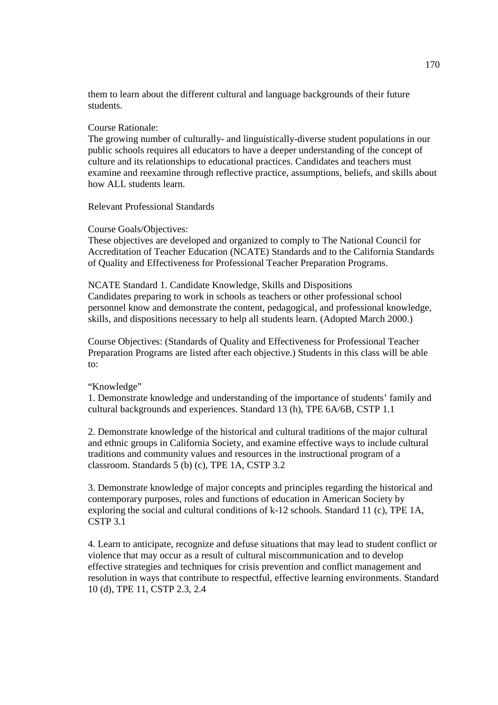them to learn about the different cultural and language backgrounds of their future students.

### Course Rationale:

The growing number of culturally- and linguistically-diverse student populations in our public schools requires all educators to have a deeper understanding of the concept of culture and its relationships to educational practices. Candidates and teachers must examine and reexamine through reflective practice, assumptions, beliefs, and skills about how ALL students learn.

Relevant Professional Standards

### Course Goals/Objectives:

These objectives are developed and organized to comply to The National Council for Accreditation of Teacher Education (NCATE) Standards and to the California Standards of Quality and Effectiveness for Professional Teacher Preparation Programs.

NCATE Standard 1. Candidate Knowledge, Skills and Dispositions Candidates preparing to work in schools as teachers or other professional school personnel know and demonstrate the content, pedagogical, and professional knowledge, skills, and dispositions necessary to help all students learn. (Adopted March 2000.)

Course Objectives: (Standards of Quality and Effectiveness for Professional Teacher Preparation Programs are listed after each objective.) Students in this class will be able to:

# "Knowledge"

1. Demonstrate knowledge and understanding of the importance of students' family and cultural backgrounds and experiences. Standard 13 (h), TPE 6A/6B, CSTP 1.1

2. Demonstrate knowledge of the historical and cultural traditions of the major cultural and ethnic groups in California Society, and examine effective ways to include cultural traditions and community values and resources in the instructional program of a classroom. Standards 5 (b) (c), TPE 1A, CSTP 3.2

3. Demonstrate knowledge of major concepts and principles regarding the historical and contemporary purposes, roles and functions of education in American Society by exploring the social and cultural conditions of k-12 schools. Standard 11 (c), TPE 1A, CSTP 3.1

4. Learn to anticipate, recognize and defuse situations that may lead to student conflict or violence that may occur as a result of cultural miscommunication and to develop effective strategies and techniques for crisis prevention and conflict management and resolution in ways that contribute to respectful, effective learning environments. Standard 10 (d), TPE 11, CSTP 2.3, 2.4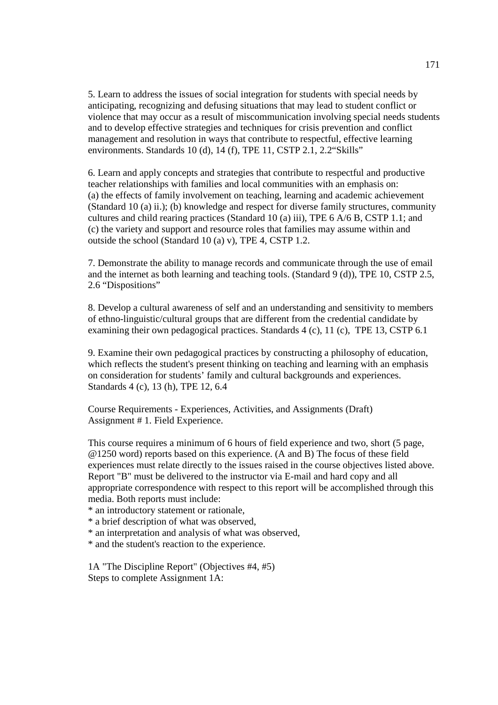5. Learn to address the issues of social integration for students with special needs by anticipating, recognizing and defusing situations that may lead to student conflict or violence that may occur as a result of miscommunication involving special needs students and to develop effective strategies and techniques for crisis prevention and conflict management and resolution in ways that contribute to respectful, effective learning environments. Standards 10 (d), 14 (f), TPE 11, CSTP 2.1, 2.2"Skills"

6. Learn and apply concepts and strategies that contribute to respectful and productive teacher relationships with families and local communities with an emphasis on: (a) the effects of family involvement on teaching, learning and academic achievement (Standard 10 (a) ii.); (b) knowledge and respect for diverse family structures, community cultures and child rearing practices (Standard 10 (a) iii), TPE 6 A/6 B, CSTP 1.1; and (c) the variety and support and resource roles that families may assume within and outside the school (Standard 10 (a) v), TPE 4, CSTP 1.2.

7. Demonstrate the ability to manage records and communicate through the use of email and the internet as both learning and teaching tools. (Standard 9 (d)), TPE 10, CSTP 2.5, 2.6 "Dispositions"

8. Develop a cultural awareness of self and an understanding and sensitivity to members of ethno-linguistic/cultural groups that are different from the credential candidate by examining their own pedagogical practices. Standards 4 (c), 11 (c), TPE 13, CSTP 6.1

9. Examine their own pedagogical practices by constructing a philosophy of education, which reflects the student's present thinking on teaching and learning with an emphasis on consideration for students' family and cultural backgrounds and experiences. Standards 4 (c), 13 (h), TPE 12, 6.4

Course Requirements - Experiences, Activities, and Assignments (Draft) Assignment # 1. Field Experience.

This course requires a minimum of 6 hours of field experience and two, short (5 page, @1250 word) reports based on this experience. (A and B) The focus of these field experiences must relate directly to the issues raised in the course objectives listed above. Report "B" must be delivered to the instructor via E-mail and hard copy and all appropriate correspondence with respect to this report will be accomplished through this media. Both reports must include:

\* an introductory statement or rationale,

\* a brief description of what was observed,

\* an interpretation and analysis of what was observed,

\* and the student's reaction to the experience.

1A "The Discipline Report" (Objectives #4, #5) Steps to complete Assignment 1A: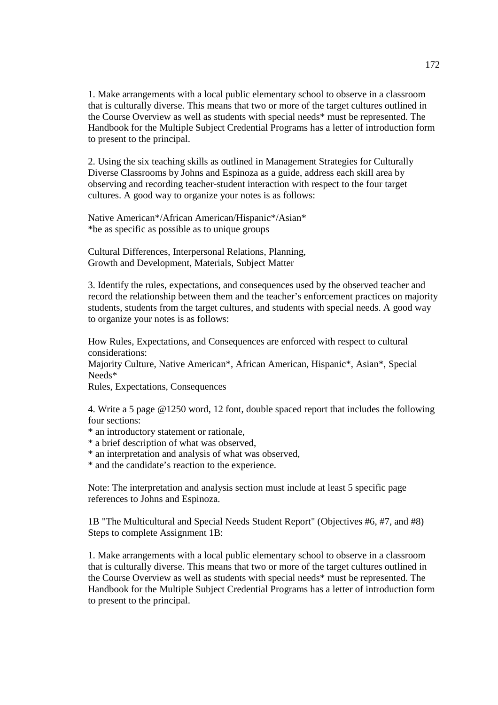1. Make arrangements with a local public elementary school to observe in a classroom that is culturally diverse. This means that two or more of the target cultures outlined in the Course Overview as well as students with special needs\* must be represented. The Handbook for the Multiple Subject Credential Programs has a letter of introduction form to present to the principal.

2. Using the six teaching skills as outlined in Management Strategies for Culturally Diverse Classrooms by Johns and Espinoza as a guide, address each skill area by observing and recording teacher-student interaction with respect to the four target cultures. A good way to organize your notes is as follows:

Native American\*/African American/Hispanic\*/Asian\* \*be as specific as possible as to unique groups

Cultural Differences, Interpersonal Relations, Planning, Growth and Development, Materials, Subject Matter

3. Identify the rules, expectations, and consequences used by the observed teacher and record the relationship between them and the teacher's enforcement practices on majority students, students from the target cultures, and students with special needs. A good way to organize your notes is as follows:

How Rules, Expectations, and Consequences are enforced with respect to cultural considerations:

Majority Culture, Native American\*, African American, Hispanic\*, Asian\*, Special Needs\*

Rules, Expectations, Consequences

4. Write a 5 page @1250 word, 12 font, double spaced report that includes the following four sections:

- \* an introductory statement or rationale,
- \* a brief description of what was observed,
- \* an interpretation and analysis of what was observed,

\* and the candidate's reaction to the experience.

Note: The interpretation and analysis section must include at least 5 specific page references to Johns and Espinoza.

1B "The Multicultural and Special Needs Student Report" (Objectives #6, #7, and #8) Steps to complete Assignment 1B:

1. Make arrangements with a local public elementary school to observe in a classroom that is culturally diverse. This means that two or more of the target cultures outlined in the Course Overview as well as students with special needs\* must be represented. The Handbook for the Multiple Subject Credential Programs has a letter of introduction form to present to the principal.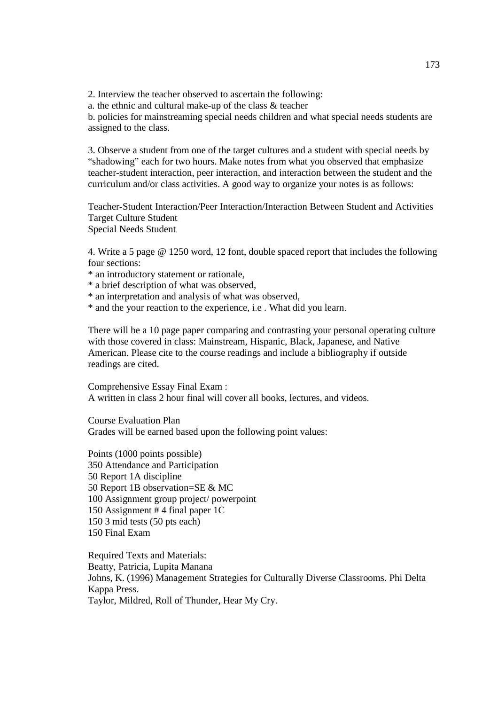2. Interview the teacher observed to ascertain the following:

a. the ethnic and cultural make-up of the class & teacher

b. policies for mainstreaming special needs children and what special needs students are assigned to the class.

3. Observe a student from one of the target cultures and a student with special needs by "shadowing" each for two hours. Make notes from what you observed that emphasize teacher-student interaction, peer interaction, and interaction between the student and the curriculum and/or class activities. A good way to organize your notes is as follows:

Teacher-Student Interaction/Peer Interaction/Interaction Between Student and Activities Target Culture Student Special Needs Student

4. Write a 5 page @ 1250 word, 12 font, double spaced report that includes the following four sections:

- \* an introductory statement or rationale,
- \* a brief description of what was observed,
- \* an interpretation and analysis of what was observed,
- \* and the your reaction to the experience, i.e . What did you learn.

There will be a 10 page paper comparing and contrasting your personal operating culture with those covered in class: Mainstream, Hispanic, Black, Japanese, and Native American. Please cite to the course readings and include a bibliography if outside readings are cited.

Comprehensive Essay Final Exam : A written in class 2 hour final will cover all books, lectures, and videos.

Course Evaluation Plan Grades will be earned based upon the following point values:

Points (1000 points possible) 350 Attendance and Participation 50 Report 1A discipline 50 Report 1B observation=SE & MC 100 Assignment group project/ powerpoint 150 Assignment # 4 final paper 1C 150 3 mid tests (50 pts each) 150 Final Exam

Required Texts and Materials: Beatty, Patricia, Lupita Manana Johns, K. (1996) Management Strategies for Culturally Diverse Classrooms. Phi Delta Kappa Press. Taylor, Mildred, Roll of Thunder, Hear My Cry.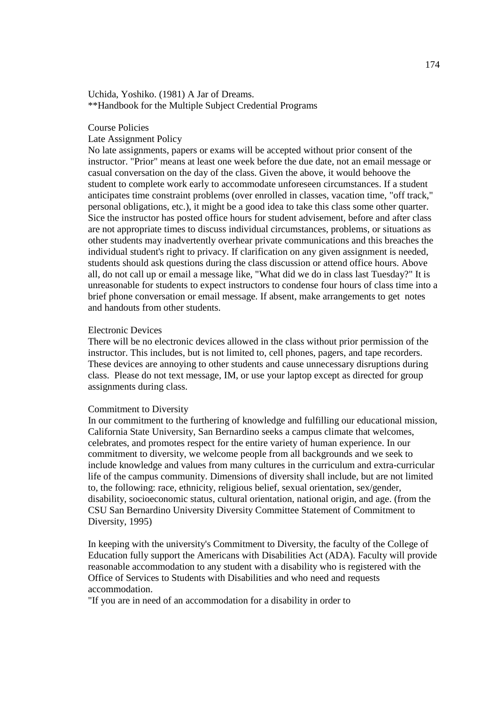Uchida, Yoshiko. (1981) A Jar of Dreams. \*\*Handbook for the Multiple Subject Credential Programs

### Course Policies

#### Late Assignment Policy

No late assignments, papers or exams will be accepted without prior consent of the instructor. "Prior" means at least one week before the due date, not an email message or casual conversation on the day of the class. Given the above, it would behoove the student to complete work early to accommodate unforeseen circumstances. If a student anticipates time constraint problems (over enrolled in classes, vacation time, "off track," personal obligations, etc.), it might be a good idea to take this class some other quarter. Sice the instructor has posted office hours for student advisement, before and after class are not appropriate times to discuss individual circumstances, problems, or situations as other students may inadvertently overhear private communications and this breaches the individual student's right to privacy. If clarification on any given assignment is needed, students should ask questions during the class discussion or attend office hours. Above all, do not call up or email a message like, "What did we do in class last Tuesday?" It is unreasonable for students to expect instructors to condense four hours of class time into a brief phone conversation or email message. If absent, make arrangements to get notes and handouts from other students.

### Electronic Devices

There will be no electronic devices allowed in the class without prior permission of the instructor. This includes, but is not limited to, cell phones, pagers, and tape recorders. These devices are annoying to other students and cause unnecessary disruptions during class. Please do not text message, IM, or use your laptop except as directed for group assignments during class.

### Commitment to Diversity

In our commitment to the furthering of knowledge and fulfilling our educational mission, California State University, San Bernardino seeks a campus climate that welcomes, celebrates, and promotes respect for the entire variety of human experience. In our commitment to diversity, we welcome people from all backgrounds and we seek to include knowledge and values from many cultures in the curriculum and extra-curricular life of the campus community. Dimensions of diversity shall include, but are not limited to, the following: race, ethnicity, religious belief, sexual orientation, sex/gender, disability, socioeconomic status, cultural orientation, national origin, and age. (from the CSU San Bernardino University Diversity Committee Statement of Commitment to Diversity, 1995)

In keeping with the university's Commitment to Diversity, the faculty of the College of Education fully support the Americans with Disabilities Act (ADA). Faculty will provide reasonable accommodation to any student with a disability who is registered with the Office of Services to Students with Disabilities and who need and requests accommodation.

"If you are in need of an accommodation for a disability in order to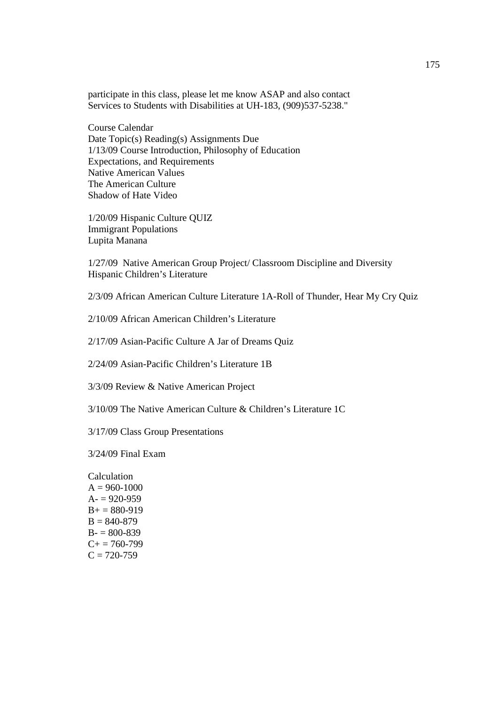participate in this class, please let me know ASAP and also contact Services to Students with Disabilities at UH-183, (909)537-5238."

Course Calendar Date Topic(s) Reading(s) Assignments Due 1/13/09 Course Introduction, Philosophy of Education Expectations, and Requirements Native American Values The American Culture Shadow of Hate Video

1/20/09 Hispanic Culture QUIZ Immigrant Populations Lupita Manana

1/27/09 Native American Group Project/ Classroom Discipline and Diversity Hispanic Children's Literature

2/3/09 African American Culture Literature 1A-Roll of Thunder, Hear My Cry Quiz

2/10/09 African American Children's Literature

2/17/09 Asian-Pacific Culture A Jar of Dreams Quiz

2/24/09 Asian-Pacific Children's Literature 1B

3/3/09 Review & Native American Project

3/10/09 The Native American Culture & Children's Literature 1C

3/17/09 Class Group Presentations

3/24/09 Final Exam

Calculation  $A = 960 - 1000$  $A = 920 - 959$  $B_+ = 880 - 919$  $B = 840 - 879$  $B = 800 - 839$  $C+= 760-799$  $C = 720 - 759$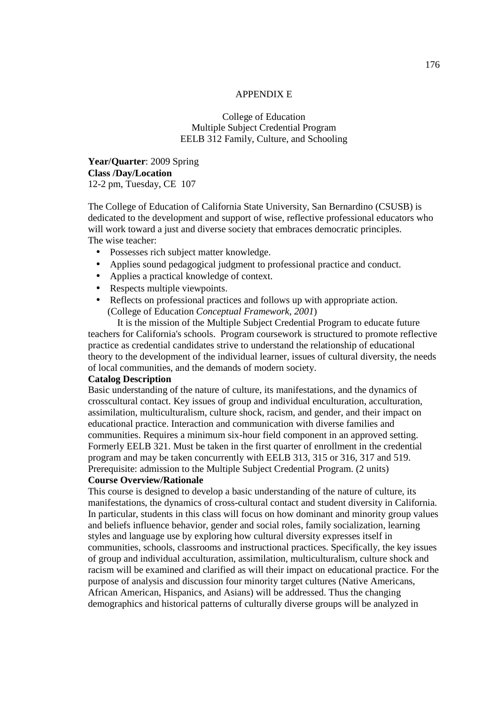### APPENDIX E

# College of Education Multiple Subject Credential Program EELB 312 Family, Culture, and Schooling

**Year/Quarter**: 2009 Spring **Class /Day/Location** 12-2 pm, Tuesday, CE 107

The College of Education of California State University, San Bernardino (CSUSB) is dedicated to the development and support of wise, reflective professional educators who will work toward a just and diverse society that embraces democratic principles. The wise teacher:

- Possesses rich subject matter knowledge.
- Applies sound pedagogical judgment to professional practice and conduct.
- Applies a practical knowledge of context.
- Respects multiple viewpoints.
- Reflects on professional practices and follows up with appropriate action. (College of Education *Conceptual Framework, 2001*)

It is the mission of the Multiple Subject Credential Program to educate future teachers for California's schools. Program coursework is structured to promote reflective practice as credential candidates strive to understand the relationship of educational theory to the development of the individual learner, issues of cultural diversity, the needs of local communities, and the demands of modern society.

### **Catalog Description**

Basic understanding of the nature of culture, its manifestations, and the dynamics of crosscultural contact. Key issues of group and individual enculturation, acculturation, assimilation, multiculturalism, culture shock, racism, and gender, and their impact on educational practice. Interaction and communication with diverse families and communities. Requires a minimum six-hour field component in an approved setting. Formerly EELB 321. Must be taken in the first quarter of enrollment in the credential program and may be taken concurrently with EELB 313, 315 or 316, 317 and 519. Prerequisite: admission to the Multiple Subject Credential Program. (2 units)

# **Course Overview/Rationale**

This course is designed to develop a basic understanding of the nature of culture, its manifestations, the dynamics of cross-cultural contact and student diversity in California. In particular, students in this class will focus on how dominant and minority group values and beliefs influence behavior, gender and social roles, family socialization, learning styles and language use by exploring how cultural diversity expresses itself in communities, schools, classrooms and instructional practices. Specifically, the key issues of group and individual acculturation, assimilation, multiculturalism, culture shock and racism will be examined and clarified as will their impact on educational practice. For the purpose of analysis and discussion four minority target cultures (Native Americans, African American, Hispanics, and Asians) will be addressed. Thus the changing demographics and historical patterns of culturally diverse groups will be analyzed in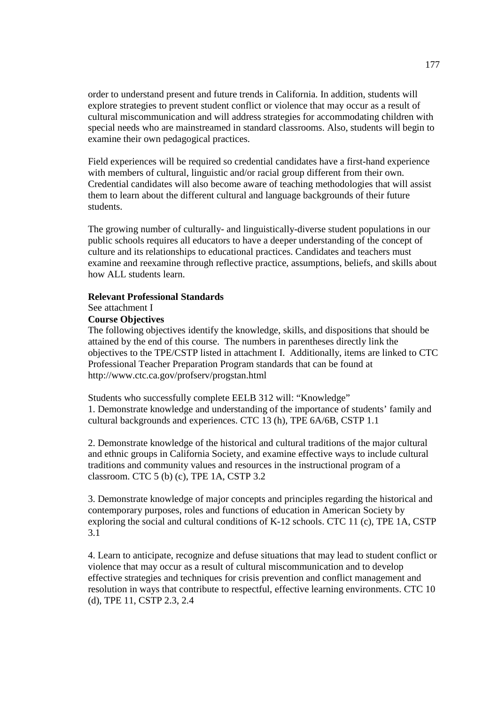order to understand present and future trends in California. In addition, students will explore strategies to prevent student conflict or violence that may occur as a result of cultural miscommunication and will address strategies for accommodating children with special needs who are mainstreamed in standard classrooms. Also, students will begin to examine their own pedagogical practices.

Field experiences will be required so credential candidates have a first-hand experience with members of cultural, linguistic and/or racial group different from their own. Credential candidates will also become aware of teaching methodologies that will assist them to learn about the different cultural and language backgrounds of their future students.

The growing number of culturally- and linguistically-diverse student populations in our public schools requires all educators to have a deeper understanding of the concept of culture and its relationships to educational practices. Candidates and teachers must examine and reexamine through reflective practice, assumptions, beliefs, and skills about how ALL students learn.

### **Relevant Professional Standards**

### See attachment I

### **Course Objectives**

The following objectives identify the knowledge, skills, and dispositions that should be attained by the end of this course. The numbers in parentheses directly link the objectives to the TPE/CSTP listed in attachment I. Additionally, items are linked to CTC Professional Teacher Preparation Program standards that can be found at http://www.ctc.ca.gov/profserv/progstan.html

Students who successfully complete EELB 312 will: "Knowledge" 1. Demonstrate knowledge and understanding of the importance of students' family and cultural backgrounds and experiences. CTC 13 (h), TPE 6A/6B, CSTP 1.1

2. Demonstrate knowledge of the historical and cultural traditions of the major cultural and ethnic groups in California Society, and examine effective ways to include cultural traditions and community values and resources in the instructional program of a classroom. CTC 5 (b) (c), TPE 1A, CSTP 3.2

3. Demonstrate knowledge of major concepts and principles regarding the historical and contemporary purposes, roles and functions of education in American Society by exploring the social and cultural conditions of K-12 schools. CTC 11 (c), TPE 1A, CSTP 3.1

4. Learn to anticipate, recognize and defuse situations that may lead to student conflict or violence that may occur as a result of cultural miscommunication and to develop effective strategies and techniques for crisis prevention and conflict management and resolution in ways that contribute to respectful, effective learning environments. CTC 10 (d), TPE 11, CSTP 2.3, 2.4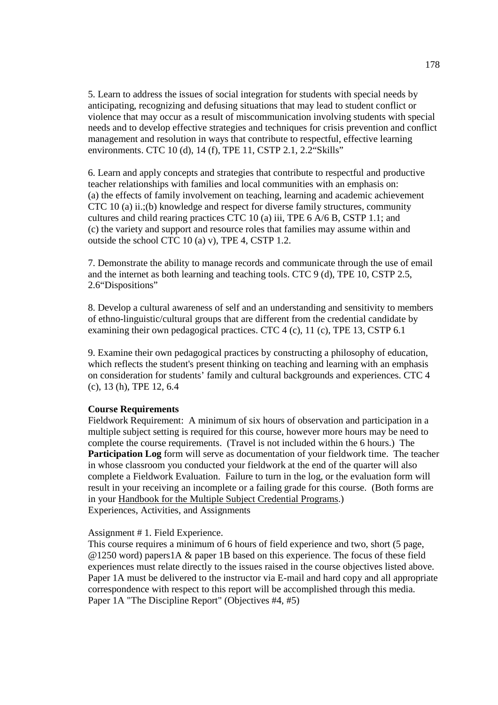5. Learn to address the issues of social integration for students with special needs by anticipating, recognizing and defusing situations that may lead to student conflict or violence that may occur as a result of miscommunication involving students with special needs and to develop effective strategies and techniques for crisis prevention and conflict management and resolution in ways that contribute to respectful, effective learning environments. CTC 10 (d), 14 (f), TPE 11, CSTP 2.1, 2.2"Skills"

6. Learn and apply concepts and strategies that contribute to respectful and productive teacher relationships with families and local communities with an emphasis on: (a) the effects of family involvement on teaching, learning and academic achievement CTC 10 (a) ii.;(b) knowledge and respect for diverse family structures, community cultures and child rearing practices CTC 10 (a) iii, TPE  $6 \overline{\text{A}}/6 \overline{\text{B}}$ , CSTP 1.1; and (c) the variety and support and resource roles that families may assume within and outside the school CTC 10 (a) v), TPE 4, CSTP 1.2.

7. Demonstrate the ability to manage records and communicate through the use of email and the internet as both learning and teaching tools. CTC 9 (d), TPE 10, CSTP 2.5, 2.6"Dispositions"

8. Develop a cultural awareness of self and an understanding and sensitivity to members of ethno-linguistic/cultural groups that are different from the credential candidate by examining their own pedagogical practices. CTC 4 (c), 11 (c), TPE 13, CSTP 6.1

9. Examine their own pedagogical practices by constructing a philosophy of education, which reflects the student's present thinking on teaching and learning with an emphasis on consideration for students' family and cultural backgrounds and experiences. CTC 4 (c), 13 (h), TPE 12, 6.4

#### **Course Requirements**

Fieldwork Requirement: A minimum of six hours of observation and participation in a multiple subject setting is required for this course, however more hours may be need to complete the course requirements. (Travel is not included within the 6 hours.) The **Participation Log** form will serve as documentation of your fieldwork time. The teacher in whose classroom you conducted your fieldwork at the end of the quarter will also complete a Fieldwork Evaluation. Failure to turn in the log, or the evaluation form will result in your receiving an incomplete or a failing grade for this course. (Both forms are in your Handbook for the Multiple Subject Credential Programs.) Experiences, Activities, and Assignments

#### Assignment # 1. Field Experience.

This course requires a minimum of 6 hours of field experience and two, short (5 page, @1250 word) papers1A & paper 1B based on this experience. The focus of these field experiences must relate directly to the issues raised in the course objectives listed above. Paper 1A must be delivered to the instructor via E-mail and hard copy and all appropriate correspondence with respect to this report will be accomplished through this media. Paper 1A "The Discipline Report" (Objectives #4, #5)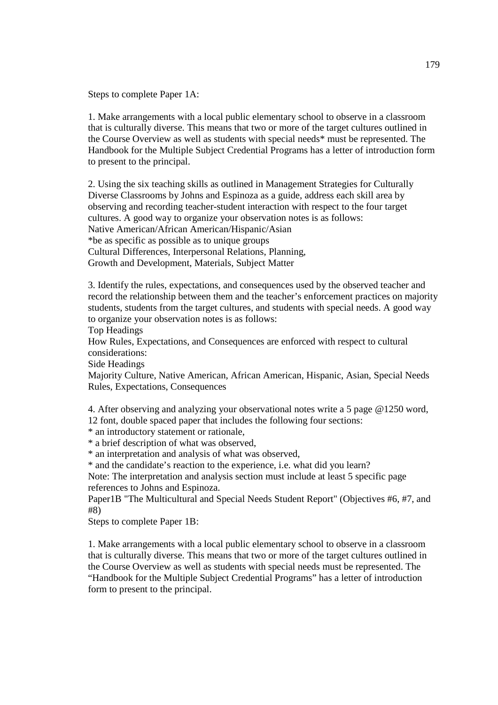Steps to complete Paper 1A:

1. Make arrangements with a local public elementary school to observe in a classroom that is culturally diverse. This means that two or more of the target cultures outlined in the Course Overview as well as students with special needs\* must be represented. The Handbook for the Multiple Subject Credential Programs has a letter of introduction form to present to the principal.

2. Using the six teaching skills as outlined in Management Strategies for Culturally Diverse Classrooms by Johns and Espinoza as a guide, address each skill area by observing and recording teacher-student interaction with respect to the four target cultures. A good way to organize your observation notes is as follows: Native American/African American/Hispanic/Asian \*be as specific as possible as to unique groups Cultural Differences, Interpersonal Relations, Planning, Growth and Development, Materials, Subject Matter

3. Identify the rules, expectations, and consequences used by the observed teacher and record the relationship between them and the teacher's enforcement practices on majority students, students from the target cultures, and students with special needs. A good way to organize your observation notes is as follows:

Top Headings

How Rules, Expectations, and Consequences are enforced with respect to cultural considerations:

Side Headings

Majority Culture, Native American, African American, Hispanic, Asian, Special Needs Rules, Expectations, Consequences

4. After observing and analyzing your observational notes write a 5 page @1250 word, 12 font, double spaced paper that includes the following four sections:

\* an introductory statement or rationale,

\* a brief description of what was observed,

\* an interpretation and analysis of what was observed,

\* and the candidate's reaction to the experience, i.e. what did you learn?

Note: The interpretation and analysis section must include at least 5 specific page references to Johns and Espinoza.

Paper1B "The Multicultural and Special Needs Student Report" (Objectives #6, #7, and #8)

Steps to complete Paper 1B:

1. Make arrangements with a local public elementary school to observe in a classroom that is culturally diverse. This means that two or more of the target cultures outlined in the Course Overview as well as students with special needs must be represented. The "Handbook for the Multiple Subject Credential Programs" has a letter of introduction form to present to the principal.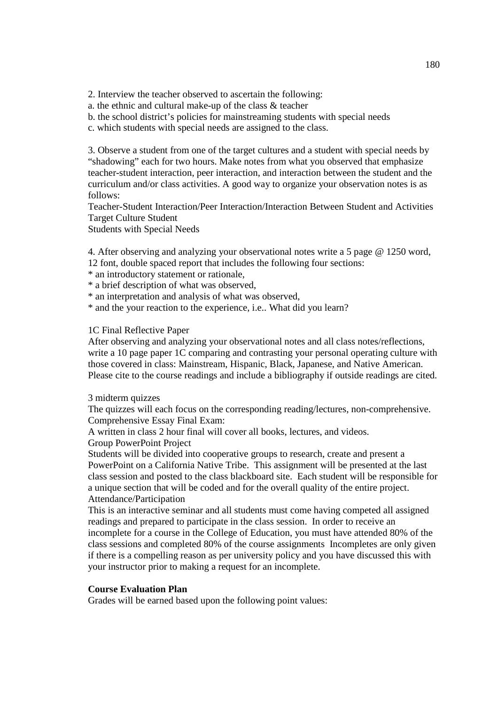2. Interview the teacher observed to ascertain the following:

- a. the ethnic and cultural make-up of the class & teacher
- b. the school district's policies for mainstreaming students with special needs
- c. which students with special needs are assigned to the class.

3. Observe a student from one of the target cultures and a student with special needs by "shadowing" each for two hours. Make notes from what you observed that emphasize teacher-student interaction, peer interaction, and interaction between the student and the curriculum and/or class activities. A good way to organize your observation notes is as follows:

Teacher-Student Interaction/Peer Interaction/Interaction Between Student and Activities Target Culture Student

Students with Special Needs

4. After observing and analyzing your observational notes write a 5 page @ 1250 word, 12 font, double spaced report that includes the following four sections:

- \* an introductory statement or rationale,
- \* a brief description of what was observed,
- \* an interpretation and analysis of what was observed,
- \* and the your reaction to the experience, i.e.. What did you learn?

#### 1C Final Reflective Paper

After observing and analyzing your observational notes and all class notes/reflections, write a 10 page paper 1C comparing and contrasting your personal operating culture with those covered in class: Mainstream, Hispanic, Black, Japanese, and Native American. Please cite to the course readings and include a bibliography if outside readings are cited.

#### 3 midterm quizzes

The quizzes will each focus on the corresponding reading/lectures, non-comprehensive. Comprehensive Essay Final Exam:

A written in class 2 hour final will cover all books, lectures, and videos.

Group PowerPoint Project

Students will be divided into cooperative groups to research, create and present a PowerPoint on a California Native Tribe. This assignment will be presented at the last class session and posted to the class blackboard site. Each student will be responsible for a unique section that will be coded and for the overall quality of the entire project. Attendance/Participation

This is an interactive seminar and all students must come having competed all assigned readings and prepared to participate in the class session. In order to receive an incomplete for a course in the College of Education, you must have attended 80% of the class sessions and completed 80% of the course assignments Incompletes are only given if there is a compelling reason as per university policy and you have discussed this with your instructor prior to making a request for an incomplete.

#### **Course Evaluation Plan**

Grades will be earned based upon the following point values: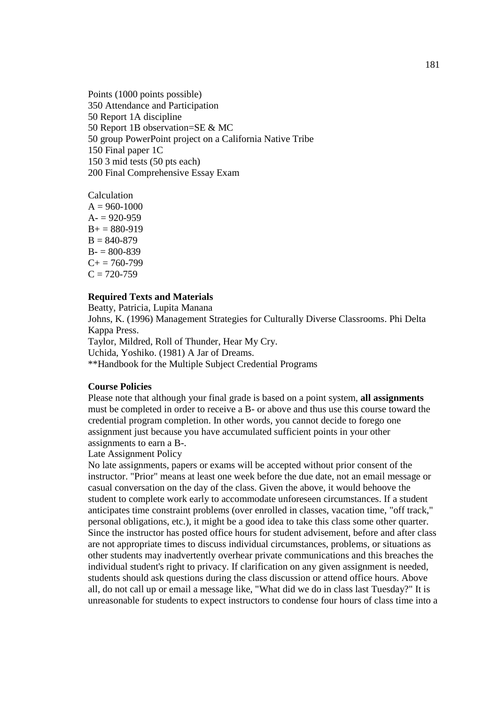Points (1000 points possible) 350 Attendance and Participation 50 Report 1A discipline 50 Report 1B observation=SE & MC 50 group PowerPoint project on a California Native Tribe 150 Final paper 1C 150 3 mid tests (50 pts each) 200 Final Comprehensive Essay Exam

# Calculation  $A = 960-1000$  $A = 920 - 959$  $B+= 880-919$  $B = 840 - 879$  $B = 800 - 839$  $C_{+} = 760 - 799$  $C = 720 - 759$

# **Required Texts and Materials**

Beatty, Patricia, Lupita Manana

Johns, K. (1996) Management Strategies for Culturally Diverse Classrooms. Phi Delta Kappa Press.

Taylor, Mildred, Roll of Thunder, Hear My Cry. Uchida, Yoshiko. (1981) A Jar of Dreams. \*\*Handbook for the Multiple Subject Credential Programs

# **Course Policies**

Please note that although your final grade is based on a point system, **all assignments** must be completed in order to receive a B- or above and thus use this course toward the credential program completion. In other words, you cannot decide to forego one assignment just because you have accumulated sufficient points in your other assignments to earn a B-.

#### Late Assignment Policy

No late assignments, papers or exams will be accepted without prior consent of the instructor. "Prior" means at least one week before the due date, not an email message or casual conversation on the day of the class. Given the above, it would behoove the student to complete work early to accommodate unforeseen circumstances. If a student anticipates time constraint problems (over enrolled in classes, vacation time, "off track," personal obligations, etc.), it might be a good idea to take this class some other quarter. Since the instructor has posted office hours for student advisement, before and after class are not appropriate times to discuss individual circumstances, problems, or situations as other students may inadvertently overhear private communications and this breaches the individual student's right to privacy. If clarification on any given assignment is needed, students should ask questions during the class discussion or attend office hours. Above all, do not call up or email a message like, "What did we do in class last Tuesday?" It is unreasonable for students to expect instructors to condense four hours of class time into a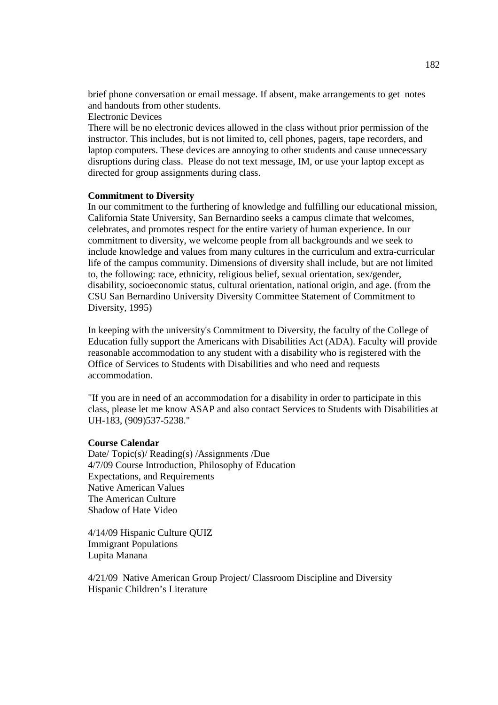brief phone conversation or email message. If absent, make arrangements to get notes and handouts from other students.

Electronic Devices

There will be no electronic devices allowed in the class without prior permission of the instructor. This includes, but is not limited to, cell phones, pagers, tape recorders, and laptop computers. These devices are annoying to other students and cause unnecessary disruptions during class. Please do not text message, IM, or use your laptop except as directed for group assignments during class.

#### **Commitment to Diversity**

In our commitment to the furthering of knowledge and fulfilling our educational mission, California State University, San Bernardino seeks a campus climate that welcomes, celebrates, and promotes respect for the entire variety of human experience. In our commitment to diversity, we welcome people from all backgrounds and we seek to include knowledge and values from many cultures in the curriculum and extra-curricular life of the campus community. Dimensions of diversity shall include, but are not limited to, the following: race, ethnicity, religious belief, sexual orientation, sex/gender, disability, socioeconomic status, cultural orientation, national origin, and age. (from the CSU San Bernardino University Diversity Committee Statement of Commitment to Diversity, 1995)

In keeping with the university's Commitment to Diversity, the faculty of the College of Education fully support the Americans with Disabilities Act (ADA). Faculty will provide reasonable accommodation to any student with a disability who is registered with the Office of Services to Students with Disabilities and who need and requests accommodation.

"If you are in need of an accommodation for a disability in order to participate in this class, please let me know ASAP and also contact Services to Students with Disabilities at UH-183, (909)537-5238."

#### **Course Calendar**

Date/ Topic(s)/ Reading(s) /Assignments /Due 4/7/09 Course Introduction, Philosophy of Education Expectations, and Requirements Native American Values The American Culture Shadow of Hate Video

4/14/09 Hispanic Culture QUIZ Immigrant Populations Lupita Manana

4/21/09 Native American Group Project/ Classroom Discipline and Diversity Hispanic Children's Literature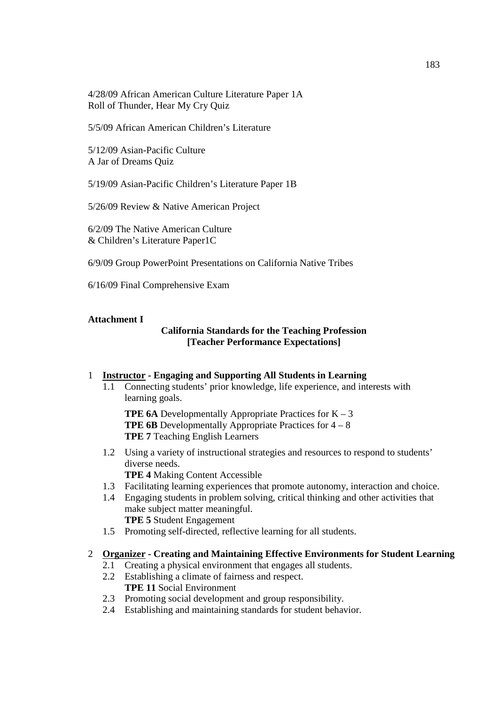4/28/09 African American Culture Literature Paper 1A Roll of Thunder, Hear My Cry Quiz

5/5/09 African American Children's Literature

5/12/09 Asian-Pacific Culture A Jar of Dreams Quiz

5/19/09 Asian-Pacific Children's Literature Paper 1B

5/26/09 Review & Native American Project

6/2/09 The Native American Culture & Children's Literature Paper1C

6/9/09 Group PowerPoint Presentations on California Native Tribes

6/16/09 Final Comprehensive Exam

#### **Attachment I**

# **California Standards for the Teaching Profession [Teacher Performance Expectations]**

#### 1 **Instructor - Engaging and Supporting All Students in Learning**

1.1 Connecting students' prior knowledge, life experience, and interests with learning goals.

**TPE 6A** Developmentally Appropriate Practices for  $K - 3$ **TPE 6B** Developmentally Appropriate Practices for  $4 - 8$ **TPE 7** Teaching English Learners

- 1.2 Using a variety of instructional strategies and resources to respond to students' diverse needs. **TPE 4** Making Content Accessible
- 1.3 Facilitating learning experiences that promote autonomy, interaction and choice.
- 1.4 Engaging students in problem solving, critical thinking and other activities that make subject matter meaningful. **TPE 5** Student Engagement
- 1.5 Promoting self-directed, reflective learning for all students.

#### 2 **Organizer - Creating and Maintaining Effective Environments for Student Learning**

- 2.1 Creating a physical environment that engages all students.
- 2.2 Establishing a climate of fairness and respect. **TPE 11** Social Environment
- 2.3 Promoting social development and group responsibility.
- 2.4 Establishing and maintaining standards for student behavior.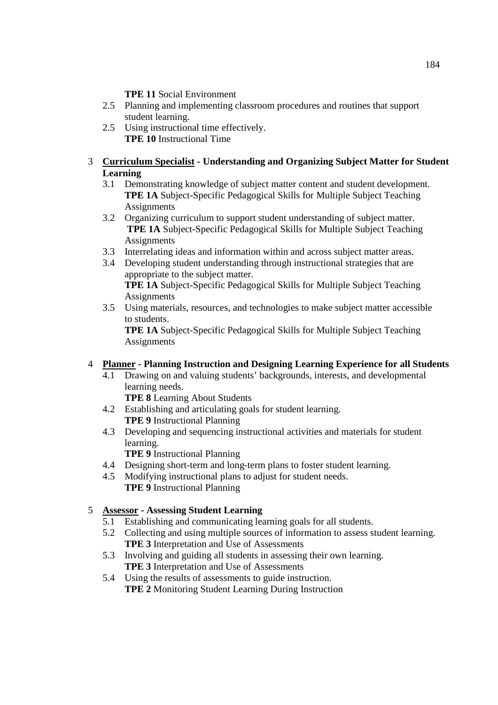**TPE 11** Social Environment

- 2.5 Planning and implementing classroom procedures and routines that support student learning.
- 2.5 Using instructional time effectively. **TPE 10** Instructional Time

# 3 **Curriculum Specialist - Understanding and Organizing Subject Matter for Student Learning**

- 3.1 Demonstrating knowledge of subject matter content and student development. **TPE 1A** Subject-Specific Pedagogical Skills for Multiple Subject Teaching **Assignments**
- 3.2 Organizing curriculum to support student understanding of subject matter. **TPE 1A** Subject-Specific Pedagogical Skills for Multiple Subject Teaching **Assignments**
- 3.3 Interrelating ideas and information within and across subject matter areas.
- 3.4 Developing student understanding through instructional strategies that are appropriate to the subject matter. **TPE 1A** Subject-Specific Pedagogical Skills for Multiple Subject Teaching **Assignments**
- 3.5 Using materials, resources, and technologies to make subject matter accessible to students.

**TPE 1A** Subject-Specific Pedagogical Skills for Multiple Subject Teaching Assignments

# 4 **Planner - Planning Instruction and Designing Learning Experience for all Students**

4.1 Drawing on and valuing students' backgrounds, interests, and developmental learning needs.

 **TPE 8** Learning About Students

- 4.2 Establishing and articulating goals for student learning.  **TPE 9** Instructional Planning
- 4.3 Developing and sequencing instructional activities and materials for student learning.

 **TPE 9** Instructional Planning

- 4.4 Designing short-term and long-term plans to foster student learning.
- 4.5 Modifying instructional plans to adjust for student needs.  **TPE 9** Instructional Planning

# 5 **Assessor - Assessing Student Learning**

- 5.1 Establishing and communicating learning goals for all students.
- 5.2 Collecting and using multiple sources of information to assess student learning.  **TPE 3** Interpretation and Use of Assessments
- 5.3 Involving and guiding all students in assessing their own learning.  **TPE 3** Interpretation and Use of Assessments
- 5.4 Using the results of assessments to guide instruction.  **TPE 2** Monitoring Student Learning During Instruction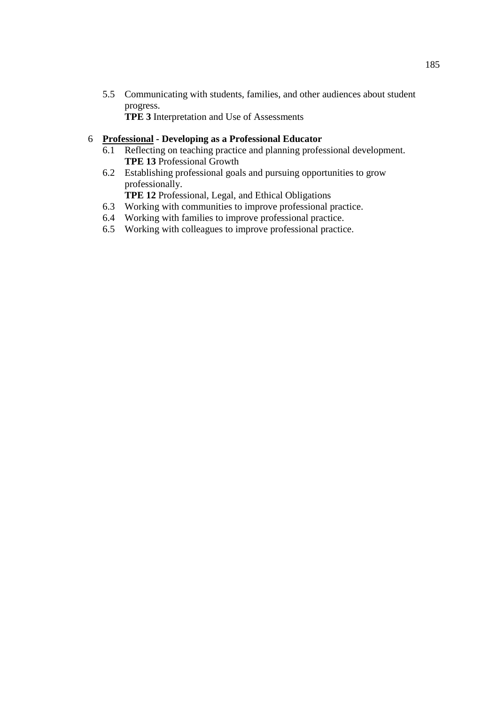5.5 Communicating with students, families, and other audiences about student progress.

 **TPE 3** Interpretation and Use of Assessments

## 6 **Professional - Developing as a Professional Educator**

- 6.1 Reflecting on teaching practice and planning professional development.  **TPE 13** Professional Growth
- 6.2 Establishing professional goals and pursuing opportunities to grow professionally.

 **TPE 12** Professional, Legal, and Ethical Obligations

- 6.3 Working with communities to improve professional practice.
- 6.4 Working with families to improve professional practice.
- 6.5 Working with colleagues to improve professional practice.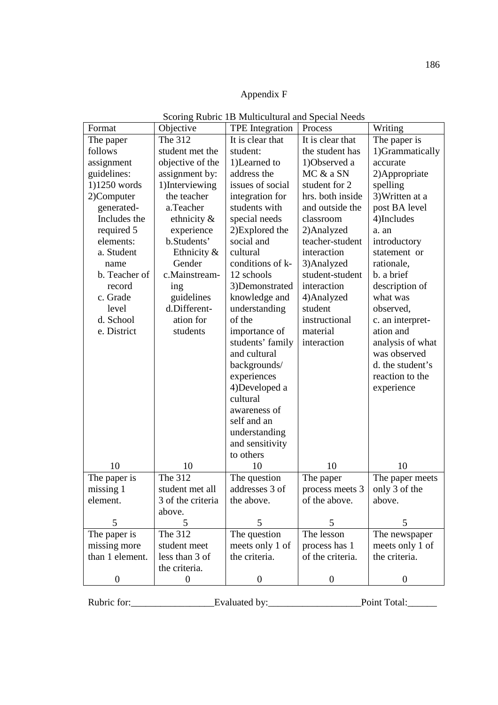# Appendix F

| Format           | Objective         | <b>TPE</b> Integration | Process          | Writing          |
|------------------|-------------------|------------------------|------------------|------------------|
| The paper        | The 312           | It is clear that       | It is clear that | The paper is     |
| follows          | student met the   | student:               | the student has  | 1)Grammatically  |
| assignment       | objective of the  | 1)Learned to           | 1)Observed a     | accurate         |
| guidelines:      | assignment by:    | address the            | MC & a SN        | 2) Appropriate   |
| 1)1250 words     | 1)Interviewing    | issues of social       | student for 2    | spelling         |
| 2)Computer       | the teacher       | integration for        | hrs. both inside | 3) Written at a  |
| generated-       | a.Teacher         | students with          | and outside the  | post BA level    |
| Includes the     | ethnicity $\&$    | special needs          | classroom        | 4)Includes       |
| required 5       | experience        | 2) Explored the        | 2) Analyzed      | a. an            |
| elements:        | b.Students'       | social and             | teacher-student  | introductory     |
| a. Student       | Ethnicity &       | cultural               | interaction      | statement or     |
| name             | Gender            | conditions of k-       | 3) Analyzed      | rationale,       |
| b. Teacher of    | c.Mainstream-     | 12 schools             | student-student  | b. a brief       |
| record           | ing               | 3)Demonstrated         | interaction      | description of   |
| c. Grade         | guidelines        | knowledge and          | 4) Analyzed      | what was         |
| level            | d.Different-      | understanding          | student          | observed,        |
| d. School        | ation for         | of the                 | instructional    | c. an interpret- |
| e. District      | students          | importance of          | material         | ation and        |
|                  |                   | students' family       | interaction      | analysis of what |
|                  |                   | and cultural           |                  | was observed     |
|                  |                   | backgrounds/           |                  | d. the student's |
|                  |                   | experiences            |                  | reaction to the  |
|                  |                   | 4)Developed a          |                  | experience       |
|                  |                   | cultural               |                  |                  |
|                  |                   | awareness of           |                  |                  |
|                  |                   | self and an            |                  |                  |
|                  |                   | understanding          |                  |                  |
|                  |                   | and sensitivity        |                  |                  |
|                  |                   | to others              |                  |                  |
| 10               | 10                | 10                     | 10               | 10               |
| The paper is     | The 312           | The question           | The paper        | The paper meets  |
| missing 1        | student met all   | addresses 3 of         | process meets 3  | only 3 of the    |
| element.         | 3 of the criteria | the above.             | of the above.    | above.           |
|                  | above.            |                        |                  |                  |
| 5                | 5                 | 5                      | 5                | 5                |
| The paper is     | The 312           | The question           | The lesson       | The newspaper    |
| missing more     | student meet      | meets only 1 of        | process has 1    | meets only 1 of  |
| than 1 element.  | less than 3 of    | the criteria.          | of the criteria. | the criteria.    |
|                  | the criteria.     |                        |                  |                  |
| $\boldsymbol{0}$ | $\overline{0}$    | $\boldsymbol{0}$       | $\overline{0}$   | $\overline{0}$   |

Scoring Rubric 1B Multicultural and Special Needs

Rubric for:\_\_\_\_\_\_\_\_\_\_\_\_\_\_\_\_\_Evaluated by:\_\_\_\_\_\_\_\_\_\_\_\_\_\_\_\_\_\_\_Point Total:\_\_\_\_\_\_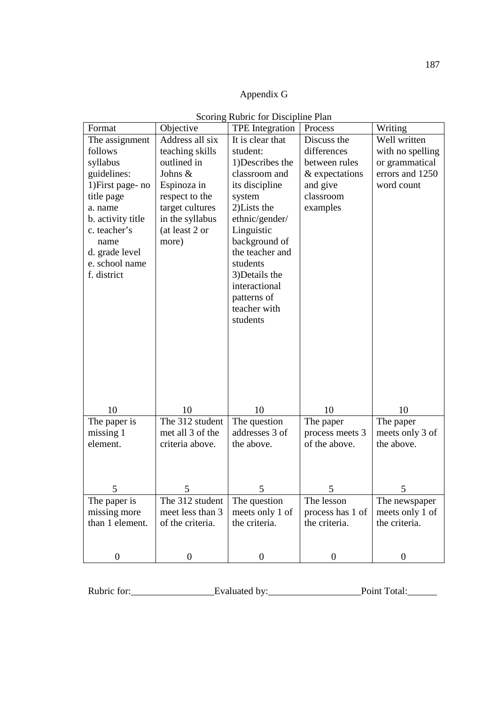# Appendix G

| Format            | Objective        | <b>TPE</b> Integration | Process          | Writing          |
|-------------------|------------------|------------------------|------------------|------------------|
| The assignment    | Address all six  | It is clear that       | Discuss the      | Well written     |
| follows           | teaching skills  | student:               | differences      | with no spelling |
| syllabus          | outlined in      | 1)Describes the        | between rules    | or grammatical   |
| guidelines:       | Johns &          | classroom and          | & expectations   | errors and 1250  |
| 1) First page- no | Espinoza in      | its discipline         | and give         | word count       |
| title page        | respect to the   | system                 | classroom        |                  |
| a. name           | target cultures  | 2) Lists the           | examples         |                  |
| b. activity title | in the syllabus  | ethnic/gender/         |                  |                  |
| c. teacher's      | (at least 2 or   | Linguistic             |                  |                  |
| name              | more)            | background of          |                  |                  |
| d. grade level    |                  | the teacher and        |                  |                  |
| e. school name    |                  | students               |                  |                  |
| f. district       |                  | 3) Details the         |                  |                  |
|                   |                  | interactional          |                  |                  |
|                   |                  | patterns of            |                  |                  |
|                   |                  | teacher with           |                  |                  |
|                   |                  | students               |                  |                  |
|                   |                  |                        |                  |                  |
|                   |                  |                        |                  |                  |
|                   |                  |                        |                  |                  |
|                   |                  |                        |                  |                  |
|                   |                  |                        |                  |                  |
|                   |                  |                        |                  |                  |
|                   |                  |                        |                  |                  |
| 10                | 10               | 10                     | 10               | 10               |
| The paper is      | The 312 student  | The question           | The paper        | The paper        |
| missing 1         | met all 3 of the | addresses 3 of         | process meets 3  | meets only 3 of  |
| element.          | criteria above.  | the above.             | of the above.    | the above.       |
|                   |                  |                        |                  |                  |
|                   |                  |                        |                  |                  |
| 5                 | 5                | 5                      | 5                | 5                |
| The paper is      | The 312 student  | The question           | The lesson       | The newspaper    |
| missing more      | meet less than 3 | meets only 1 of        | process has 1 of | meets only 1 of  |
| than 1 element.   | of the criteria. | the criteria.          | the criteria.    | the criteria.    |
|                   |                  |                        |                  |                  |
|                   |                  |                        |                  |                  |
| $\boldsymbol{0}$  | $\boldsymbol{0}$ | $\boldsymbol{0}$       | $\boldsymbol{0}$ | $\boldsymbol{0}$ |

Rubric for:\_\_\_\_\_\_\_\_\_\_\_\_\_\_\_\_\_Evaluated by:\_\_\_\_\_\_\_\_\_\_\_\_\_\_\_\_\_\_\_Point Total:\_\_\_\_\_\_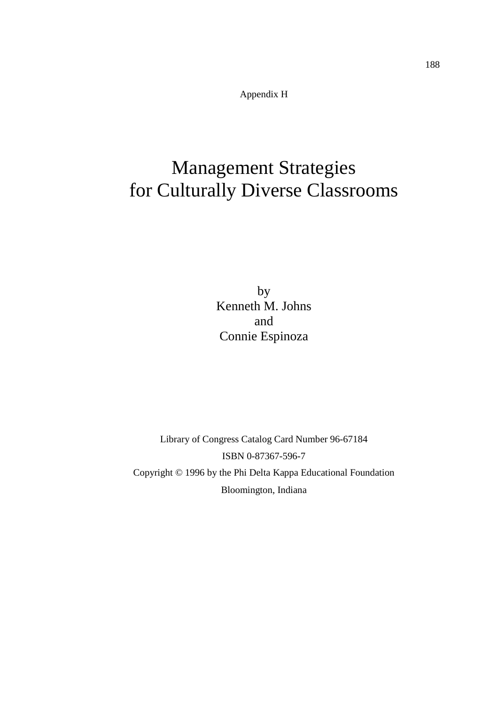Appendix H

# Management Strategies for Culturally Diverse Classrooms

by Kenneth M. Johns and Connie Espinoza

Library of Congress Catalog Card Number 96-67184 ISBN 0-87367-596-7 Copyright © 1996 by the Phi Delta Kappa Educational Foundation Bloomington, Indiana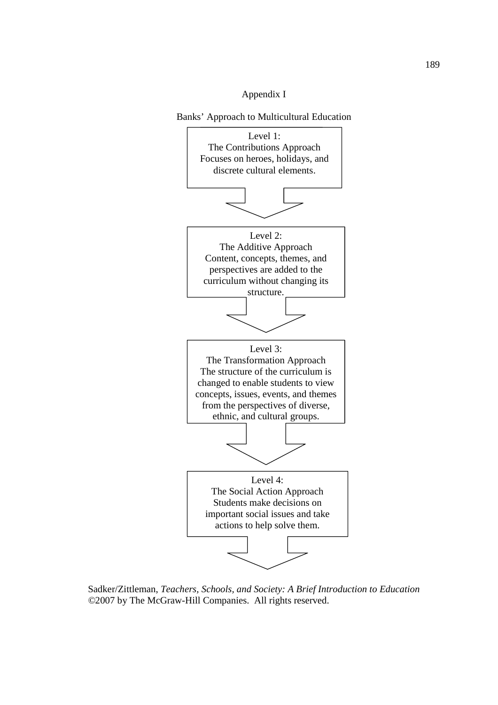# Appendix I

Banks' Approach to Multicultural Education



Sadker/Zittleman, *Teachers, Schools, and Society: A Brief Introduction to Education ©*2007 by The McGraw-Hill Companies. All rights reserved.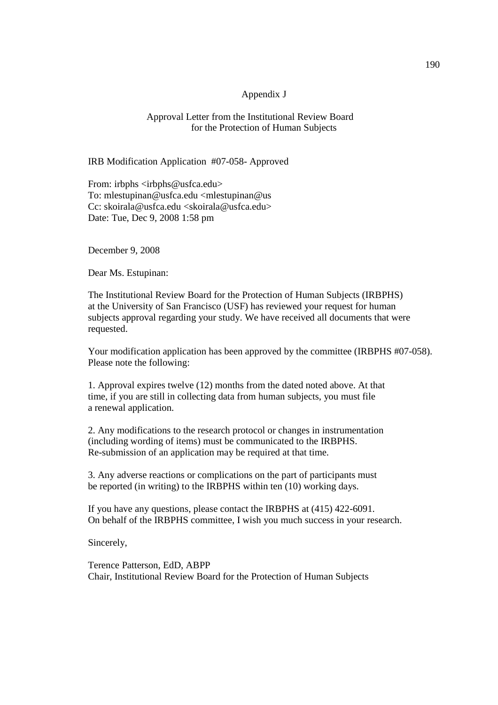#### Appendix J

#### Approval Letter from the Institutional Review Board for the Protection of Human Subjects

IRB Modification Application #07-058- Approved

From: irbphs <irbphs@usfca.edu> To: mlestupinan@usfca.edu <mlestupinan@us Cc: skoirala@usfca.edu <skoirala@usfca.edu> Date: Tue, Dec 9, 2008 1:58 pm

December 9, 2008

Dear Ms. Estupinan:

The Institutional Review Board for the Protection of Human Subjects (IRBPHS) at the University of San Francisco (USF) has reviewed your request for human subjects approval regarding your study. We have received all documents that were requested.

Your modification application has been approved by the committee (IRBPHS #07-058). Please note the following:

1. Approval expires twelve (12) months from the dated noted above. At that time, if you are still in collecting data from human subjects, you must file a renewal application.

2. Any modifications to the research protocol or changes in instrumentation (including wording of items) must be communicated to the IRBPHS. Re-submission of an application may be required at that time.

3. Any adverse reactions or complications on the part of participants must be reported (in writing) to the IRBPHS within ten (10) working days.

If you have any questions, please contact the IRBPHS at (415) 422-6091. On behalf of the IRBPHS committee, I wish you much success in your research.

Sincerely,

Terence Patterson, EdD, ABPP Chair, Institutional Review Board for the Protection of Human Subjects